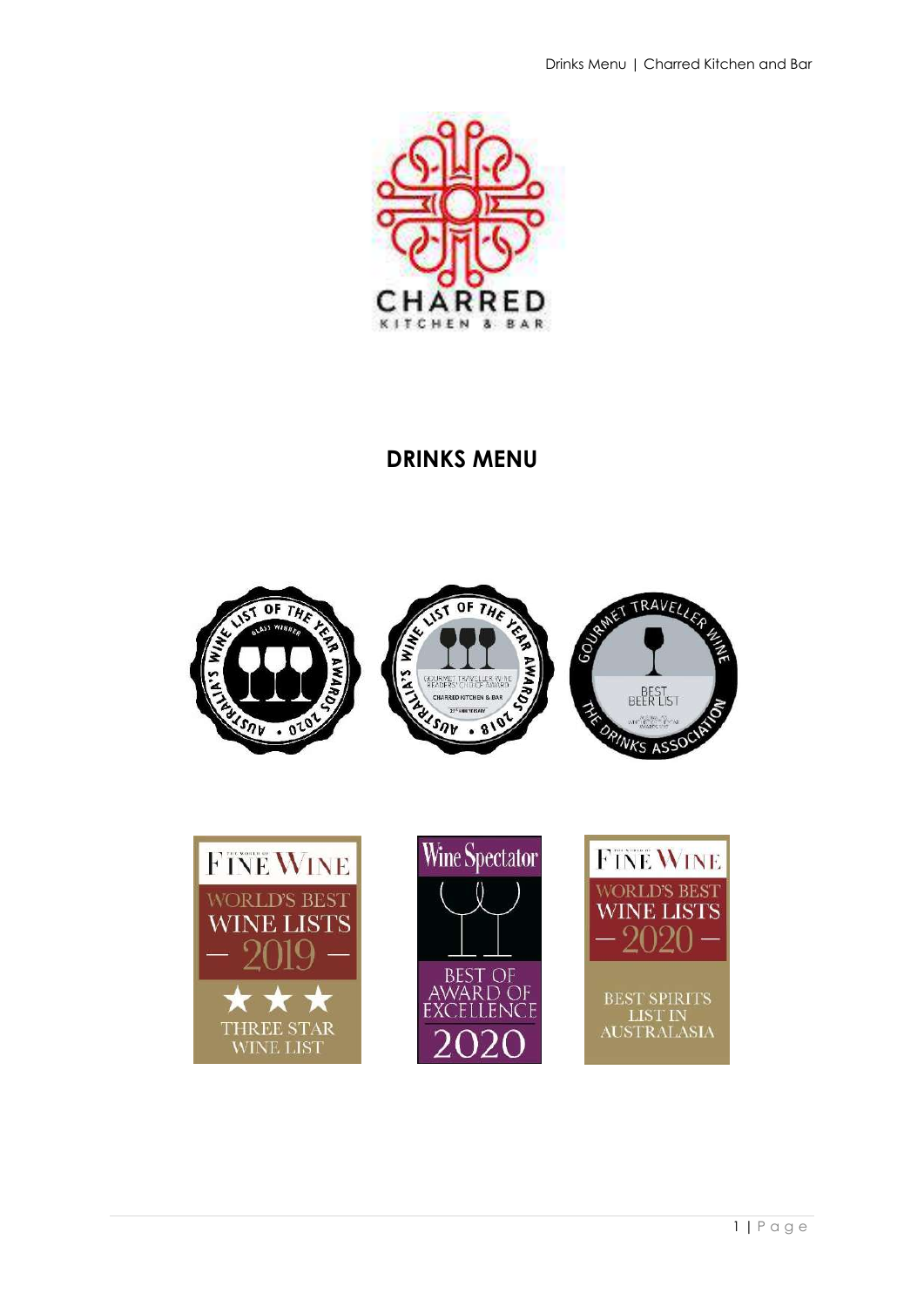Drinks Menu | Charred Kitchen and Bar



#### **DRINKS MENU**







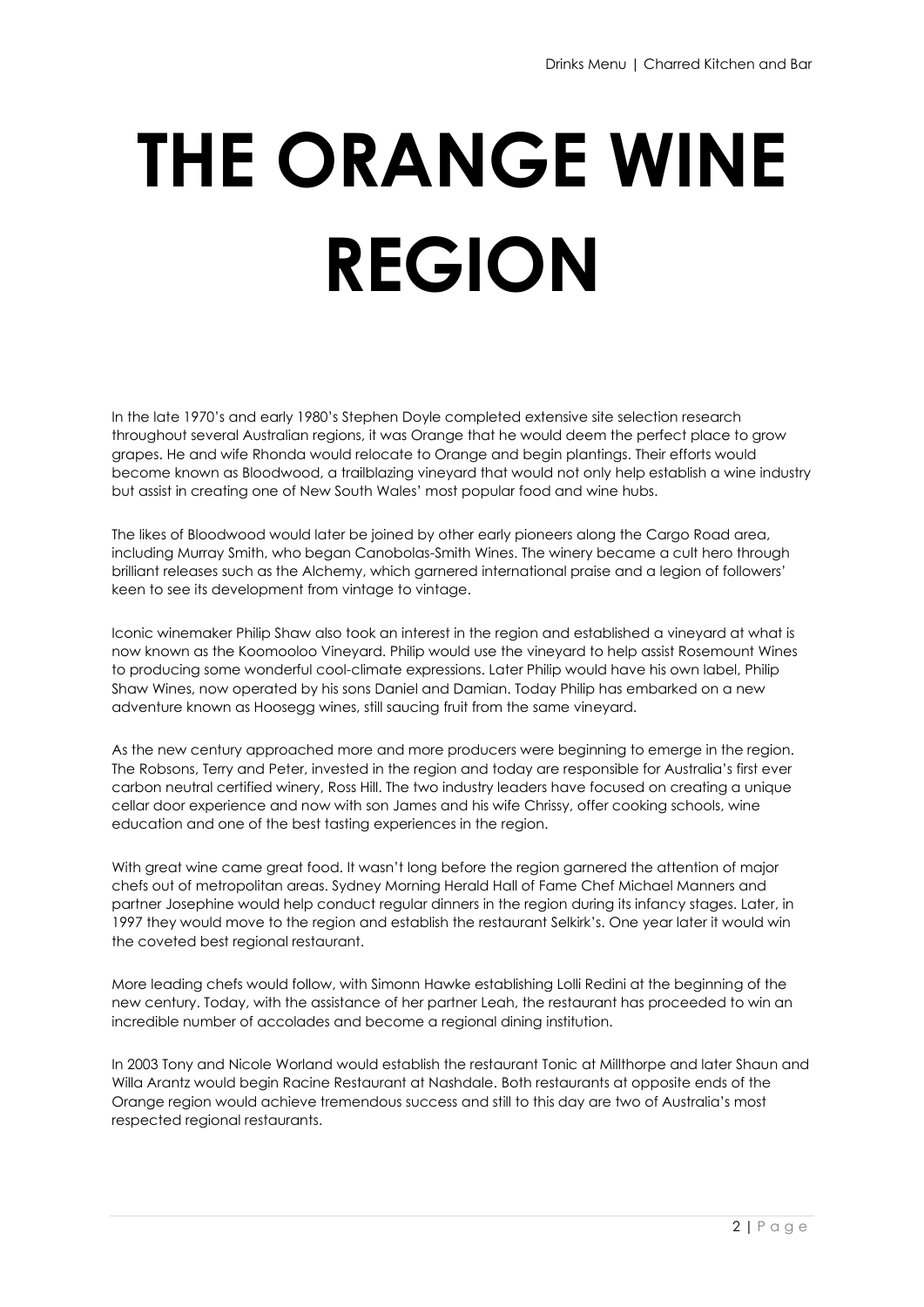# <span id="page-1-0"></span>**THE ORANGE WINE REGION**

In the late 1970's and early 1980's Stephen Doyle completed extensive site selection research throughout several Australian regions, it was Orange that he would deem the perfect place to grow grapes. He and wife Rhonda would relocate to Orange and begin plantings. Their efforts would become known as Bloodwood, a trailblazing vineyard that would not only help establish a wine industry but assist in creating one of New South Wales' most popular food and wine hubs.

The likes of Bloodwood would later be joined by other early pioneers along the Cargo Road area, including Murray Smith, who began Canobolas-Smith Wines. The winery became a cult hero through brilliant releases such as the Alchemy, which garnered international praise and a legion of followers' keen to see its development from vintage to vintage.

Iconic winemaker Philip Shaw also took an interest in the region and established a vineyard at what is now known as the Koomooloo Vineyard. Philip would use the vineyard to help assist Rosemount Wines to producing some wonderful cool-climate expressions. Later Philip would have his own label, Philip Shaw Wines, now operated by his sons Daniel and Damian. Today Philip has embarked on a new adventure known as Hoosegg wines, still saucing fruit from the same vineyard.

As the new century approached more and more producers were beginning to emerge in the region. The Robsons, Terry and Peter, invested in the region and today are responsible for Australia's first ever carbon neutral certified winery, Ross Hill. The two industry leaders have focused on creating a unique cellar door experience and now with son James and his wife Chrissy, offer cooking schools, wine education and one of the best tasting experiences in the region.

With great wine came great food. It wasn't long before the region garnered the attention of major chefs out of metropolitan areas. Sydney Morning Herald Hall of Fame Chef Michael Manners and partner Josephine would help conduct regular dinners in the region during its infancy stages. Later, in 1997 they would move to the region and establish the restaurant Selkirk's. One year later it would win the coveted best regional restaurant.

More leading chefs would follow, with Simonn Hawke establishing Lolli Redini at the beginning of the new century. Today, with the assistance of her partner Leah, the restaurant has proceeded to win an incredible number of accolades and become a regional dining institution.

In 2003 Tony and Nicole Worland would establish the restaurant Tonic at Millthorpe and later Shaun and Willa Arantz would begin Racine Restaurant at Nashdale. Both restaurants at opposite ends of the Orange region would achieve tremendous success and still to this day are two of Australia's most respected regional restaurants.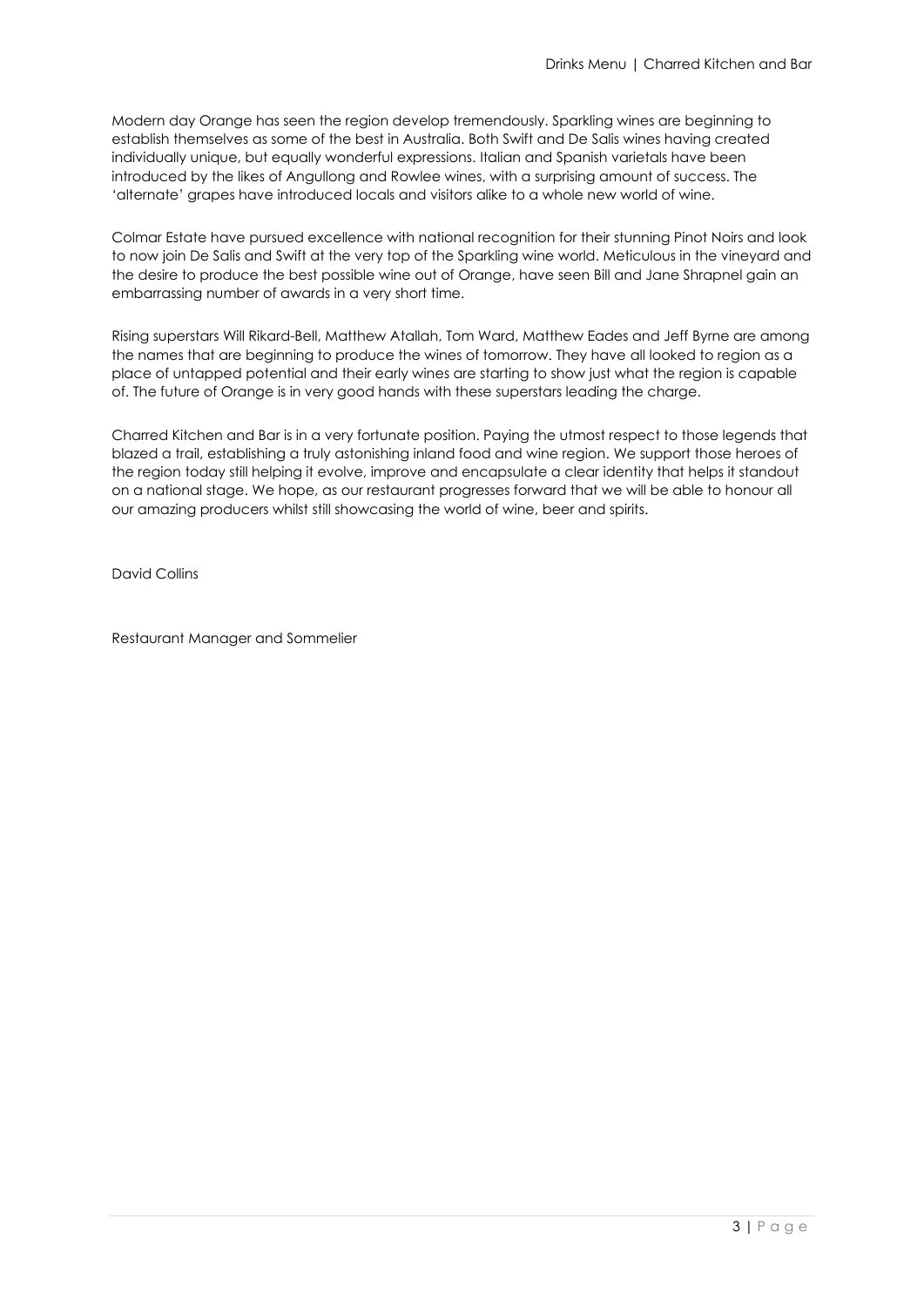Modern day Orange has seen the region develop tremendously. Sparkling wines are beginning to establish themselves as some of the best in Australia. Both Swift and De Salis wines having created individually unique, but equally wonderful expressions. Italian and Spanish varietals have been introduced by the likes of Angullong and Rowlee wines, with a surprising amount of success. The 'alternate' grapes have introduced locals and visitors alike to a whole new world of wine.

Colmar Estate have pursued excellence with national recognition for their stunning Pinot Noirs and look to now join De Salis and Swift at the very top of the Sparkling wine world. Meticulous in the vineyard and the desire to produce the best possible wine out of Orange, have seen Bill and Jane Shrapnel gain an embarrassing number of awards in a very short time.

Rising superstars Will Rikard-Bell, Matthew Atallah, Tom Ward, Matthew Eades and Jeff Byrne are among the names that are beginning to produce the wines of tomorrow. They have all looked to region as a place of untapped potential and their early wines are starting to show just what the region is capable of. The future of Orange is in very good hands with these superstars leading the charge.

Charred Kitchen and Bar is in a very fortunate position. Paying the utmost respect to those legends that blazed a trail, establishing a truly astonishing inland food and wine region. We support those heroes of the region today still helping it evolve, improve and encapsulate a clear identity that helps it standout on a national stage. We hope, as our restaurant progresses forward that we will be able to honour all our amazing producers whilst still showcasing the world of wine, beer and spirits.

David Collins

Restaurant Manager and Sommelier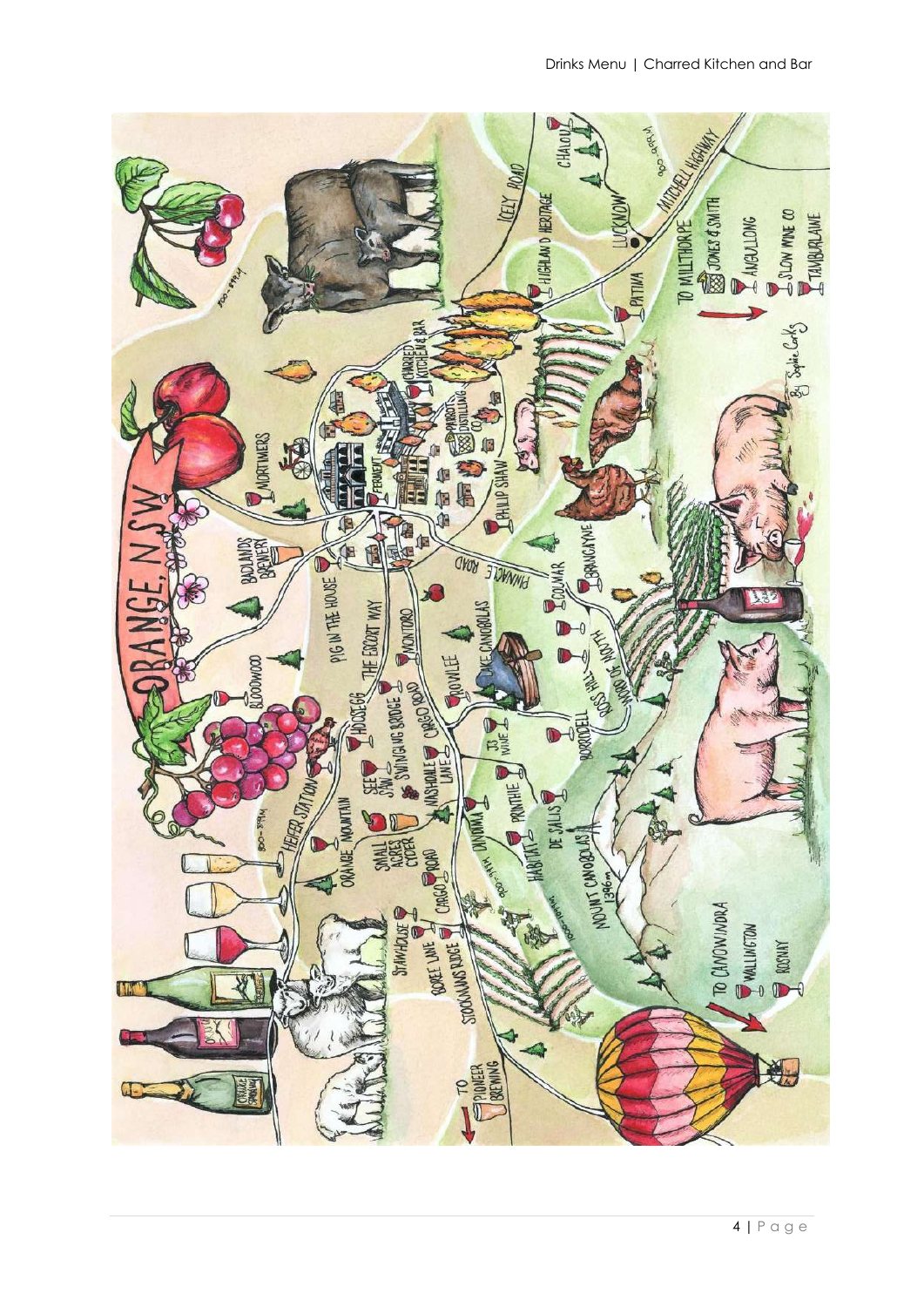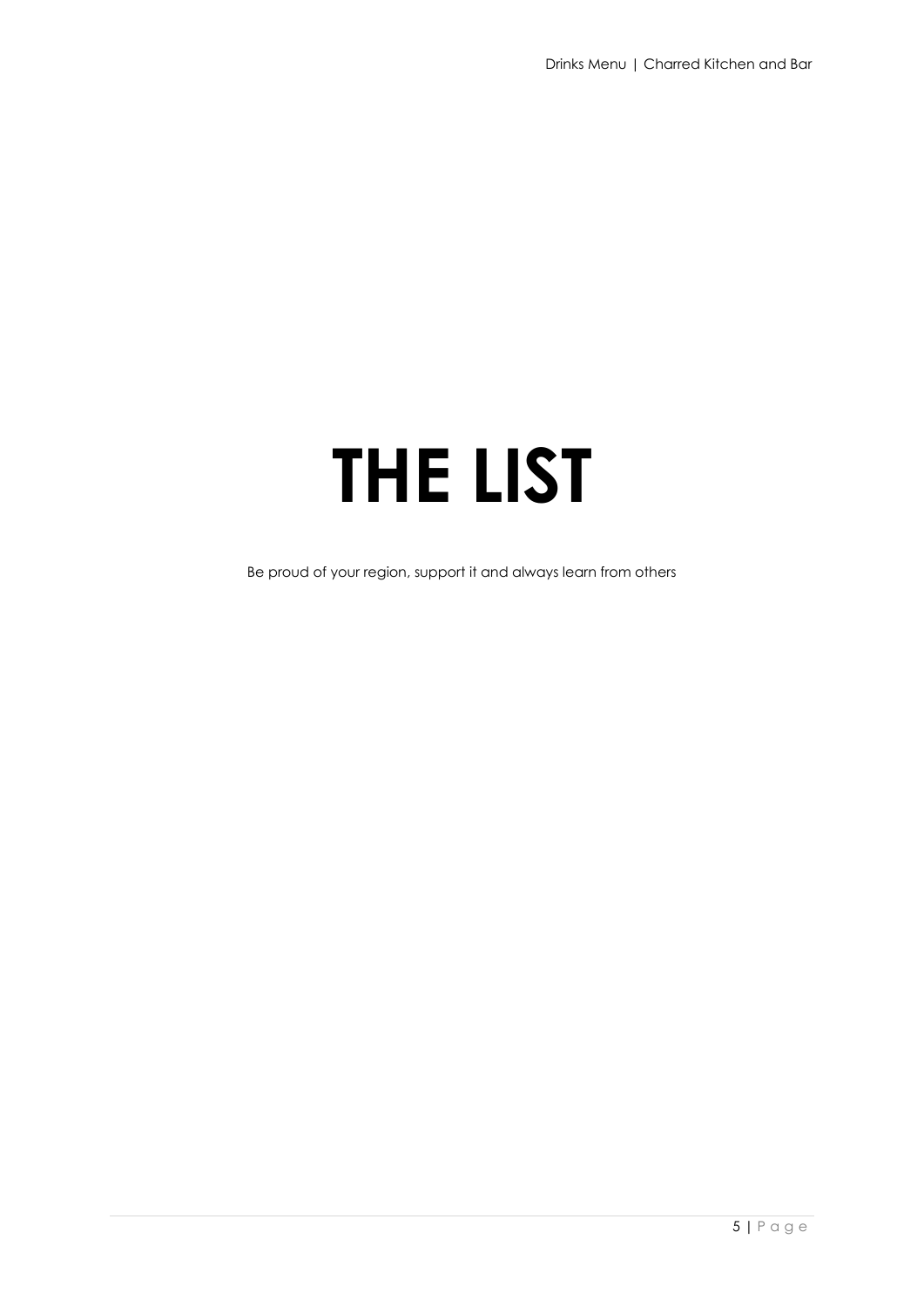# **THE LIST**

<span id="page-4-0"></span>Be proud of your region, support it and always learn from others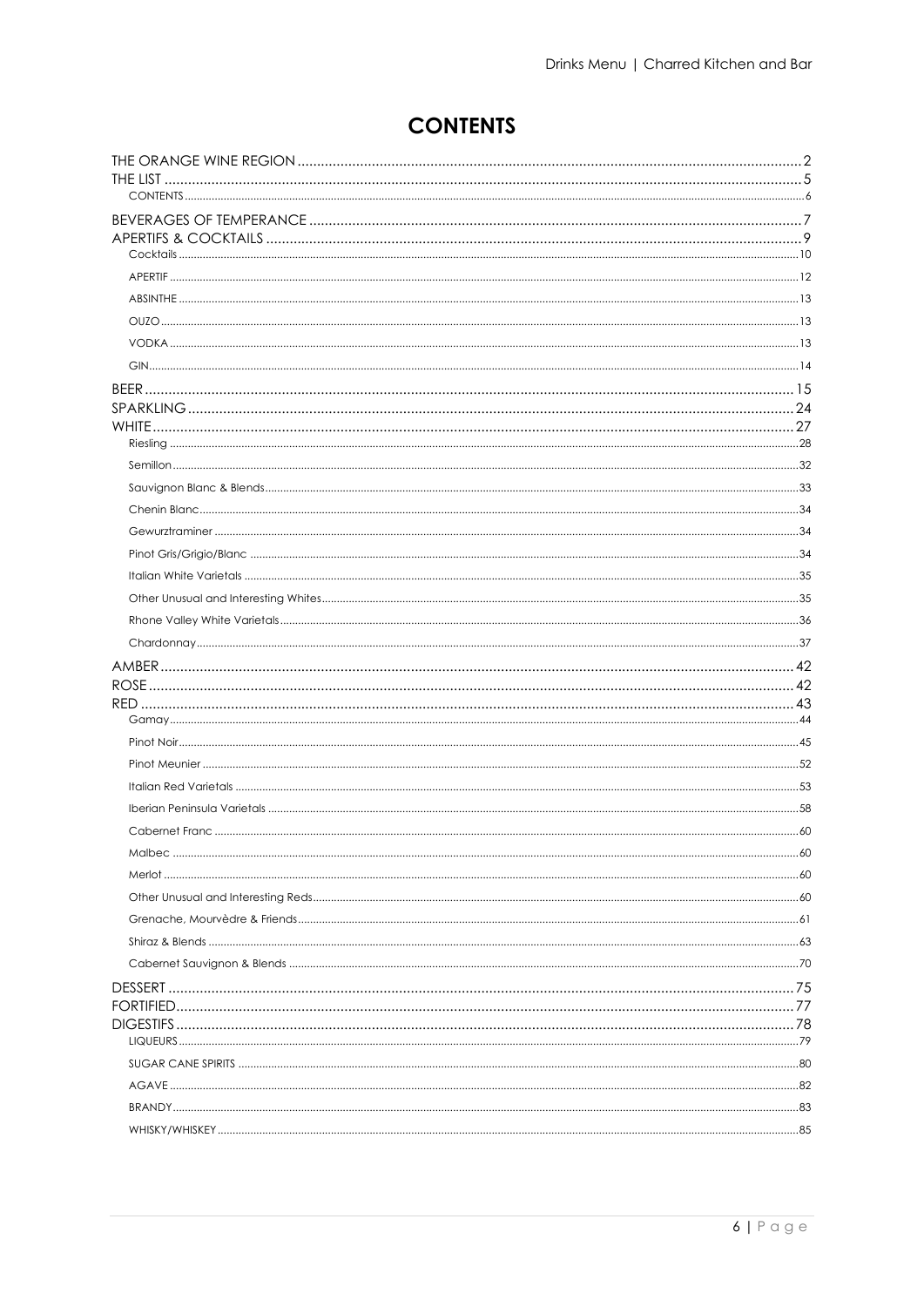#### **CONTENTS**

<span id="page-5-0"></span>

| Malbec |  |
|--------|--|
|        |  |
|        |  |
|        |  |
|        |  |
|        |  |
|        |  |
|        |  |
|        |  |
|        |  |
|        |  |
|        |  |
|        |  |
|        |  |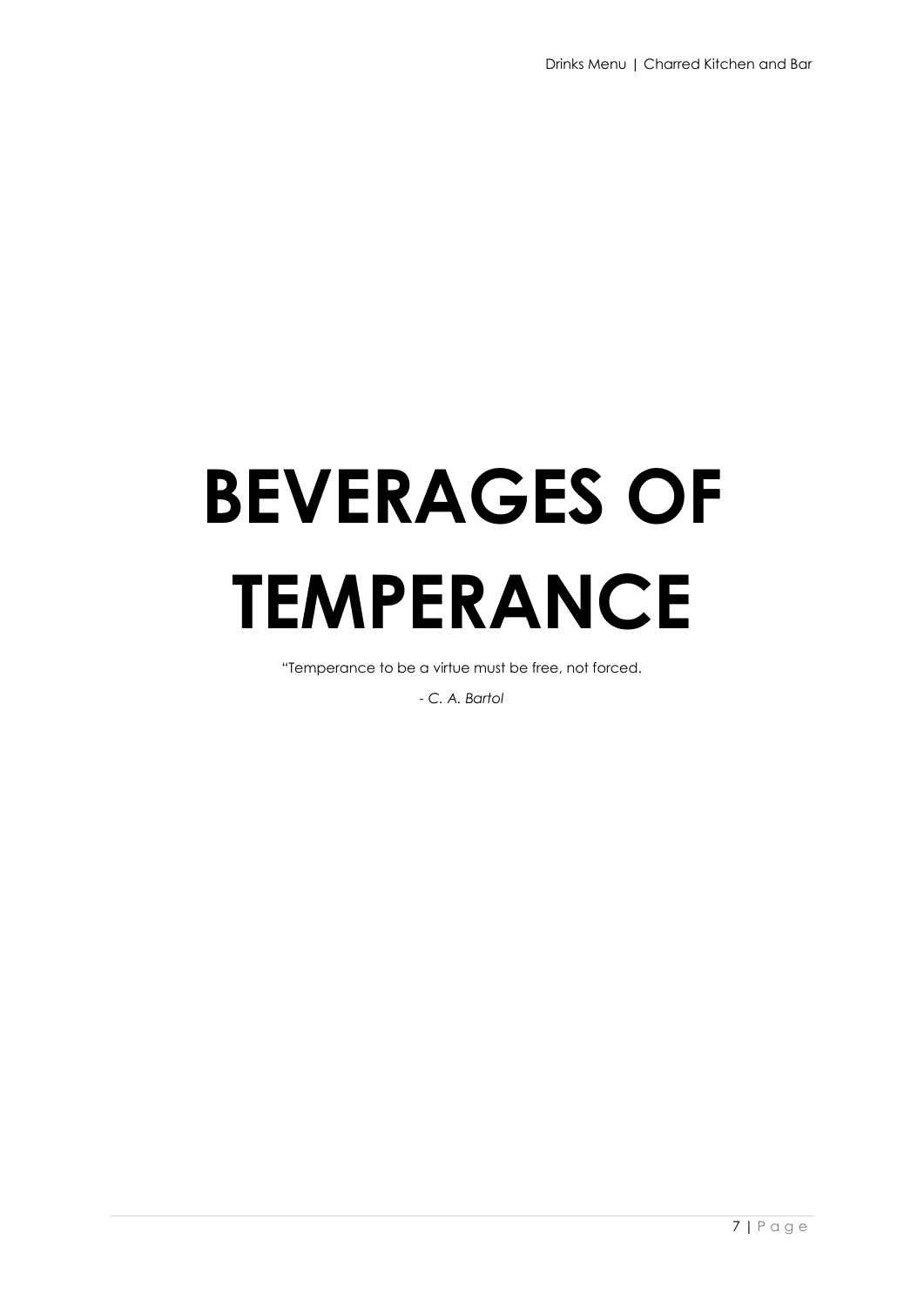# <span id="page-6-0"></span>**BEVERAGES OF TEMPERANCE**

"Temperance to be a virtue must be free, not forced.

*- C. A. Bartol*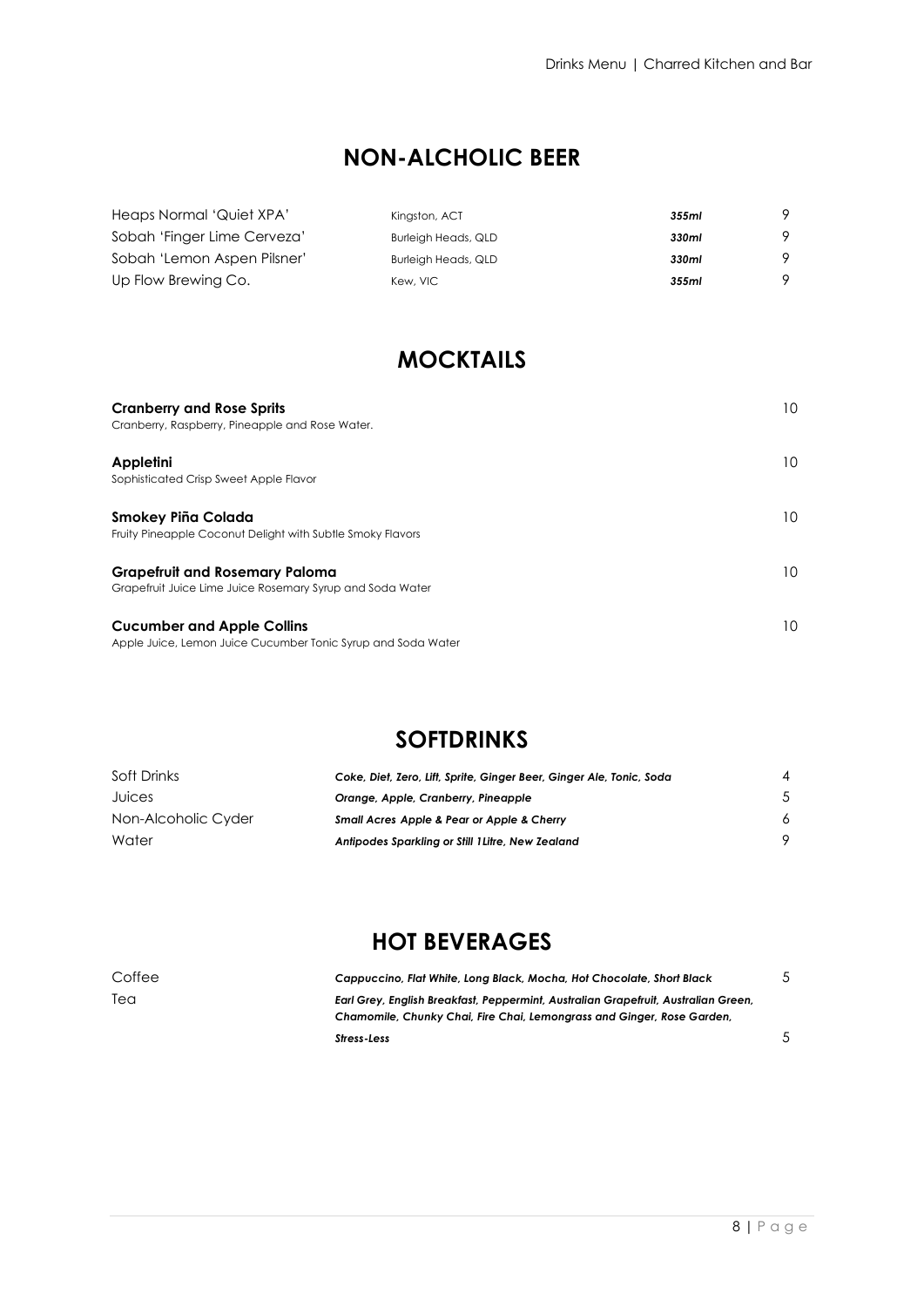## **NON-ALCHOLIC BEER**

| Heaps Normal 'Quiet XPA'    | Kingston, ACT              | 355ml | 9. |
|-----------------------------|----------------------------|-------|----|
| Sobah 'Finger Lime Cerveza' | <b>Burleigh Heads, QLD</b> | 330ml | 9. |
| Sobah 'Lemon Aspen Pilsner' | <b>Burleigh Heads, QLD</b> | 330ml | 9  |
| Up Flow Brewing Co.         | Kew, VIC                   | 355ml | 9. |

### **MOCKTAILS**

| <b>Cranberry and Rose Sprits</b><br>Cranberry, Raspberry, Pineapple and Rose Water.                | 10 |
|----------------------------------------------------------------------------------------------------|----|
| Appletini<br>Sophisticated Crisp Sweet Apple Flavor                                                | 10 |
| Smokey Piña Colada<br>Fruity Pineapple Coconut Delight with Subtle Smoky Flavors                   | 10 |
| <b>Grapefruit and Rosemary Paloma</b><br>Grapefruit Juice Lime Juice Rosemary Syrup and Soda Water | 10 |
| <b>Cucumber and Apple Collins</b><br>Apple Juice, Lemon Juice Cucumber Tonic Syrup and Soda Water  | 10 |

#### **SOFTDRINKS**

| Soft Drinks         | Coke, Diet, Zero, Lift, Sprite, Ginger Beer, Ginger Ale, Tonic, Soda |         |
|---------------------|----------------------------------------------------------------------|---------|
| Juices              | Orange, Apple, Cranberry, Pineapple                                  | -5      |
| Non-Alcoholic Cyder | Small Acres Apple & Pear or Apple & Cherry                           |         |
| Water               | Antipodes Sparkling or Still 1 Litre, New Zealand                    | $\circ$ |

## **HOT BEVERAGES**

| Cappuccino, Flat White, Long Black, Mocha, Hot Chocolate, Short Black              |                                                                        |
|------------------------------------------------------------------------------------|------------------------------------------------------------------------|
| Earl Grey, English Breakfast, Peppermint, Australian Grapefruit, Australian Green, |                                                                        |
|                                                                                    |                                                                        |
| <b>Stress-Less</b>                                                                 |                                                                        |
|                                                                                    | Chamomile, Chunky Chai, Fire Chai, Lemongrass and Ginger, Rose Garden, |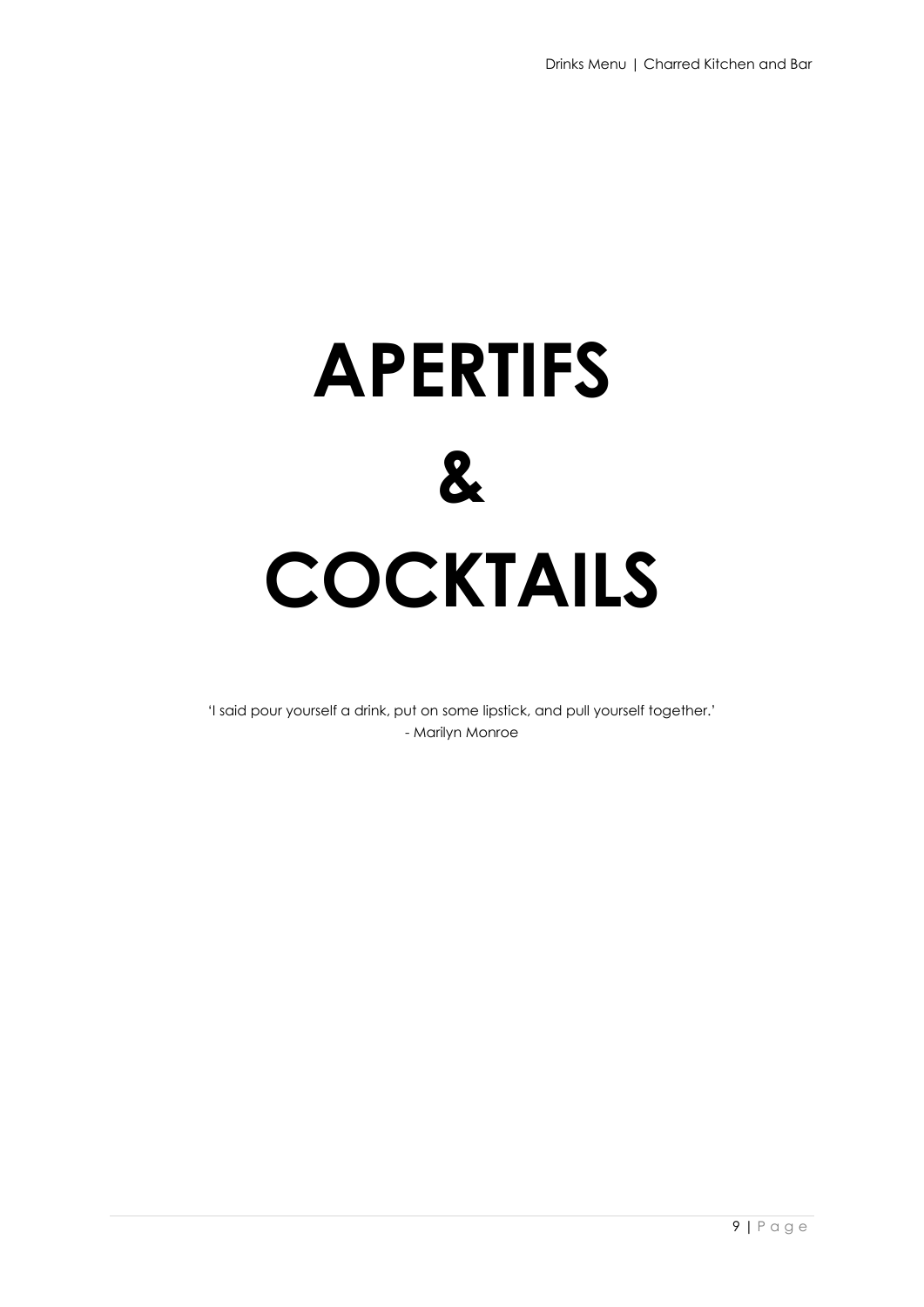# <span id="page-8-0"></span>**APERTIFS & COCKTAILS**

'I said pour yourself a drink, put on some lipstick, and pull yourself together.' - Marilyn Monroe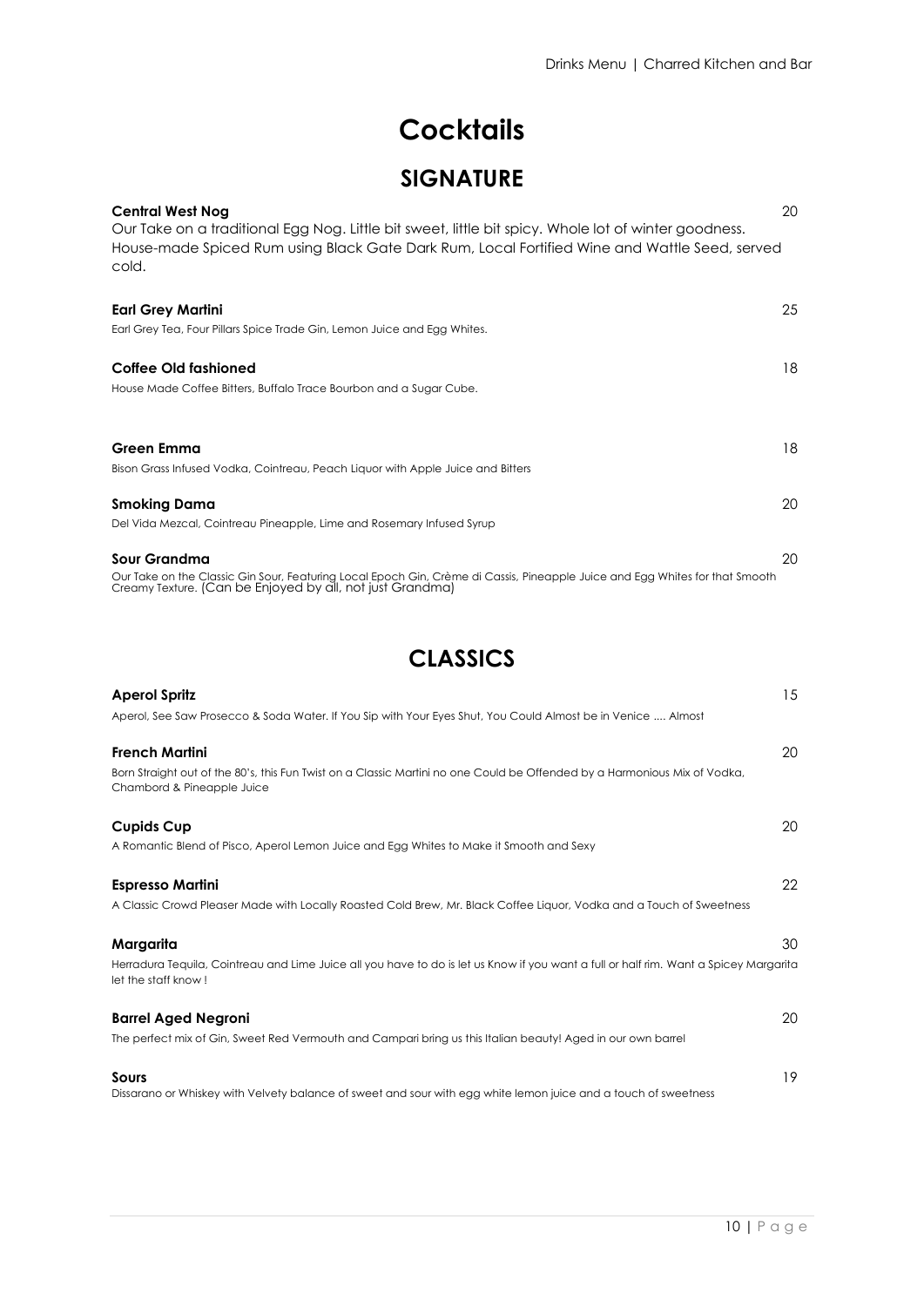# **Cocktails**

#### **SIGNATURE**

<span id="page-9-0"></span>

| <b>Central West Nog</b><br>Our Take on a traditional Egg Nog. Little bit sweet, little bit spicy. Whole lot of winter goodness.<br>House-made Spiced Rum using Black Gate Dark Rum, Local Fortified Wine and Wattle Seed, served<br>cold. | 20 |
|-------------------------------------------------------------------------------------------------------------------------------------------------------------------------------------------------------------------------------------------|----|
| <b>Earl Grey Martini</b><br>Earl Grey Tea, Four Pillars Spice Trade Gin, Lemon Juice and Egg Whites.                                                                                                                                      | 25 |
| <b>Coffee Old fashioned</b><br>House Made Coffee Bitters, Buffalo Trace Bourbon and a Sugar Cube.                                                                                                                                         | 18 |
| <b>Green Emma</b><br>Bison Grass Infused Vodka, Cointreau, Peach Liquor with Apple Juice and Bitters                                                                                                                                      | 18 |
| <b>Smoking Dama</b><br>Del Vida Mezcal, Cointreau Pineapple, Lime and Rosemary Infused Syrup                                                                                                                                              | 20 |
| Sour Grandma<br>Our Take on the Classic Gin Sour, Featuring Local Epoch Gin, Crème di Cassis, Pineapple Juice and Egg Whites for that Smooth<br>Creamy Texture. (Can be Enjoyed by all, not just Grandma)                                 | 20 |

#### **CLASSICS**

| <b>Aperol Spritz</b>                                                                                                                                         | 15 |
|--------------------------------------------------------------------------------------------------------------------------------------------------------------|----|
| Aperol, See Saw Prosecco & Soda Water. If You Sip with Your Eyes Shut, You Could Almost be in Venice  Almost                                                 |    |
| <b>French Martini</b>                                                                                                                                        | 20 |
| Born Straight out of the 80's, this Fun Twist on a Classic Martini no one Could be Offended by a Harmonious Mix of Vodka,<br>Chambord & Pineapple Juice      |    |
| <b>Cupids Cup</b>                                                                                                                                            | 20 |
| A Romantic Blend of Pisco, Aperol Lemon Juice and Egg Whites to Make it Smooth and Sexy                                                                      |    |
| <b>Espresso Martini</b>                                                                                                                                      | 22 |
| A Classic Crowd Pleaser Made with Locally Roasted Cold Brew, Mr. Black Coffee Liquor, Vodka and a Touch of Sweetness                                         |    |
| Margarita                                                                                                                                                    | 30 |
| Herradura Tequila, Cointreau and Lime Juice all you have to do is let us Know if you want a full or half rim. Want a Spicey Margarita<br>let the staff know! |    |
| <b>Barrel Aged Negroni</b>                                                                                                                                   | 20 |
| The perfect mix of Gin, Sweet Red Vermouth and Campari bring us this Italian beauty! Aged in our own barrel                                                  |    |
| <b>Sours</b>                                                                                                                                                 | 19 |
| Dissarano or Whiskey with Velvety balance of sweet and sour with egg white lemon juice and a touch of sweetness                                              |    |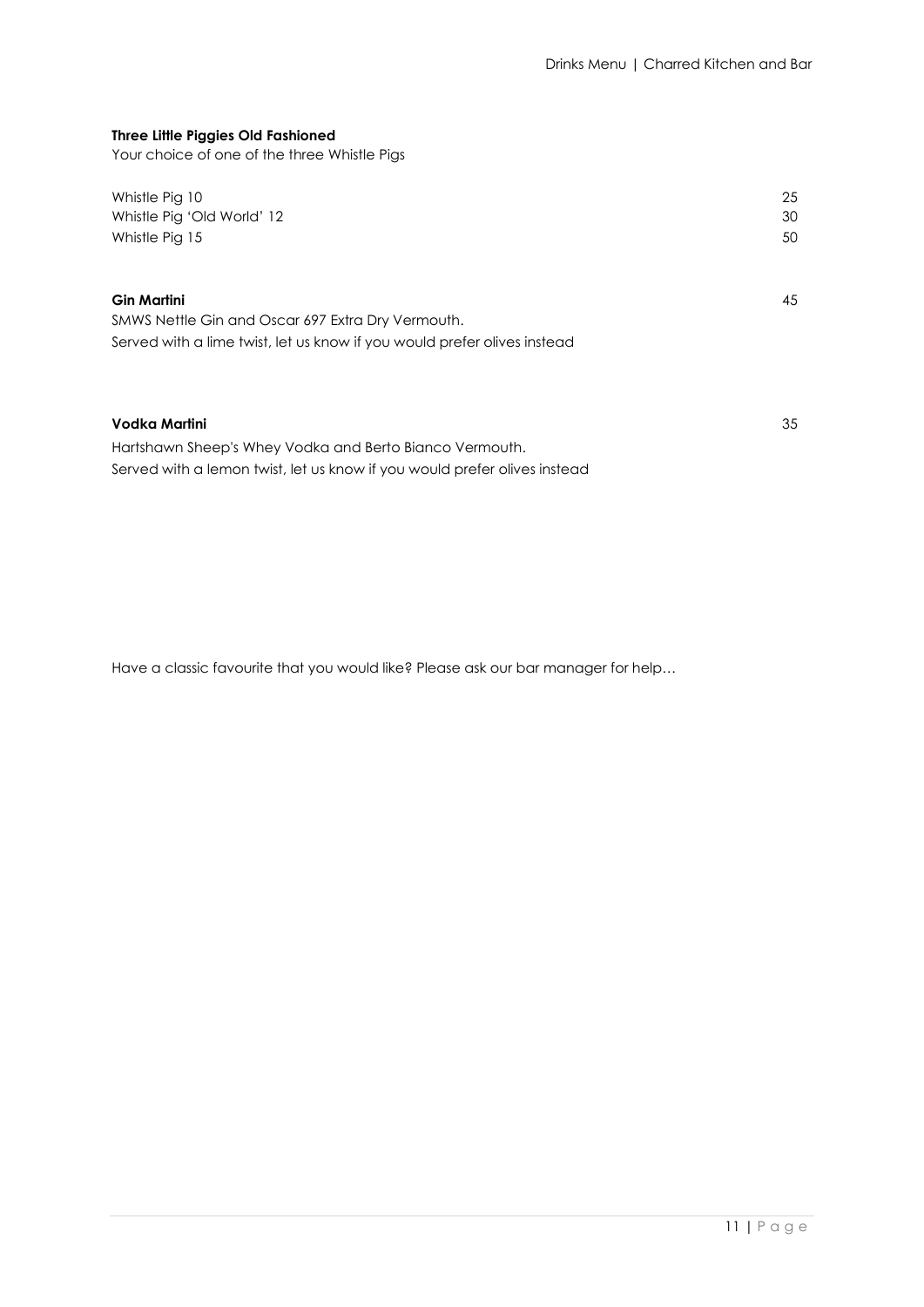#### **Three Little Piggies Old Fashioned**

Your choice of one of the three Whistle Pigs

| Whistle Pig 10                                                           | 25 |
|--------------------------------------------------------------------------|----|
| Whistle Pig 'Old World' 12                                               | 30 |
| Whistle Pig 15                                                           | 50 |
|                                                                          |    |
|                                                                          |    |
| <b>Gin Martini</b>                                                       | 45 |
| SMWS Nettle Gin and Oscar 697 Extra Dry Vermouth.                        |    |
| Served with a lime twist, let us know if you would prefer olives instead |    |
|                                                                          |    |
|                                                                          |    |
|                                                                          |    |
| <b>Vodka Martini</b>                                                     | 35 |

Hartshawn Sheep's Whey Vodka and Berto Bianco Vermouth. Served with a lemon twist, let us know if you would prefer olives instead

Have a classic favourite that you would like? Please ask our bar manager for help…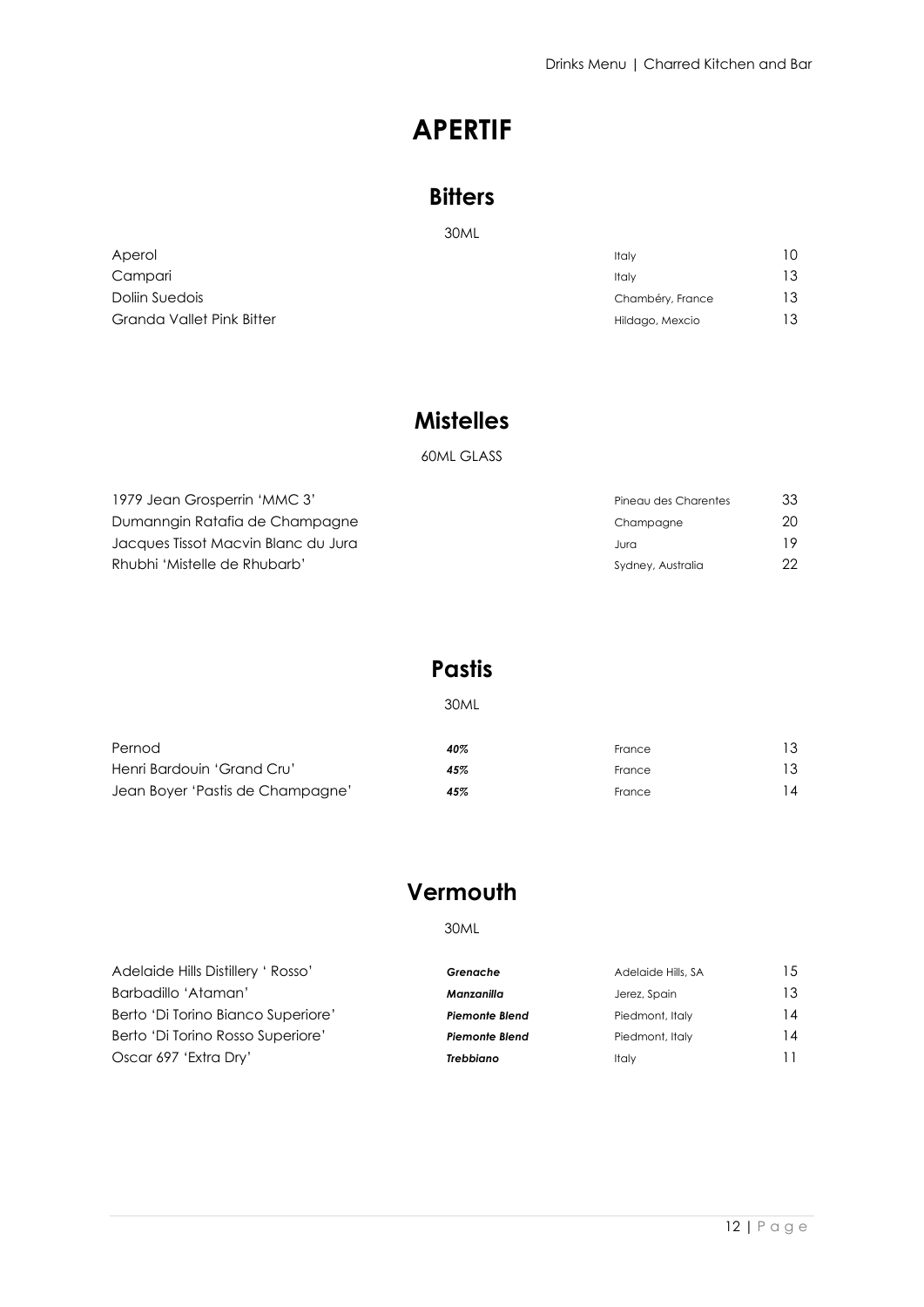# **APERTIF**

#### **Bitters**

30ML

<span id="page-11-0"></span>

| Aperol                    | Italv            |    |
|---------------------------|------------------|----|
| Campari                   | Italv            |    |
| Doliin Suedois            | Chambéry, France | 13 |
| Granda Vallet Pink Bitter | Hildago, Mexcio  | 13 |

#### **Mistelles**

60ML GLASS

1979 Jean Grosperrin 'MMC 3' Dumanngin Ratafia de Champagne Jacques Tissot Macvin Blanc du Jura Rhubhi 'Mistelle de Rhubarb'

| Pineau des Charentes | 33 |
|----------------------|----|
| Champagne            | 20 |
| Jura                 | 19 |
| Sydney, Australia    | 22 |

#### **Pastis**

30ML

| Pernod                           | 40% | France |                |
|----------------------------------|-----|--------|----------------|
| Henri Bardouin 'Grand Cru'       | 45% | France |                |
| Jean Boyer 'Pastis de Champagne' | 45% | France | $\overline{4}$ |

#### **Vermouth**

30ML

| Adelaide Hills Distillery ' Rosso' | Grenache              | Adelaide Hills, SA | 15 |
|------------------------------------|-----------------------|--------------------|----|
| Barbadillo 'Ataman'                | Manzanilla            | Jerez, Spain       | 13 |
| Berto 'Di Torino Bianco Superiore' | <b>Piemonte Blend</b> | Piedmont, Italy    | 14 |
| Berto 'Di Torino Rosso Superiore'  | <b>Piemonte Blend</b> | Piedmont, Italy    | 14 |
| Oscar 697 'Extra Dry'              | Trebbiano             | Italy              |    |
|                                    |                       |                    |    |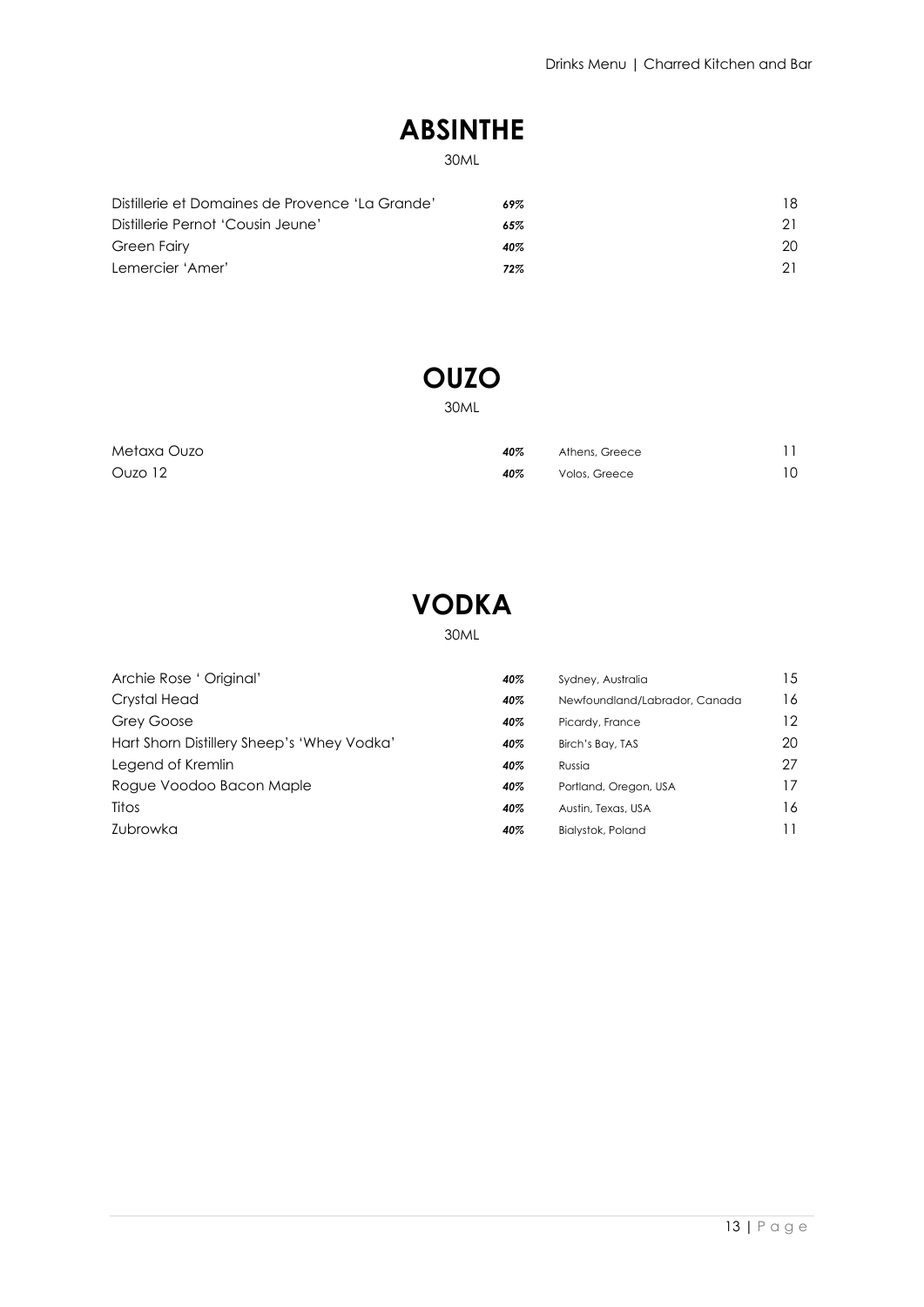# **ABSINTHE**

30ML

<span id="page-12-0"></span>

| 69% | 18 |
|-----|----|
| 65% | 21 |
| 40% | 20 |
| 72% | 21 |
|     |    |

## **OUZO**

30ML

<span id="page-12-1"></span>

| Metaxa Ouzo | 40% | Athens, Greece |    |
|-------------|-----|----------------|----|
| Ouzo 12     | 40% | Volos, Greece  | 10 |

# **VODKA**

30ML

<span id="page-12-2"></span>

| Archie Rose ' Original'                    | 40% | Sydney, Australia             | 15 |
|--------------------------------------------|-----|-------------------------------|----|
| Crystal Head                               | 40% | Newfoundland/Labrador, Canada | 16 |
| Grey Goose                                 | 40% | Picardy, France               | 12 |
| Hart Shorn Distillery Sheep's 'Whey Vodka' | 40% | Birch's Bay, TAS              | 20 |
| Legend of Kremlin                          | 40% | Russia                        | 27 |
| Roque Voodoo Bacon Maple                   | 40% | Portland, Oregon, USA         | 17 |
| Titos                                      | 40% | Austin, Texas, USA            | 16 |
| Zubrowka                                   | 40% | Bialystok, Poland             | 11 |
|                                            |     |                               |    |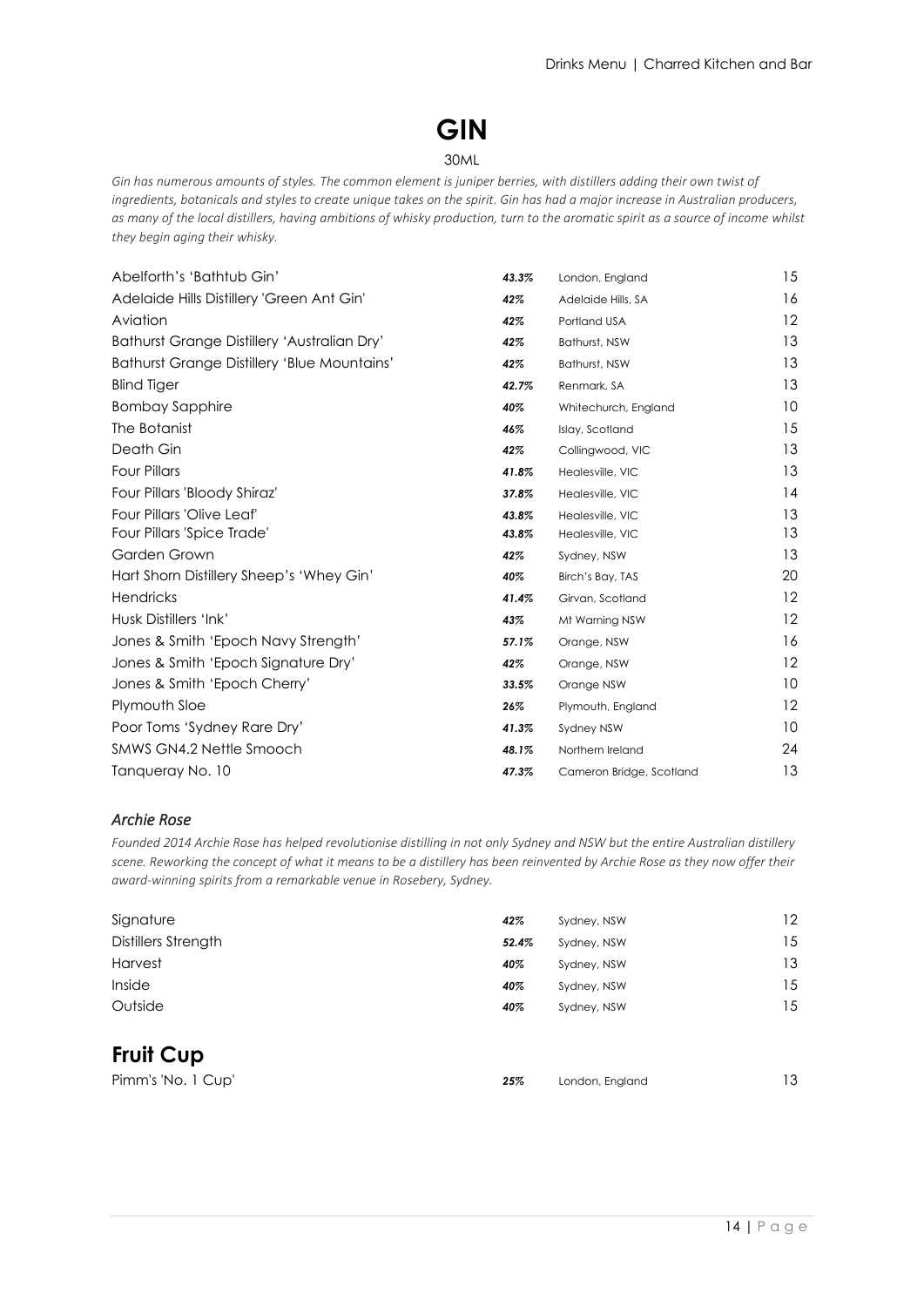# **GIN**

#### 30ML

<span id="page-13-0"></span>Gin has numerous amounts of styles. The common element is juniper berries, with distillers adding their own twist of *ingredients, botanicals and styles to create unique takes on the spirit. Gin has had a major increase in Australian producers, as many of the local distillers, having ambitions of whisky production, turn to the aromatic spirit as a source of income whilst they begin aging their whisky.*

| Abelforth's 'Bathtub Gin'                          | 43.3% | London, England          | 15 |
|----------------------------------------------------|-------|--------------------------|----|
| Adelaide Hills Distillery 'Green Ant Gin'          | 42%   | Adelaide Hills, SA       | 16 |
| Aviation                                           | 42%   | Portland USA             | 12 |
| Bathurst Grange Distillery 'Australian Dry'        | 42%   | Bathurst, NSW            | 13 |
| <b>Bathurst Grange Distillery 'Blue Mountains'</b> | 42%   | Bathurst, NSW            | 13 |
| <b>Blind Tiger</b>                                 | 42.7% | Renmark, SA              | 13 |
| <b>Bombay Sapphire</b>                             | 40%   | Whitechurch, England     | 10 |
| The Botanist                                       | 46%   | Islay, Scotland          | 15 |
| Death Gin                                          | 42%   | Collingwood, VIC         | 13 |
| <b>Four Pillars</b>                                | 41.8% | Healesville, VIC         | 13 |
| Four Pillars 'Bloody Shiraz'                       | 37.8% | Healesville, VIC         | 14 |
| Four Pillars 'Olive Leaf'                          | 43.8% | Healesville, VIC         | 13 |
| Four Pillars 'Spice Trade'                         | 43.8% | Healesville, VIC         | 13 |
| Garden Grown                                       | 42%   | Sydney, NSW              | 13 |
| Hart Shorn Distillery Sheep's 'Whey Gin'           | 40%   | Birch's Bay, TAS         | 20 |
| <b>Hendricks</b>                                   | 41.4% | Girvan, Scotland         | 12 |
| Husk Distillers 'Ink'                              | 43%   | Mt Warning NSW           | 12 |
| Jones & Smith 'Epoch Navy Strength'                | 57.1% | Orange, NSW              | 16 |
| Jones & Smith 'Epoch Signature Dry'                | 42%   | Orange, NSW              | 12 |
| Jones & Smith 'Epoch Cherry'                       | 33.5% | Orange NSW               | 10 |
| Plymouth Sloe                                      | 26%   | Plymouth, England        | 12 |
| Poor Toms 'Sydney Rare Dry'                        | 41.3% | Sydney NSW               | 10 |
| SMWS GN4.2 Nettle Smooch                           | 48.1% | Northern Ireland         | 24 |
| Tangueray No. 10                                   | 47.3% | Cameron Bridge, Scotland | 13 |

#### *Archie Rose*

*Founded 2014 Archie Rose has helped revolutionise distilling in not only Sydney and NSW but the entire Australian distillery scene. Reworking the concept of what it means to be a distillery has been reinvented by Archie Rose as they now offer their award-winning spirits from a remarkable venue in Rosebery, Sydney.*

| Signature           | 42%   | Sydney, NSW     | 12 <sup>°</sup> |
|---------------------|-------|-----------------|-----------------|
| Distillers Strength | 52.4% | Sydney, NSW     | 15              |
| Harvest             | 40%   | Sydney, NSW     | 13              |
| Inside              | 40%   | Sydney, NSW     | 15              |
| Outside             | 40%   | Sydney, NSW     | 15              |
|                     |       |                 |                 |
| <b>Fruit Cup</b>    |       |                 |                 |
| Pimm's 'No. 1 Cup'  | 25%   | London, England | 13              |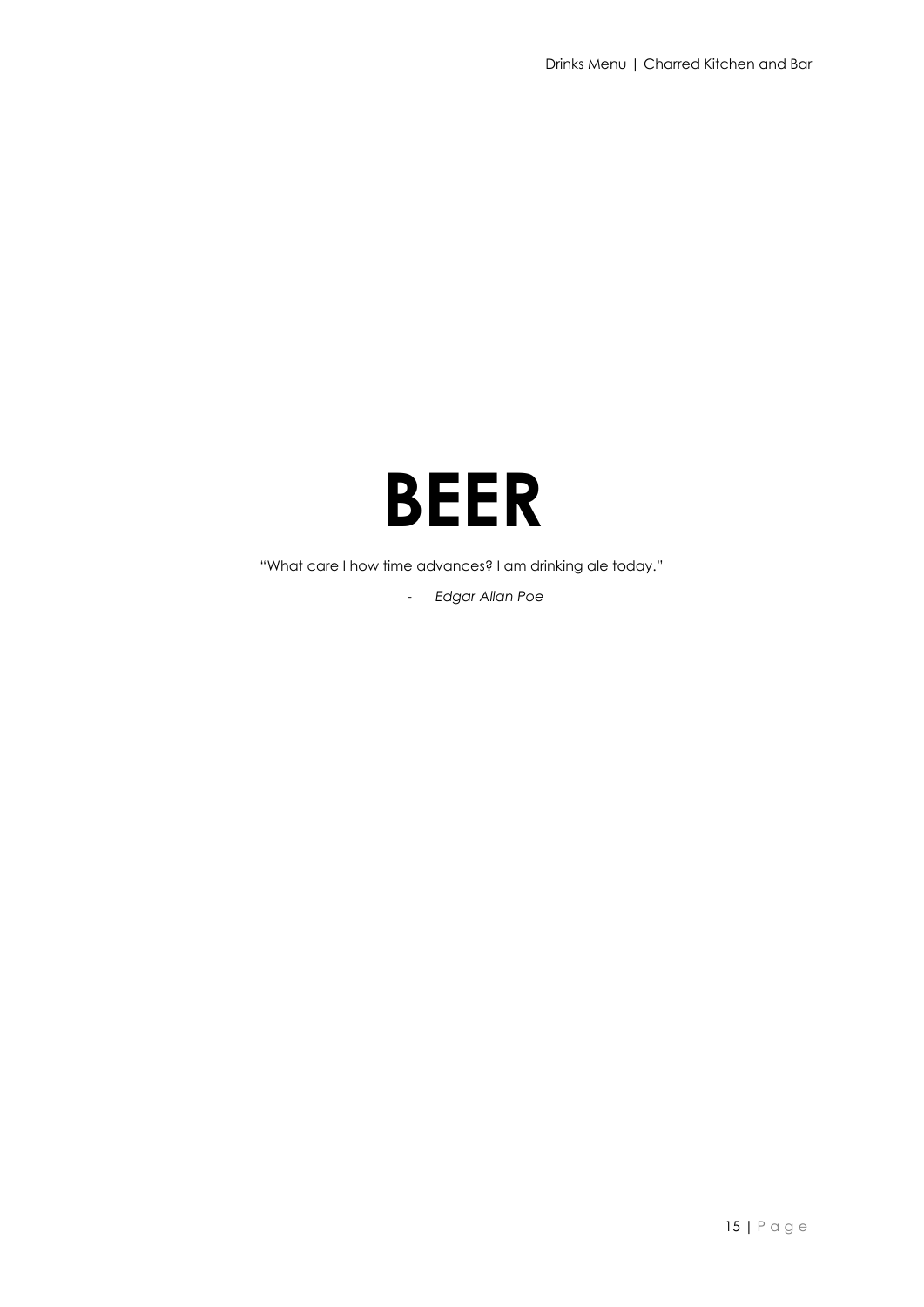

<span id="page-14-0"></span>"What care I how time advances? I am drinking ale today."

*- Edgar Allan Poe*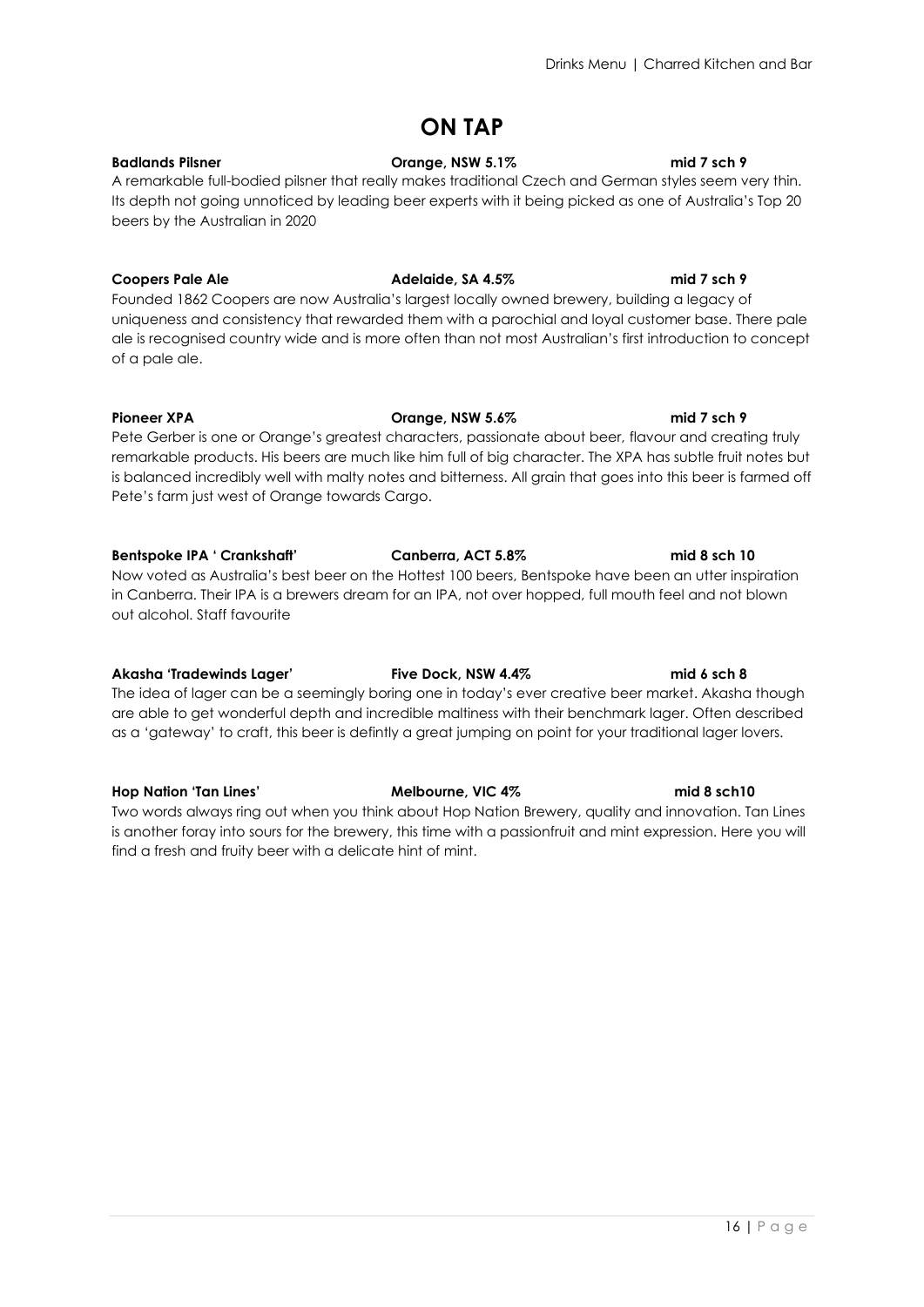#### Drinks Menu | Charred Kitchen and Bar

#### **ON TAP**

#### **Badlands Pilsner Community Community Community Orange, NSW 5.1% Community Community Property Assumed 7 sch 9**

A remarkable full-bodied pilsner that really makes traditional Czech and German styles seem very thin. Its depth not going unnoticed by leading beer experts with it being picked as one of Australia's Top 20 beers by the Australian in 2020

**Coopers Pale Ale Adelaide, SA 4.5% mid 7 sch 9** Founded 1862 Coopers are now Australia's largest locally owned brewery, building a legacy of uniqueness and consistency that rewarded them with a parochial and loyal customer base. There pale ale is recognised country wide and is more often than not most Australian's first introduction to concept of a pale ale.

**Pioneer XPA Crange, NSW 5.6% Mid 7 sch 9** Pete Gerber is one or Orange's greatest characters, passionate about beer, flavour and creating truly remarkable products. His beers are much like him full of big character. The XPA has subtle fruit notes but is balanced incredibly well with malty notes and bitterness. All grain that goes into this beer is farmed off Pete's farm just west of Orange towards Cargo.

**Bentspoke IPA ' Crankshaft' Canberra, ACT 5.8% mid 8 sch 10** Now voted as Australia's best beer on the Hottest 100 beers, Bentspoke have been an utter inspiration in Canberra. Their IPA is a brewers dream for an IPA, not over hopped, full mouth feel and not blown out alcohol. Staff favourite

**Akasha 'Tradewinds Lager' Five Dock, NSW 4.4% mid 6 sch 8** The idea of lager can be a seemingly boring one in today's ever creative beer market. Akasha though are able to get wonderful depth and incredible maltiness with their benchmark lager. Often described as a 'gateway' to craft, this beer is defintly a great jumping on point for your traditional lager lovers.

**Hop Nation 'Tan Lines' Melbourne, VIC 4% mid 8 sch10** Two words always ring out when you think about Hop Nation Brewery, quality and innovation. Tan Lines is another foray into sours for the brewery, this time with a passionfruit and mint expression. Here you will find a fresh and fruity beer with a delicate hint of mint.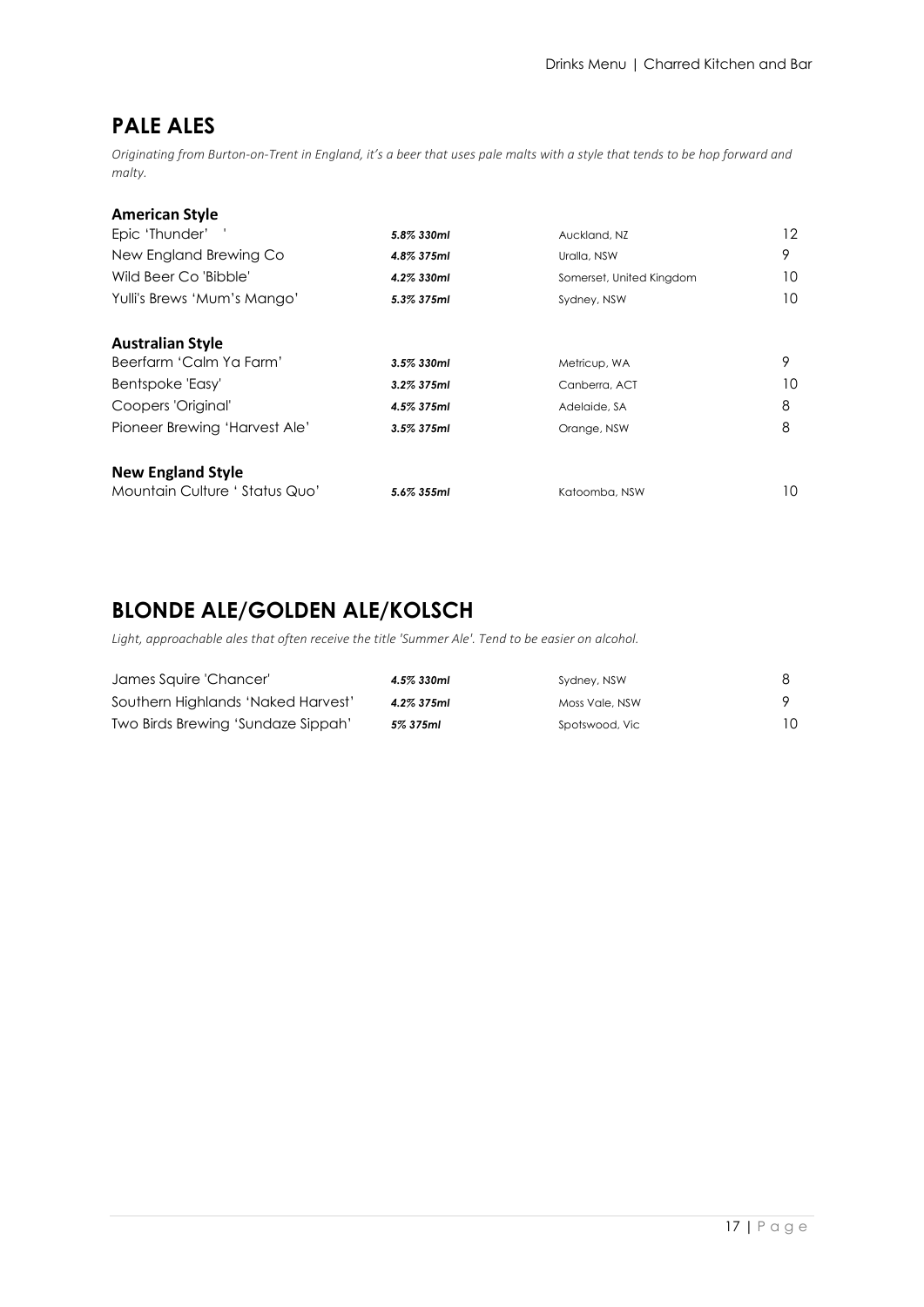#### **PALE ALES**

*Originating from Burton-on-Trent in England, it's a beer that uses pale malts with a style that tends to be hop forward and malty.* 

| 5.8% 330ml    | Auckland, NZ             | $12 \overline{ }$ |
|---------------|--------------------------|-------------------|
| 4.8% 375ml    | Uralla, NSW              | 9                 |
| 4.2% 330ml    | Somerset, United Kingdom | 10                |
| 5.3% 375ml    | Sydney, NSW              | 10 <sup>°</sup>   |
|               |                          |                   |
| $3.5\%$ 330ml | Metricup, WA             | 9                 |
| $3.2\%$ 375ml | Canberra, ACT            | 10                |
| 4.5% 375ml    | Adelaide, SA             | 8                 |
| $3.5\%$ 375ml | Orange, NSW              | 8                 |
|               |                          |                   |
| 5.6% 355ml    | Katoomba, NSW            | 10                |
|               |                          |                   |

#### **BLONDE ALE/GOLDEN ALE/KOLSCH**

*Light, approachable ales that often receive the title 'Summer Ale'. Tend to be easier on alcohol.*

| James Squire 'Chancer'             | 4.5% 330ml | Sydney, NSW    |  |
|------------------------------------|------------|----------------|--|
| Southern Highlands 'Naked Harvest' | 4.2% 375ml | Moss Vale, NSW |  |
| Two Birds Brewing 'Sundaze Sippah' | 5% 375ml   | Spotswood, Vic |  |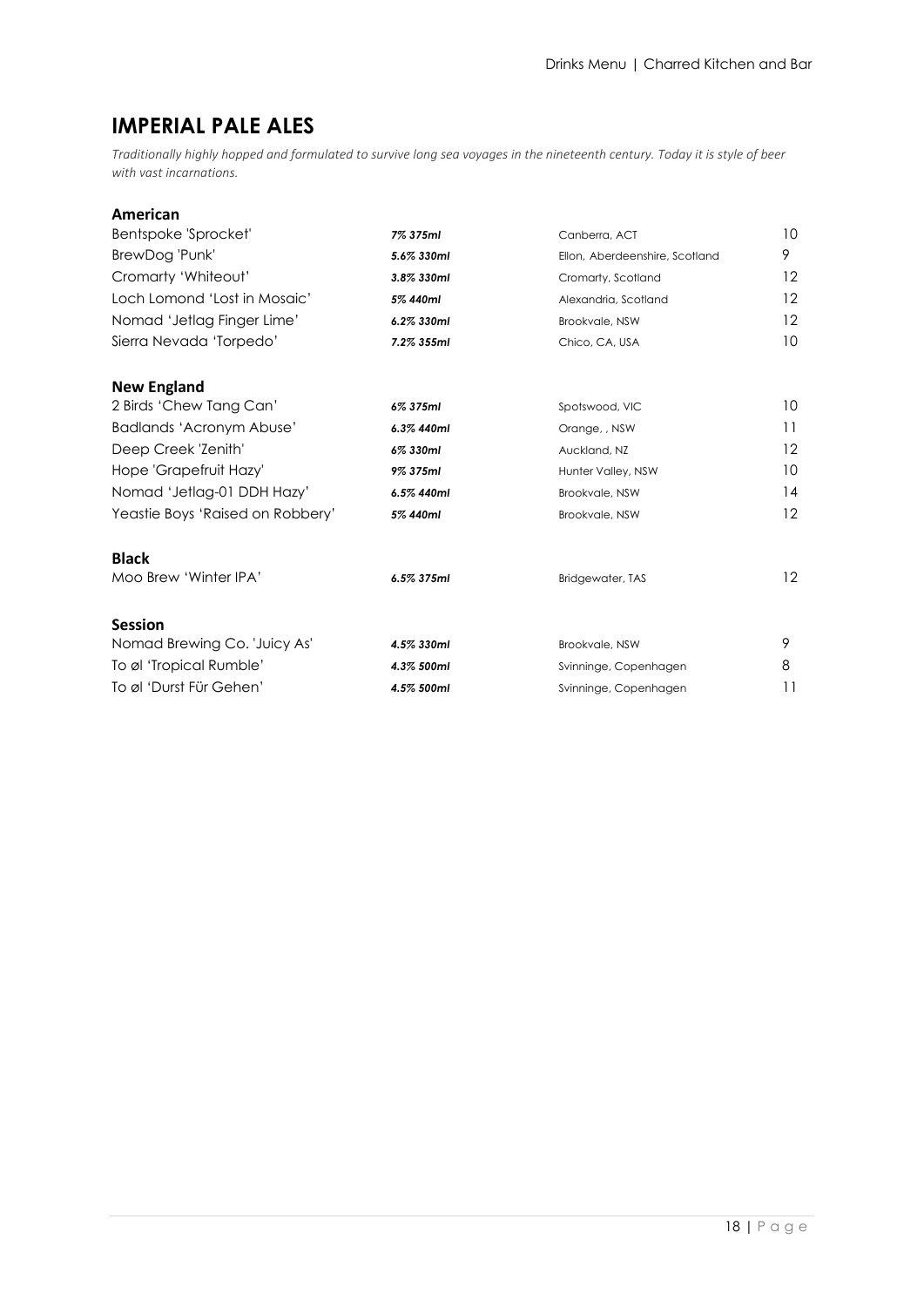### **IMPERIAL PALE ALES**

*Traditionally highly hopped and formulated to survive long sea voyages in the nineteenth century. Today it is style of beer with vast incarnations.*

| American                         |            |                                |    |
|----------------------------------|------------|--------------------------------|----|
| Bentspoke 'Sprocket'             | 7% 375ml   | Canberra, ACT                  | 10 |
| BrewDog 'Punk'                   | 5.6% 330ml | Ellon, Aberdeenshire, Scotland | 9  |
| Cromarty 'Whiteout'              | 3.8% 330ml | Cromarty, Scotland             | 12 |
| Loch Lomond 'Lost in Mosaic'     | 5% 440ml   | Alexandria, Scotland           | 12 |
| Nomad 'Jetlag Finger Lime'       | 6.2% 330ml | Brookvale, NSW                 | 12 |
| Sierra Nevada 'Torpedo'          | 7.2% 355ml | Chico, CA, USA                 | 10 |
| <b>New England</b>               |            |                                |    |
| 2 Birds 'Chew Tang Can'          | 6% 375ml   | Spotswood, VIC                 | 10 |
| Badlands 'Acronym Abuse'         | 6.3% 440ml | Orange, , NSW                  | 11 |
| Deep Creek 'Zenith'              | 6% 330ml   | Auckland, NZ                   | 12 |
| Hope 'Grapefruit Hazy'           | 9% 375ml   | Hunter Valley, NSW             | 10 |
| Nomad 'Jetlag-01 DDH Hazy'       | 6.5% 440ml | Brookvale, NSW                 | 14 |
| Yeastie Boys 'Raised on Robbery' | 5% 440ml   | Brookvale, NSW                 | 12 |
| <b>Black</b>                     |            |                                |    |
| Moo Brew 'Winter IPA'            | 6.5% 375ml | Bridgewater, TAS               | 12 |
| <b>Session</b>                   |            |                                |    |
| Nomad Brewing Co. 'Juicy As'     | 4.5% 330ml | Brookvale, NSW                 | 9  |
| To øl 'Tropical Rumble'          | 4.3% 500ml | Svinninge, Copenhagen          | 8  |
| To øl 'Durst Für Gehen'          | 4.5% 500ml | Svinninge, Copenhagen          | 11 |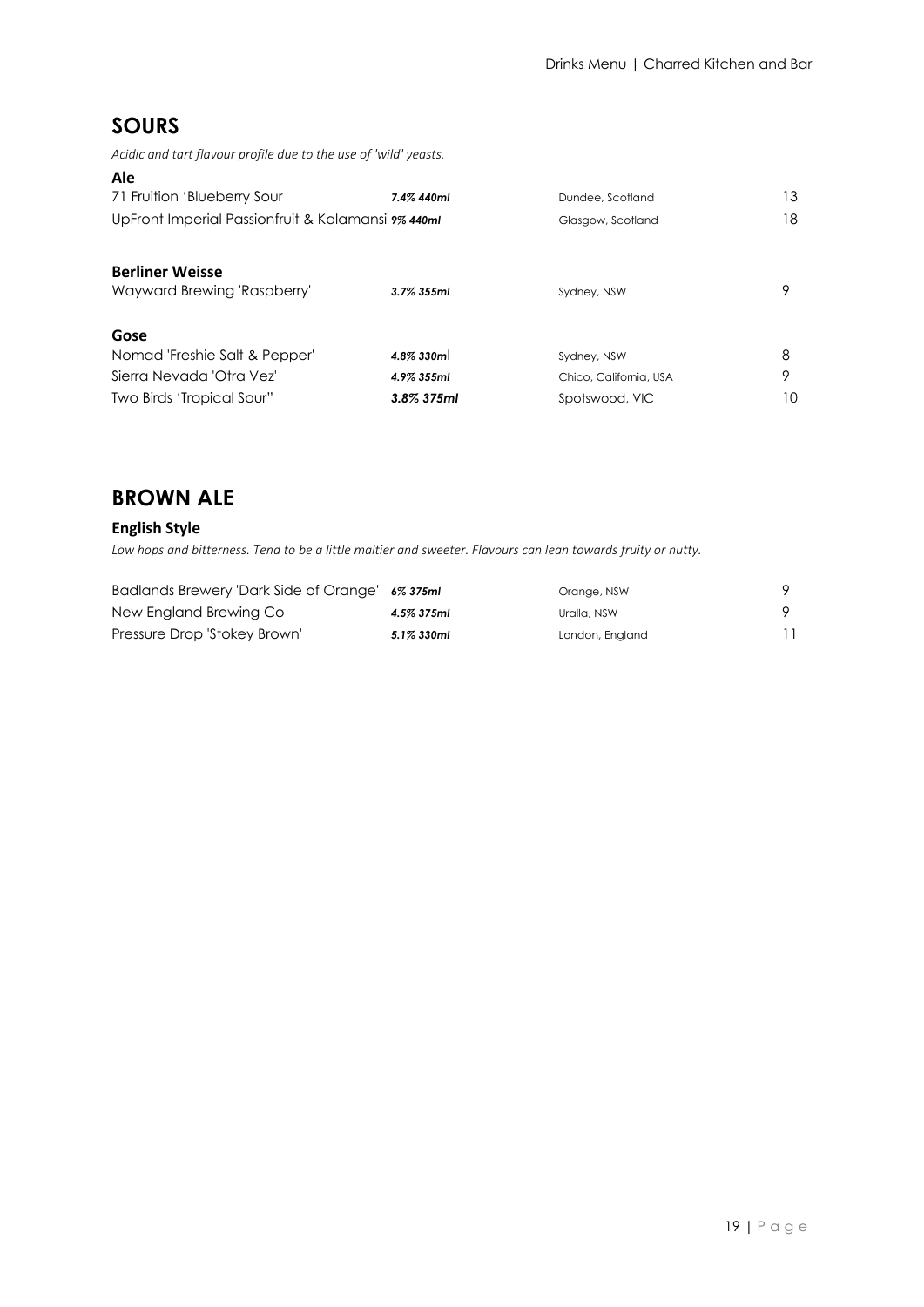#### **SOURS**

*Acidic and tart flavour profile due to the use of 'wild' yeasts.*

| Ale                                                   |               |                        |    |
|-------------------------------------------------------|---------------|------------------------|----|
| 71 Fruition 'Blueberry Sour                           | 7.4% 440ml    | Dundee, Scotland       | 13 |
| UpFront Imperial Passionfruit & Kalamansi 9% 440ml    |               | Glasgow, Scotland      | 18 |
| <b>Berliner Weisse</b><br>Wayward Brewing 'Raspberry' | $3.7\%$ 355ml | Sydney, NSW            | 9  |
| Gose<br>Nomad 'Freshie Salt & Pepper'                 | $4.8\%$ 330ml | Sydney, NSW            | 8  |
| Sierra Nevada 'Otra Vez'                              | 4.9% 355ml    | Chico, California, USA | 9  |
| Two Birds 'Tropical Sour''                            | $3.8\%$ 375ml | Spotswood, VIC         | 10 |

#### **BROWN ALE**

#### **English Style**

*Low hops and bitterness. Tend to be a little maltier and sweeter. Flavours can lean towards fruity or nutty.*

| Badlands Brewery 'Dark Side of Orange' 6% 375ml |            | Orange, NSW     |  |
|-------------------------------------------------|------------|-----------------|--|
| New England Brewing Co                          | 4.5% 375ml | Uralla, NSW     |  |
| Pressure Drop 'Stokey Brown'                    | 5.1% 330ml | London, England |  |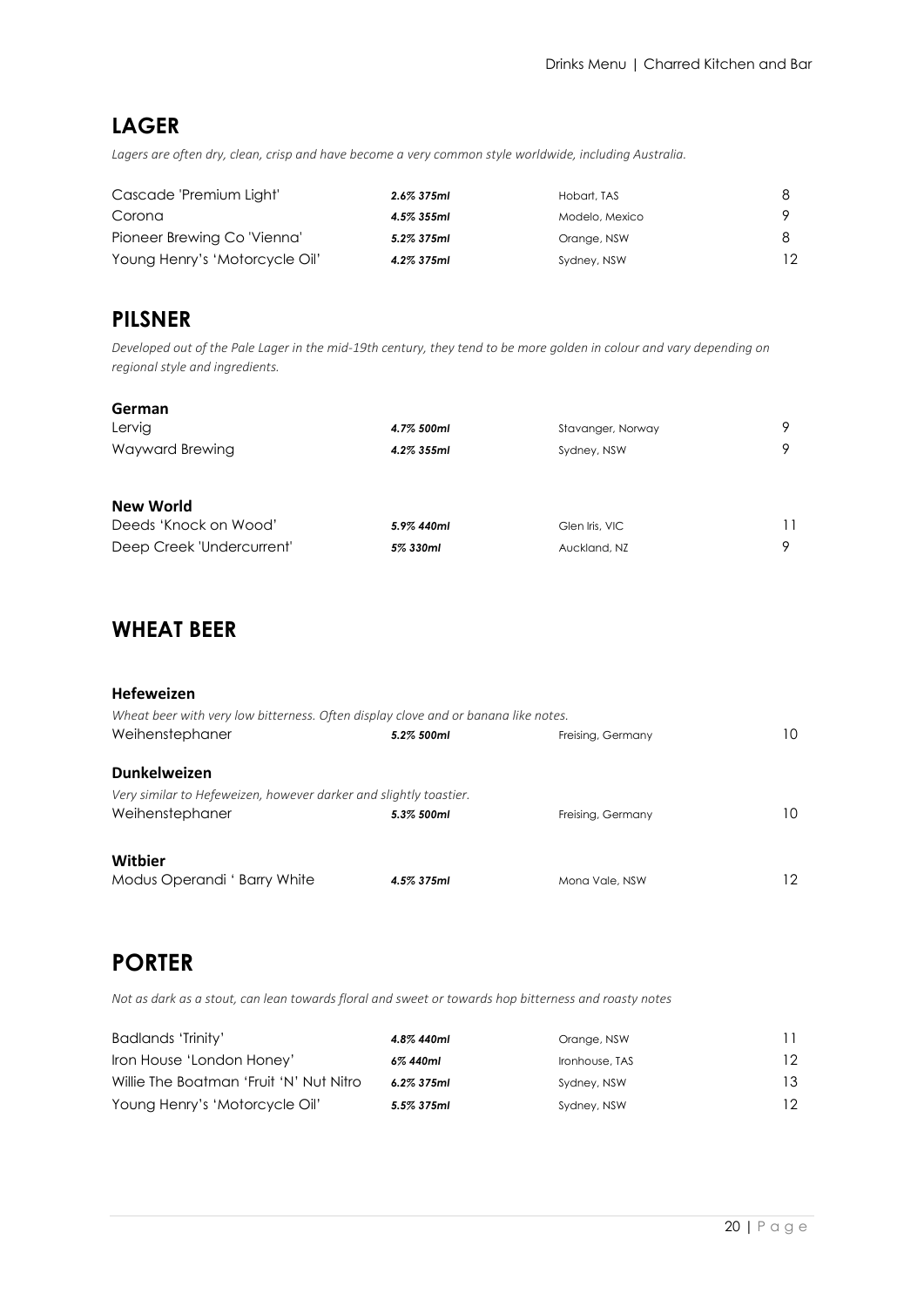#### **LAGER**

*Lagers are often dry, clean, crisp and have become a very common style worldwide, including Australia.*

| Cascade 'Premium Light'        | 2.6% 375ml | Hobart, TAS    | 8  |
|--------------------------------|------------|----------------|----|
| Corona                         | 4.5% 355ml | Modelo, Mexico |    |
| Pioneer Brewing Co 'Vienna'    | 5.2% 375ml | Orange, NSW    | 8. |
| Young Henry's 'Motorcycle Oil' | 4.2% 375ml | Sydney, NSW    |    |

#### **PILSNER**

*Developed out of the Pale Lager in the mid-19th century, they tend to be more golden in colour and vary depending on regional style and ingredients.*

| German                    |            |                   |    |
|---------------------------|------------|-------------------|----|
| Lervig                    | 4.7% 500ml | Stavanger, Norway | 9  |
| Wayward Brewing           | 4.2% 355ml | Sydney, NSW       | 9  |
| New World                 |            |                   |    |
| Deeds 'Knock on Wood'     | 5.9% 440ml | Glen Iris, VIC    | 11 |
| Deep Creek 'Undercurrent' | 5% 330ml   | Auckland, NZ      | 9  |

#### **WHEAT BEER**

#### **Hefeweizen**

| Wheat beer with very low bitterness. Often display clove and or banana like notes. |            |                   |     |
|------------------------------------------------------------------------------------|------------|-------------------|-----|
| Weihenstephaner                                                                    | 5.2% 500ml | Freising, Germany | 10  |
| <b>Dunkelweizen</b>                                                                |            |                   |     |
| Very similar to Hefeweizen, however darker and slightly toastier.                  |            |                   |     |
| Weihenstephaner                                                                    | 5.3% 500ml | Freising, Germany | 10  |
| Witbier                                                                            |            |                   |     |
| Modus Operandi 'Barry White                                                        | 4.5% 375ml | Mona Vale, NSW    | 12. |

#### **PORTER**

*Not as dark as a stout, can lean towards floral and sweet or towards hop bitterness and roasty notes*

| Badlands 'Trinity'                      | 4.8% 440ml    | Orange, NSW    | 11. |
|-----------------------------------------|---------------|----------------|-----|
| Iron House 'London Honey'               | 6% 440ml      | Ironhouse, TAS | 12. |
| Willie The Boatman 'Fruit 'N' Nut Nitro | $6.2\%$ 375ml | Sydney, NSW    | 13  |
| Young Henry's 'Motorcycle Oil'          | 5.5% 375ml    | Sydney, NSW    | 12. |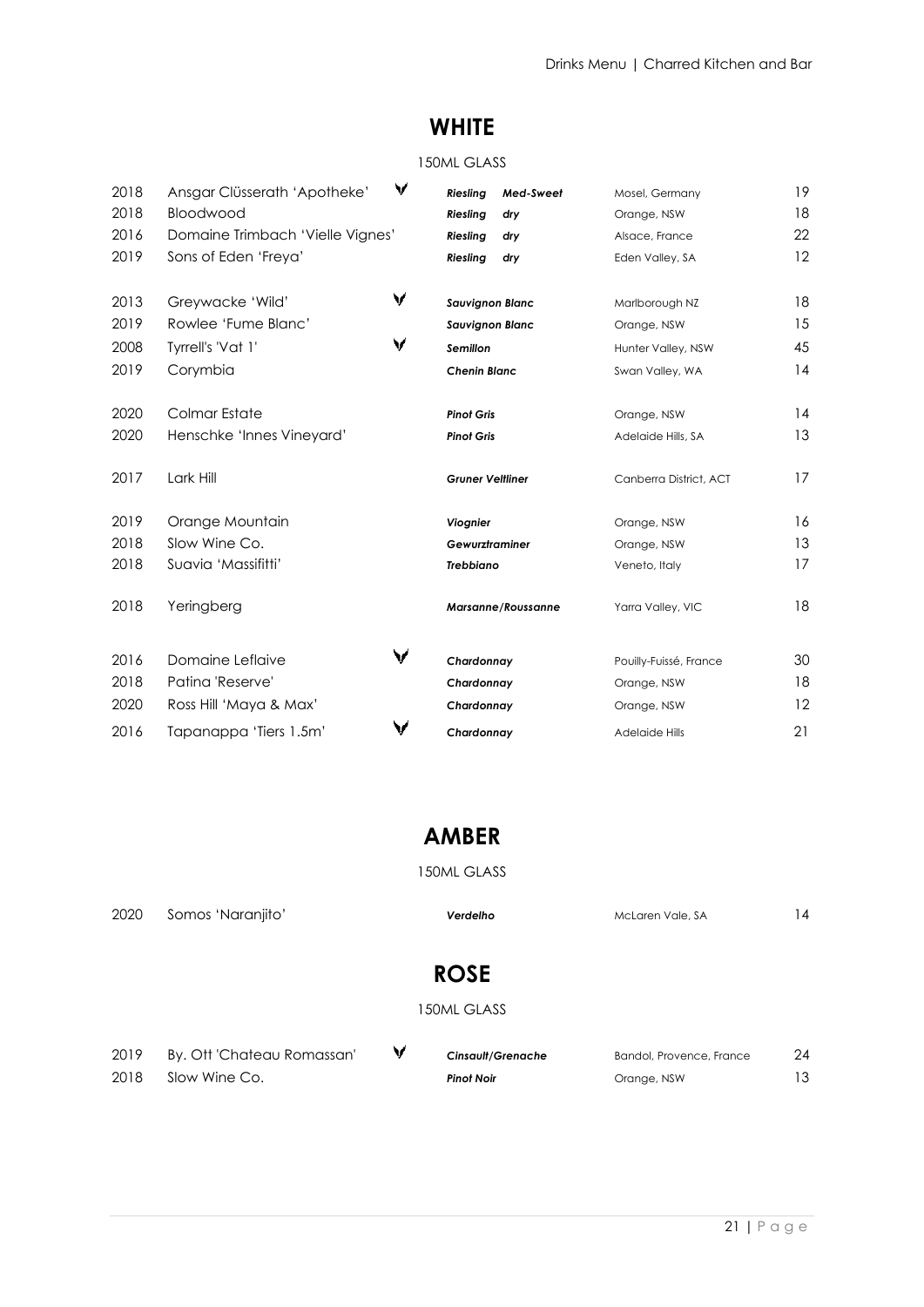#### **WHITE**

#### 150ML GLASS

| 2018 | Ansgar Clüsserath 'Apotheke'     | v | Riesling<br>Med-Sweet   | Mosel, Germany         | 19 |
|------|----------------------------------|---|-------------------------|------------------------|----|
| 2018 | Bloodwood                        |   | <b>Riesling</b><br>dry  | Orange, NSW            | 18 |
| 2016 | Domaine Trimbach 'Vielle Vignes' |   | Riesling<br>dry         | Alsace, France         | 22 |
| 2019 | Sons of Eden 'Freya'             |   | <b>Riesling</b><br>dry  | Eden Valley, SA        | 12 |
| 2013 | Greywacke 'Wild'                 | v | <b>Sauvignon Blanc</b>  | Marlborough NZ         | 18 |
| 2019 | Rowlee 'Fume Blanc'              |   | <b>Sauvignon Blanc</b>  | Orange, NSW            | 15 |
| 2008 | Tyrrell's 'Vat 1'                | v | Semillon                | Hunter Valley, NSW     | 45 |
| 2019 | Corymbia                         |   | <b>Chenin Blanc</b>     | Swan Valley, WA        | 14 |
| 2020 | Colmar Estate                    |   | <b>Pinot Gris</b>       | Orange, NSW            | 14 |
| 2020 | Henschke 'Innes Vineyard'        |   | <b>Pinot Gris</b>       | Adelaide Hills, SA     | 13 |
| 2017 | Lark Hill                        |   | <b>Gruner Veltliner</b> | Canberra District, ACT | 17 |
| 2019 | Orange Mountain                  |   | Viognier                | Orange, NSW            | 16 |
| 2018 | Slow Wine Co.                    |   | Gewurztraminer          | Orange, NSW            | 13 |
| 2018 | Suavia 'Massifitti'              |   | Trebbiano               | Veneto, Italy          | 17 |
| 2018 | Yeringberg                       |   | Marsanne/Roussanne      | Yarra Valley, VIC      | 18 |
| 2016 | Domaine Leflaive                 | v | Chardonnay              | Pouilly-Fuissé, France | 30 |
| 2018 | Patina 'Reserve'                 |   | Chardonnay              | Orange, NSW            | 18 |
| 2020 | Ross Hill 'Maya & Max'           |   | Chardonnay              | Orange, NSW            | 12 |
| 2016 | Tapanappa 'Tiers 1.5m'           | v | Chardonnay              | Adelaide Hills         | 21 |

## **AMBER**

150ML GLASS

| 2020         | Somos 'Naranjito'                           |   | Verdelho                                      | McLaren Vale, SA                        | 14       |
|--------------|---------------------------------------------|---|-----------------------------------------------|-----------------------------------------|----------|
|              |                                             |   | <b>ROSE</b>                                   |                                         |          |
|              | 150ML GLASS                                 |   |                                               |                                         |          |
| 2019<br>2018 | By. Ott 'Chateau Romassan'<br>Slow Wine Co. | v | <b>Cinsault/Grenache</b><br><b>Pinot Noir</b> | Bandol, Provence, France<br>Orange, NSW | 24<br>13 |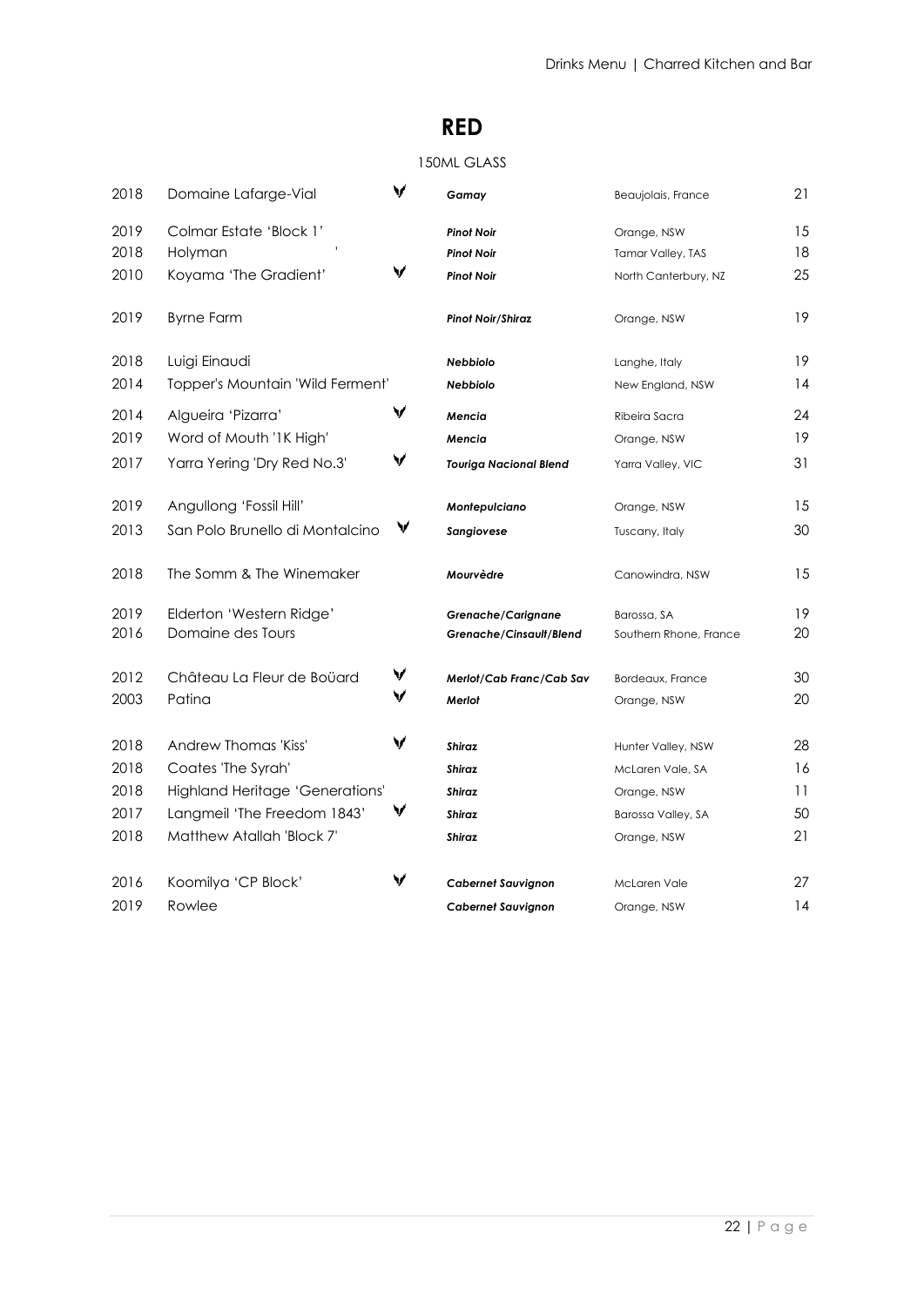#### **RED**

#### 150ML GLASS

| 2018 | Domaine Lafarge-Vial                   | v | Gamay                         | Beaujolais, France     | 21 |
|------|----------------------------------------|---|-------------------------------|------------------------|----|
| 2019 | Colmar Estate 'Block 1'                |   | <b>Pinot Noir</b>             | Orange, NSW            | 15 |
| 2018 | Holyman                                |   | <b>Pinot Noir</b>             | Tamar Valley, TAS      | 18 |
| 2010 | Koyama 'The Gradient'                  | v | <b>Pinot Noir</b>             | North Canterbury, NZ   | 25 |
| 2019 | <b>Byrne Farm</b>                      |   | <b>Pinot Noir/Shiraz</b>      | Orange, NSW            | 19 |
| 2018 | Luigi Einaudi                          |   | <b>Nebbiolo</b>               | Langhe, Italy          | 19 |
| 2014 | Topper's Mountain 'Wild Ferment'       |   | <b>Nebbiolo</b>               | New England, NSW       | 14 |
| 2014 | Algueira 'Pizarra'                     | v | Mencia                        | Ribeira Sacra          | 24 |
| 2019 | Word of Mouth '1K High'                |   | Mencia                        | Orange, NSW            | 19 |
| 2017 | Yarra Yering 'Dry Red No.3'            | v | <b>Touriga Nacional Blend</b> | Yarra Valley, VIC      | 31 |
| 2019 | Angullong 'Fossil Hill'                |   | Montepulciano                 | Orange, NSW            | 15 |
| 2013 | San Polo Brunello di Montalcino        | v | Sangiovese                    | Tuscany, Italy         | 30 |
| 2018 | The Somm & The Winemaker               |   | Mourvèdre                     | Canowindra, NSW        | 15 |
| 2019 | Elderton 'Western Ridge'               |   | Grenache/Carignane            | Barossa, SA            | 19 |
| 2016 | Domaine des Tours                      |   | Grenache/Cinsault/Blend       | Southern Rhone, France | 20 |
| 2012 | Château La Fleur de Boüard             | v | Merlot/Cab Franc/Cab Sav      | Bordeaux, France       | 30 |
| 2003 | Patina                                 | v | Merlot                        | Orange, NSW            | 20 |
| 2018 | Andrew Thomas 'Kiss'                   | v | Shiraz                        | Hunter Valley, NSW     | 28 |
| 2018 | Coates 'The Syrah'                     |   | Shiraz                        | McLaren Vale, SA       | 16 |
| 2018 | <b>Highland Heritage 'Generations'</b> |   | <b>Shiraz</b>                 | Orange, NSW            | 11 |
| 2017 | Langmeil 'The Freedom 1843'            | v | <b>Shiraz</b>                 | Barossa Valley, SA     | 50 |
| 2018 | Matthew Atallah 'Block 7'              |   | <b>Shiraz</b>                 | Orange, NSW            | 21 |
| 2016 | Koomilya 'CP Block'                    | v | <b>Cabernet Sauvignon</b>     | McLaren Vale           | 27 |
| 2019 | Rowlee                                 |   | <b>Cabernet Sauvignon</b>     | Orange, NSW            | 14 |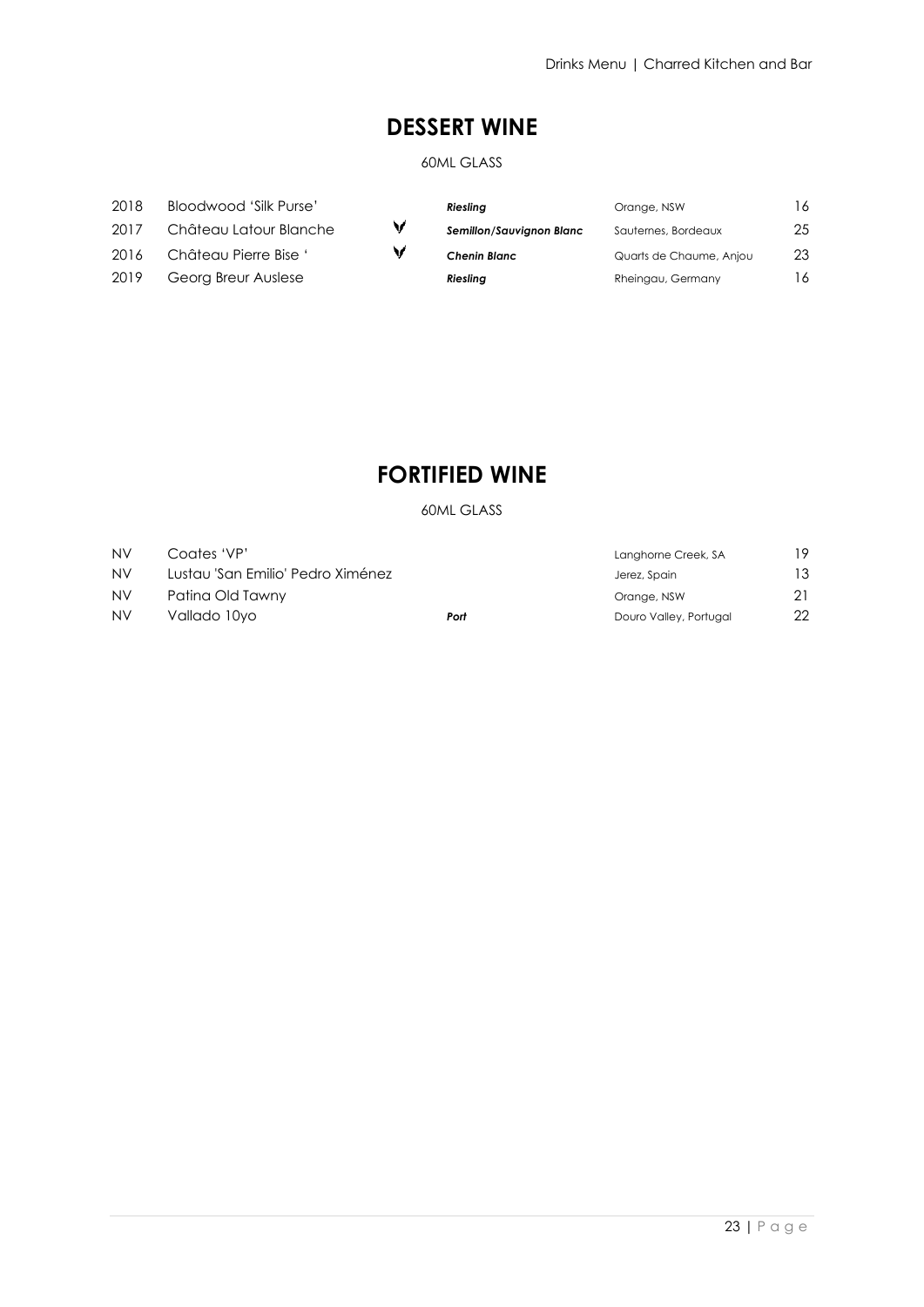#### **DESSERT WINE**

#### 60ML GLASS

| 2018 | Bloodwood 'Silk Purse' |  |
|------|------------------------|--|
|      |                        |  |

- 2017 Château Latour Blanche **V**
- 2016 Château Pierre Bise '<sup>V</sup>
- 2019 Georg Breur Auslese



| 2018 | Bloodwood 'Silk Purse' |   | Rieslina                 | Orange, NSW             | 16 |
|------|------------------------|---|--------------------------|-------------------------|----|
| 2017 | Château Latour Blanche | v | Semillon/Sauvignon Blanc | Sauternes, Bordeaux     | 25 |
| 2016 | Château Pierre Bise '  | v | <b>Chenin Blanc</b>      | Quarts de Chaume, Anjou | 23 |
| 2019 | Georg Breur Auslese    |   | <b>Riesling</b>          | Rheingau, Germany       | 16 |

#### **FORTIFIED WINE**

60ML GLASS

| <b>NV</b> | Coates 'VP'                       |      | Langhorne Creek, SA    | 19 |
|-----------|-----------------------------------|------|------------------------|----|
| <b>NV</b> | Lustau 'San Emilio' Pedro Ximénez |      | Jerez, Spain           |    |
| <b>NV</b> | Patina Old Tawny                  |      | Orange, NSW            | 21 |
| <b>NV</b> | Vallado 10yo                      | Port | Douro Valley, Portugal | 22 |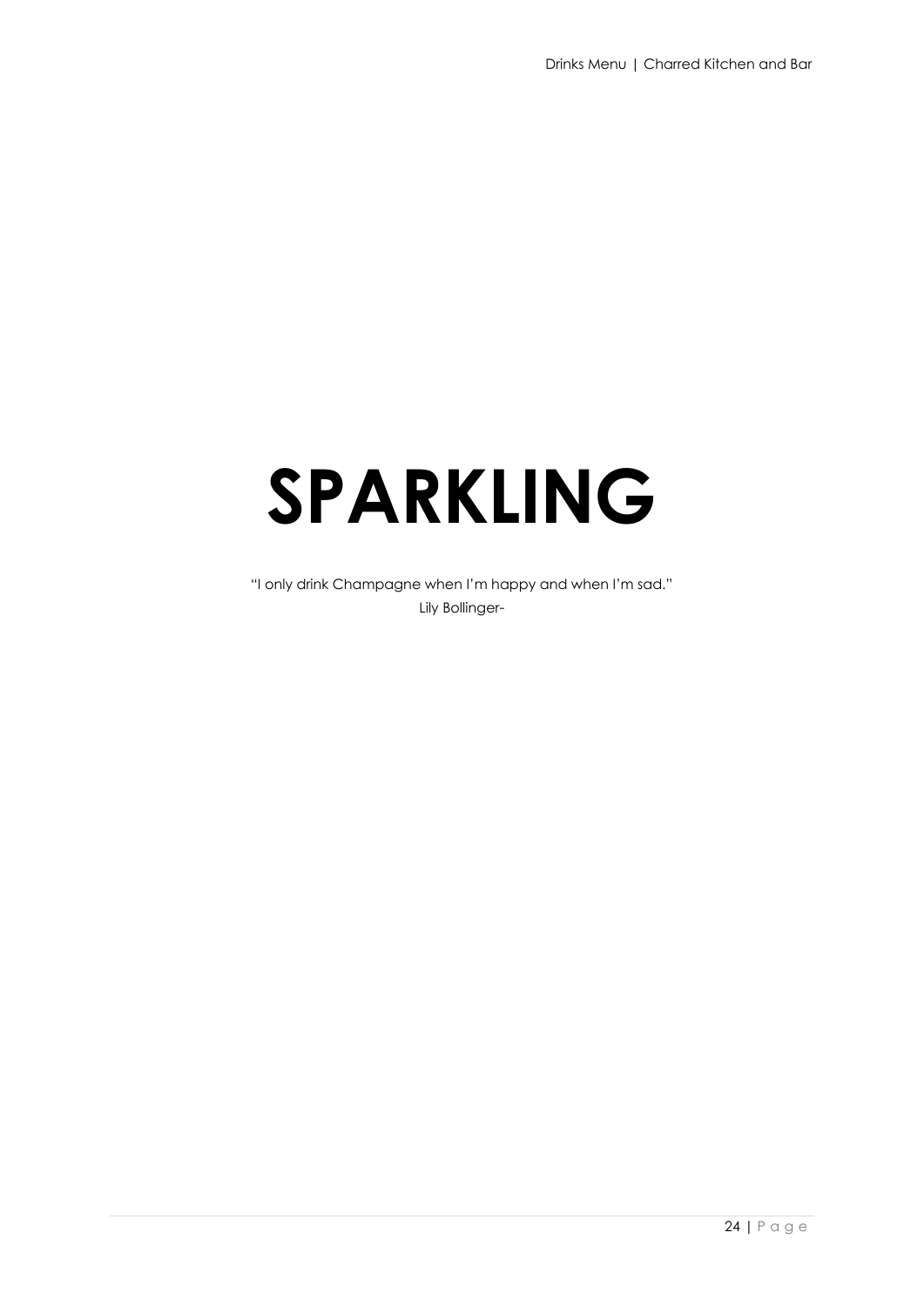# <span id="page-23-0"></span>**SPARKLING**

"I only drink Champagne when I'm happy and when I'm sad." Lily Bollinger-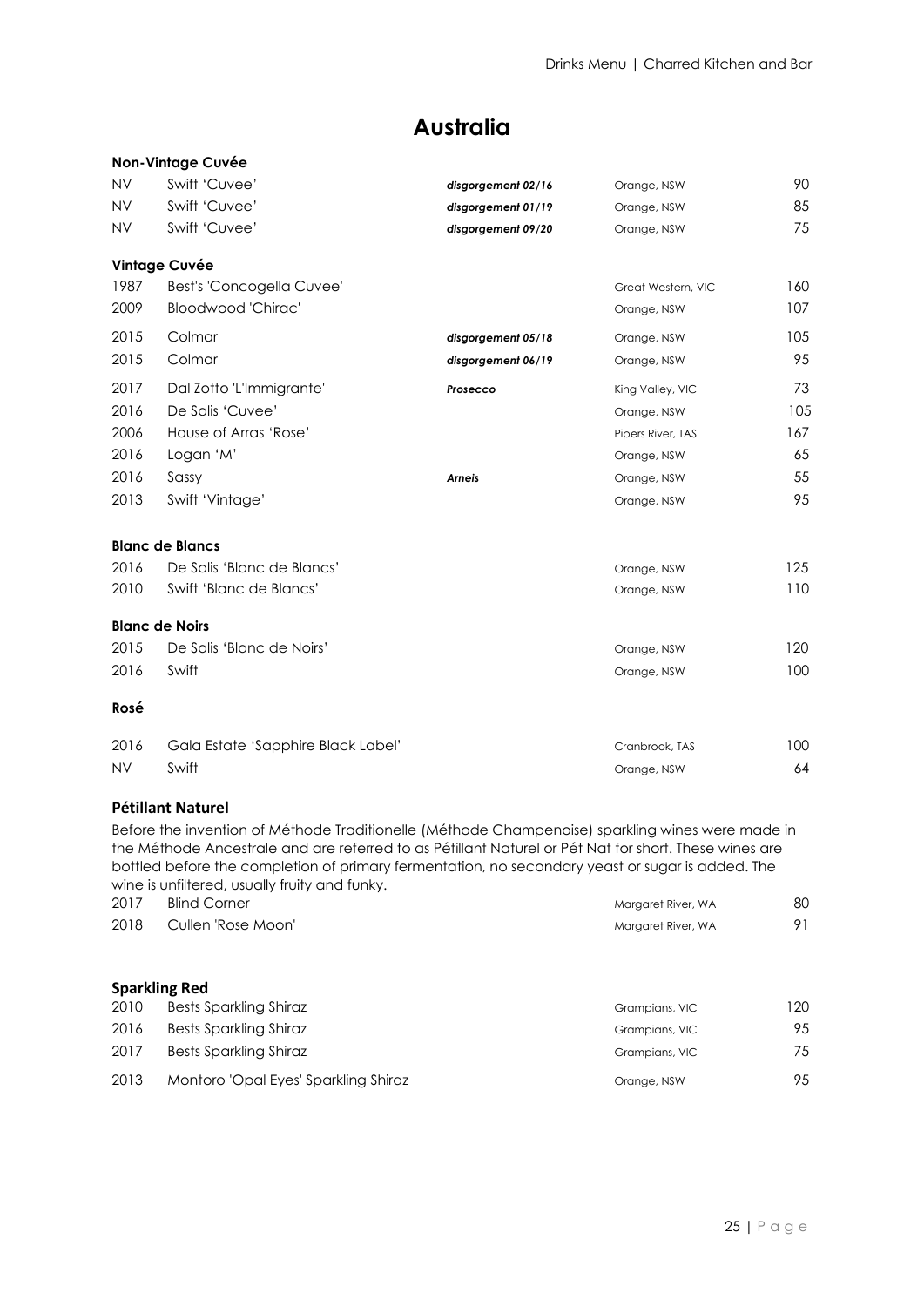#### **Australia**

| <b>Non-Vintage Cuvée</b> |  |
|--------------------------|--|
|--------------------------|--|

| <b>NV</b>             | Swift 'Cuvee'                      | disgorgement 02/16 | Orange, NSW        | 90  |
|-----------------------|------------------------------------|--------------------|--------------------|-----|
| <b>NV</b>             | Swift 'Cuvee'                      | disgorgement 01/19 | Orange, NSW        | 85  |
| <b>NV</b>             | Swift 'Cuvee'                      | disgorgement 09/20 | Orange, NSW        | 75  |
|                       | <b>Vintage Cuvée</b>               |                    |                    |     |
| 1987                  | Best's 'Concogella Cuvee'          |                    | Great Western, VIC | 160 |
| 2009                  | Bloodwood 'Chirac'                 |                    | Orange, NSW        | 107 |
| 2015                  | Colmar                             | disgorgement 05/18 | Orange, NSW        | 105 |
| 2015                  | Colmar                             | disgorgement 06/19 | Orange, NSW        | 95  |
| 2017                  | Dal Zotto 'L'Immigrante'           | Prosecco           | King Valley, VIC   | 73  |
| 2016                  | De Salis 'Cuvee'                   |                    | Orange, NSW        | 105 |
| 2006                  | House of Arras 'Rose'              |                    | Pipers River, TAS  | 167 |
| 2016                  | Logan 'M'                          |                    | Orange, NSW        | 65  |
| 2016                  | Sassy                              | <b>Arneis</b>      | Orange, NSW        | 55  |
| 2013                  | Swift 'Vintage'                    |                    | Orange, NSW        | 95  |
|                       | <b>Blanc de Blancs</b>             |                    |                    |     |
| 2016                  | De Salis 'Blanc de Blancs'         |                    | Orange, NSW        | 125 |
| 2010                  | Swift 'Blanc de Blancs'            |                    | Orange, NSW        | 110 |
| <b>Blanc de Noirs</b> |                                    |                    |                    |     |
| 2015                  | De Salis 'Blanc de Noirs'          |                    | Orange, NSW        | 120 |
| 2016                  | Swift                              |                    | Orange, NSW        | 100 |
| Rosé                  |                                    |                    |                    |     |
| 2016                  | Gala Estate 'Sapphire Black Label' |                    | Cranbrook, TAS     | 100 |
| <b>NV</b>             | Swift                              |                    | Orange, NSW        | 64  |

#### **Pétillant Naturel**

Before the invention of Méthode Traditionelle (Méthode Champenoise) sparkling wines were made in the Méthode Ancestrale and are referred to as Pétillant Naturel or Pét Nat for short. These wines are bottled before the completion of primary fermentation, no secondary yeast or sugar is added. The wine is unfiltered, usually fruity and funky.

| 2017 | <b>Blind Corner</b>                  | Margaret River, WA | 80  |
|------|--------------------------------------|--------------------|-----|
| 2018 | Cullen 'Rose Moon'                   | Margaret River, WA | 91  |
|      | <b>Sparkling Red</b>                 |                    |     |
| 2010 | <b>Bests Sparkling Shiraz</b>        | Grampians, VIC     | 120 |
| 2016 | Bests Sparkling Shiraz               | Grampians, VIC     | 95  |
| 2017 | <b>Bests Sparkling Shiraz</b>        | Grampians, VIC     | 75  |
| 2013 | Montoro 'Opal Eyes' Sparkling Shiraz | Orange, NSW        | 95  |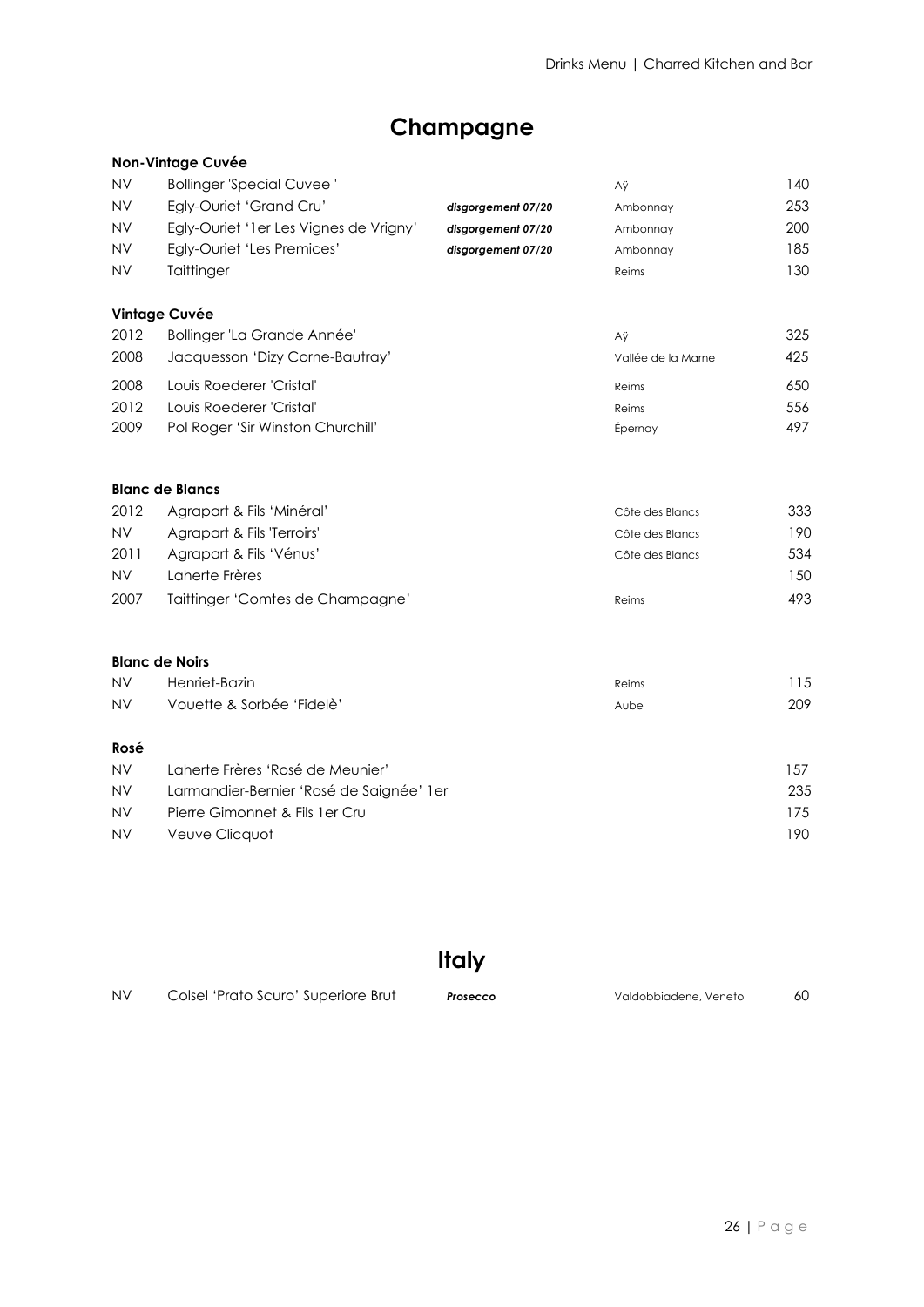### **Champagne**

|           | <b>Non-Vintage Cuvée</b>                 |                    |                    |     |
|-----------|------------------------------------------|--------------------|--------------------|-----|
| <b>NV</b> | <b>Bollinger 'Special Cuvee '</b>        |                    | Aÿ                 | 140 |
| <b>NV</b> | Egly-Ouriet 'Grand Cru'                  | disgorgement 07/20 | Ambonnay           | 253 |
| <b>NV</b> | Egly-Ouriet '1er Les Vignes de Vrigny'   | disgorgement 07/20 | Ambonnay           | 200 |
| <b>NV</b> | Egly-Ouriet 'Les Premices'               | disgorgement 07/20 | Ambonnay           | 185 |
| NV        | Taittinger                               |                    | Reims              | 130 |
|           | <b>Vintage Cuvée</b>                     |                    |                    |     |
| 2012      | Bollinger 'La Grande Année'              |                    | Aÿ                 | 325 |
| 2008      | Jacquesson 'Dizy Corne-Bautray'          |                    | Vallée de la Marne | 425 |
| 2008      | Louis Roederer 'Cristal'                 |                    | Reims              | 650 |
| 2012      | Louis Roederer 'Cristal'                 |                    | Reims              | 556 |
| 2009      | Pol Roger 'Sir Winston Churchill'        |                    | Épernay            | 497 |
|           | <b>Blanc de Blancs</b>                   |                    |                    |     |
| 2012      | Agrapart & Fils 'Minéral'                |                    | Côte des Blancs    | 333 |
| <b>NV</b> | Agrapart & Fils 'Terroirs'               |                    | Côte des Blancs    | 190 |
| 2011      | Agrapart & Fils 'Vénus'                  |                    | Côte des Blancs    | 534 |
| <b>NV</b> | Laherte Frères                           |                    |                    | 150 |
| 2007      | Taittinger 'Comtes de Champagne'         |                    | Reims              | 493 |
|           | <b>Blanc de Noirs</b>                    |                    |                    |     |
| <b>NV</b> | Henriet-Bazin                            |                    | Reims              | 115 |
| <b>NV</b> | Vouette & Sorbée 'Fidelè'                |                    | Aube               | 209 |
| Rosé      |                                          |                    |                    |     |
| <b>NV</b> | Laherte Frères 'Rosé de Meunier'         |                    |                    | 157 |
| <b>NV</b> | Larmandier-Bernier 'Rosé de Saignée' ler |                    |                    | 235 |
| ΝV        | Pierre Gimonnet & Fils 1 er Cru          |                    |                    | 175 |
| NV        | Veuve Clicquot                           |                    |                    | 190 |

## **Italy**

NV Colsel 'Prato Scuro' Superiore Brut *Prosecco* Valdobbiadene, Veneto 60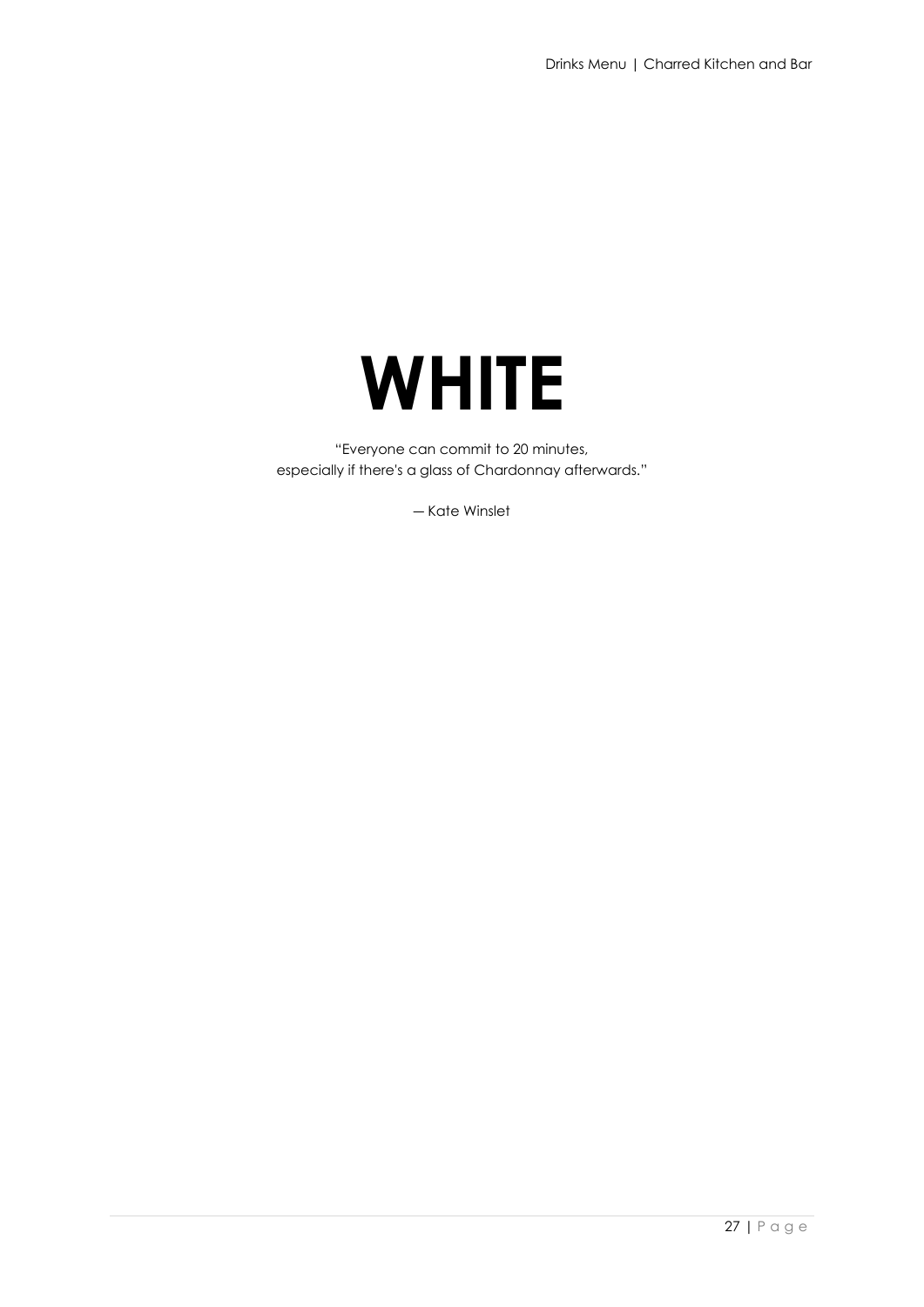

<span id="page-26-0"></span>"Everyone can commit to 20 minutes, especially if there's a glass of Chardonnay afterwards."

― Kate Winslet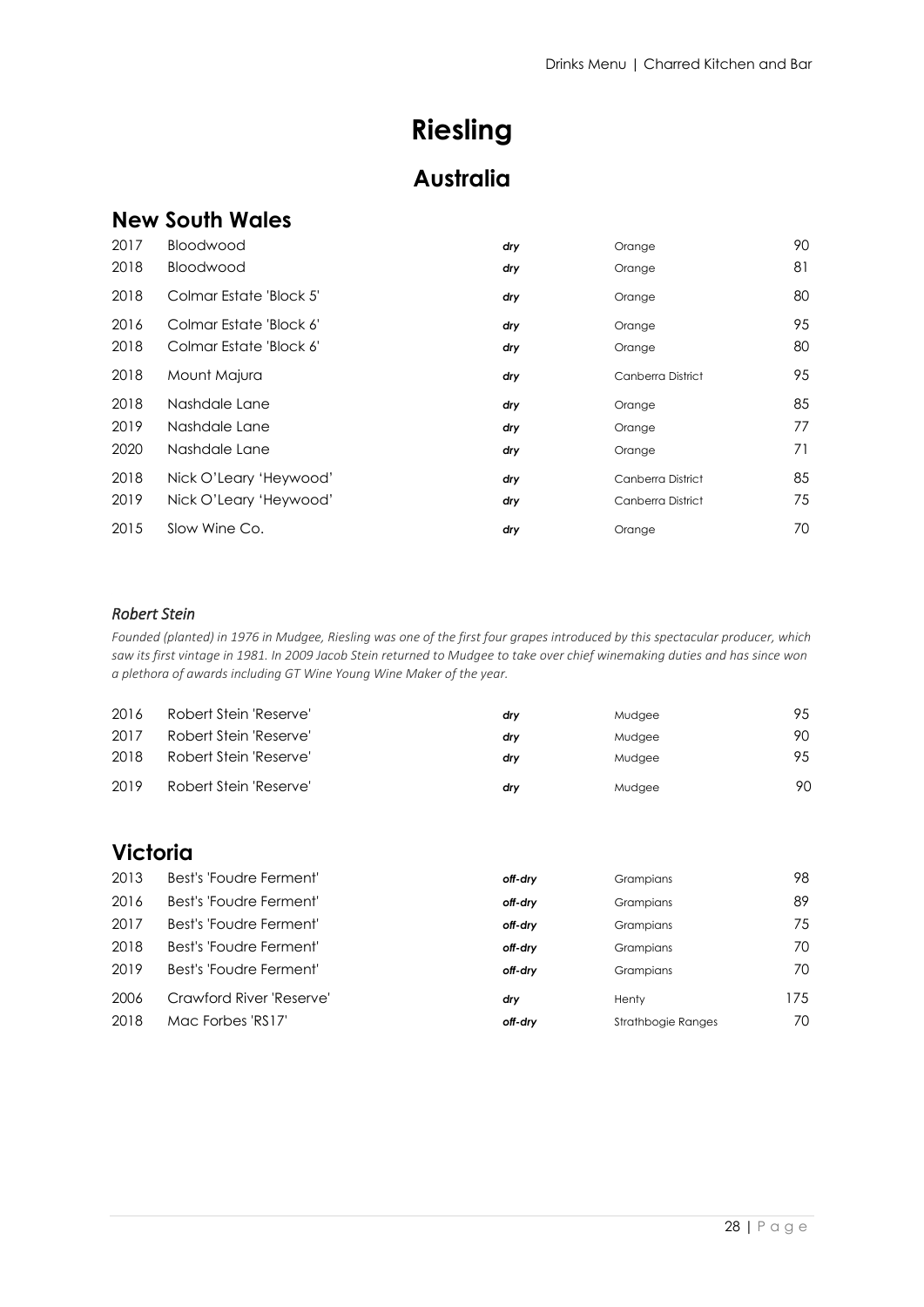# **Riesling**

### **Australia**

#### <span id="page-27-0"></span>**New South Wales**

| 2017 | Bloodwood               | dry | Orange            | 90 |
|------|-------------------------|-----|-------------------|----|
| 2018 | Bloodwood               | dry | Orange            | 81 |
| 2018 | Colmar Estate 'Block 5' | dry | Orange            | 80 |
| 2016 | Colmar Estate 'Block 6' | dry | Orange            | 95 |
| 2018 | Colmar Estate 'Block 6' | dry | Orange            | 80 |
| 2018 | Mount Majura            | dry | Canberra District | 95 |
| 2018 | Nashdale Lane           | dry | Orange            | 85 |
| 2019 | Nashdale Lane           | dry | Orange            | 77 |
| 2020 | Nashdale Lane           | dry | Orange            | 71 |
| 2018 | Nick O'Leary 'Heywood'  | dry | Canberra District | 85 |
| 2019 | Nick O'Leary 'Heywood'  | dry | Canberra District | 75 |
| 2015 | Slow Wine Co.           | dry | Orange            | 70 |

#### *Robert Stein*

*Founded (planted) in 1976 in Mudgee, Riesling was one of the first four grapes introduced by this spectacular producer, which saw its first vintage in 1981. In 2009 Jacob Stein returned to Mudgee to take over chief winemaking duties and has since won a plethora of awards including GT Wine Young Wine Maker of the year.* 

| 2016 | Robert Stein 'Reserve' | dry | Mudgee | 95 |
|------|------------------------|-----|--------|----|
| 2017 | Robert Stein 'Reserve' | dry | Mudgee | 90 |
| 2018 | Robert Stein 'Reserve' | dry | Mudgee | 95 |
| 2019 | Robert Stein 'Reserve' | dry | Mudgee | 90 |

#### **Victoria**

| 2013 | Best's 'Foudre Ferment'  | off-dry | Grampians          | 98  |
|------|--------------------------|---------|--------------------|-----|
| 2016 | Best's 'Foudre Ferment'  | off-dry | Grampians          | 89  |
| 2017 | Best's 'Foudre Ferment'  | off-dry | Grampians          | 75  |
| 2018 | Best's 'Foudre Ferment'  | off-dry | Grampians          | 70  |
| 2019 | Best's 'Foudre Ferment'  | off-dry | Grampians          | 70  |
| 2006 | Crawford River 'Reserve' | dry     | Henty              | 175 |
| 2018 | Mac Forbes 'RS17'        | off-dry | Strathbogie Ranges | 70  |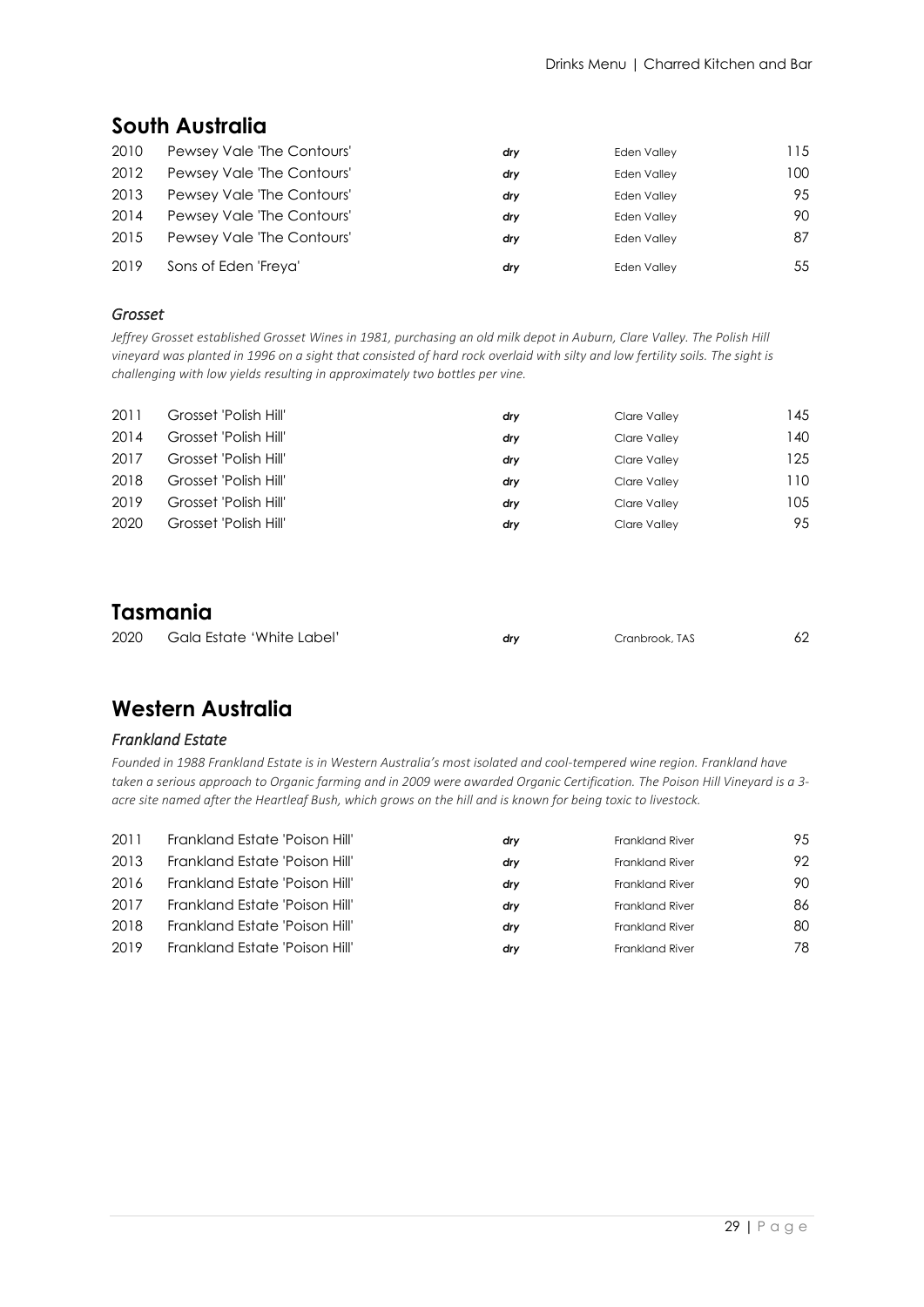#### **South Australia**

| 2010 | Pewsey Vale 'The Contours' | dry | <b>Eden Valley</b> | 115 |
|------|----------------------------|-----|--------------------|-----|
| 2012 | Pewsey Vale 'The Contours' | dry | <b>Eden Valley</b> | 100 |
| 2013 | Pewsey Vale 'The Contours' | dry | <b>Eden Valley</b> | 95  |
| 2014 | Pewsey Vale 'The Contours' | dry | <b>Eden Valley</b> | 90  |
| 2015 | Pewsey Vale 'The Contours' | dry | <b>Eden Valley</b> | 87  |
| 2019 | Sons of Eden 'Freya'       | dry | <b>Eden Valley</b> | 55  |

#### *Grosset*

*Jeffrey Grosset established Grosset Wines in 1981, purchasing an old milk depot in Auburn, Clare Valley. The Polish Hill vineyard was planted in 1996 on a sight that consisted of hard rock overlaid with silty and low fertility soils. The sight is challenging with low yields resulting in approximately two bottles per vine.*

| 2011 | Grosset 'Polish Hill' | dry | Clare Valley        | 145 |
|------|-----------------------|-----|---------------------|-----|
| 2014 | Grosset 'Polish Hill' | dry | Clare Valley        | 140 |
| 2017 | Grosset 'Polish Hill' | dry | Clare Valley        | 125 |
| 2018 | Grosset 'Polish Hill' | dry | Clare Valley        | 110 |
| 2019 | Grosset 'Polish Hill' | dry | Clare Valley        | 105 |
| 2020 | Grosset 'Polish Hill' | dry | <b>Clare Valley</b> | 95  |
|      |                       |     |                     |     |

#### **Tasmania**

| 2020 | "Gala Estate 'White Label | drv | Cranbrook, TAS |  |
|------|---------------------------|-----|----------------|--|
|      |                           |     |                |  |

#### **Western Australia**

#### *Frankland Estate*

*Founded in 1988 Frankland Estate is in Western Australia's most isolated and cool-tempered wine region. Frankland have taken a serious approach to Organic farming and in 2009 were awarded Organic Certification. The Poison Hill Vineyard is a 3 acre site named after the Heartleaf Bush, which grows on the hill and is known for being toxic to livestock.* 

| 2011 | Frankland Estate 'Poison Hill' | dry | <b>Frankland River</b> | 95 |
|------|--------------------------------|-----|------------------------|----|
| 2013 | Frankland Estate 'Poison Hill' | dry | <b>Frankland River</b> | 92 |
| 2016 | Frankland Estate 'Poison Hill' | dry | <b>Frankland River</b> | 90 |
| 2017 | Frankland Estate 'Poison Hill' | dry | <b>Frankland River</b> | 86 |
| 2018 | Frankland Estate 'Poison Hill' | dry | Frankland River        | 80 |
| 2019 | Frankland Estate 'Poison Hill' | dry | <b>Frankland River</b> | 78 |
|      |                                |     |                        |    |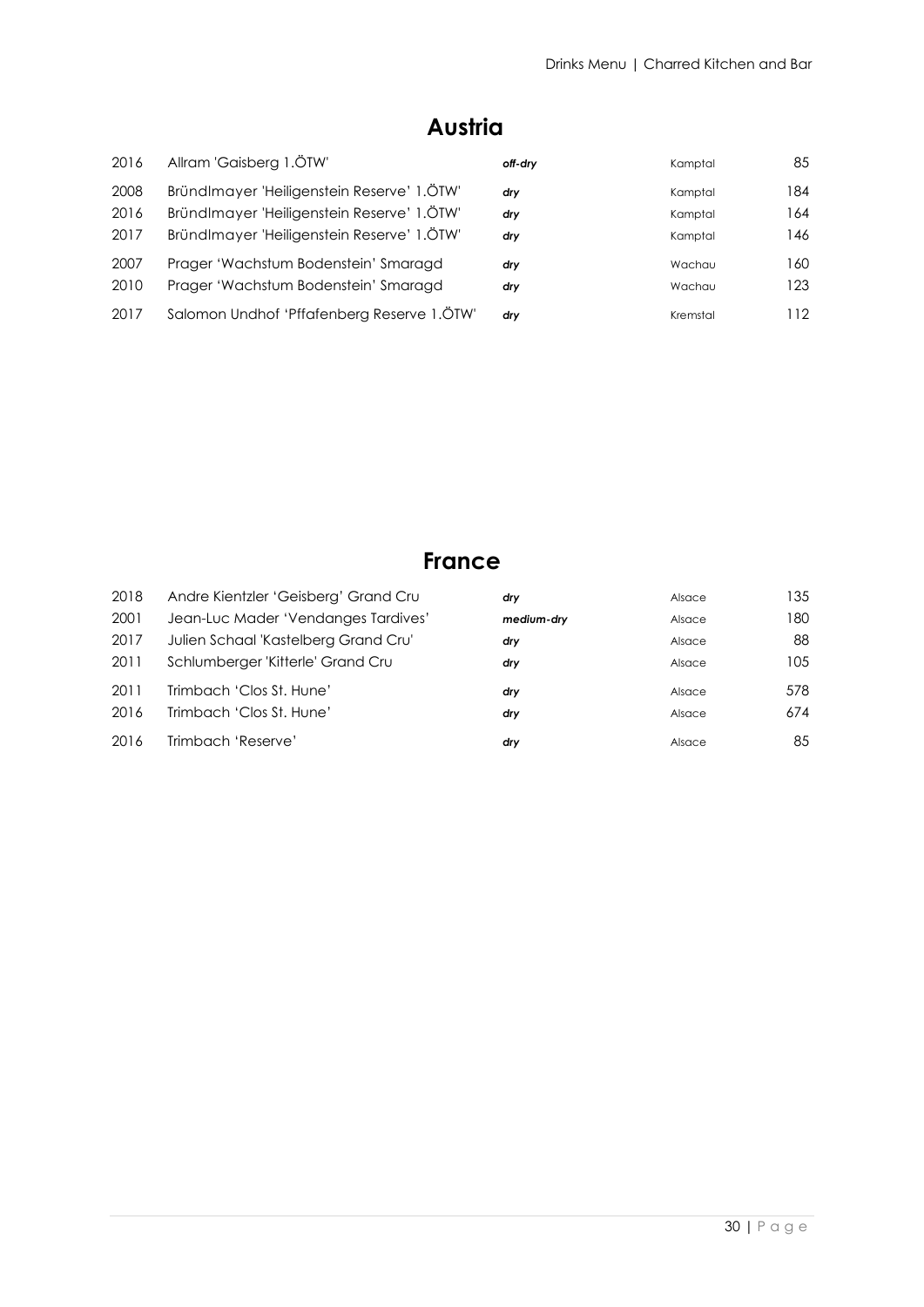### **Austria**

| 2016 | Allram 'Gaisberg 1.ÖTW'                    | off-dry | Kamptal  | 85  |
|------|--------------------------------------------|---------|----------|-----|
| 2008 | Bründlmayer 'Heiligenstein Reserve' 1.ÖTW' | dry     | Kamptal  | 184 |
| 2016 | Bründlmayer 'Heiligenstein Reserve' 1.ÖTW' | dry     | Kamptal  | 164 |
| 2017 | Bründlmayer 'Heiligenstein Reserve' 1.ÖTW' | dry     | Kamptal  | 146 |
| 2007 | Prager 'Wachstum Bodenstein' Smaragd       | dry     | Wachau   | 160 |
| 2010 | Prager 'Wachstum Bodenstein' Smaragd       | dry     | Wachau   | 123 |
| 2017 | Salomon Undhof 'Pffafenberg Reserve 1.ÖTW' | dry     | Kremstal | 112 |

#### **France**

| 2018 | Andre Kientzler 'Geisberg' Grand Cru | dry        | Alsace | 135 |
|------|--------------------------------------|------------|--------|-----|
| 2001 | Jean-Luc Mader 'Vendanges Tardives'  | medium-dry | Alsace | 180 |
| 2017 | Julien Schaal 'Kastelberg Grand Cru' | dry        | Alsace | 88  |
| 2011 | Schlumberger 'Kitterle' Grand Cru    | dry        | Alsace | 105 |
| 2011 | Trimbach 'Clos St. Hune'             | dry        | Alsace | 578 |
| 2016 | Trimbach 'Clos St. Hune'             | dry        | Alsace | 674 |
| 2016 | Trimbach 'Reserve'                   | dry        | Alsace | 85  |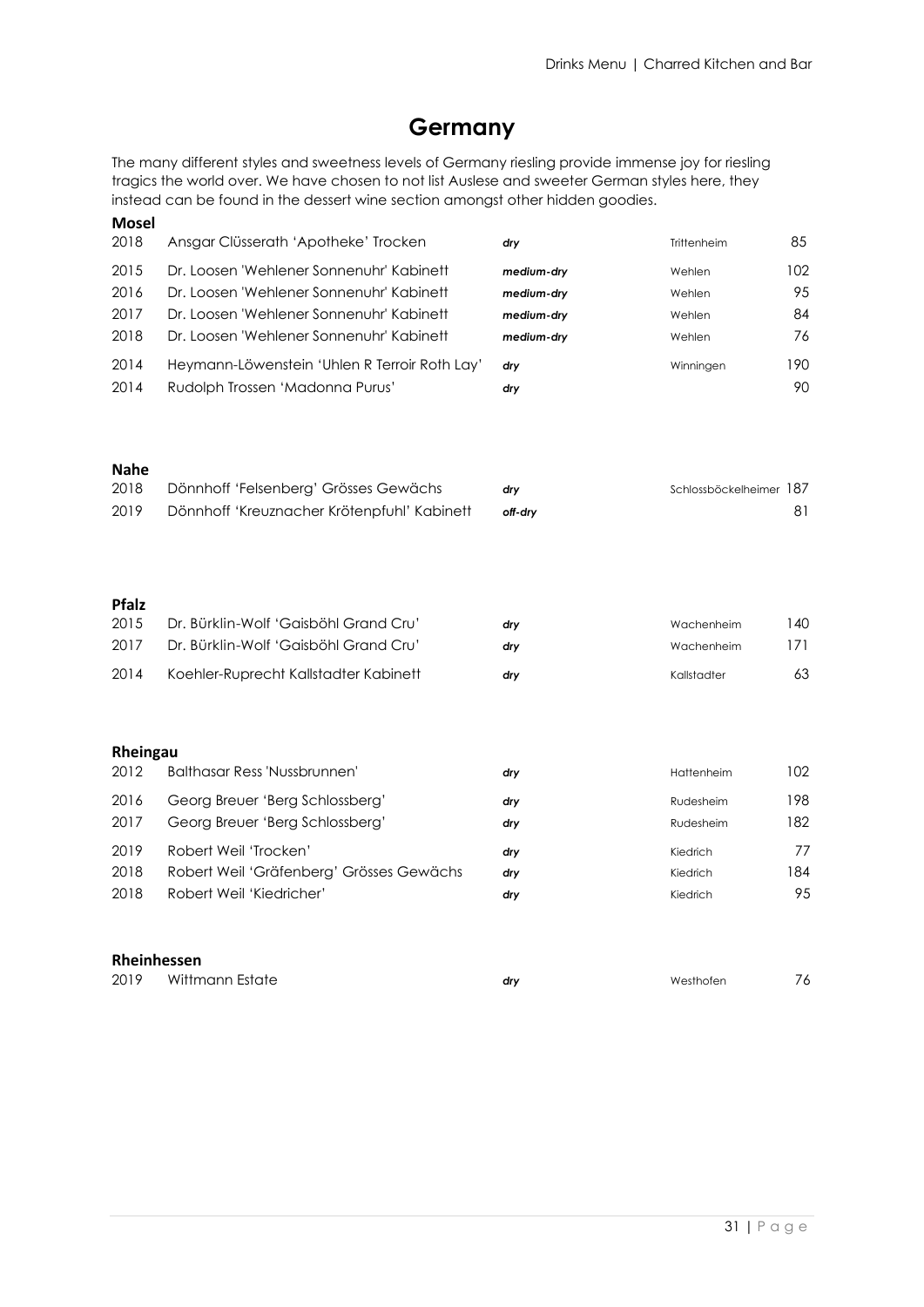### **Germany**

The many different styles and sweetness levels of Germany riesling provide immense joy for riesling tragics the world over. We have chosen to not list Auslese and sweeter German styles here, they instead can be found in the dessert wine section amongst other hidden goodies.

| <b>Mosel</b>     |                                               |            |                         |     |
|------------------|-----------------------------------------------|------------|-------------------------|-----|
| 2018             | Ansgar Clüsserath 'Apotheke' Trocken          | dry        | Trittenheim             | 85  |
| 2015             | Dr. Loosen 'Wehlener Sonnenuhr' Kabinett      | medium-dry | Wehlen                  | 102 |
| 2016             | Dr. Loosen 'Wehlener Sonnenuhr' Kabinett      | medium-dry | Wehlen                  | 95  |
| 2017             | Dr. Loosen 'Wehlener Sonnenuhr' Kabinett      | medium-dry | Wehlen                  | 84  |
| 2018             | Dr. Loosen 'Wehlener Sonnenuhr' Kabinett      | medium-dry | Wehlen                  | 76  |
| 2014             | Heymann-Löwenstein 'Uhlen R Terroir Roth Lay' | dry        | Winningen               | 190 |
| 2014             | Rudolph Trossen 'Madonna Purus'               | dry        |                         | 90  |
| <b>Nahe</b>      |                                               |            |                         |     |
| 2018             | Dönnhoff 'Felsenberg' Grösses Gewächs         | dry        | Schlossböckelheimer 187 |     |
| 2019             | Dönnhoff 'Kreuznacher Krötenpfuhl' Kabinett   | off-dry    |                         | 81  |
| <b>Pfalz</b>     |                                               |            |                         |     |
| 2015             | Dr. Bürklin-Wolf 'Gaisböhl Grand Cru'         | dry        | Wachenheim              | 140 |
| 2017             | Dr. Bürklin-Wolf 'Gaisböhl Grand Cru'         | dry        | Wachenheim              | 171 |
| 2014             | Koehler-Ruprecht Kallstadter Kabinett         | dry        | Kallstadter             | 63  |
| Rheingau<br>2012 | Balthasar Ress 'Nussbrunnen'                  | dry        | Hattenheim              | 102 |
| 2016             | Georg Breuer 'Berg Schlossberg'               | dry        | Rudesheim               | 198 |
| 2017             | Georg Breuer 'Berg Schlossberg'               | dry        | Rudesheim               | 182 |
| 2019             | Robert Weil 'Trocken'                         | dry        | Kiedrich                | 77  |
| 2018             | Robert Weil 'Gräfenberg' Grösses Gewächs      | dry        | Kiedrich                | 184 |
| 2018             | Robert Weil 'Kiedricher'                      | dry        | Kiedrich                | 95  |
| Rheinhessen      |                                               |            |                         |     |
| 2019             | Wittmann Estate                               | dry        | Westhofen               | 76  |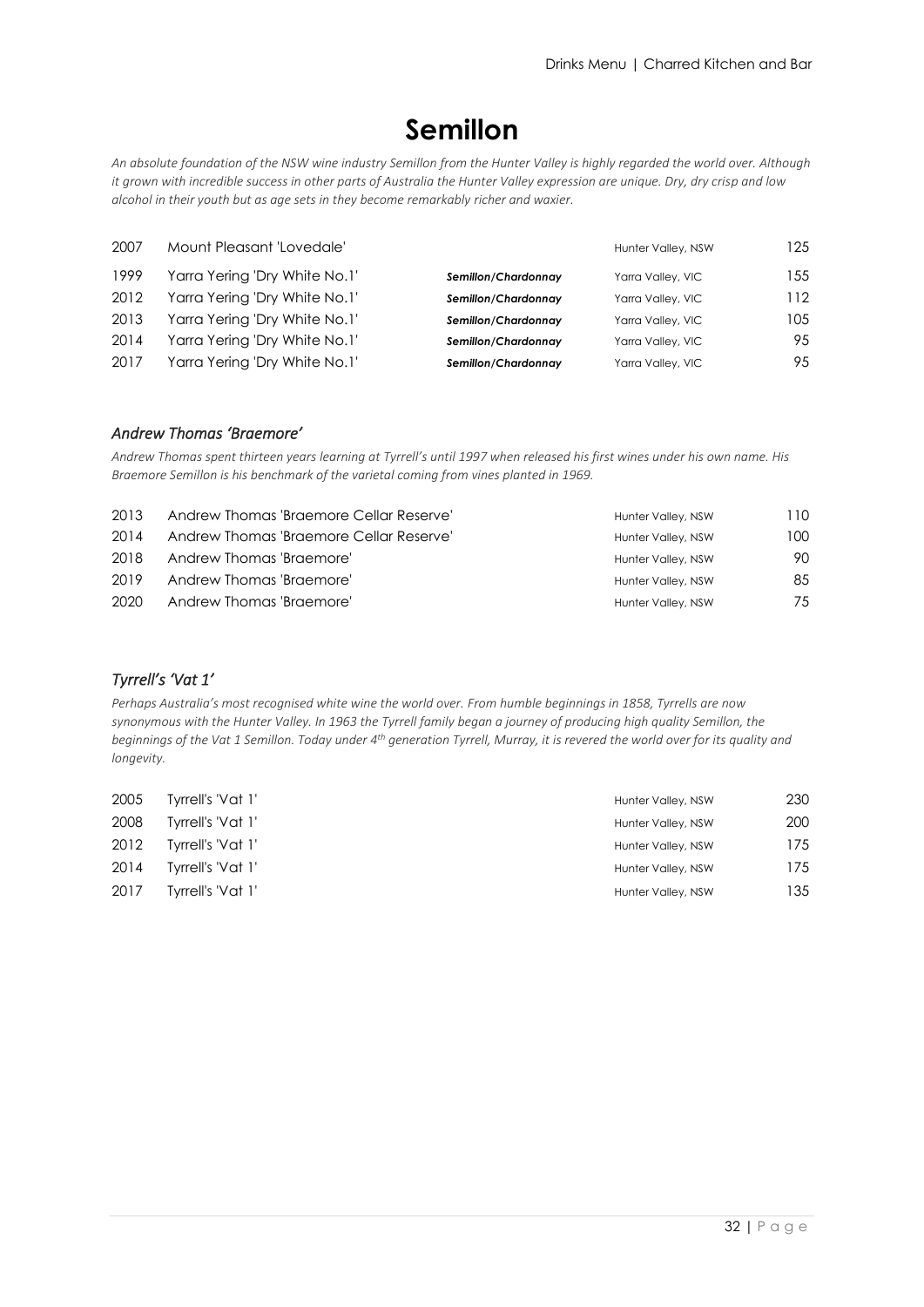# **Semillon**

<span id="page-31-0"></span>*An absolute foundation of the NSW wine industry Semillon from the Hunter Valley is highly regarded the world over. Although it grown with incredible success in other parts of Australia the Hunter Valley expression are unique. Dry, dry crisp and low alcohol in their youth but as age sets in they become remarkably richer and waxier.* 

| 2007 | Mount Pleasant 'Lovedale'     |                     | Hunter Valley, NSW | 125 |
|------|-------------------------------|---------------------|--------------------|-----|
| 1999 | Yarra Yering 'Dry White No.1' | Semillon/Chardonnay | Yarra Valley, VIC  | 155 |
| 2012 | Yarra Yering 'Dry White No.1' | Semillon/Chardonnay | Yarra Valley, VIC  | 112 |
| 2013 | Yarra Yering 'Dry White No.1' | Semillon/Chardonnay | Yarra Valley, VIC  | 105 |
| 2014 | Yarra Yering 'Dry White No.1' | Semillon/Chardonnay | Yarra Valley, VIC  | 95  |
| 2017 | Yarra Yering 'Dry White No.1' | Semillon/Chardonnay | Yarra Valley, VIC  | 95  |

#### *Andrew Thomas 'Braemore'*

*Andrew Thomas spent thirteen years learning at Tyrrell's until 1997 when released his first wines under his own name. His Braemore Semillon is his benchmark of the varietal coming from vines planted in 1969.*

| Andrew Thomas 'Braemore Cellar Reserve' | Hunter Valley, NSW | 110 |
|-----------------------------------------|--------------------|-----|
| Andrew Thomas 'Braemore Cellar Reserve' | Hunter Valley, NSW | 100 |
| Andrew Thomas 'Braemore'                | Hunter Valley, NSW | 90  |
| Andrew Thomas 'Braemore'                | Hunter Valley, NSW | 85  |
| Andrew Thomas 'Braemore'                | Hunter Valley, NSW | 75  |
|                                         |                    |     |

#### *Tyrrell's 'Vat 1'*

*Perhaps Australia's most recognised white wine the world over. From humble beginnings in 1858, Tyrrells are now synonymous with the Hunter Valley. In 1963 the Tyrrell family began a journey of producing high quality Semillon, the beginnings of the Vat 1 Semillon. Today under 4th generation Tyrrell, Murray, it is revered the world over for its quality and longevity.* 

| 2005 | Tyrrell's 'Vat 1' | Hunter Valley, NSW | 230 |
|------|-------------------|--------------------|-----|
| 2008 | Tyrrell's 'Vat 1' | Hunter Valley, NSW | 200 |
| 2012 | Tyrrell's 'Vat 1' | Hunter Valley, NSW | 175 |
| 2014 | Tyrrell's 'Vat 1' | Hunter Valley, NSW | 175 |
| 2017 | Tyrrell's 'Vat 1' | Hunter Valley, NSW | 135 |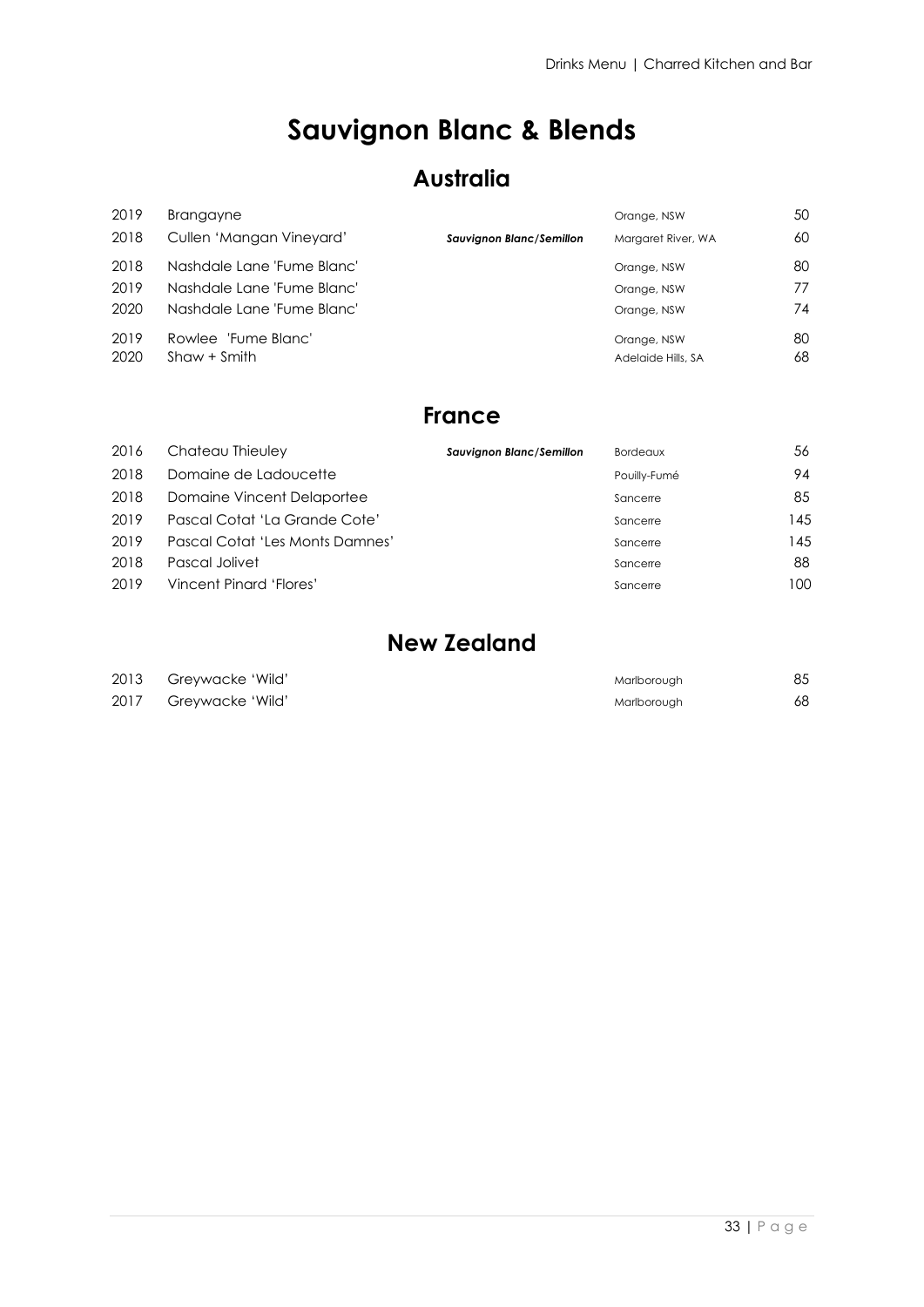# **Sauvignon Blanc & Blends**

## **Australia**

<span id="page-32-0"></span>

| 2019 | Brangayne                  | Sauvignon Blanc/Semillon | Orange, NSW        | 50 |
|------|----------------------------|--------------------------|--------------------|----|
| 2018 | Cullen 'Mangan Vineyard'   |                          | Margaret River, WA | 60 |
| 2018 | Nashdale Lane 'Fume Blanc' |                          | Orange, NSW        | 80 |
| 2019 | Nashdale Lane 'Fume Blanc' |                          | Orange, NSW        | 77 |
| 2020 | Nashdale Lane 'Fume Blanc' |                          | Orange, NSW        | 74 |
| 2019 | Rowlee 'Fume Blanc'        |                          | Orange, NSW        | 80 |
| 2020 | Shaw + Smith               |                          | Adelaide Hills, SA | 68 |

#### **France**

| 2016 | Chateau Thieuley                | Sauvignon Blanc/Semillon | <b>Bordeaux</b> | 56  |
|------|---------------------------------|--------------------------|-----------------|-----|
| 2018 | Domaine de Ladoucette           |                          | Pouilly-Fumé    | 94  |
| 2018 | Domaine Vincent Delaportee      |                          | Sancerre        | 85  |
| 2019 | Pascal Cotat 'La Grande Cote'   |                          | Sancerre        | 145 |
| 2019 | Pascal Cotat 'Les Monts Damnes' |                          | Sancerre        | 145 |
| 2018 | Pascal Jolivet                  |                          | Sancerre        | 88  |
| 2019 | Vincent Pinard 'Flores'         |                          | Sancerre        | 100 |
|      |                                 |                          |                 |     |

#### **New Zealand**

| 2013 Greywacke 'Wild' | Marlborouah |    |
|-----------------------|-------------|----|
| 2017 Greywacke 'Wild' | Marlborouah | 68 |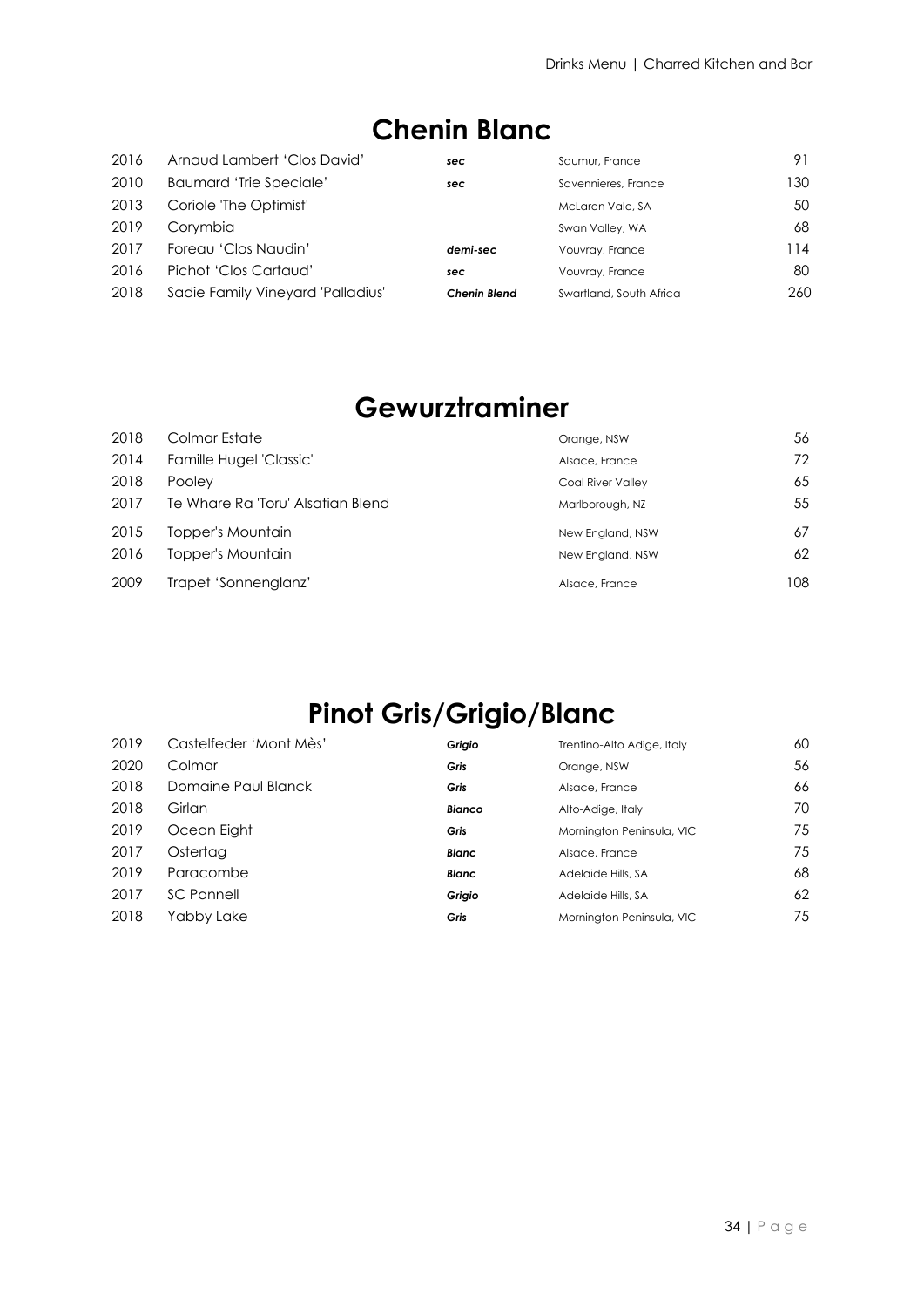# **Chenin Blanc**

<span id="page-33-0"></span>

| 2016 | Arnaud Lambert 'Clos David'       | sec                 | Saumur, France          | 91         |
|------|-----------------------------------|---------------------|-------------------------|------------|
| 2010 | Baumard 'Trie Speciale'           | sec                 | Savennieres, France     | 130        |
| 2013 | Coriole 'The Optimist'            |                     | McLaren Vale, SA        | 50         |
| 2019 | Corymbia                          |                     | Swan Valley, WA         | 68         |
| 2017 | Foreau 'Clos Naudin'              | demi-sec            | Vouvray, France         | 114        |
| 2016 | Pichot 'Clos Cartaud'             | sec                 | Vouvray, France         | 80         |
| 2018 | Sadie Family Vineyard 'Palladius' | <b>Chenin Blend</b> | Swartland, South Africa | <b>260</b> |
|      |                                   |                     |                         |            |

# **Gewurztraminer**

<span id="page-33-1"></span>

| 2018 | Colmar Estate                     | Orange, NSW       | 56  |
|------|-----------------------------------|-------------------|-----|
| 2014 | Famille Hugel 'Classic'           | Alsace, France    | 72  |
| 2018 | Pooley                            | Coal River Valley | 65  |
| 2017 | Te Whare Ra 'Toru' Alsatian Blend | Marlborough, NZ   | 55  |
| 2015 | Topper's Mountain                 | New England, NSW  | 67  |
| 2016 | Topper's Mountain                 | New England, NSW  | 62  |
| 2009 | Trapet 'Sonnenglanz'              | Alsace, France    | 108 |

# **Pinot Gris/Grigio/Blanc**

<span id="page-33-2"></span>

| 2019 | Castelfeder 'Mont Mès' | Grigio        | Trentino-Alto Adige, Italy | 60  |
|------|------------------------|---------------|----------------------------|-----|
| 2020 | Colmar                 | Gris          | Orange, NSW                | -56 |
| 2018 | Domaine Paul Blanck    | Gris          | Alsace, France             | 66  |
| 2018 | Girlan                 | <b>Bianco</b> | Alto-Adige, Italy          | 70  |
| 2019 | Ocean Eight            | Gris          | Mornington Peninsula, VIC  | 75  |
| 2017 | Ostertag               | Blanc         | Alsace, France             | 75  |
| 2019 | Paracombe              | <b>Blanc</b>  | Adelaide Hills, SA         | 68  |
| 2017 | <b>SC Pannell</b>      | Grigio        | Adelaide Hills, SA         | 62  |
| 2018 | Yabby Lake             | Gris          | Mornington Peninsula, VIC  | 75  |
|      |                        |               |                            |     |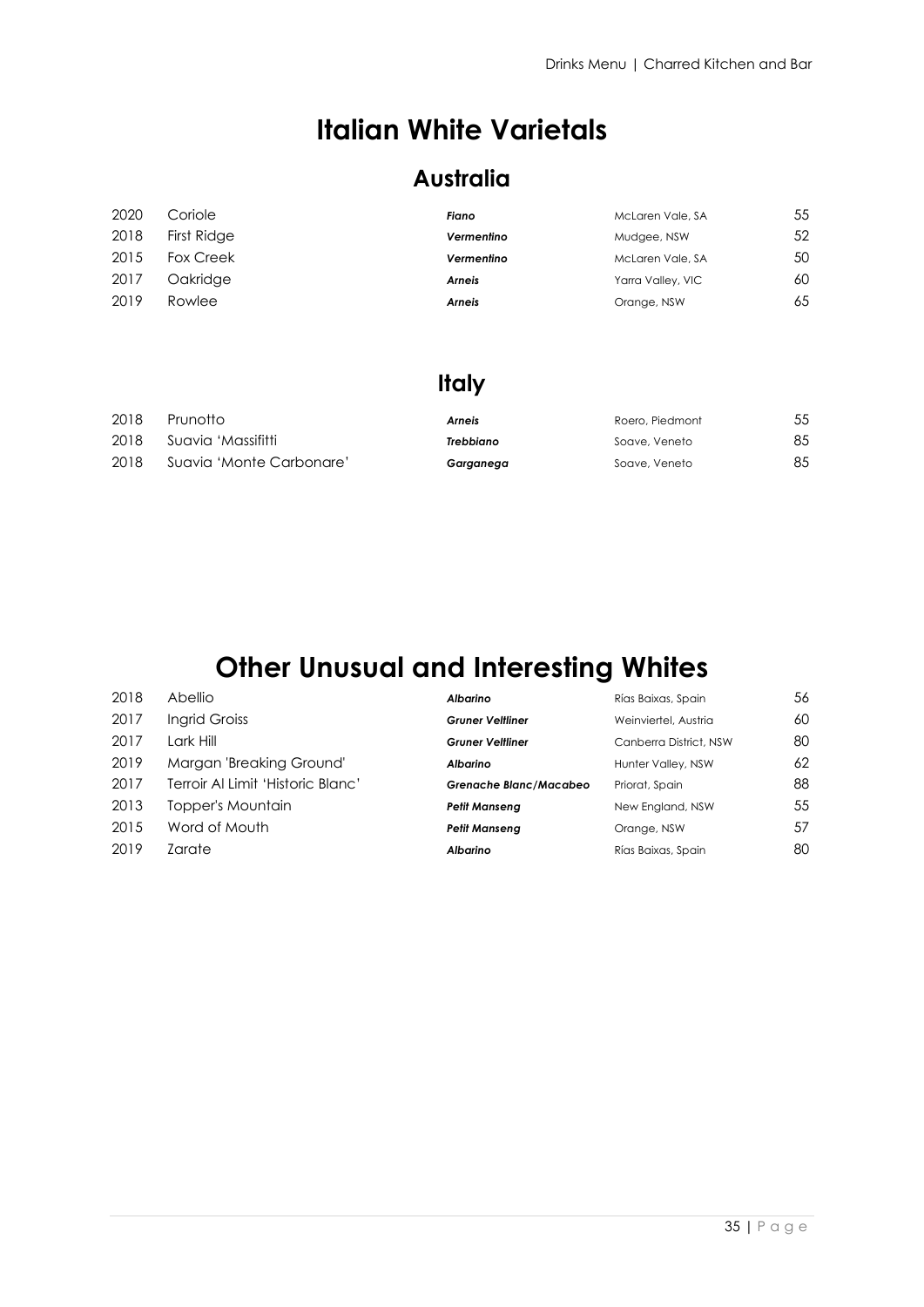# **Italian White Varietals**

#### **Australia**

<span id="page-34-0"></span>

| 2020 | Coriole          | Fiano      | McLaren Vale, SA  | 55 |
|------|------------------|------------|-------------------|----|
| 2018 | First Ridge      | Vermentino | Mudgee, NSW       | 52 |
| 2015 | <b>Fox Creek</b> | Vermentino | McLaren Vale, SA  | 50 |
| 2017 | Oakridge         | Arneis     | Yarra Valley, VIC | 60 |
| 2019 | Rowlee           | Arneis     | Orange, NSW       | 65 |
|      |                  |            |                   |    |

#### **Italy**

| 2018 | Prunotto                 | Arneis    | Roero, Piedmont | 55 |
|------|--------------------------|-----------|-----------------|----|
| 2018 | Suavia 'Massifitti       | Trebbiano | Soave, Veneto   | 85 |
| 2018 | Suavia 'Monte Carbonare' | Garganega | Soave, Veneto   | 85 |

# **Other Unusual and Interesting Whites**

<span id="page-34-1"></span>

| 2018 | <b>Abellio</b>                    | Albarino                      | Rías Baixas, Spain     | 56 |
|------|-----------------------------------|-------------------------------|------------------------|----|
| 2017 | Ingrid Groiss                     | <b>Gruner Veltliner</b>       | Weinviertel, Austria   | 6C |
| 2017 | Lark Hill                         | <b>Gruner Veltliner</b>       | Canberra District, NSW | 8C |
| 2019 | Margan 'Breaking Ground'          | Albarino                      | Hunter Valley, NSW     | 62 |
| 2017 | Terroir Al Limit 'Historic Blanc' | <b>Grenache Blanc/Macabeo</b> | Priorat, Spain         | 88 |
| 2013 | Topper's Mountain                 | <b>Petit Manseng</b>          | New England, NSW       | 55 |
| 2015 | Word of Mouth                     | <b>Petit Manseng</b>          | Orange, NSW            | 57 |
| 2019 | Zarate                            | Albarino                      | Rías Baixas, Spain     | 8C |
|      |                                   |                               |                        |    |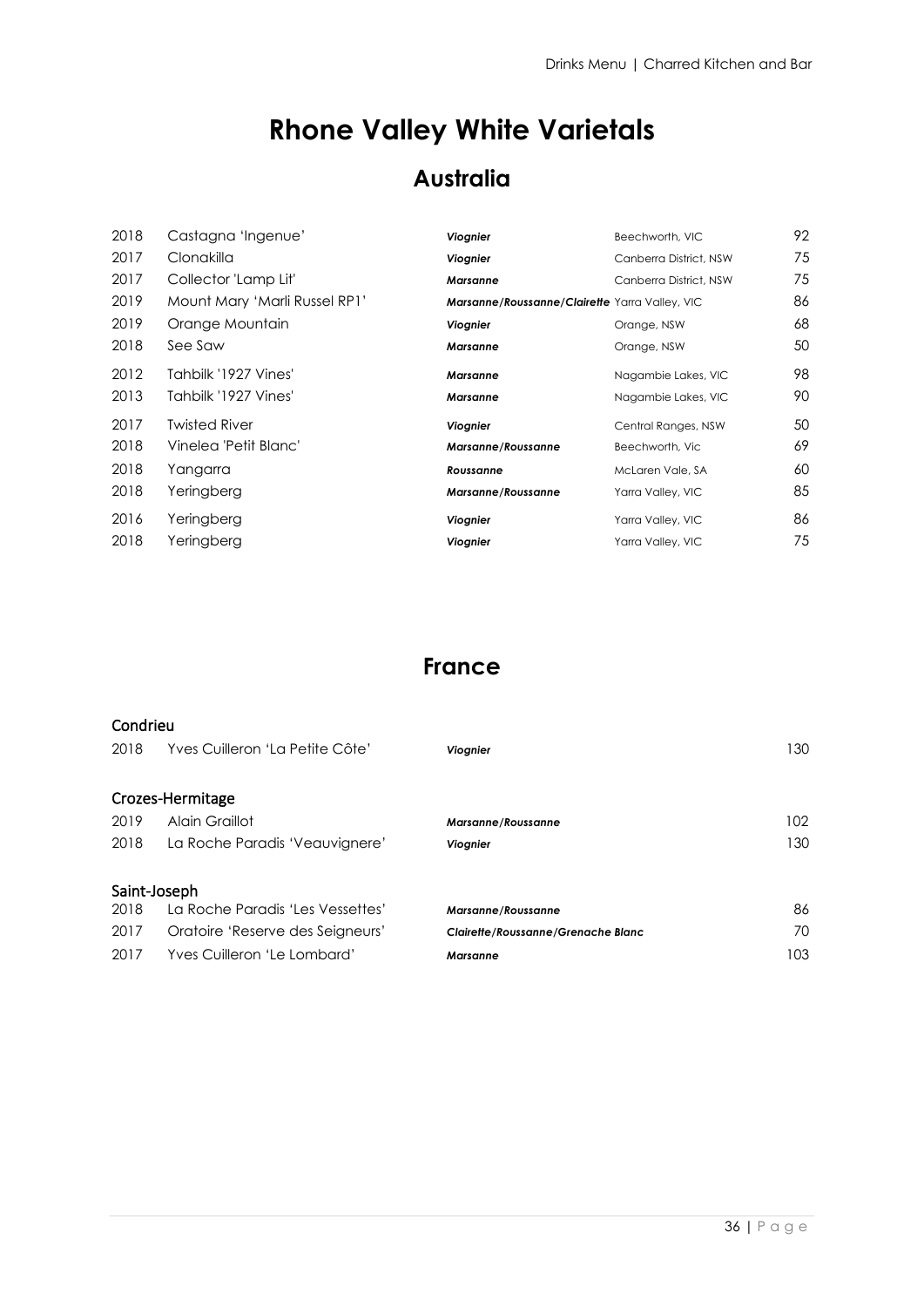# **Rhone Valley White Varietals**

## **Australia**

<span id="page-35-0"></span>

| 2018 | Castagna 'Ingenue'            | <b>Viognier</b>                                | Beechworth, VIC        | 92 |
|------|-------------------------------|------------------------------------------------|------------------------|----|
| 2017 | Clonakilla                    | <b>Viognier</b>                                | Canberra District, NSW | 75 |
| 2017 | Collector 'Lamp Lit'          | <b>Marsanne</b>                                | Canberra District, NSW | 75 |
| 2019 | Mount Mary 'Marli Russel RP1' | Marsanne/Roussanne/Clairette Yarra Valley, VIC |                        | 86 |
| 2019 | Orange Mountain               | Viognier                                       | Orange, NSW            | 68 |
| 2018 | See Saw                       | <b>Marsanne</b>                                | Orange, NSW            | 50 |
| 2012 | Tahbilk '1927 Vines'          | <b>Marsanne</b>                                | Nagambie Lakes, VIC    | 98 |
| 2013 | Tahbilk '1927 Vines'          | <b>Marsanne</b>                                | Nagambie Lakes, VIC    | 90 |
| 2017 | <b>Twisted River</b>          | <b>Viognier</b>                                | Central Ranges, NSW    | 50 |
| 2018 | Vinelea 'Petit Blanc'         | Marsanne/Roussanne                             | Beechworth, Vic        | 69 |
| 2018 | Yangarra                      | Roussanne                                      | McLaren Vale, SA       | 60 |
| 2018 | Yeringberg                    | Marsanne/Roussanne                             | Yarra Valley, VIC      | 85 |
| 2016 | Yeringberg                    | <b>Viognier</b>                                | Yarra Valley, VIC      | 86 |
| 2018 | Yeringberg                    | Viognier                                       | Yarra Valley, VIC      | 75 |

#### **France**

| Condrieu     |                                  |                                    |     |
|--------------|----------------------------------|------------------------------------|-----|
| 2018         | Yves Cuilleron 'La Petite Côte'  | <b>Viognier</b>                    | 130 |
|              | Crozes-Hermitage                 |                                    |     |
| 2019         | Alain Graillot                   | Marsanne/Roussanne                 | 102 |
| 2018         | La Roche Paradis 'Veauvignere'   | Viognier                           | 130 |
| Saint-Joseph |                                  |                                    |     |
| 2018         | La Roche Paradis 'Les Vessettes' | Marsanne/Roussanne                 | 86  |
| 2017         | Oratoire 'Reserve des Seigneurs' | Clairette/Roussanne/Grenache Blanc | 70  |
| 2017         | Yves Cuilleron 'Le Lombard'      | <b>Marsanne</b>                    | 103 |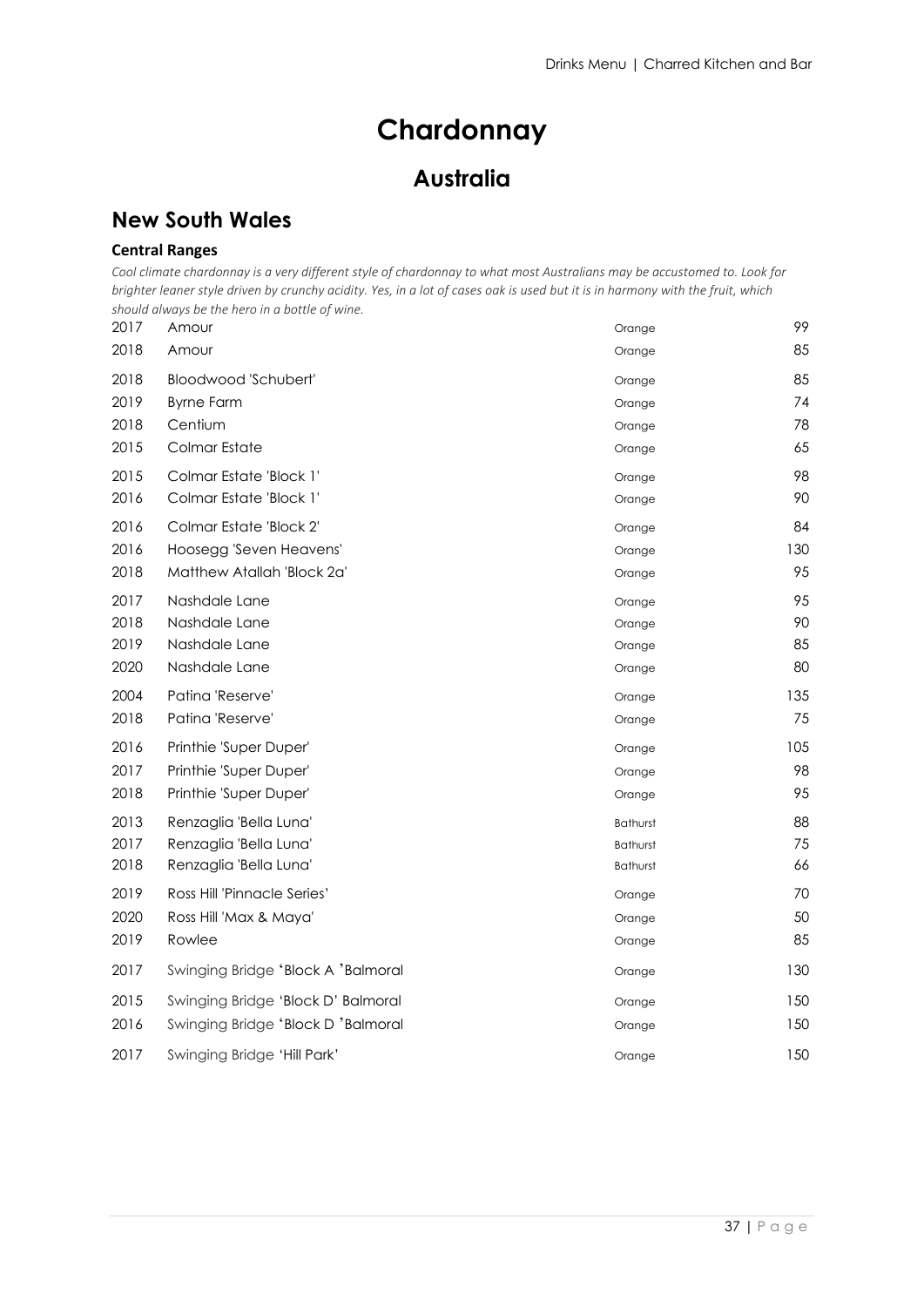# **Chardonnay**

# **Australia**

### **New South Wales**

### **Central Ranges**

*Cool climate chardonnay is a very different style of chardonnay to what most Australians may be accustomed to. Look for brighter leaner style driven by crunchy acidity. Yes, in a lot of cases oak is used but it is in harmony with the fruit, which should always be the hero in a bottle of wine.*

| 2017 | Amour                              | Orange          | 99  |
|------|------------------------------------|-----------------|-----|
| 2018 | Amour                              | Orange          | 85  |
| 2018 | Bloodwood 'Schubert'               | Orange          | 85  |
| 2019 | <b>Byrne Farm</b>                  | Orange          | 74  |
| 2018 | Centium                            | Orange          | 78  |
| 2015 | Colmar Estate                      | Orange          | 65  |
| 2015 | Colmar Estate 'Block 1'            | Orange          | 98  |
| 2016 | Colmar Estate 'Block 1'            | Orange          | 90  |
| 2016 | Colmar Estate 'Block 2'            | Orange          | 84  |
| 2016 | Hoosegg 'Seven Heavens'            | Orange          | 130 |
| 2018 | Matthew Atallah 'Block 2a'         | Orange          | 95  |
| 2017 | Nashdale Lane                      | Orange          | 95  |
| 2018 | Nashdale Lane                      | Orange          | 90  |
| 2019 | Nashdale Lane                      | Orange          | 85  |
| 2020 | Nashdale Lane                      | Orange          | 80  |
| 2004 | Patina 'Reserve'                   | Orange          | 135 |
| 2018 | Patina 'Reserve'                   | Orange          | 75  |
| 2016 | Printhie 'Super Duper'             | Orange          | 105 |
| 2017 | Printhie 'Super Duper'             | Orange          | 98  |
| 2018 | Printhie 'Super Duper'             | Orange          | 95  |
| 2013 | Renzaglia 'Bella Luna'             | <b>Bathurst</b> | 88  |
| 2017 | Renzaglia 'Bella Luna'             | <b>Bathurst</b> | 75  |
| 2018 | Renzaglia 'Bella Luna'             | <b>Bathurst</b> | 66  |
| 2019 | Ross Hill 'Pinnacle Series'        | Orange          | 70  |
| 2020 | Ross Hill 'Max & Maya'             | Orange          | 50  |
| 2019 | Rowlee                             | Orange          | 85  |
| 2017 | Swinging Bridge 'Block A 'Balmoral | Orange          | 130 |
| 2015 | Swinging Bridge 'Block D' Balmoral | Orange          | 150 |
| 2016 | Swinging Bridge 'Block D 'Balmoral | Orange          | 150 |
| 2017 | Swinging Bridge 'Hill Park'        | Orange          | 150 |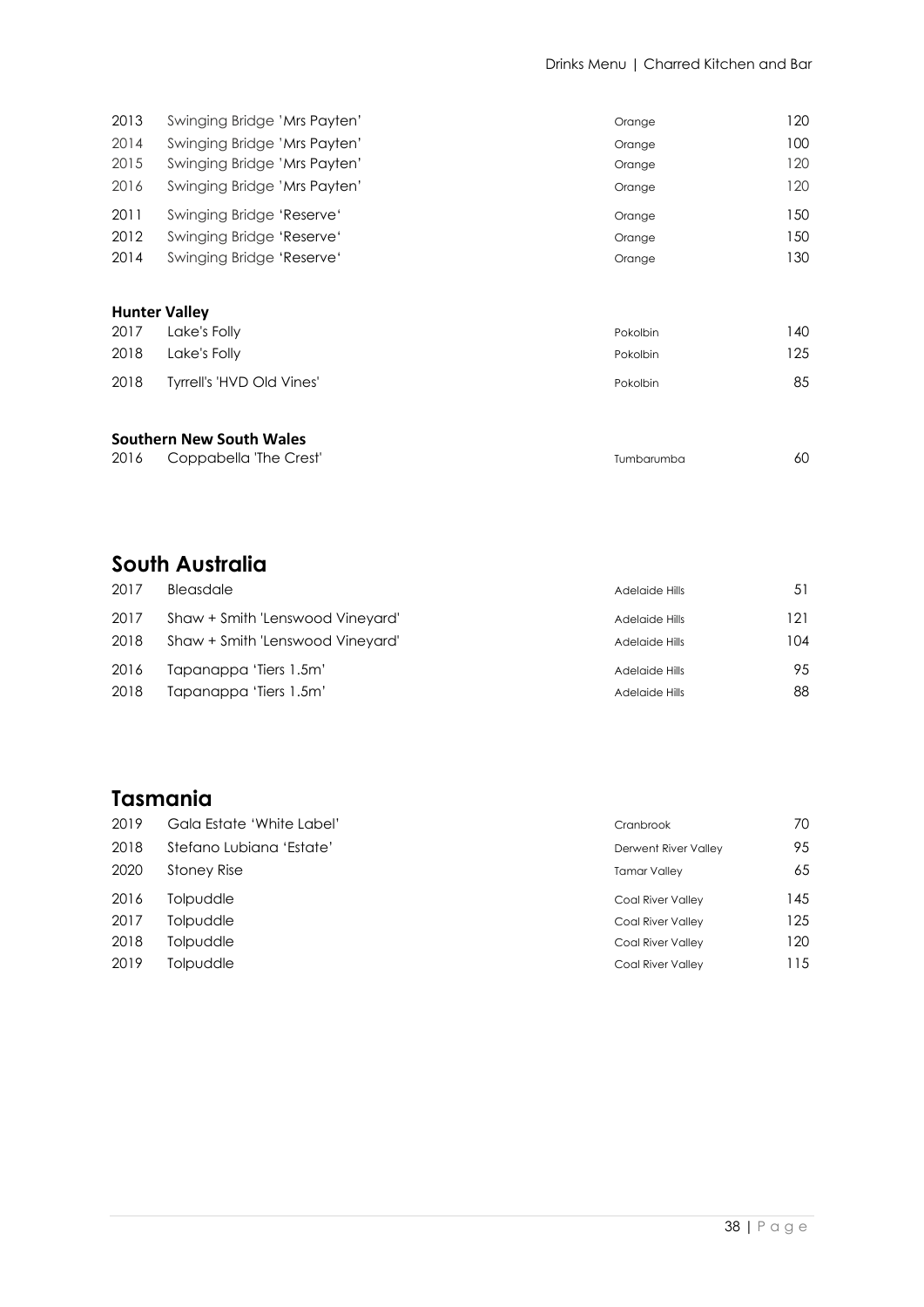| 2013 | Swinging Bridge 'Mrs Payten' | Orange   | 120 |
|------|------------------------------|----------|-----|
| 2014 | Swinging Bridge 'Mrs Payten' | Orange   | 100 |
| 2015 | Swinging Bridge 'Mrs Payten' | Orange   | 120 |
| 2016 | Swinging Bridge 'Mrs Payten' | Orange   | 120 |
| 2011 | Swinging Bridge 'Reserve'    | Orange   | 150 |
| 2012 | Swinging Bridge 'Reserve'    | Orange   | 150 |
| 2014 | Swinging Bridge 'Reserve'    | Orange   | 130 |
|      | <b>Hunter Valley</b>         |          |     |
| 2017 | Lake's Folly                 | Pokolbin | 140 |
| 2018 | Lake's Folly                 | Pokolbin | 125 |

| ZUIU | LUNG 3 I UIIY                  | <b>FUKUIDILI</b> | ں ے ا |
|------|--------------------------------|------------------|-------|
|      | 2018 Tyrrell's 'HVD Old Vines' | Pokolbin         | 85    |
|      |                                |                  |       |

### **Southern New South Wales**

| 2016<br>Coppabella 'The Crest'<br>Tumbarumba | 60 |
|----------------------------------------------|----|
|----------------------------------------------|----|

# **South Australia**

| 2017 | Bleasdale                        | Adelaide Hills | 51  |
|------|----------------------------------|----------------|-----|
| 2017 | Shaw + Smith 'Lenswood Vineyard' | Adelaide Hills | 121 |
| 2018 | Shaw + Smith 'Lenswood Vineyard' | Adelaide Hills | 104 |
| 2016 | Tapanappa 'Tiers 1.5m'           | Adelaide Hills | 95  |
| 2018 | Tapanappa 'Tiers 1.5m'           | Adelaide Hills | 88  |

## **Tasmania**

| 2019 | Gala Estate 'White Label' | Cranbrook            | 70  |
|------|---------------------------|----------------------|-----|
| 2018 | Stefano Lubiana 'Estate'  | Derwent River Valley | 95  |
| 2020 | <b>Stoney Rise</b>        | <b>Tamar Valley</b>  | 65  |
| 2016 | Tolpuddle                 | Coal River Valley    | 145 |
| 2017 | Tolpuddle                 | Coal River Valley    | 125 |
| 2018 | Tolpuddle                 | Coal River Valley    | 120 |
| 2019 | Tolpuddle                 | Coal River Valley    | 115 |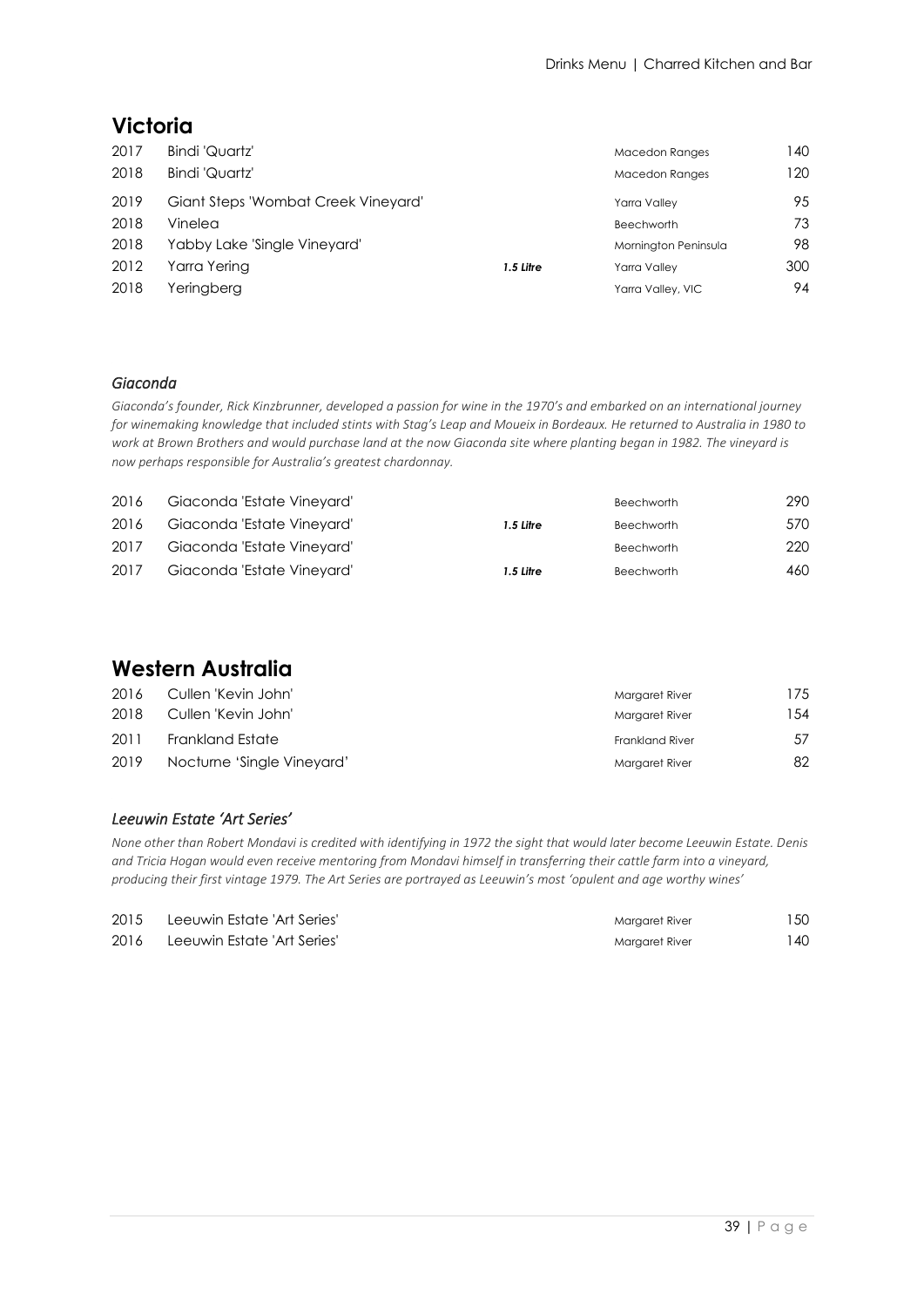### **Victoria**

| 2017<br>2018 | Bindi 'Quartz'<br>Bindi 'Quartz'    |           | <b>Macedon Ranges</b><br>Macedon Ranges | 140<br>120 |
|--------------|-------------------------------------|-----------|-----------------------------------------|------------|
| 2019         | Giant Steps 'Wombat Creek Vineyard' |           | Yarra Valley                            | 95         |
| 2018         | Vinelea                             |           | <b>Beechworth</b>                       | 73         |
| 2018         | Yabby Lake 'Single Vineyard'        |           | Mornington Peninsula                    | 98         |
| 2012         | Yarra Yering                        | 1.5 Litre | Yarra Vallev                            | 300        |
| 2018         | Yeringberg                          |           | Yarra Valley, VIC                       | 94         |

### *Giaconda*

*Giaconda's founder, Rick Kinzbrunner, developed a passion for wine in the 1970's and embarked on an international journey for winemaking knowledge that included stints with Stag's Leap and Moueix in Bordeaux. He returned to Australia in 1980 to work at Brown Brothers and would purchase land at the now Giaconda site where planting began in 1982. The vineyard is now perhaps responsible for Australia's greatest chardonnay.* 

| 2016 | Giaconda 'Estate Vineyard' |           | <b>Beechworth</b> | 290 |
|------|----------------------------|-----------|-------------------|-----|
| 2016 | Giaconda 'Estate Vineyard' | 1.5 Litre | <b>Beechworth</b> | 570 |
| 2017 | Giaconda 'Estate Vineyard' |           | <b>Beechworth</b> | 220 |
| 2017 | Giaconda 'Estate Vineyard' | 1.5 Litre | <b>Beechworth</b> | 460 |

### **Western Australia**

| 2016 | Cullen 'Kevin John'        | Margaret River  | 175  |
|------|----------------------------|-----------------|------|
| 2018 | Cullen 'Kevin John'        | Margaret River  | 54 ا |
| 2011 | Frankland Estate           | Frankland River | -57  |
| 2019 | Nocturne 'Single Vineyard' | Margaret River  | 82   |

### *Leeuwin Estate 'Art Series'*

*None other than Robert Mondavi is credited with identifying in 1972 the sight that would later become Leeuwin Estate. Denis and Tricia Hogan would even receive mentoring from Mondavi himself in transferring their cattle farm into a vineyard, producing their first vintage 1979. The Art Series are portrayed as Leeuwin's most 'opulent and age worthy wines'* 

| 2015 | Leeuwin Estate 'Art Series' | Margaret River | 50 |
|------|-----------------------------|----------------|----|
| 2016 | Leeuwin Estate 'Art Series' | Margaret River | 40 |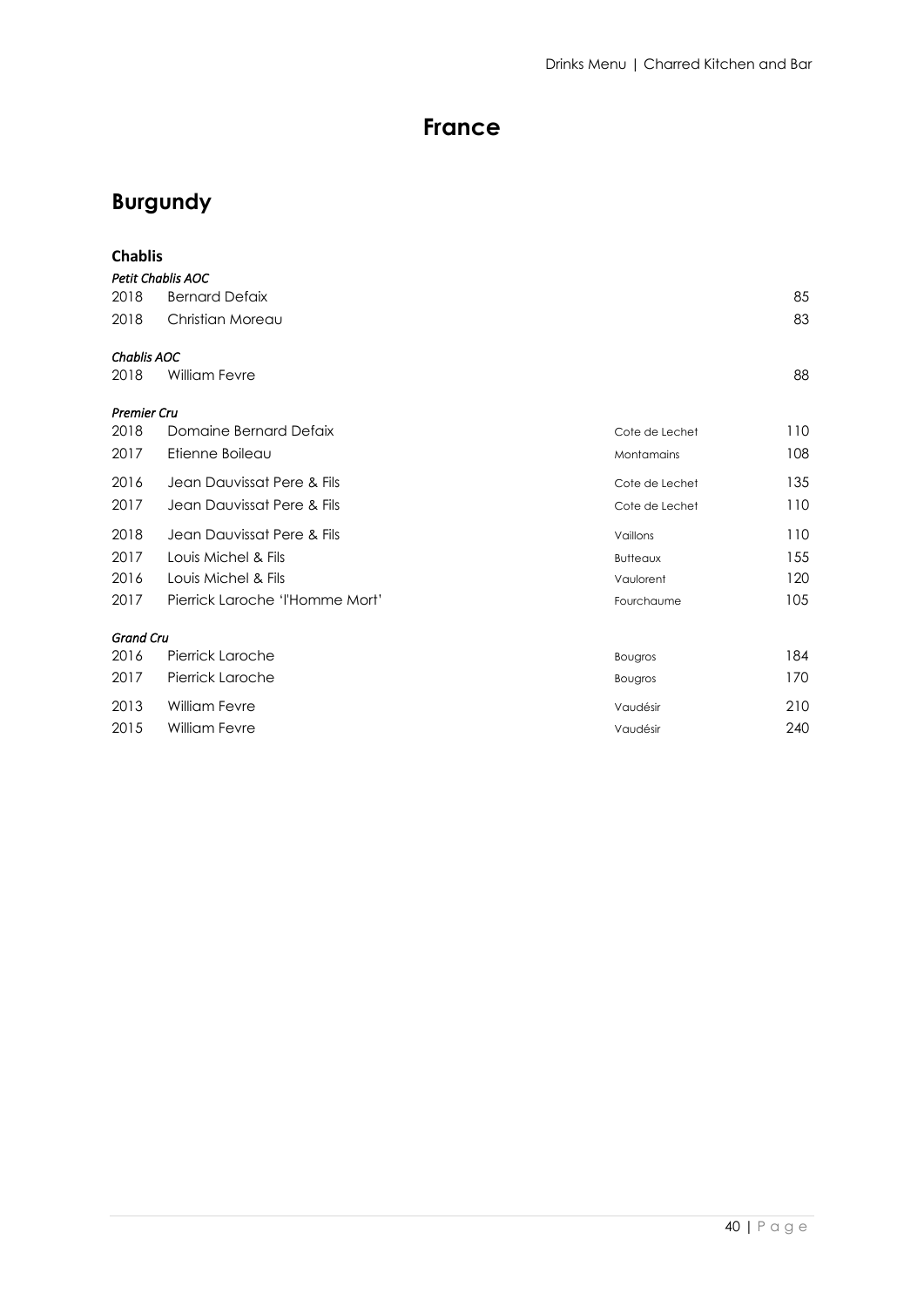## **France**

# **Burgundy**

| <b>Chablis</b>     |                                 |                 |     |
|--------------------|---------------------------------|-----------------|-----|
|                    | <b>Petit Chablis AOC</b>        |                 |     |
| 2018               | <b>Bernard Defaix</b>           |                 | 85  |
| 2018               | Christian Moreau                |                 | 83  |
| <b>Chablis AOC</b> |                                 |                 |     |
| 2018               | <b>William Fevre</b>            |                 | 88  |
| <b>Premier Cru</b> |                                 |                 |     |
| 2018               | Domaine Bernard Defaix          | Cote de Lechet  | 110 |
| 2017               | Etienne Boileau                 | Montamains      | 108 |
| 2016               | Jean Dauvissat Pere & Fils      | Cote de Lechet  | 135 |
| 2017               | Jean Dauvissat Pere & Fils      | Cote de Lechet  | 110 |
| 2018               | Jean Dauvissat Pere & Fils      | Vaillons        | 110 |
| 2017               | Louis Michel & Fils             | <b>Butteaux</b> | 155 |
| 2016               | Louis Michel & Fils             | Vaulorent       | 120 |
| 2017               | Pierrick Laroche 'l'Homme Mort' | Fourchaume      | 105 |
| <b>Grand Cru</b>   |                                 |                 |     |
| 2016               | Pierrick Laroche                | Bougros         | 184 |
| 2017               | Pierrick Laroche                | Bougros         | 170 |
| 2013               | <b>William Fevre</b>            | Vaudésir        | 210 |
| 2015               | <b>William Fevre</b>            | Vaudésir        | 240 |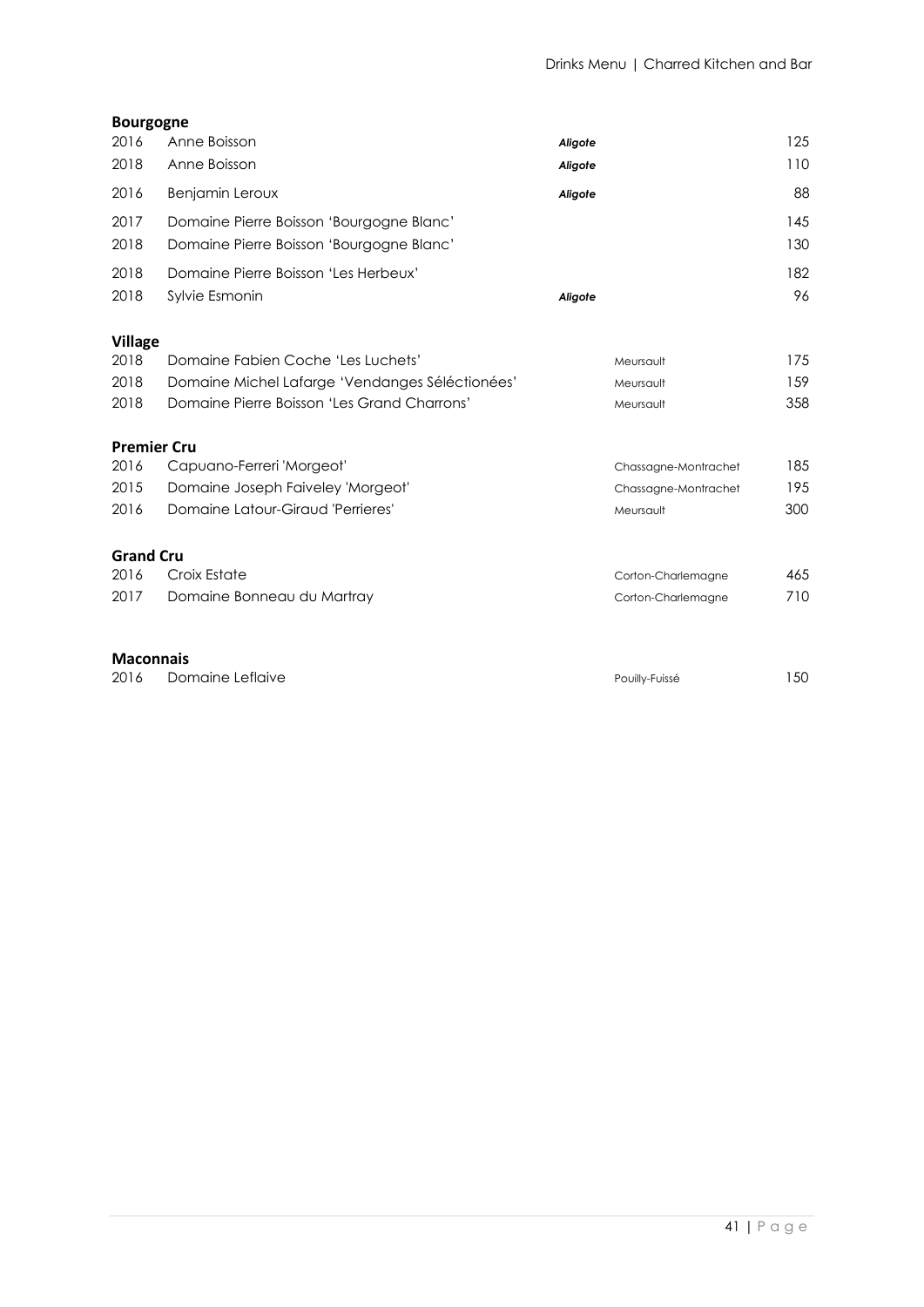| <b>Bourgogne</b>       |                                                 |         |                      |     |
|------------------------|-------------------------------------------------|---------|----------------------|-----|
| 2016                   | Anne Boisson                                    | Aligote |                      | 125 |
| 2018                   | Anne Boisson                                    | Aligote |                      | 110 |
| 2016                   | Benjamin Leroux                                 | Aligote |                      | 88  |
| 2017                   | Domaine Pierre Boisson 'Bourgogne Blanc'        |         |                      | 145 |
| 2018                   | Domaine Pierre Boisson 'Bourgogne Blanc'        |         |                      | 130 |
| 2018                   | Domaine Pierre Boisson 'Les Herbeux'            |         |                      | 182 |
| 2018                   | Sylvie Esmonin                                  | Aligote |                      | 96  |
|                        |                                                 |         |                      |     |
| <b>Village</b><br>2018 | Domaine Fabien Coche 'Les Luchets'              |         | Meursault            | 175 |
| 2018                   |                                                 |         |                      | 159 |
|                        | Domaine Michel Lafarge 'Vendanges Séléctionées' |         | Meursault            |     |
| 2018                   | Domaine Pierre Boisson 'Les Grand Charrons'     |         | Meursault            | 358 |
| <b>Premier Cru</b>     |                                                 |         |                      |     |
| 2016                   | Capuano-Ferreri 'Morgeot'                       |         | Chassagne-Montrachet | 185 |
| 2015                   | Domaine Joseph Faiveley 'Morgeot'               |         | Chassagne-Montrachet | 195 |
| 2016                   | Domaine Latour-Giraud 'Perrieres'               |         | Meursault            | 300 |
| <b>Grand Cru</b>       |                                                 |         |                      |     |
| 2016                   | Croix Estate                                    |         | Corton-Charlemagne   | 465 |
| 2017                   | Domaine Bonneau du Martray                      |         | Corton-Charlemagne   | 710 |
|                        |                                                 |         |                      |     |
| <b>Maconnais</b>       |                                                 |         |                      |     |

| 2016 | Domaine Leflaive | Pouilly-Fuissé | 15C |
|------|------------------|----------------|-----|
|      |                  |                |     |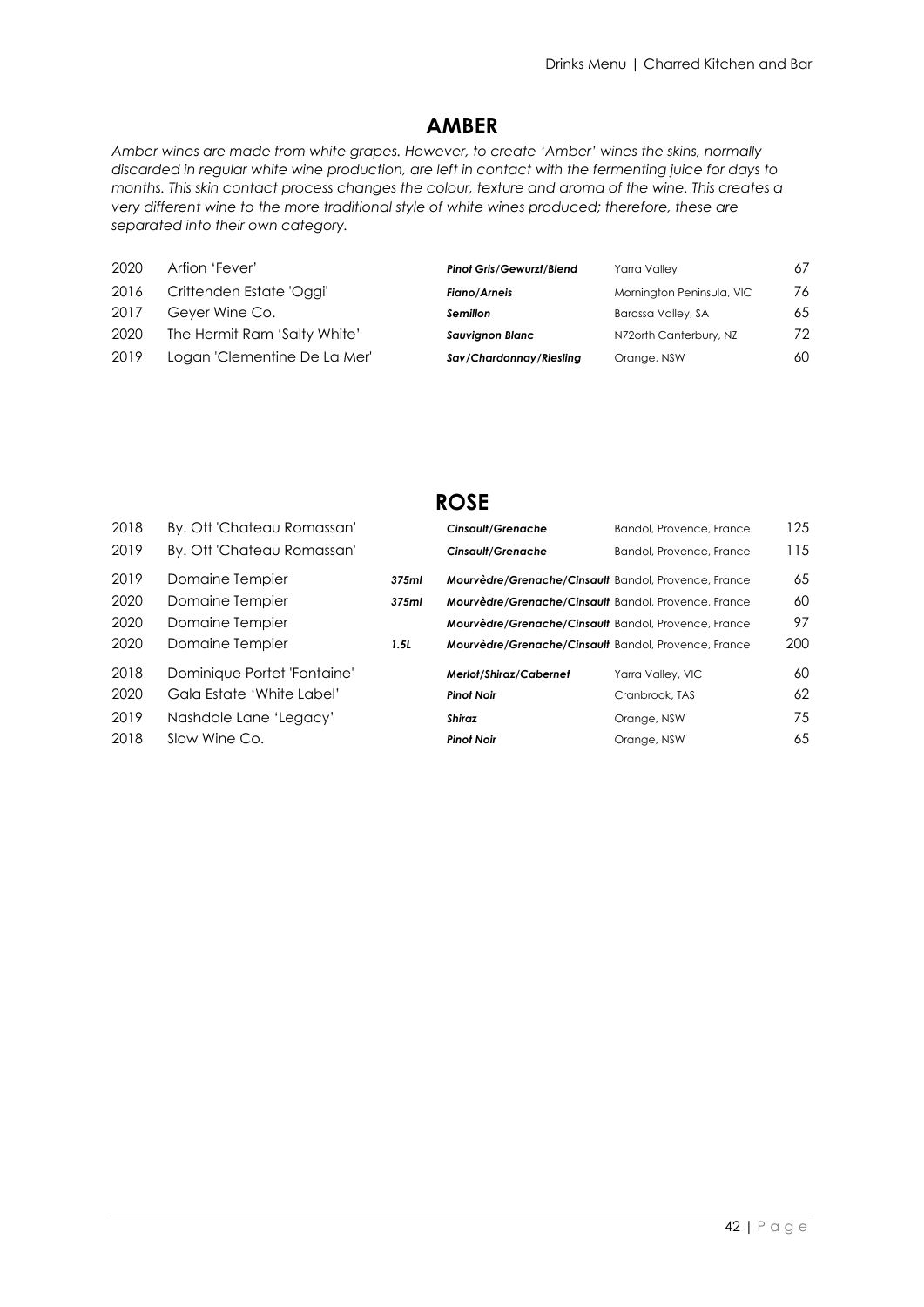### **AMBER**

*Amber wines are made from white grapes. However, to create 'Amber' wines the skins, normally discarded in regular white wine production, are left in contact with the fermenting juice for days to months. This skin contact process changes the colour, texture and aroma of the wine. This creates a very different wine to the more traditional style of white wines produced; therefore, these are separated into their own category.*

| 2020 | Arfion 'Fever'               | Pinot Gris/Gewurzt/Blend | Yarra Valley              | 67 |
|------|------------------------------|--------------------------|---------------------------|----|
| 2016 | Crittenden Estate 'Oggi'     | <b>Fiano/Arneis</b>      | Mornington Peninsula, VIC | 76 |
| 2017 | Geyer Wine Co.               | Semillon                 | <b>Barossa Valley, SA</b> | 65 |
| 2020 | The Hermit Ram 'Salty White' | <b>Sauvignon Blanc</b>   | N72orth Canterbury, NZ    | 72 |
| 2019 | Logan 'Clementine De La Mer' | Sav/Chardonnay/Riesling  | Orange, NSW               | 60 |

### **ROSE**

| 2018 | By. Ott 'Chateau Romassan'  |       | Cinsault/Grenache                                    | Bandol, Provence, France | 125 |
|------|-----------------------------|-------|------------------------------------------------------|--------------------------|-----|
| 2019 | By. Ott 'Chateau Romassan'  |       | <b>Cinsault/Grenache</b>                             | Bandol, Provence, France | 115 |
| 2019 | Domaine Tempier             | 375ml | Mourvèdre/Grenache/Cinsault Bandol, Provence, France |                          | 65  |
| 2020 | Domaine Tempier             | 375ml | Mourvèdre/Grenache/Cinsault Bandol, Provence, France |                          | 60  |
| 2020 | Domaine Tempier             |       | Mourvèdre/Grenache/Cinsault Bandol, Provence, France |                          | 97  |
| 2020 | Domaine Tempier             | 1.5L  | Mourvèdre/Grenache/Cinsault Bandol, Provence, France |                          | 200 |
| 2018 | Dominique Portet 'Fontaine' |       | Merlot/Shiraz/Cabernet                               | Yarra Valley, VIC        | 60  |
| 2020 | Gala Estate 'White Label'   |       | <b>Pinot Noir</b>                                    | Cranbrook, TAS           | 62  |
| 2019 | Nashdale Lane 'Legacy'      |       | Shiraz                                               | Orange, NSW              | 75  |
| 2018 | Slow Wine Co.               |       | <b>Pinot Noir</b>                                    | Orange, NSW              | 65  |
|      |                             |       |                                                      |                          |     |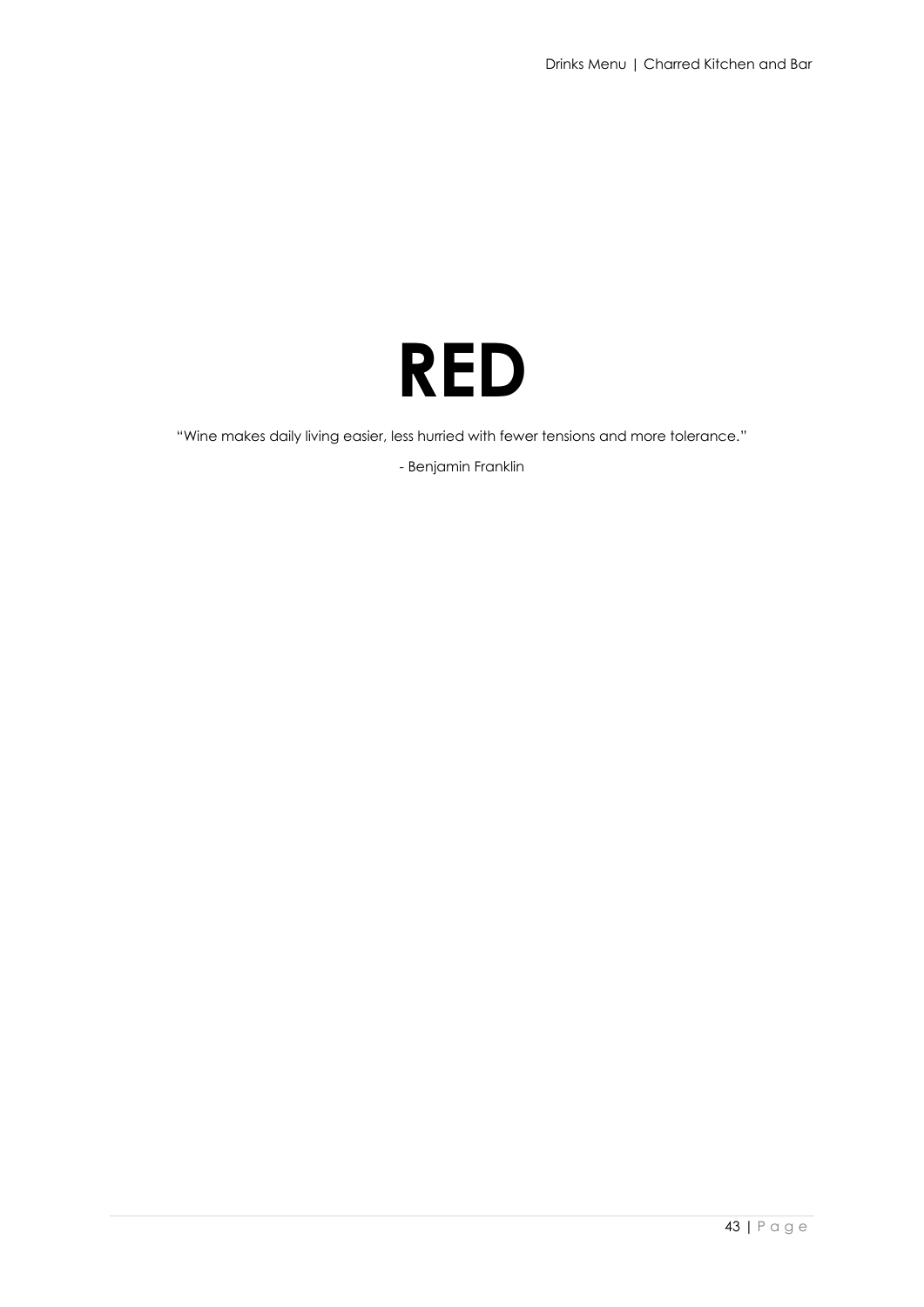

"Wine makes daily living easier, less hurried with fewer tensions and more tolerance."

- Benjamin Franklin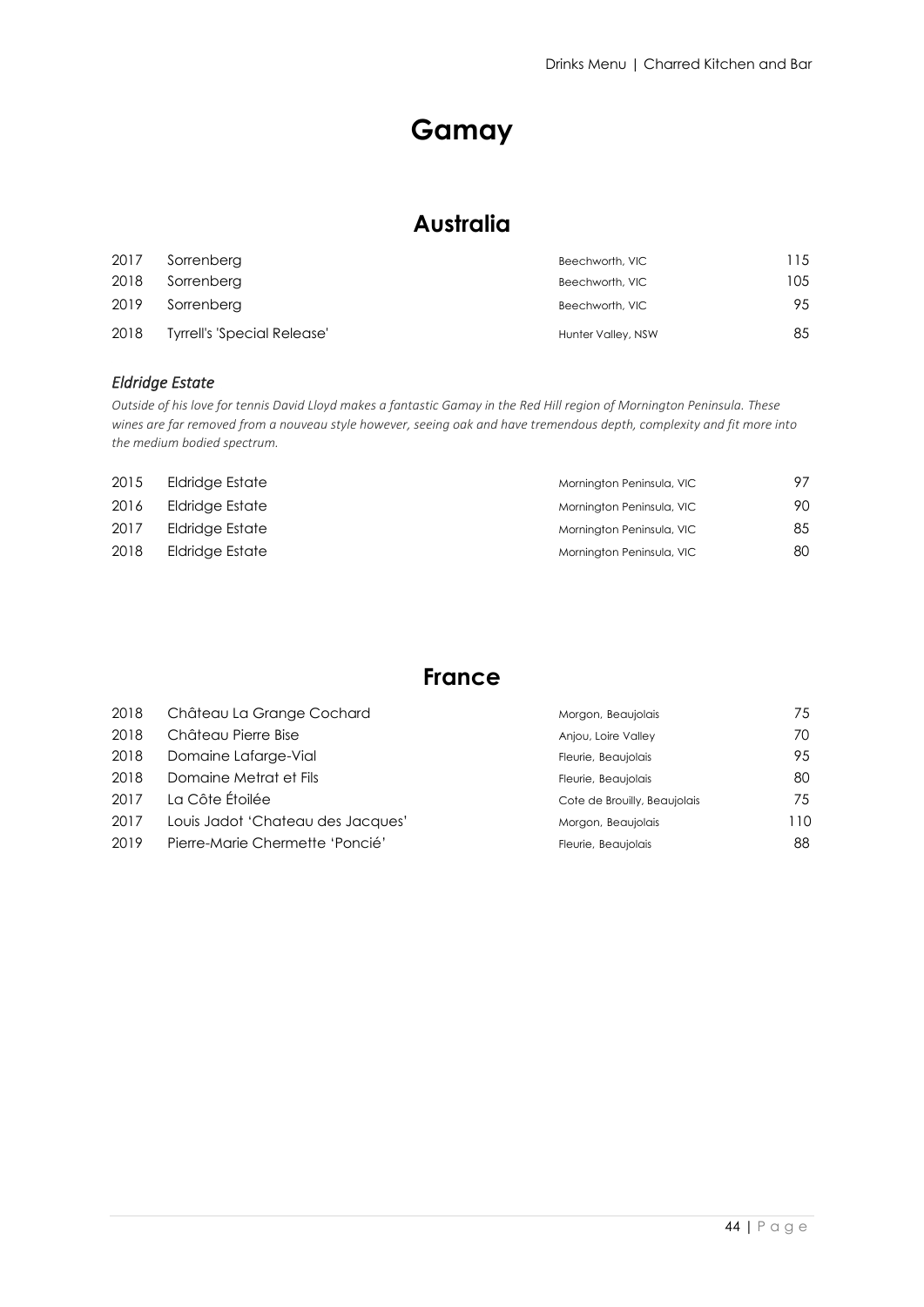# **Gamay**

# **Australia**

| 2017 | Sorrenberg                         | Beechworth, VIC    | l 15 |
|------|------------------------------------|--------------------|------|
| 2018 | Sorrenberg                         | Beechworth, VIC    | 105  |
| 2019 | Sorrenbera                         | Beechworth, VIC    | 95   |
| 2018 | <b>Tyrrell's 'Special Release'</b> | Hunter Valley, NSW | 85   |

### *Eldridge Estate*

*Outside of his love for tennis David Lloyd makes a fantastic Gamay in the Red Hill region of Mornington Peninsula. These wines are far removed from a nouveau style however, seeing oak and have tremendous depth, complexity and fit more into the medium bodied spectrum.* 

| 97 |
|----|
| 90 |
| 85 |
| 80 |
|    |

### **France**

| 2018 | Château La Grange Cochard         | Morgon, Beaujolais           | 75    |
|------|-----------------------------------|------------------------------|-------|
| 2018 | Château Pierre Bise               | Anjou, Loire Valley          | 70    |
| 2018 | Domaine Lafarge-Vial              | Fleurie, Beaujolais          | 95    |
| 2018 | Domaine Metrat et Fils            | Fleurie, Beaujolais          | 80    |
| 2017 | La Côte Étoilée                   | Cote de Brouilly, Beaujolais | 75    |
| 2017 | Louis Jadot 'Chateau des Jacques' | Morgon, Beaujolais           | 1 I C |
| 2019 | Pierre-Marie Chermette 'Poncié'   | Fleurie, Beaujolais          | 88    |
|      |                                   |                              |       |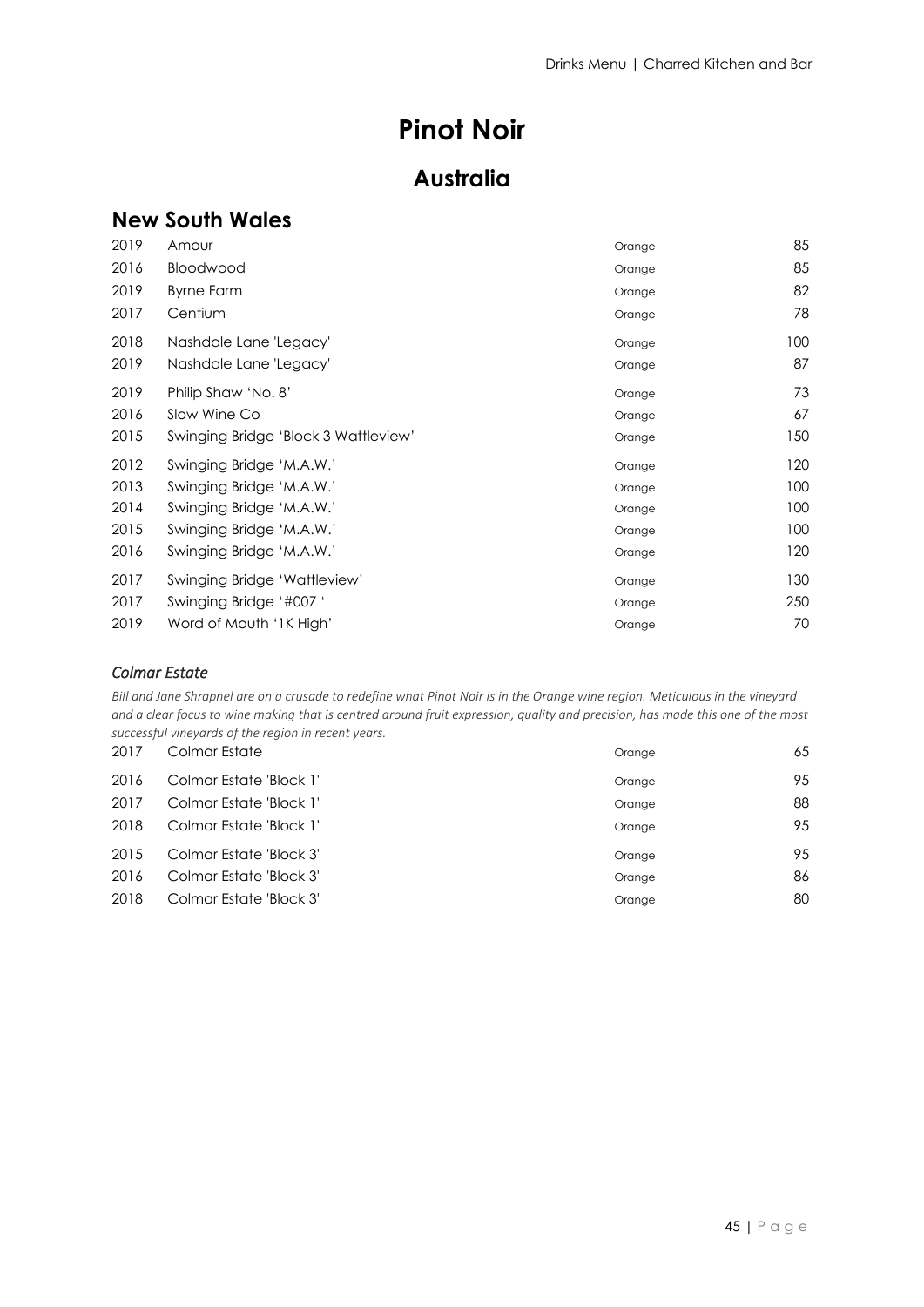# **Pinot Noir**

## **Australia**

### **New South Wales**

| 2019 | Amour                                | Orange | 85  |
|------|--------------------------------------|--------|-----|
| 2016 | Bloodwood                            | Orange | 85  |
| 2019 | <b>Byrne Farm</b>                    | Orange | 82  |
| 2017 | Centium                              | Orange | 78  |
| 2018 | Nashdale Lane 'Legacy'               | Orange | 100 |
| 2019 | Nashdale Lane 'Legacy'               | Orange | 87  |
| 2019 | Philip Shaw 'No. 8'                  | Orange | 73  |
| 2016 | Slow Wine Co                         | Orange | 67  |
| 2015 | Swinging Bridge 'Block 3 Wattleview' | Orange | 150 |
| 2012 | Swinging Bridge 'M.A.W.'             | Orange | 120 |
| 2013 | Swinging Bridge 'M.A.W.'             | Orange | 100 |
| 2014 | Swinging Bridge 'M.A.W.'             | Orange | 100 |
| 2015 | Swinging Bridge 'M.A.W.'             | Orange | 100 |
| 2016 | Swinging Bridge 'M.A.W.'             | Orange | 120 |
| 2017 | Swinging Bridge 'Wattleview'         | Orange | 130 |
| 2017 | Swinging Bridge '#007 '              | Orange | 250 |
| 2019 | Word of Mouth 'IK High'              | Orange | 70  |

### *Colmar Estate*

*Bill and Jane Shrapnel are on a crusade to redefine what Pinot Noir is in the Orange wine region. Meticulous in the vineyard and a clear focus to wine making that is centred around fruit expression, quality and precision, has made this one of the most successful vineyards of the region in recent years.*

2017 Colmar Estate 65 2016 Colmar Estate 'Block 1' and the corresponding to the corresponding to the corresponding to the 95 2017 Colmar Estate 'Block 1' and the comparison of the comparison of the comparison of the 88 2018 Colmar Estate 'Block 1' and the comparation of the comparation of the comparation of the 95 2015 Colmar Estate 'Block 3' Colmar Estate 'Block 3' Colman Poster and Colman Poster and Poster and Poster and P 2016 Colmar Estate 'Block 3' Orange 86 2018 Colmar Estate 'Block 3' Orange 80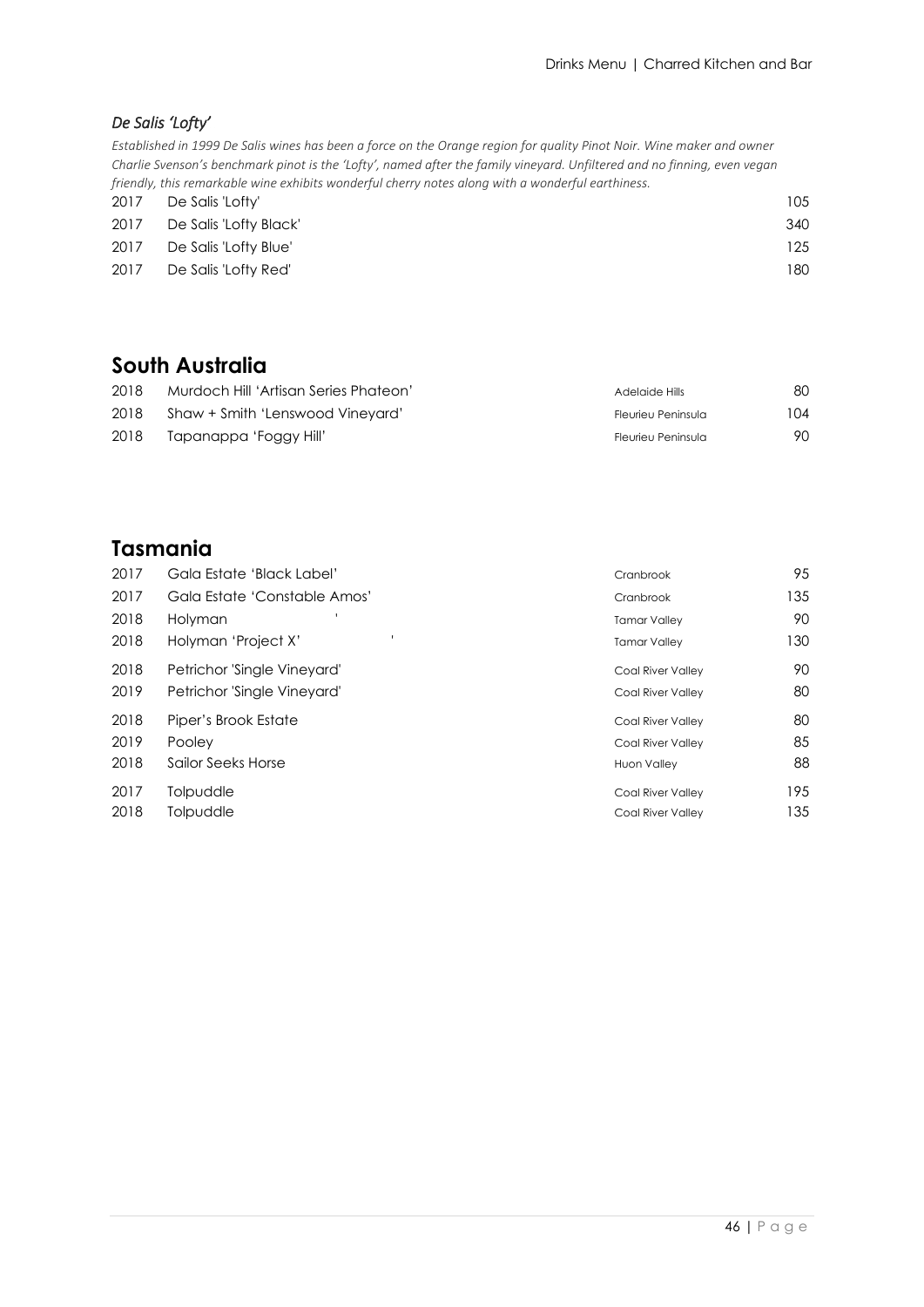### *De Salis 'Lofty'*

*Established in 1999 De Salis wines has been a force on the Orange region for quality Pinot Noir. Wine maker and owner Charlie Svenson's benchmark pinot is the 'Lofty', named after the family vineyard. Unfiltered and no finning, even vegan friendly, this remarkable wine exhibits wonderful cherry notes along with a wonderful earthiness.* 

| 2017 | De Salis 'Lofty'            | 105 |
|------|-----------------------------|-----|
|      | 2017 De Salis 'Lofty Black' | 340 |
|      | 2017 De Salis 'Lofty Blue'  | 125 |
|      | 2017 De Salis 'Lofty Red'   | 180 |
|      |                             |     |

### **South Australia**

| 2018 | "Murdoch Hill 'Artisan Series Phateon | Adelaide Hills     | 80  |
|------|---------------------------------------|--------------------|-----|
| 2018 | Shaw + Smith 'Lenswood Vineyard'      | Fleurieu Peninsula | 104 |
| 2018 | Tapanappa 'Foggy Hill'                | Fleurieu Peninsula | 90  |

### **Tasmania**

| 2017 | Gala Estate 'Black Label'    | Cranbrook           | 95  |
|------|------------------------------|---------------------|-----|
| 2017 | Gala Estate 'Constable Amos' | Cranbrook           | 135 |
| 2018 | Holyman                      | <b>Tamar Valley</b> | 90  |
| 2018 | Holyman 'Project X'          | <b>Tamar Valley</b> | 130 |
| 2018 | Petrichor 'Single Vineyard'  | Coal River Valley   | 90  |
| 2019 | Petrichor 'Single Vineyard'  | Coal River Valley   | 80  |
| 2018 | Piper's Brook Estate         | Coal River Valley   | 80  |
| 2019 | Pooley                       | Coal River Valley   | 85  |
| 2018 | Sailor Seeks Horse           | Huon Valley         | 88  |
| 2017 | Tolpuddle                    | Coal River Valley   | 195 |
| 2018 | Tolpuddle                    | Coal River Valley   | 135 |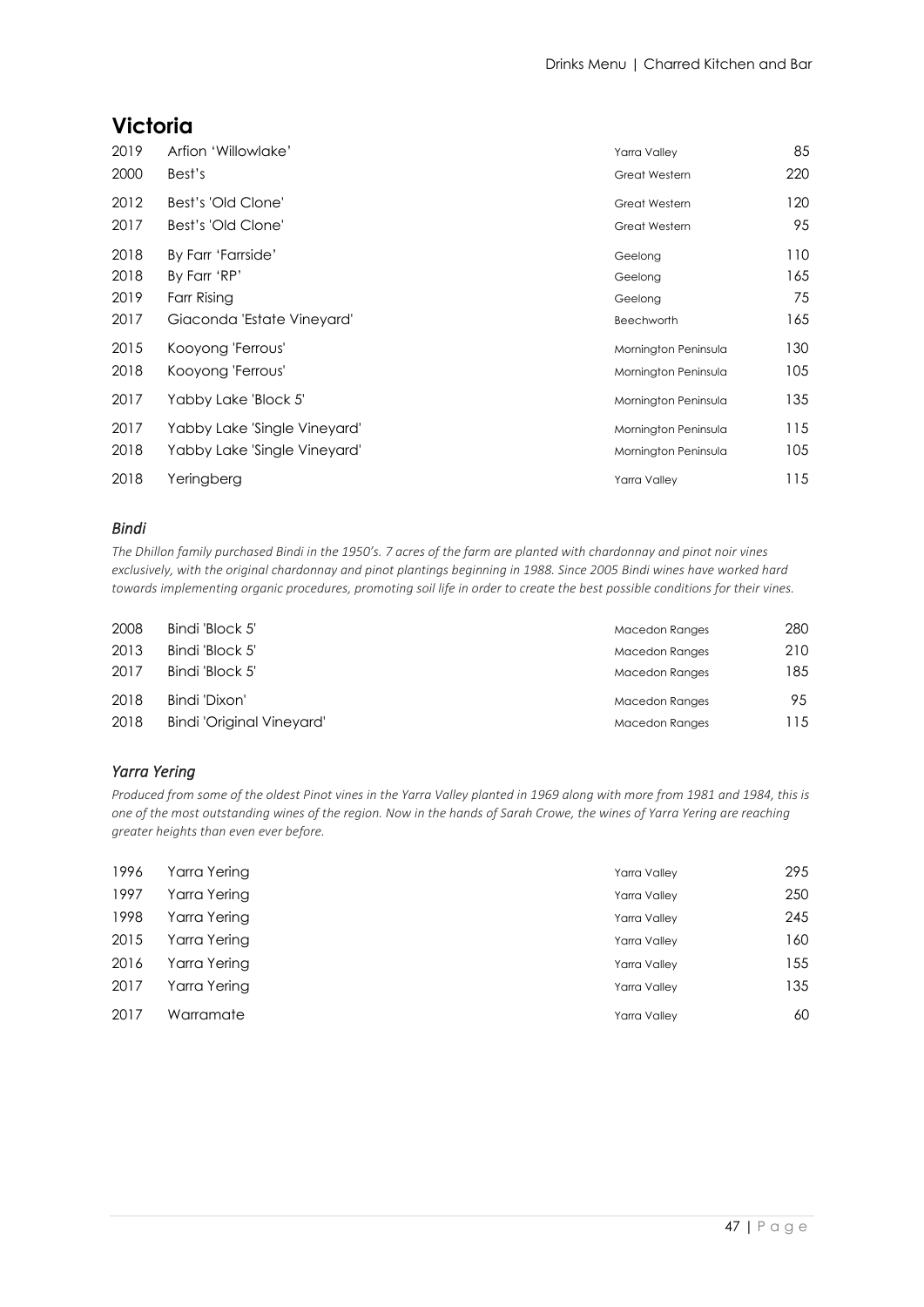### **Victoria**

| 2019 | Arfion 'Willowlake'          | Yarra Valley         | 85  |
|------|------------------------------|----------------------|-----|
| 2000 | Best's                       | <b>Great Western</b> | 220 |
| 2012 | Best's 'Old Clone'           | Great Western        | 120 |
| 2017 | Best's 'Old Clone'           | <b>Great Western</b> | 95  |
| 2018 | By Farr 'Farrside'           | Geelong              | 110 |
| 2018 | By Farr 'RP'                 | Geelong              | 165 |
| 2019 | <b>Farr Rising</b>           | Geelong              | 75  |
| 2017 | Giaconda 'Estate Vineyard'   | Beechworth           | 165 |
| 2015 | Kooyong 'Ferrous'            | Mornington Peninsula | 130 |
| 2018 | Kooyong 'Ferrous'            | Mornington Peninsula | 105 |
| 2017 | Yabby Lake 'Block 5'         | Mornington Peninsula | 135 |
| 2017 | Yabby Lake 'Single Vineyard' | Mornington Peninsula | 115 |
| 2018 | Yabby Lake 'Single Vineyard' | Mornington Peninsula | 105 |
| 2018 | Yeringberg                   | Yarra Valley         | 115 |

### *Bindi*

*The Dhillon family purchased Bindi in the 1950's. 7 acres of the farm are planted with chardonnay and pinot noir vines exclusively, with the original chardonnay and pinot plantings beginning in 1988. Since 2005 Bindi wines have worked hard towards implementing organic procedures, promoting soil life in order to create the best possible conditions for their vines.*

| 2008 | Bindi 'Block 5'           | <b>Macedon Ranges</b> | 280 |
|------|---------------------------|-----------------------|-----|
| 2013 | Bindi 'Block 5'           | <b>Macedon Ranges</b> | 210 |
| 2017 | Bindi 'Block 5'           | <b>Macedon Ranges</b> | 185 |
| 2018 | Bindi 'Dixon'             | <b>Macedon Ranges</b> | 95  |
| 2018 | Bindi 'Original Vineyard' | <b>Macedon Ranges</b> | 115 |

### *Yarra Yering*

*Produced from some of the oldest Pinot vines in the Yarra Valley planted in 1969 along with more from 1981 and 1984, this is one of the most outstanding wines of the region. Now in the hands of Sarah Crowe, the wines of Yarra Yering are reaching greater heights than even ever before.*

| 1996 | Yarra Yering | Yarra Valley | 295 |
|------|--------------|--------------|-----|
| 1997 | Yarra Yering | Yarra Valley | 250 |
| 1998 | Yarra Yering | Yarra Valley | 245 |
| 2015 | Yarra Yering | Yarra Valley | 160 |
| 2016 | Yarra Yering | Yarra Valley | 155 |
| 2017 | Yarra Yering | Yarra Valley | 135 |
| 2017 | Warramate    | Yarra Valley | 60  |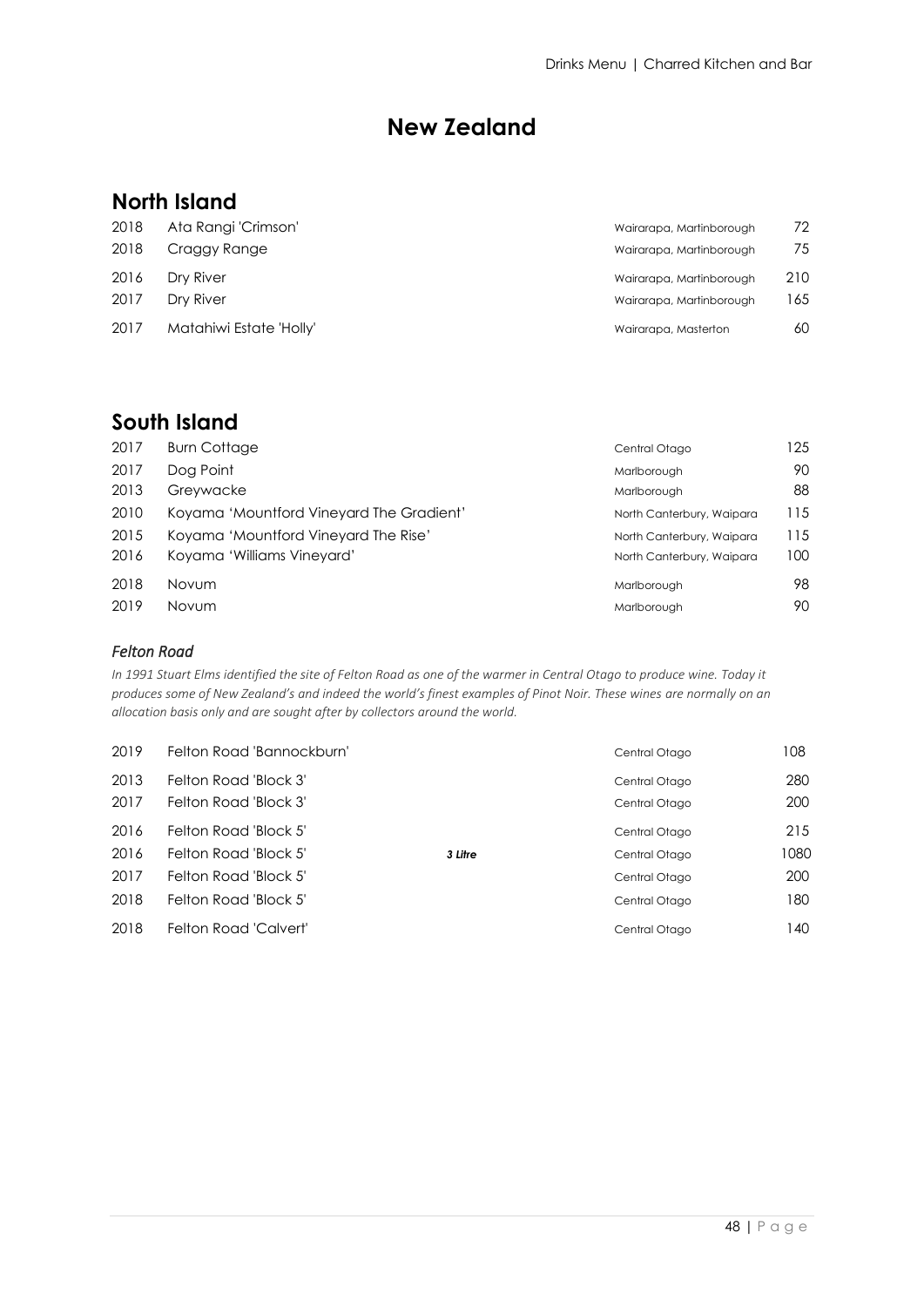## **New Zealand**

### **North Island**

| 2018 | Ata Rangi 'Crimson'     | Wairarapa, Martinborough | 72  |
|------|-------------------------|--------------------------|-----|
| 2018 | Craggy Range            | Wairarapa, Martinborough | 75  |
| 2016 | Dry River               | Wairarapa, Martinborough | 210 |
| 2017 | Dry River               | Wairarapa, Martinborough | 165 |
| 2017 | Matahiwi Estate 'Holly' | Wairarapa, Masterton     | 60  |

### **South Island**

| 2017 | <b>Burn Cottage</b>                      | Central Otago             | 125 |
|------|------------------------------------------|---------------------------|-----|
| 2017 | Dog Point                                | Marlborough               | 90  |
| 2013 | Greywacke                                | Marlborough               | 88  |
| 2010 | Koyama 'Mountford Vineyard The Gradient' | North Canterbury, Waipara | 115 |
| 2015 | Koyama 'Mountford Vineyard The Rise'     | North Canterbury, Waipara | 115 |
| 2016 | Koyama 'Williams Vineyard'               | North Canterbury, Waipara | 100 |
| 2018 | Novum                                    | Marlborough               | 98  |
| 2019 | Novum                                    | Marlborough               | 90  |

### *Felton Road*

*In 1991 Stuart Elms identified the site of Felton Road as one of the warmer in Central Otago to produce wine. Today it produces some of New Zealand's and indeed the world's finest examples of Pinot Noir. These wines are normally on an allocation basis only and are sought after by collectors around the world.* 

| 2019         | Felton Road 'Bannockburn'                      |         | Central Otago                  | 108        |
|--------------|------------------------------------------------|---------|--------------------------------|------------|
| 2013<br>2017 | Felton Road 'Block 3'<br>Felton Road 'Block 3' |         | Central Otago<br>Central Otago | 280<br>200 |
| 2016         | Felton Road 'Block 5'                          |         | Central Otago                  | 215        |
| 2016         | Felton Road 'Block 5'                          | 3 Litre | Central Otago                  | 1080       |
| 2017         | Felton Road 'Block 5'                          |         | Central Otago                  | 200        |
| 2018         | Felton Road 'Block 5'                          |         | Central Otago                  | 180        |
| 2018         | Felton Road 'Calvert'                          |         | Central Otago                  | 140        |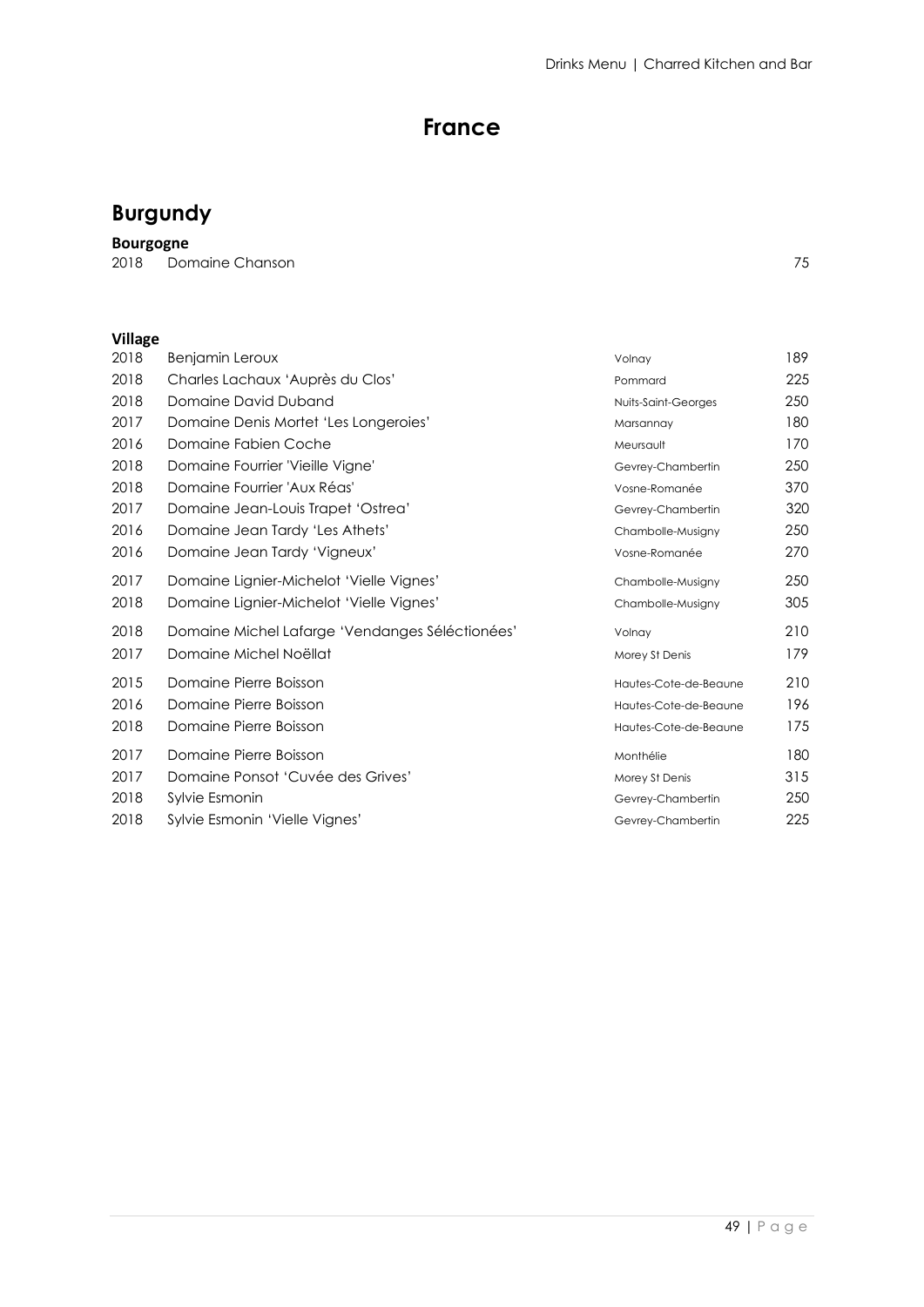# **France**

# **Burgundy**

### **Bourgogne**

2018 Domaine Chanson 75

### **Village**

| 2018 | Benjamin Leroux                                 | Volnay                | 189 |
|------|-------------------------------------------------|-----------------------|-----|
| 2018 | Charles Lachaux 'Auprès du Clos'                | Pommard               | 225 |
| 2018 | Domaine David Duband                            | Nuits-Saint-Georges   | 250 |
| 2017 | Domaine Denis Mortet 'Les Longeroies'           | Marsannay             | 180 |
| 2016 | Domaine Fabien Coche                            | Meursault             | 170 |
| 2018 | Domaine Fourrier 'Vieille Vigne'                | Gevrey-Chambertin     | 250 |
| 2018 | Domaine Fourrier 'Aux Réas'                     | Vosne-Romanée         | 370 |
| 2017 | Domaine Jean-Louis Trapet 'Ostrea'              | Gevrey-Chambertin     | 320 |
| 2016 | Domaine Jean Tardy 'Les Athets'                 | Chambolle-Musigny     | 250 |
| 2016 | Domaine Jean Tardy 'Vigneux'                    | Vosne-Romanée         | 270 |
| 2017 | Domaine Lignier-Michelot 'Vielle Vignes'        | Chambolle-Musigny     | 250 |
| 2018 | Domaine Lignier-Michelot 'Vielle Vignes'        | Chambolle-Musigny     | 305 |
| 2018 | Domaine Michel Lafarge 'Vendanges Séléctionées' | Volnay                | 210 |
| 2017 | Domaine Michel Noëllat                          | Morey St Denis        | 179 |
| 2015 | Domaine Pierre Boisson                          | Hautes-Cote-de-Beaune | 210 |
| 2016 | Domaine Pierre Boisson                          | Hautes-Cote-de-Beaune | 196 |
| 2018 | Domaine Pierre Boisson                          | Hautes-Cote-de-Beaune | 175 |
| 2017 | Domaine Pierre Boisson                          | Monthélie             | 180 |
| 2017 | Domaine Ponsot 'Cuvée des Grives'               | Morey St Denis        | 315 |
| 2018 | Sylvie Esmonin                                  | Gevrey-Chambertin     | 250 |
| 2018 | Sylvie Esmonin 'Vielle Vignes'                  | Gevrey-Chambertin     | 225 |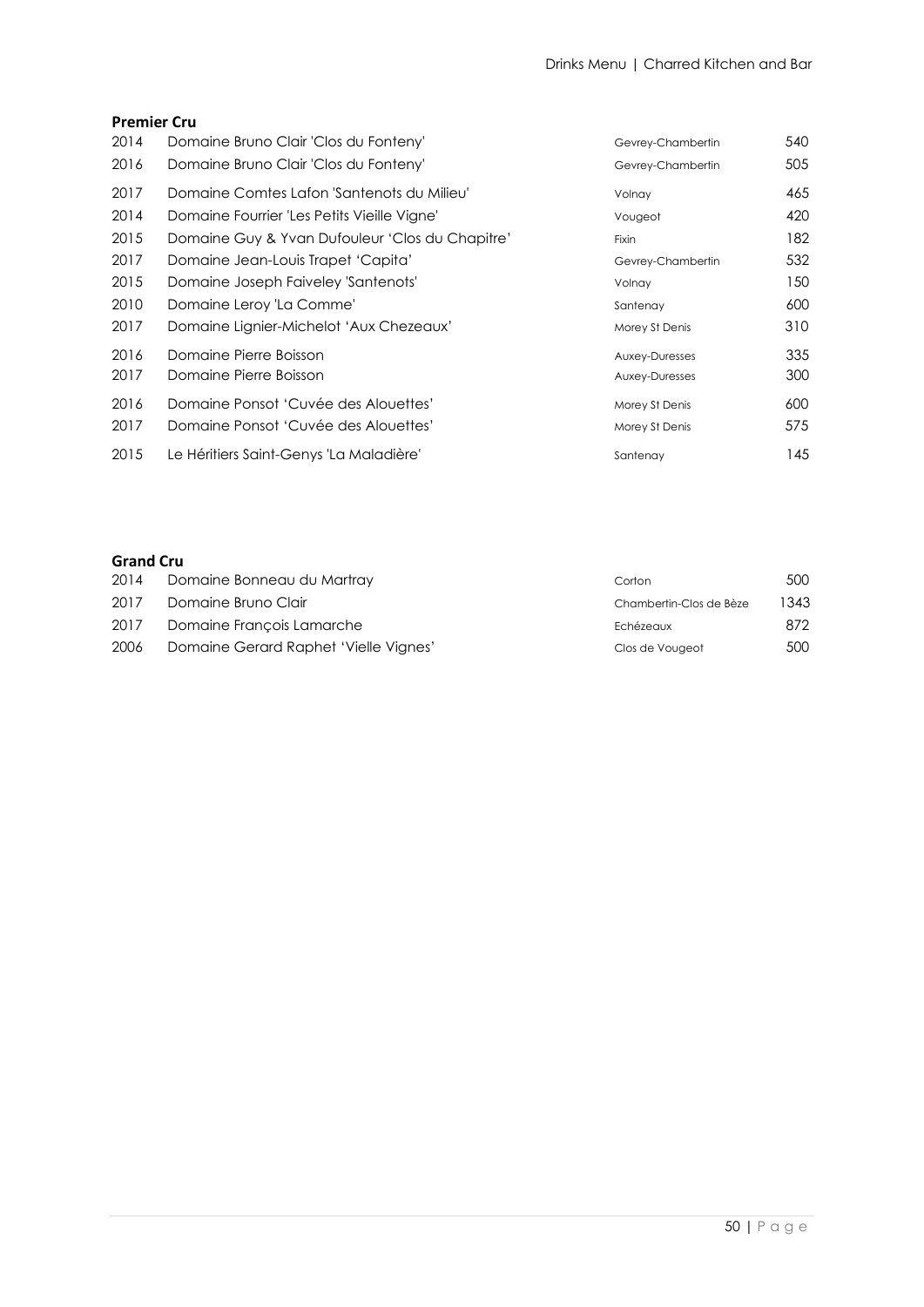### **Premier Cru**

| 2014 | Domaine Bruno Clair 'Clos du Fonteny'           | Gevrey-Chambertin | 540 |
|------|-------------------------------------------------|-------------------|-----|
| 2016 | Domaine Bruno Clair 'Clos du Fonteny'           | Gevrey-Chambertin | 505 |
| 2017 | Domaine Comtes Lafon 'Santenots du Milieu'      | Volnay            | 465 |
| 2014 | Domaine Fourrier 'Les Petits Vieille Vigne'     | Vougeot           | 420 |
| 2015 | Domaine Guy & Yvan Dufouleur 'Clos du Chapitre' | Fixin             | 182 |
| 2017 | Domaine Jean-Louis Trapet 'Capita'              | Gevrey-Chambertin | 532 |
| 2015 | Domaine Joseph Faiveley 'Santenots'             | Volnay            | 150 |
| 2010 | Domaine Leroy 'La Comme'                        | Santenay          | 600 |
| 2017 | Domaine Lignier-Michelot 'Aux Chezeaux'         | Morey St Denis    | 310 |
| 2016 | Domaine Pierre Boisson                          | Auxey-Duresses    | 335 |
| 2017 | Domaine Pierre Boisson                          | Auxey-Duresses    | 300 |
| 2016 | Domaine Ponsot 'Cuvée des Alouettes'            | Morey St Denis    | 600 |
| 2017 | Domaine Ponsot 'Cuvée des Alouettes'            | Morey St Denis    | 575 |
| 2015 | Le Héritiers Saint-Genys 'La Maladière'         | Santenay          | 145 |

### **Grand Cru**

| 2014 | Domaine Bonneau du Martray            | Corton                  | 500  |
|------|---------------------------------------|-------------------------|------|
| 2017 | Domaine Bruno Clair                   | Chambertin-Clos de Bèze | 1343 |
| 2017 | Domaine François Lamarche             | Echézeaux               | 872  |
| 2006 | Domaine Gerard Raphet 'Vielle Vignes' | Clos de Vougeot         | 500  |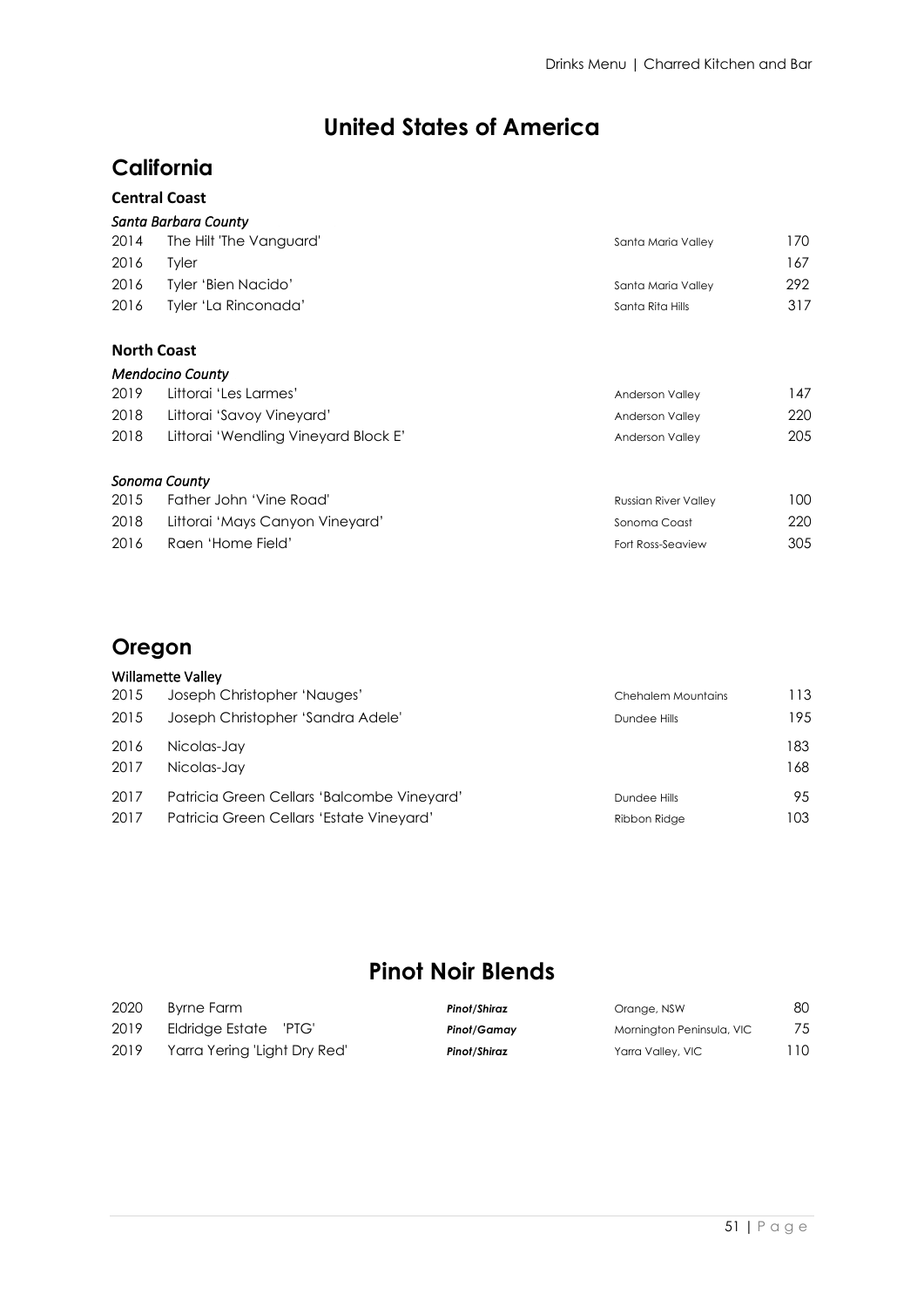# **United States of America**

## **California**

#### **Central Coast** *Santa Barbara County*

|      | Junu Durburu County                  |                             |     |
|------|--------------------------------------|-----------------------------|-----|
| 2014 | The Hilt 'The Vanguard'              | Santa Maria Valley          | 170 |
| 2016 | Tyler                                |                             | 167 |
| 2016 | Tyler 'Bien Nacido'                  | Santa Maria Valley          | 292 |
| 2016 | Tyler 'La Rinconada'                 | Santa Rita Hills            | 317 |
|      | <b>North Coast</b>                   |                             |     |
|      | <b>Mendocino County</b>              |                             |     |
| 2019 | Littorai 'Les Larmes'                | Anderson Valley             | 147 |
| 2018 | Littorai 'Savoy Vineyard'            | <b>Anderson Valley</b>      | 220 |
| 2018 | Littorai 'Wendling Vineyard Block E' | <b>Anderson Valley</b>      | 205 |
|      | Sonoma County                        |                             |     |
| 2015 | Father John 'Vine Road'              | <b>Russian River Valley</b> | 100 |
| 2018 | Littorai 'Mays Canyon Vineyard'      | Sonoma Coast                | 220 |
| 2016 | Raen 'Home Field'                    | Fort Ross-Seaview           | 305 |

### **Oregon**

|      | <b>Willamette Valley</b>                   |                           |     |
|------|--------------------------------------------|---------------------------|-----|
| 2015 | Joseph Christopher 'Nauges'                | <b>Chehalem Mountains</b> | 113 |
| 2015 | Joseph Christopher 'Sandra Adele'          | Dundee Hills              | 195 |
| 2016 | Nicolas-Jay                                |                           | 183 |
| 2017 | Nicolas-Jav                                |                           | 168 |
| 2017 | Patricia Green Cellars 'Balcombe Vineyard' | Dundee Hills              | 95  |
| 2017 | Patricia Green Cellars 'Estate Vineyard'   | Ribbon Ridge              | 103 |

# **Pinot Noir Blends**

| 2020 | Byrne Farm                   | <b>Pinot/Shiraz</b> | Orange, NSW               | 80   |
|------|------------------------------|---------------------|---------------------------|------|
| 2019 | Eldridge Estate 'PTG'        | <b>Pinot/Gamay</b>  | Mornington Peninsula, VIC |      |
| 2019 | Yarra Yering 'Light Dry Red' | <b>Pinot/Shiraz</b> | Yarra Valley, VIC         | l 10 |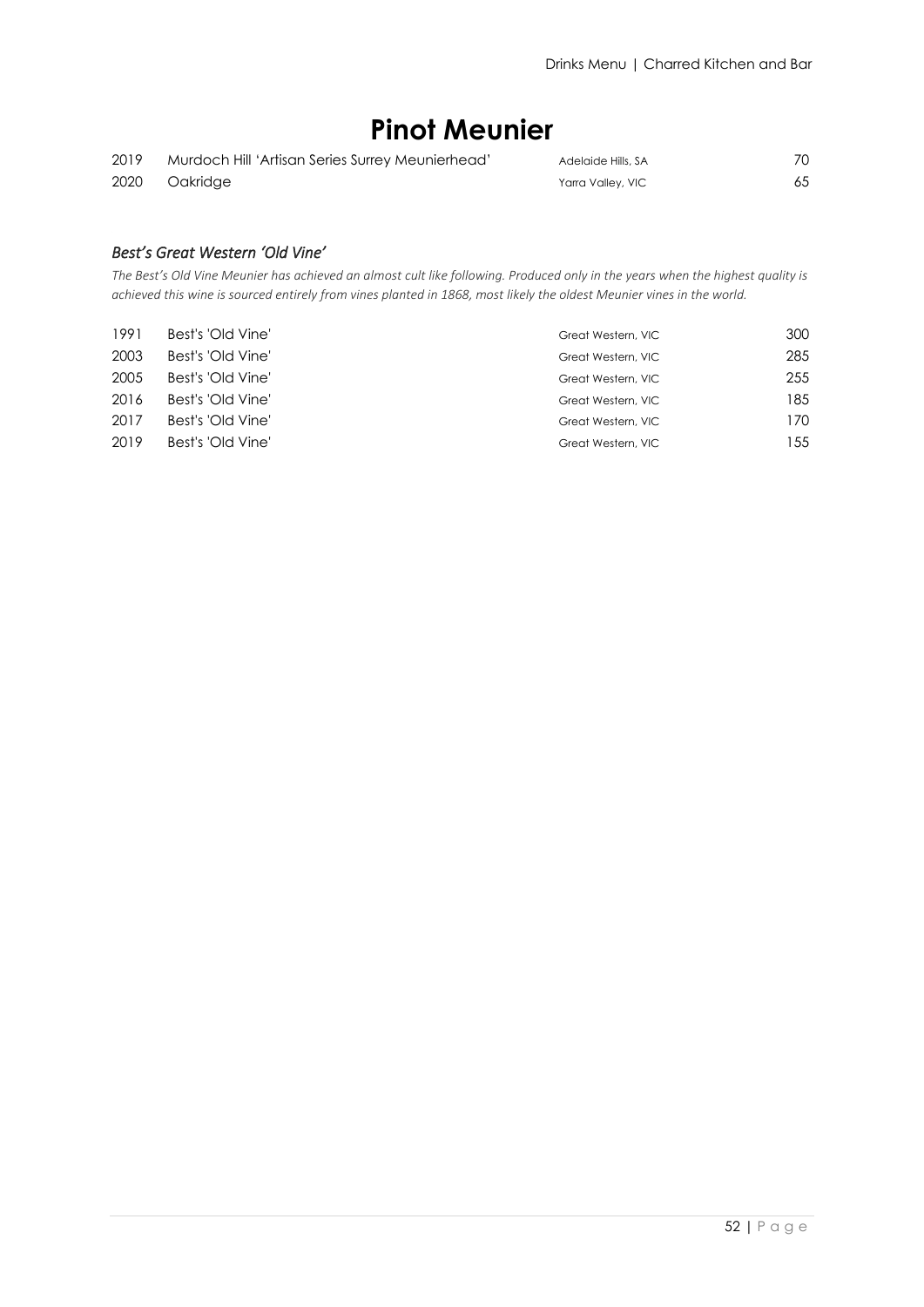# **Pinot Meunier**

| 2019 | Murdoch Hill 'Artisan Series Surrey Meunierhead' | Adelaide Hills, SA | 70 |
|------|--------------------------------------------------|--------------------|----|
| 2020 | Oakridae                                         | Yarra Valley, VIC  |    |

### *Best's Great Western 'Old Vine'*

*The Best's Old Vine Meunier has achieved an almost cult like following. Produced only in the years when the highest quality is achieved this wine is sourced entirely from vines planted in 1868, most likely the oldest Meunier vines in the world.*

| 1991 | Best's 'Old Vine' | Great Western, VIC | 300 |
|------|-------------------|--------------------|-----|
| 2003 | Best's 'Old Vine' | Great Western, VIC | 285 |
| 2005 | Best's 'Old Vine' | Great Western, VIC | 255 |
| 2016 | Best's 'Old Vine' | Great Western, VIC | 185 |
| 2017 | Best's 'Old Vine' | Great Western, VIC | 170 |
| 2019 | Best's 'Old Vine' | Great Western, VIC | 155 |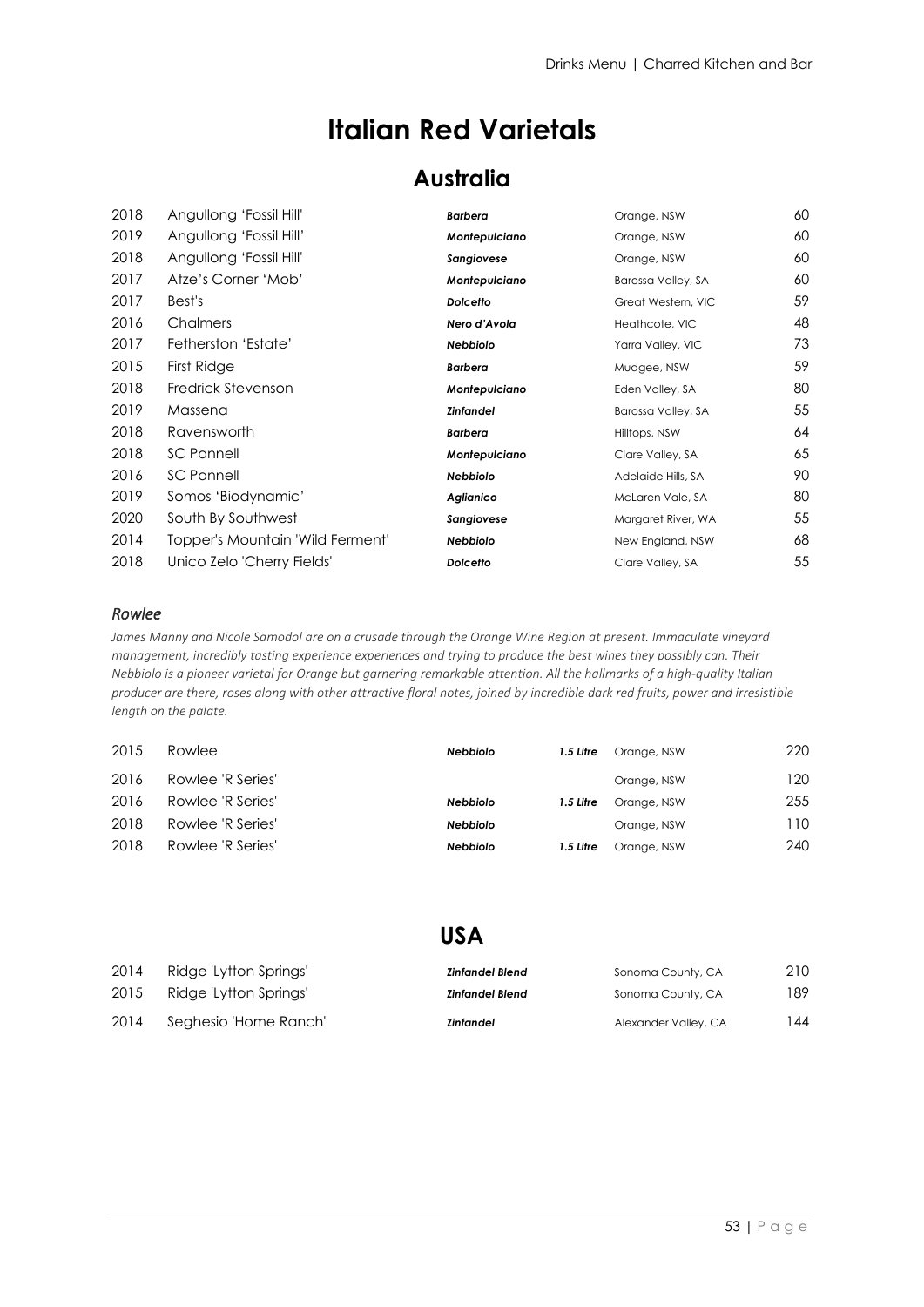# **Italian Red Varietals**

### **Australia**

| 2018 | Angullong 'Fossil Hill'          | <b>Barbera</b>  | Orange, NSW        | 60 |
|------|----------------------------------|-----------------|--------------------|----|
| 2019 | Angullong 'Fossil Hill'          | Montepulciano   | Orange, NSW        | 60 |
| 2018 | Angullong 'Fossil Hill'          | Sangiovese      | Orange, NSW        | 60 |
| 2017 | Atze's Corner 'Mob'              | Montepulciano   | Barossa Valley, SA | 60 |
| 2017 | Best's                           | <b>Dolcetto</b> | Great Western, VIC | 59 |
| 2016 | Chalmers                         | Nero d'Avola    | Heathcote, VIC     | 48 |
| 2017 | Fetherston 'Estate'              | Nebbiolo        | Yarra Valley, VIC  | 73 |
| 2015 | First Ridge                      | <b>Barbera</b>  | Mudgee, NSW        | 59 |
| 2018 | <b>Fredrick Stevenson</b>        | Montepulciano   | Eden Valley, SA    | 80 |
| 2019 | Massena                          | Zinfandel       | Barossa Valley, SA | 55 |
| 2018 | Ravensworth                      | <b>Barbera</b>  | Hilltops, NSW      | 64 |
| 2018 | <b>SC Pannell</b>                | Montepulciano   | Clare Valley, SA   | 65 |
| 2016 | <b>SC Pannell</b>                | Nebbiolo        | Adelaide Hills, SA | 90 |
| 2019 | Somos 'Biodynamic'               | Aglianico       | McLaren Vale, SA   | 80 |
| 2020 | South By Southwest               | Sangiovese      | Margaret River, WA | 55 |
| 2014 | Topper's Mountain 'Wild Ferment' | Nebbiolo        | New England, NSW   | 68 |
| 2018 | Unico Zelo 'Cherry Fields'       | <b>Dolcetto</b> | Clare Valley, SA   | 55 |

### *Rowlee*

*James Manny and Nicole Samodol are on a crusade through the Orange Wine Region at present. Immaculate vineyard management, incredibly tasting experience experiences and trying to produce the best wines they possibly can. Their Nebbiolo is a pioneer varietal for Orange but garnering remarkable attention. All the hallmarks of a high-quality Italian producer are there, roses along with other attractive floral notes, joined by incredible dark red fruits, power and irresistible length on the palate.*

| 2015 | Rowlee            | Nebbiolo        | 1.5 Litre | Orange, NSW | 220  |
|------|-------------------|-----------------|-----------|-------------|------|
| 2016 | Rowlee 'R Series' |                 |           | Orange, NSW | 120  |
| 2016 | Rowlee 'R Series' | Nebbiolo        | 1.5 Litre | Orange, NSW | 255  |
| 2018 | Rowlee 'R Series' | <b>Nebbiolo</b> |           | Orange, NSW | l 10 |
| 2018 | Rowlee 'R Series' | Nebbiolo        | 1.5 Litre | Orange, NSW | 240  |

### **USA**

| 2014 | Ridge 'Lytton Springs' | <b>Zinfandel Blend</b> | Sonoma County, CA    | 210 |
|------|------------------------|------------------------|----------------------|-----|
| 2015 | Ridge 'Lytton Springs' | Zinfandel Blend        | Sonoma County, CA    | 189 |
| 2014 | Seghesio 'Home Ranch'  | Zinfandel              | Alexander Valley, CA | 144 |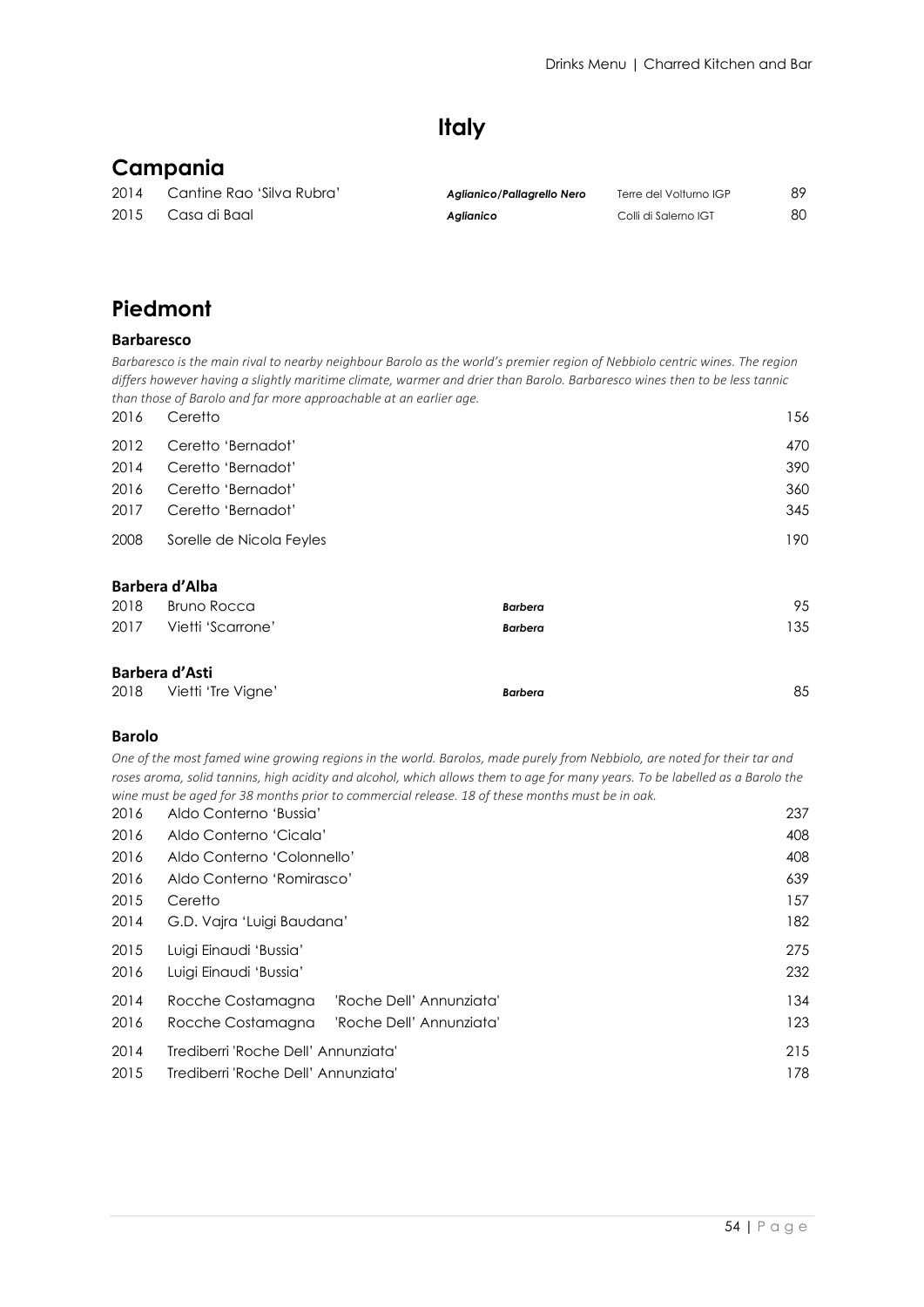# **Italy**

# **Campania**

2014 Cantine Rao 'Silva Rubra' 2015 Casa di Baal

| Aglianico/Pallagrello Nero | Terre del Volturno IGP | 89 |
|----------------------------|------------------------|----|
| Aglianico                  | Colli di Salerno IGT   | 80 |

## **Piedmont**

### **Barbaresco**

*Barbaresco is the main rival to nearby neighbour Barolo as the world's premier region of Nebbiolo centric wines. The region differs however having a slightly maritime climate, warmer and drier than Barolo. Barbaresco wines then to be less tannic than those of Barolo and far more approachable at an earlier age.*

|      | <b>Barbera d'Asti</b>    |                |     |
|------|--------------------------|----------------|-----|
| 2017 | Vietti 'Scarrone'        | <b>Barbera</b> | 135 |
| 2018 | <b>Bruno Rocca</b>       | <b>Barbera</b> | 95  |
|      | Barbera d'Alba           |                |     |
| 2008 | Sorelle de Nicola Feyles |                | 190 |
| 2017 | Ceretto 'Bernadot'       |                | 345 |
| 2016 | Ceretto 'Bernadot'       |                | 360 |
| 2014 | Ceretto 'Bernadot'       |                | 390 |
| 2012 | Ceretto 'Bernadot'       |                | 470 |
| 2016 | Ceretto                  |                | 156 |

| 2018 Vietti 'Tre Vigne'<br><b>Barbera</b> | 85 |
|-------------------------------------------|----|

### **Barolo**

*One of the most famed wine growing regions in the world. Barolos, made purely from Nebbiolo, are noted for their tar and roses aroma, solid tannins, high acidity and alcohol, which allows them to age for many years. To be labelled as a Barolo the wine must be aged for 38 months prior to commercial release. 18 of these months must be in oak.* 

| Aldo Conterno 'Bussia'                        | 237 |
|-----------------------------------------------|-----|
| Aldo Conterno 'Cicala'                        | 408 |
| Aldo Conterno 'Colonnello'                    | 408 |
| Aldo Conterno 'Romirasco'                     | 639 |
| Ceretto                                       | 157 |
| G.D. Vajra 'Luigi Baudana'                    | 182 |
| Luigi Einaudi 'Bussia'                        | 275 |
| Luigi Einaudi 'Bussia'                        | 232 |
| Rocche Costamagna<br>'Roche Dell' Annunziata' | 134 |
| Rocche Costamagna<br>'Roche Dell' Annunziata' | 123 |
| Trediberri 'Roche Dell' Annunziata'           | 215 |
| Trediberri 'Roche Dell' Annunziata'           | 178 |
|                                               |     |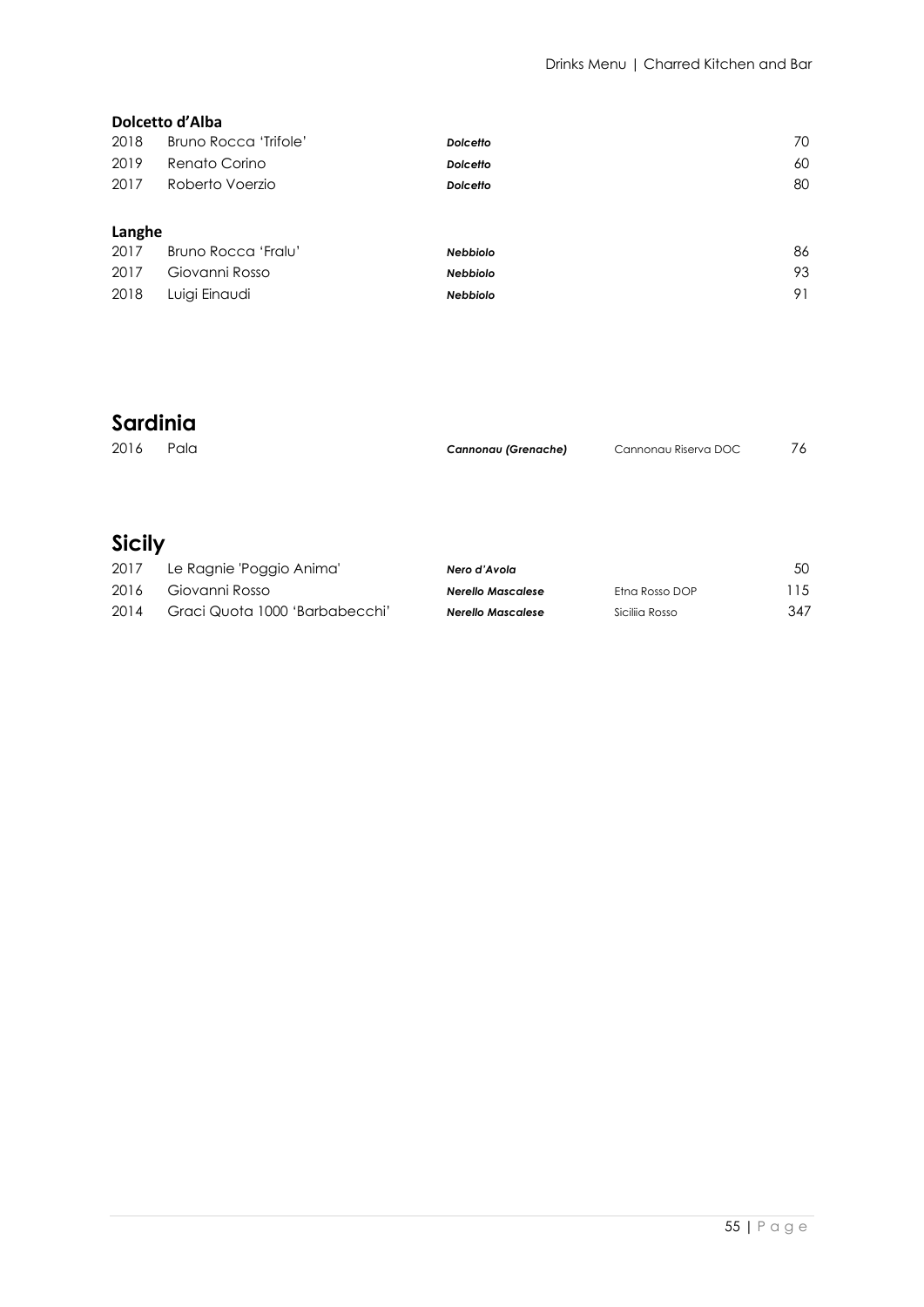### **Dolcetto d'Alba**

| 2018   | Bruno Rocca 'Trifole' | <b>Dolcetto</b> | 70 |
|--------|-----------------------|-----------------|----|
| 2019   | Renato Corino         | <b>Dolcetto</b> | 60 |
| 2017   | Roberto Voerzio       | <b>Dolcetto</b> | 80 |
|        |                       |                 |    |
| Langhe |                       |                 |    |
|        |                       |                 |    |
| 2017   | Bruno Rocca 'Fralu'   | <b>Nebbiolo</b> | 86 |
| 2017   | Giovanni Rosso        | <b>Nebbiolo</b> | 93 |

# **Sardinia**

| 2016 Pala | Cannonau (Grenache) | Cannonau Riserva DOC |  |
|-----------|---------------------|----------------------|--|
|           |                     |                      |  |

# **Sicily**

| 2017 | Le Ragnie 'Poggio Anima'       | Nero d'Avola             |                | 50  |
|------|--------------------------------|--------------------------|----------------|-----|
| 2016 | Giovanni Rosso                 | Nerello Mascalese        | Etna Rosso DOP | 115 |
| 2014 | Graci Quota 1000 'Barbabecchi' | <b>Nerello Mascalese</b> | Sicilia Rosso  | 347 |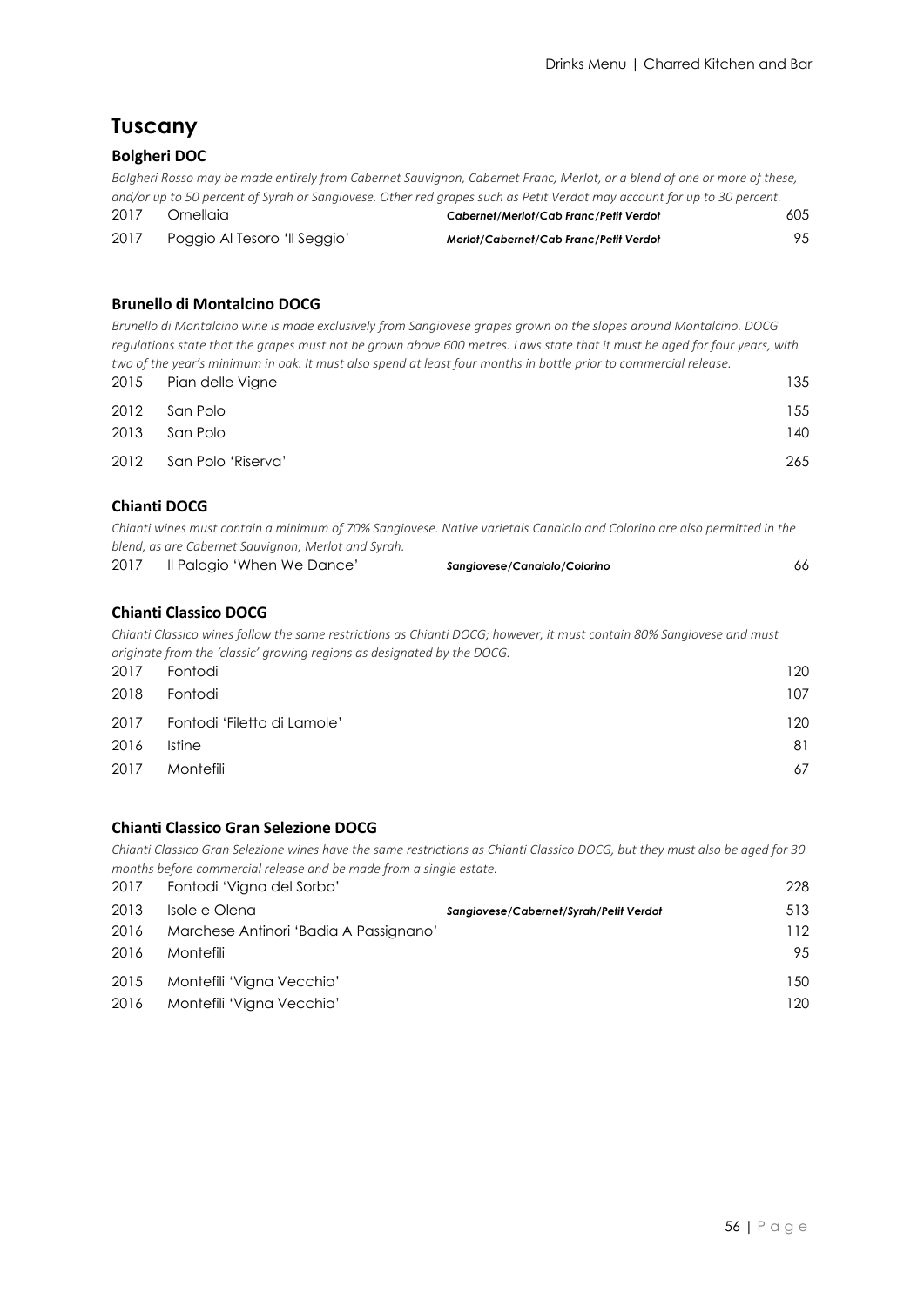## **Tuscany**

### **Bolgheri DOC**

*Bolgheri Rosso may be made entirely from Cabernet Sauvignon, Cabernet Franc, Merlot, or a blend of one or more of these, and/or up to 50 percent of Syrah or Sangiovese. Other red grapes such as Petit Verdot may account for up to 30 percent.*

| 2017 | Ornellaia                    | Cabernet/Merlot/Cab Franc/Petit Verdot | 605 |
|------|------------------------------|----------------------------------------|-----|
| 2017 | Poggio Al Tesoro 'Il Seggio' | Merlot/Cabernet/Cab Franc/Petit Verdot |     |

### **Brunello di Montalcino DOCG**

*Brunello di Montalcino wine is made exclusively from Sangiovese grapes grown on the slopes around Montalcino. DOCG regulations state that the grapes must not be grown above 600 metres. Laws state that it must be aged for four years, with two of the year's minimum in oak. It must also spend at least four months in bottle prior to commercial release.* 

| 2015 Pian delle Vigne   | 135 |
|-------------------------|-----|
| 2012 San Polo           | 155 |
| 2013 San Polo           | 140 |
| 2012 San Polo 'Riserva' | 265 |

### **Chianti DOCG**

*Chianti wines must contain a minimum of 70% Sangiovese. Native varietals Canaiolo and Colorino are also permitted in the blend, as are Cabernet Sauvignon, Merlot and Syrah.*

| 2017 | ll Palagio 'When We Dance' | Sangiovese/Canaiolo/Colorino | 66 |
|------|----------------------------|------------------------------|----|
|      |                            |                              |    |

### **Chianti Classico DOCG**

*Chianti Classico wines follow the same restrictions as Chianti DOCG; however, it must contain 80% Sangiovese and must originate from the 'classic' growing regions as designated by the DOCG.* 2017 Fontodi 120

| 2018 | Fontodi                          | 107 |
|------|----------------------------------|-----|
|      | 2017 Fontodi 'Filetta di Lamole' | 120 |
| 2016 | Istine                           | 81  |
| 2017 | Montefili                        | 67  |

### **Chianti Classico Gran Selezione DOCG**

*Chianti Classico Gran Selezione wines have the same restrictions as Chianti Classico DOCG, but they must also be aged for 30 months before commercial release and be made from a single estate.* 

| 2017 | Fontodi 'Vigna del Sorbo'              |                                        | 228 |
|------|----------------------------------------|----------------------------------------|-----|
| 2013 | Isole e Olena                          | Sangiovese/Cabernet/Syrah/Petit Verdot | 513 |
| 2016 | Marchese Antinori 'Badia A Passignano' |                                        | 112 |
| 2016 | Montefili                              |                                        | 95  |
| 2015 | Montefili 'Vigna Vecchia'              |                                        | 150 |
| 2016 | Montefili 'Vigna Vecchia'              |                                        | 120 |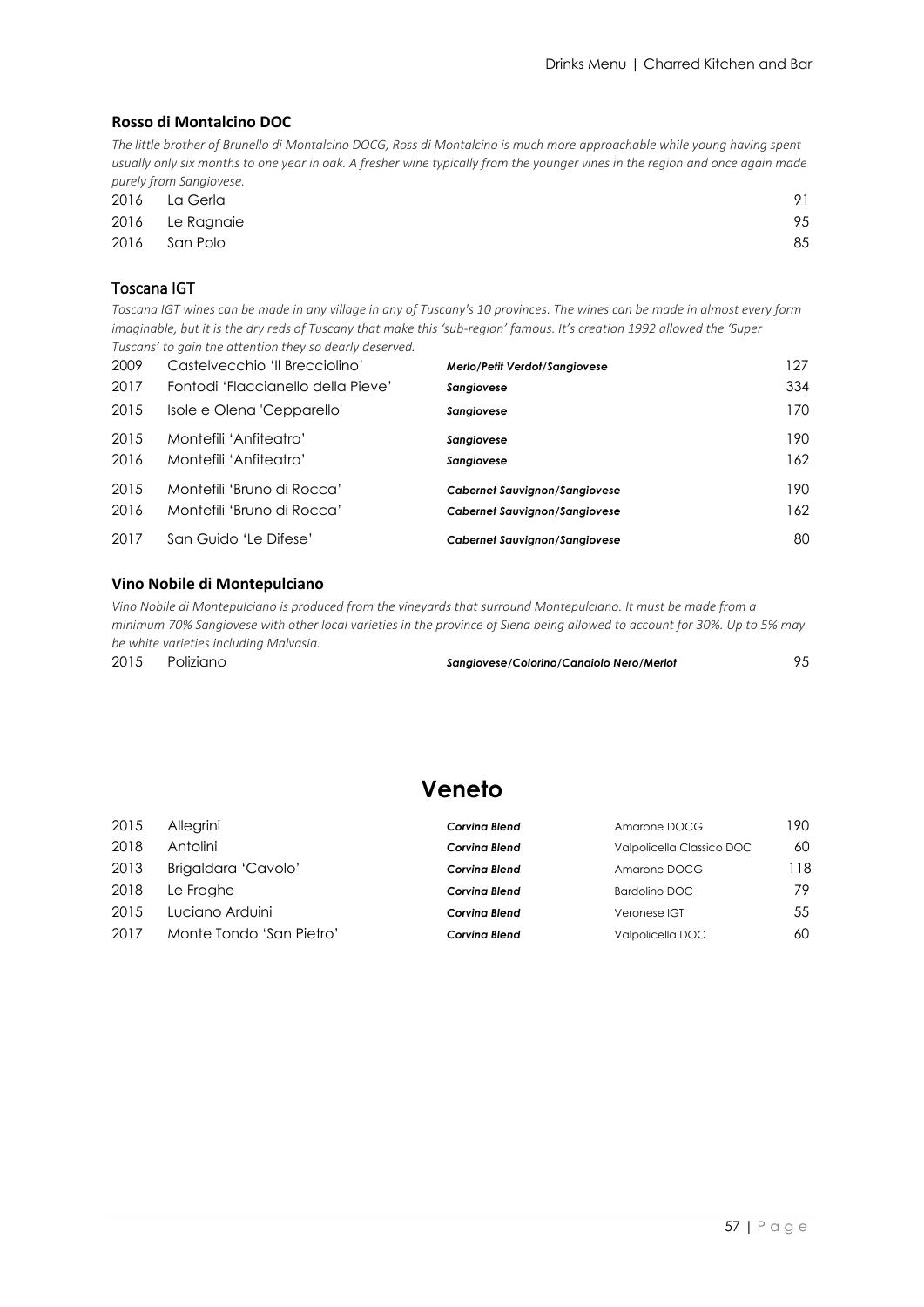### **Rosso di Montalcino DOC**

*The little brother of Brunello di Montalcino DOCG, Ross di Montalcino is much more approachable while young having spent usually only six months to one year in oak. A fresher wine typically from the younger vines in the region and once again made purely from Sangiovese.* 

| 2016 La Gerla   | 91 |
|-----------------|----|
| 2016 Le Ragnaie | 95 |
| 2016 San Polo   | 85 |

### Toscana IGT

*Toscana IGT wines can be made in any village in any of Tuscany's 10 provinces. The wines can be made in almost every form imaginable, but it is the dry reds of Tuscany that make this 'sub-region' famous. It's creation 1992 allowed the 'Super Tuscans' to gain the attention they so dearly deserved.*

| 2009 | Castelvecchio 'Il Brecciolino'     | Merlo/Petit Verdot/Sangiovese        | 127 |
|------|------------------------------------|--------------------------------------|-----|
| 2017 | Fontodi 'Flaccianello della Pieve' | Sangiovese                           | 334 |
| 2015 | Isole e Olena 'Cepparello'         | Sangiovese                           | 170 |
| 2015 | Montefili 'Anfiteatro'             | Sangiovese                           | 190 |
| 2016 | Montefili 'Anfiteatro'             | Sangiovese                           | 162 |
| 2015 | Montefili 'Bruno di Rocca'         | <b>Cabernet Sauvignon/Sangiovese</b> | 190 |
| 2016 | Montefili 'Bruno di Rocca'         | <b>Cabernet Sauvignon/Sangiovese</b> | 162 |
| 2017 | San Guido 'Le Difese'              | <b>Cabernet Sauvignon/Sangiovese</b> | 80  |
|      |                                    |                                      |     |

### **Vino Nobile di Montepulciano**

*Vino Nobile di Montepulciano is produced from the vineyards that surround Montepulciano. It must be made from a minimum 70% Sangiovese with other local varieties in the province of Siena being allowed to account for 30%. Up to 5% may be white varieties including Malvasia.* 

| 2015 | Poliziano | Sangiovese/Colorino/Canaiolo Nero/Merlot |  |
|------|-----------|------------------------------------------|--|
|------|-----------|------------------------------------------|--|

## **Veneto**

| 2015 | Allegrini                | <b>Corvina Blend</b> | Amarone DOCG              | 190 |
|------|--------------------------|----------------------|---------------------------|-----|
| 2018 | Antolini                 | <b>Corving Blend</b> | Valpolicella Classico DOC | 60  |
| 2013 | Brigaldara 'Cavolo'      | <b>Corving Blend</b> | Amarone DOCG              | 118 |
| 2018 | Le Fraghe                | <b>Corvina Blend</b> | <b>Bardolino DOC</b>      | 79  |
| 2015 | Luciano Arduini          | <b>Corvina Blend</b> | Veronese IGT              | 55  |
| 2017 | Monte Tondo 'San Pietro' | <b>Corvina Blend</b> | Valpolicella DOC          | 60  |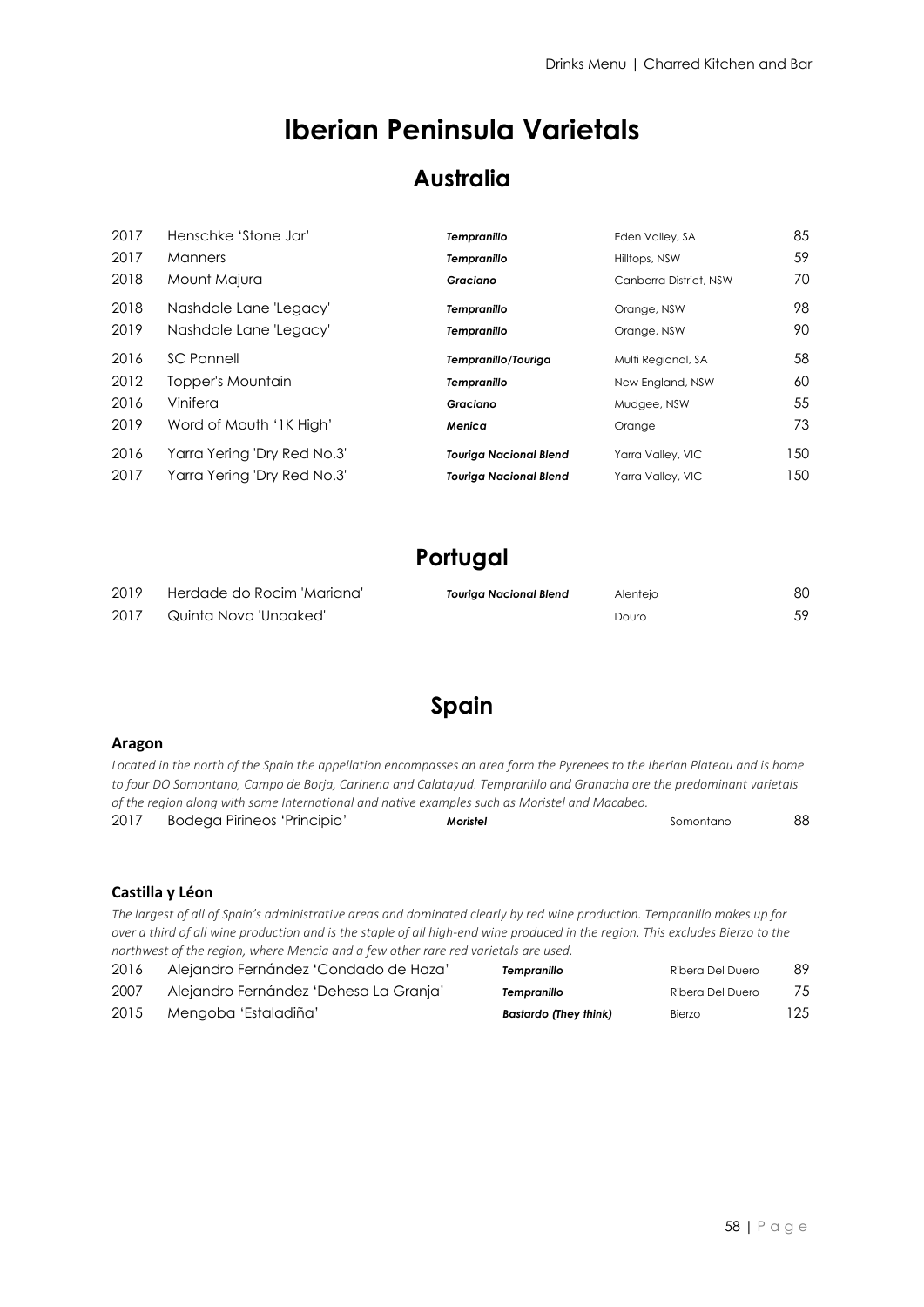# **Iberian Peninsula Varietals**

# **Australia**

| 2017 | Henschke 'Stone Jar'        | <b>Tempranillo</b>            | Eden Valley, SA        | 85  |
|------|-----------------------------|-------------------------------|------------------------|-----|
| 2017 | <b>Manners</b>              | <b>Tempranillo</b>            | Hilltops, NSW          | 59  |
| 2018 | Mount Majura                | Graciano                      | Canberra District, NSW | 70  |
| 2018 | Nashdale Lane 'Legacy'      | <b>Tempranillo</b>            | Orange, NSW            | 98  |
| 2019 | Nashdale Lane 'Legacy'      | <b>Tempranillo</b>            | Orange, NSW            | 90  |
| 2016 | <b>SC Pannell</b>           | Tempranillo/Touriga           | Multi Regional, SA     | 58  |
| 2012 | Topper's Mountain           | <b>Tempranillo</b>            | New England, NSW       | 60  |
| 2016 | Vinifera                    | Graciano                      | Mudgee, NSW            | 55  |
| 2019 | Word of Mouth 'IK High'     | Menica                        | Orange                 | 73  |
| 2016 | Yarra Yering 'Dry Red No.3' | <b>Touriga Nacional Blend</b> | Yarra Valley, VIC      | 150 |
| 2017 | Yarra Yering 'Dry Red No.3' | <b>Touriga Nacional Blend</b> | Yarra Valley, VIC      | 150 |

# **Portugal**

| 2019 | Herdade do Rocim 'Mariana' | Touriga Nacional Blend | Alentejo | 80 |
|------|----------------------------|------------------------|----------|----|
| 2017 | Quinta Nova 'Unoaked'      |                        | Douro    | 59 |

# **Spain**

### **Aragon**

*Located in the north of the Spain the appellation encompasses an area form the Pyrenees to the Iberian Plateau and is home to four DO Somontano, Campo de Borja, Carinena and Calatayud. Tempranillo and Granacha are the predominant varietals of the region along with some International and native examples such as Moristel and Macabeo.* 

| 2017 | Bodega Pirineos 'Principio' | Moristel | Somontano | 88 |
|------|-----------------------------|----------|-----------|----|
|      |                             |          |           |    |

### **Castilla y Léon**

*The largest of all of Spain's administrative areas and dominated clearly by red wine production. Tempranillo makes up for over a third of all wine production and is the staple of all high-end wine produced in the region. This excludes Bierzo to the northwest of the region, where Mencia and a few other rare red varietals are used.* 

| 2016 | Alejandro Fernández 'Condado de Haza'  | Tempranillo           | Ribera Del Duero | -89 |
|------|----------------------------------------|-----------------------|------------------|-----|
| 2007 | Alejandro Fernández 'Dehesa La Granja' | Tempranillo           | Ribera Del Duero | 75  |
| 2015 | Mengoba 'Estaladiña'                   | Bastardo (They think) | Bierzo           | 125 |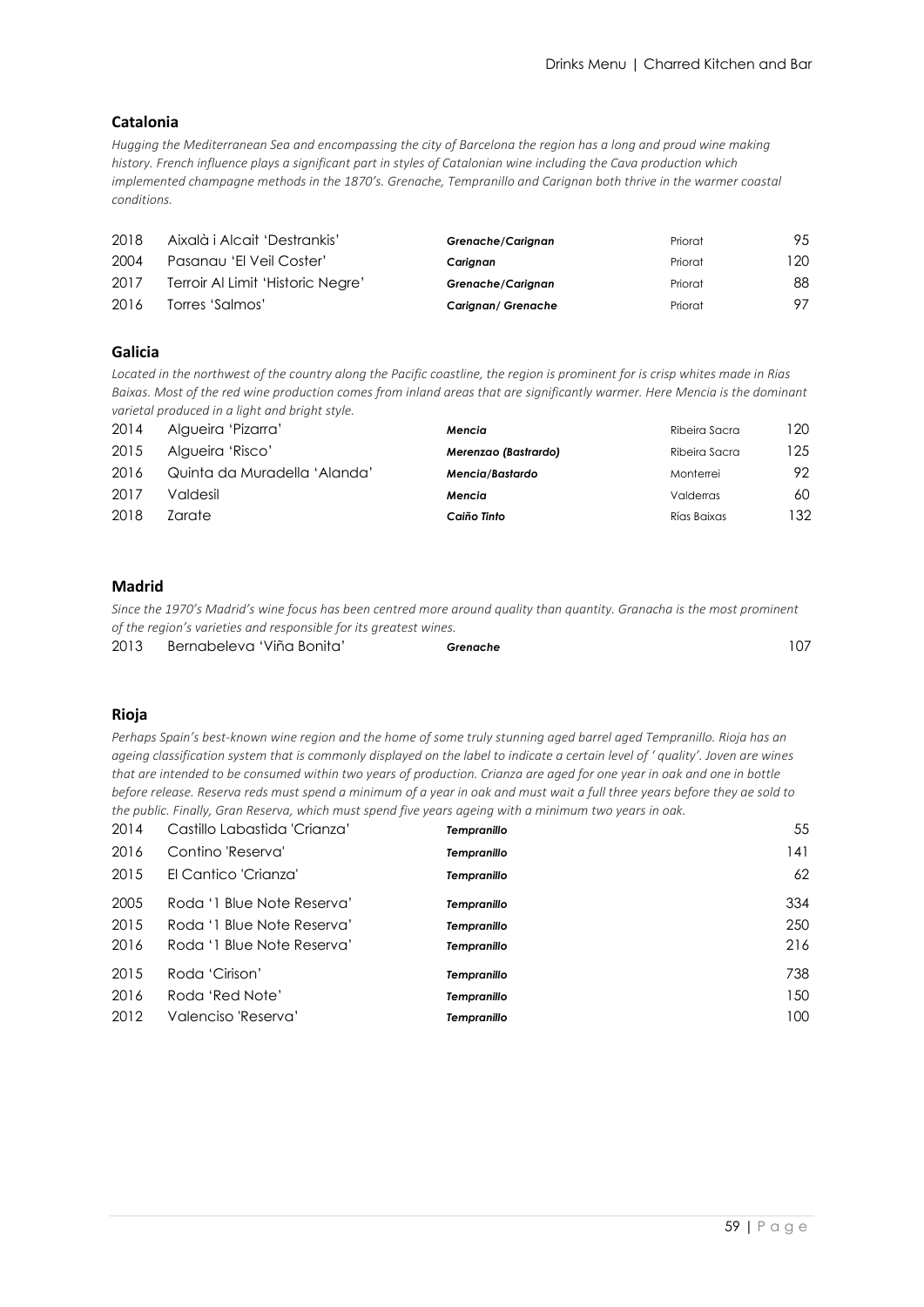### **Catalonia**

*Hugging the Mediterranean Sea and encompassing the city of Barcelona the region has a long and proud wine making history. French influence plays a significant part in styles of Catalonian wine including the Cava production which implemented champagne methods in the 1870's. Grenache, Tempranillo and Carignan both thrive in the warmer coastal conditions.* 

| 2018 | Aixalà i Alcait 'Destrankis'      | Grenache/Carignan  | Priorat | 95  |
|------|-----------------------------------|--------------------|---------|-----|
| 2004 | Pasanau 'El Veil Coster'          | Carignan           | Priorat | 120 |
| 2017 | Terroir Al Limit 'Historic Negre' | Grenache/Carignan  | Priorat | 88  |
| 2016 | Torres 'Salmos'                   | Carignan/ Grenache | Priorat | 97  |

#### **Galicia**

*Located in the northwest of the country along the Pacific coastline, the region is prominent for is crisp whites made in Rias Baixas. Most of the red wine production comes from inland areas that are significantly warmer. Here Mencia is the dominant varietal produced in a light and bright style.* 

| 2014 | Algueira 'Pizarra'           | Mencia               | Ribeira Sacra    | 120 |
|------|------------------------------|----------------------|------------------|-----|
| 2015 | Algueira 'Risco'             | Merenzao (Bastrardo) | Ribeira Sacra    | 125 |
| 2016 | Quinta da Muradella 'Alanda' | Mencia/Bastardo      | Monterrei        | 92  |
| 2017 | Valdesil                     | Mencia               | <b>Valderras</b> | 60  |
| 2018 | Zarate                       | Caiño Tinto          | Rías Baixas      | 132 |
|      |                              |                      |                  |     |

#### **Madrid**

*Since the 1970's Madrid's wine focus has been centred more around quality than quantity. Granacha is the most prominent of the region's varieties and responsible for its greatest wines.*

| 2013 | Bernabeleva 'Viña Bonita' | Grenache |  |
|------|---------------------------|----------|--|
|------|---------------------------|----------|--|

### **Rioja**

*Perhaps Spain's best-known wine region and the home of some truly stunning aged barrel aged Tempranillo. Rioja has an ageing classification system that is commonly displayed on the label to indicate a certain level of ' quality'. Joven are wines that are intended to be consumed within two years of production. Crianza are aged for one year in oak and one in bottle before release. Reserva reds must spend a minimum of a year in oak and must wait a full three years before they ae sold to the public. Finally, Gran Reserva, which must spend five years ageing with a minimum two years in oak.* 

| 2014 | Castillo Labastida 'Crianza' | <b>Tempranillo</b> | 55  |
|------|------------------------------|--------------------|-----|
| 2016 | Contino 'Reserva'            | <b>Tempranillo</b> | 141 |
| 2015 | El Cantico 'Crianza'         | <b>Tempranillo</b> | 62  |
| 2005 | Roda '1 Blue Note Reserva'   | <b>Tempranillo</b> | 334 |
| 2015 | Roda '1 Blue Note Reserva'   | <b>Tempranillo</b> | 250 |
| 2016 | Roda '1 Blue Note Reserva'   | <b>Tempranillo</b> | 216 |
| 2015 | Roda 'Cirison'               | <b>Tempranillo</b> | 738 |
| 2016 | Roda 'Red Note'              | <b>Tempranillo</b> | 150 |
| 2012 | Valenciso 'Reserva'          | <b>Tempranillo</b> | 100 |
|      |                              |                    |     |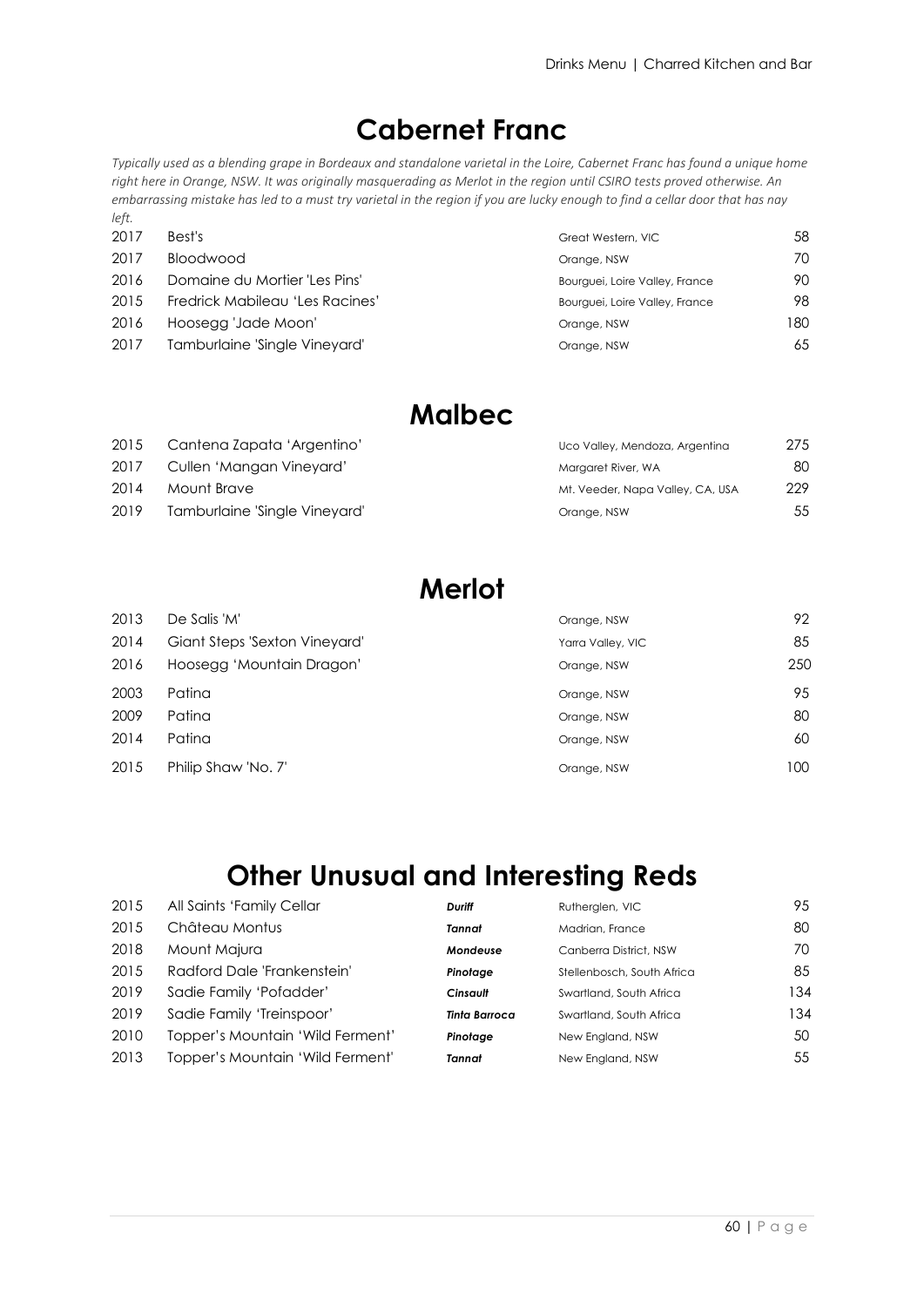# **Cabernet Franc**

*Typically used as a blending grape in Bordeaux and standalone varietal in the Loire, Cabernet Franc has found a unique home right here in Orange, NSW. It was originally masquerading as Merlot in the region until CSIRO tests proved otherwise. An embarrassing mistake has led to a must try varietal in the region if you are lucky enough to find a cellar door that has nay left.* 

| Best's                          | Great Western, VIC             | 58  |
|---------------------------------|--------------------------------|-----|
| Bloodwood                       | Orange, NSW                    | 70  |
| Domaine du Mortier 'Les Pins'   | Bourguei, Loire Valley, France | 90  |
| Fredrick Mabileau 'Les Racines' | Bourguei, Loire Valley, France | 98  |
| Hoosegg 'Jade Moon'             | Orange, NSW                    | 180 |
| Tamburlaine 'Single Vineyard'   | Orange, NSW                    | 65  |
|                                 |                                |     |

# **Malbec**

2015 Cantena Zapata 'Argentino' 2017 Cullen 'Mangan Vineyard'

2019 Tamburlaine 'Single Vineyard'

2014 Mount Brave

| Uco Valley, Mendoza, Argentina   | 275 |
|----------------------------------|-----|
| Margaret River, WA               | 80. |
| Mt. Veeder, Napa Valley, CA, USA | 229 |
| Orange, NSW                      | 55. |

# **Merlot**

| 2013 | De Salis 'M'                  | Orange, NSW       | 92         |
|------|-------------------------------|-------------------|------------|
| 2014 | Giant Steps 'Sexton Vineyard' | Yarra Valley, VIC | 85         |
| 2016 | Hoosegg 'Mountain Dragon'     | Orange, NSW       | <b>250</b> |
| 2003 | Patina                        | Orange, NSW       | 95         |
| 2009 | Patina                        | Orange, NSW       | 80         |
| 2014 | Patina                        | Orange, NSW       | 60         |
| 2015 | Philip Shaw 'No. 7'           | Orange, NSW       | 100        |

# **Other Unusual and Interesting Reds**

| 2015 | All Saints 'Family Cellar        | Duriff               | Rutherglen, VIC            | 95  |
|------|----------------------------------|----------------------|----------------------------|-----|
| 2015 | Château Montus                   | Tannat               | Madrian, France            | 80  |
| 2018 | Mount Majura                     | Mondeuse             | Canberra District, NSW     | 70  |
| 2015 | Radford Dale 'Frankenstein'      | Pinotage             | Stellenbosch, South Africa | 85  |
| 2019 | Sadie Family 'Pofadder'          | Cinsault             | Swartland, South Africa    | 134 |
| 2019 | Sadie Family 'Treinspoor'        | <b>Tinta Barroca</b> | Swartland, South Africa    | 134 |
| 2010 | Topper's Mountain 'Wild Ferment' | Pinotage             | New England, NSW           | 50  |
| 2013 | Topper's Mountain 'Wild Ferment' | Tannat               | New England, NSW           | 55  |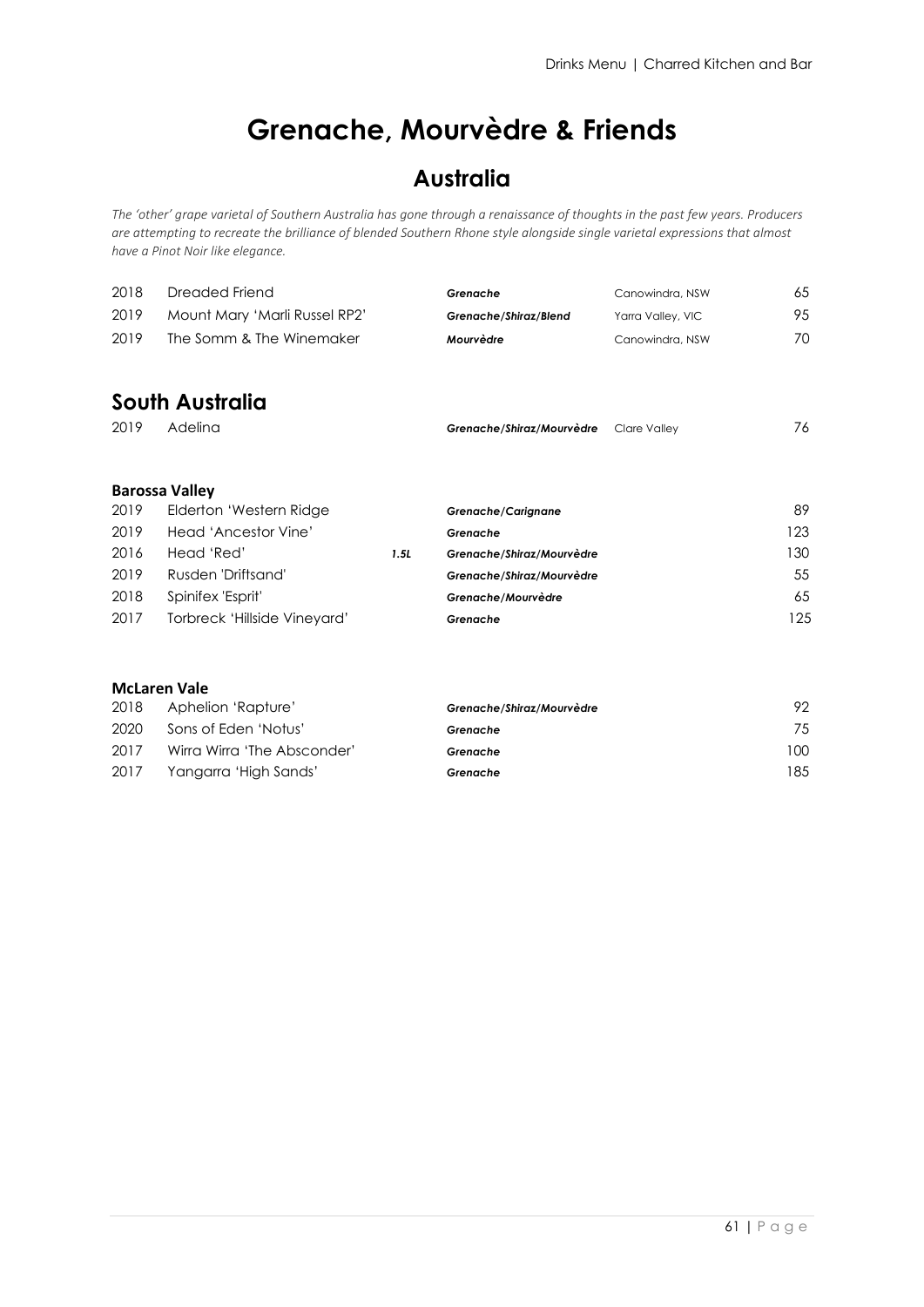# **Grenache, Mourvèdre & Friends**

# **Australia**

*The 'other' grape varietal of Southern Australia has gone through a renaissance of thoughts in the past few years. Producers are attempting to recreate the brilliance of blended Southern Rhone style alongside single varietal expressions that almost have a Pinot Noir like elegance.* 

| 2018<br>2019<br>2019 | Dreaded Friend<br>Mount Mary 'Marli Russel RP2'<br>The Somm & The Winemaker | Grenache<br>Grenache/Shiraz/Blend<br>Mourvèdre | Canowindra, NSW<br>Yarra Valley, VIC<br>Canowindra, NSW | 65<br>95<br>70 |
|----------------------|-----------------------------------------------------------------------------|------------------------------------------------|---------------------------------------------------------|----------------|
| 2019                 | <b>South Australia</b><br>Adelina                                           | Grenache/Shiraz/Mourvèdre                      | Clare Valley                                            | 76             |
| 2019<br>2019         | <b>Barossa Valley</b><br>Elderton 'Western Ridge<br>Head 'Ancestor Vine'    | Grenache/Carignane<br>Grenache                 |                                                         | 89<br>123      |

| 2016 | Head 'Red'                   | 1.5L | Grenache/Shiraz/Mourvèdre | 130 |
|------|------------------------------|------|---------------------------|-----|
| 2019 | Rusden 'Driftsand'           |      | Grenache/Shiraz/Mourvèdre | 55  |
| 2018 | Spinifex 'Esprit'            |      | Grenache/Mourvèdre        | 65  |
| 2017 | Torbreck 'Hillside Vineyard' |      | Grenache                  | 125 |
|      |                              |      |                           |     |

#### **McLaren Vale**

| 2018 | Aphelion 'Rapture'          | Grenache/Shiraz/Mourvèdre | 92  |
|------|-----------------------------|---------------------------|-----|
| 2020 | Sons of Eden 'Notus'        | Grenache                  | 75  |
| 2017 | Wirra Wirra 'The Absconder' | Grenache                  | 100 |
| 2017 | Yangarra 'High Sands'       | Grenache                  | 185 |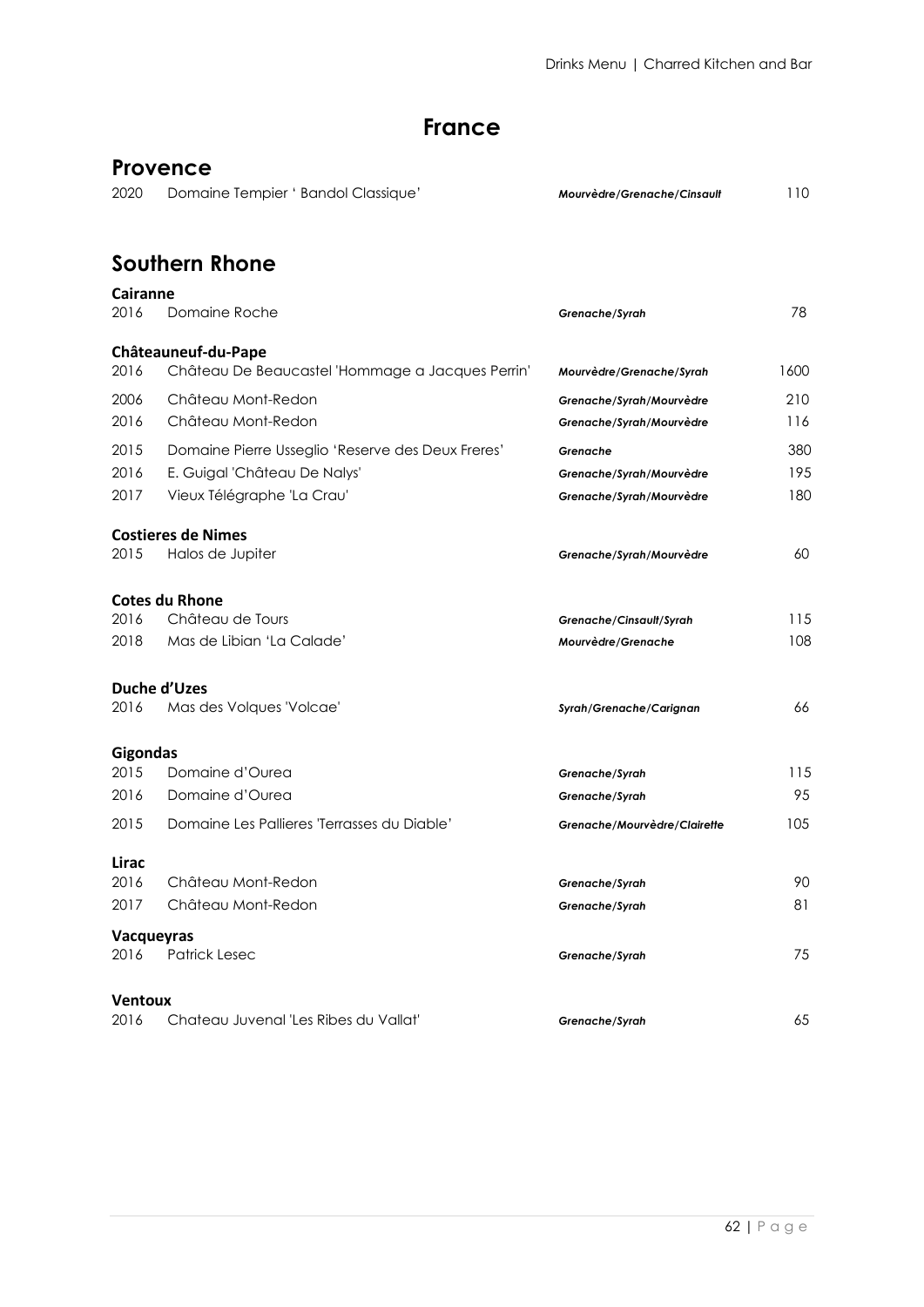# **France**

### **Provence**

| 2020 | Domaine Tempier ' Bandol Classique' | Mourvèdre/Grenache/Cinsault | $\overline{10}$ |
|------|-------------------------------------|-----------------------------|-----------------|
|------|-------------------------------------|-----------------------------|-----------------|

### **Southern Rhone**

| <b>Cairanne</b>   |                                                   |                              |      |
|-------------------|---------------------------------------------------|------------------------------|------|
| 2016              | Domaine Roche                                     | Grenache/Syrah               | 78   |
|                   | Châteauneuf-du-Pape                               |                              |      |
| 2016              | Château De Beaucastel 'Hommage a Jacques Perrin'  | Mourvèdre/Grenache/Syrah     | 1600 |
| 2006              | Château Mont-Redon                                | Grenache/Syrah/Mourvèdre     | 210  |
| 2016              | Château Mont-Redon                                | Grenache/Syrah/Mourvèdre     | 116  |
| 2015              | Domaine Pierre Usseglio 'Reserve des Deux Freres' | Grenache                     | 380  |
| 2016              | E. Guigal 'Château De Nalys'                      | Grenache/Syrah/Mourvèdre     | 195  |
| 2017              | Vieux Télégraphe 'La Crau'                        | Grenache/Syrah/Mourvèdre     | 180  |
|                   | <b>Costieres de Nimes</b>                         |                              |      |
| 2015              | Halos de Jupiter                                  | Grenache/Syrah/Mourvèdre     | 60   |
|                   | <b>Cotes du Rhone</b>                             |                              |      |
| 2016              | Château de Tours                                  | Grenache/Cinsault/Syrah      | 115  |
| 2018              | Mas de Libian 'La Calade'                         | Mourvèdre/Grenache           | 108  |
|                   | Duche d'Uzes                                      |                              |      |
| 2016              | Mas des Volques 'Volcae'                          | Syrah/Grenache/Carignan      | 66   |
| <b>Gigondas</b>   |                                                   |                              |      |
| 2015              | Domaine d'Ourea                                   | Grenache/Syrah               | 115  |
| 2016              | Domaine d'Ourea                                   | Grenache/Syrah               | 95   |
| 2015              | Domaine Les Pallieres 'Terrasses du Diable'       | Grenache/Mourvèdre/Clairette | 105  |
| Lirac             |                                                   |                              |      |
| 2016              | Château Mont-Redon                                | Grenache/Syrah               | 90   |
| 2017              | Château Mont-Redon                                | Grenache/Syrah               | 81   |
| <b>Vacqueyras</b> |                                                   |                              |      |
| 2016              | <b>Patrick Lesec</b>                              | Grenache/Syrah               | 75   |
| Ventoux           |                                                   |                              |      |
| 2016              | Chateau Juvenal 'Les Ribes du Vallat'             | Grenache/Syrah               | 65   |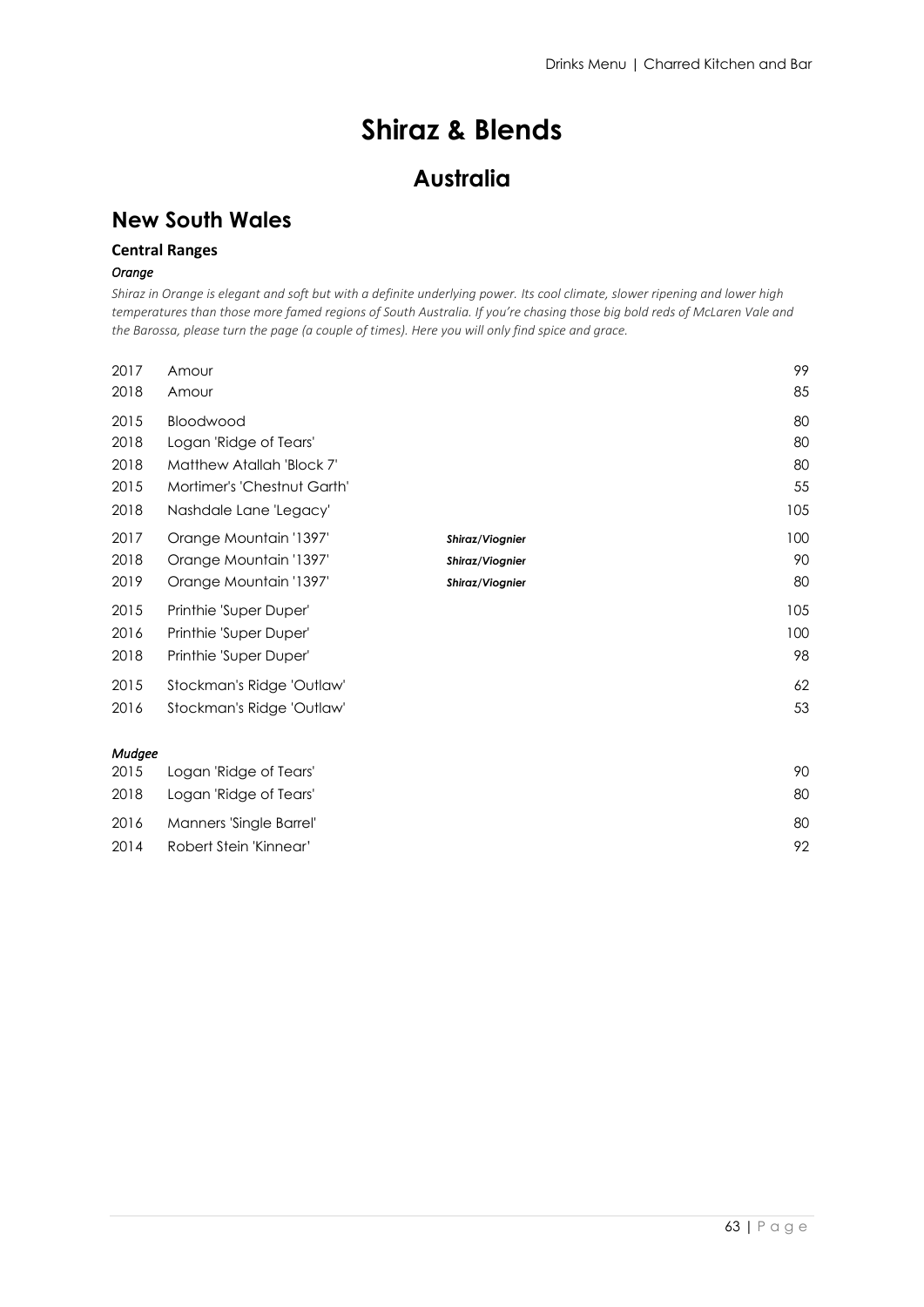# **Shiraz & Blends**

# **Australia**

### **New South Wales**

### **Central Ranges**

#### *Orange*

*Shiraz in Orange is elegant and soft but with a definite underlying power. Its cool climate, slower ripening and lower high temperatures than those more famed regions of South Australia. If you're chasing those big bold reds of McLaren Vale and the Barossa, please turn the page (a couple of times). Here you will only find spice and grace.*

| 2017          | Amour                       |                 | 99  |
|---------------|-----------------------------|-----------------|-----|
| 2018          | Amour                       |                 | 85  |
| 2015          | Bloodwood                   |                 | 80  |
| 2018          | Logan 'Ridge of Tears'      |                 | 80  |
| 2018          | Matthew Atallah 'Block 7'   |                 | 80  |
| 2015          | Mortimer's 'Chestnut Garth' |                 | 55  |
| 2018          | Nashdale Lane 'Legacy'      |                 | 105 |
| 2017          | Orange Mountain '1397'      | Shiraz/Viognier | 100 |
| 2018          | Orange Mountain '1397'      | Shiraz/Viognier | 90  |
| 2019          | Orange Mountain '1397'      | Shiraz/Viognier | 80  |
| 2015          | Printhie 'Super Duper'      |                 | 105 |
| 2016          | Printhie 'Super Duper'      |                 | 100 |
| 2018          | Printhie 'Super Duper'      |                 | 98  |
| 2015          | Stockman's Ridge 'Outlaw'   |                 | 62  |
| 2016          | Stockman's Ridge 'Outlaw'   |                 | 53  |
| <b>Mudgee</b> |                             |                 |     |
| 2015          | Logan 'Ridge of Tears'      |                 | 90  |
| 2018          | Logan 'Ridge of Tears'      |                 | 80  |

2016 Manners 'Single Barrel' 80 and 2016 1991 and 2016 1991 and 2016 1992 and 2016 1992 and 2016 1992 and 201 2014 Robert Stein 'Kinnear' 92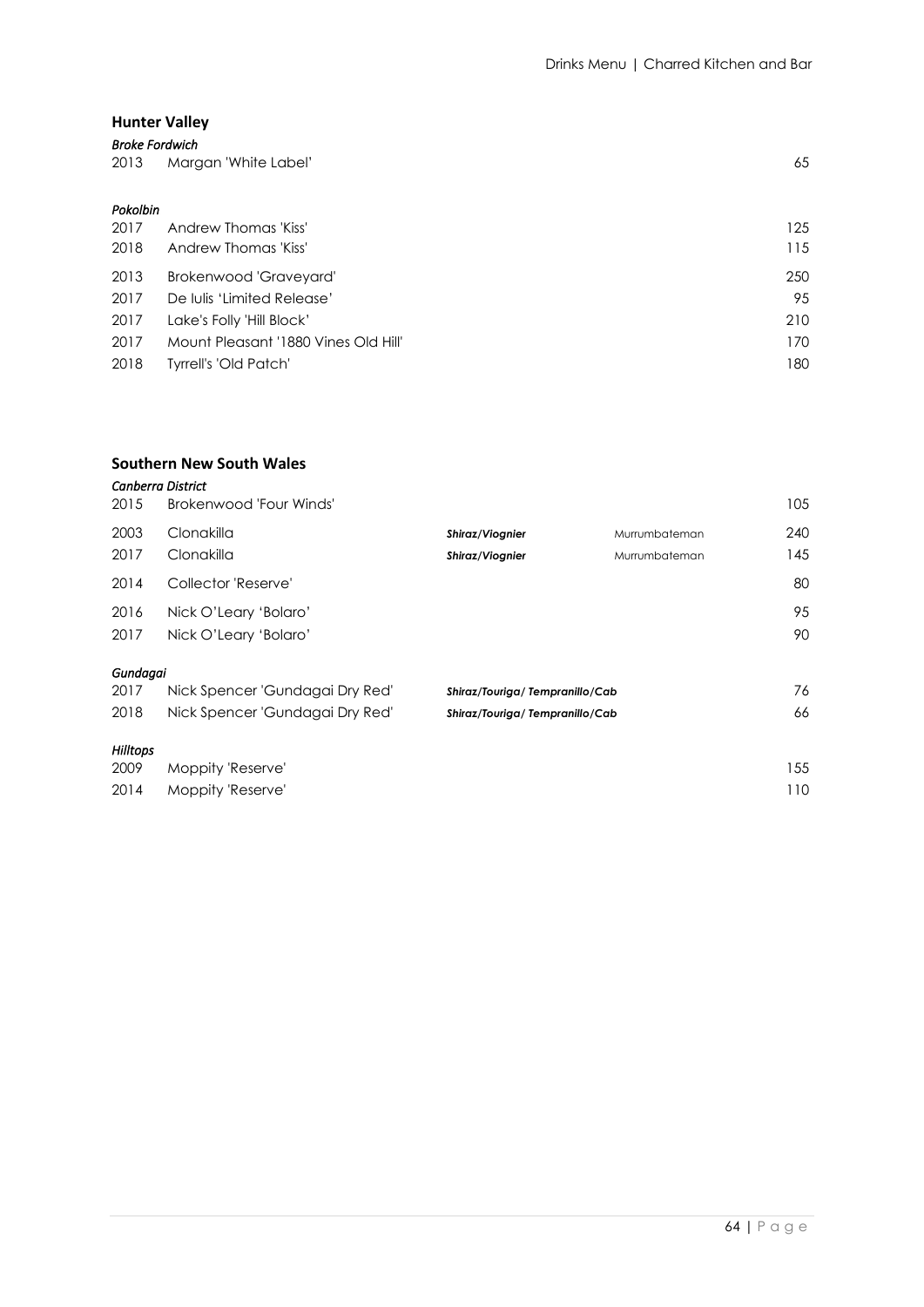### **Hunter Valley**

| Broke Fordwich |                           |     |
|----------------|---------------------------|-----|
|                | 2013 Margan 'White Label' | 65  |
|                |                           |     |
| Pokolbin       |                           |     |
|                | 2017 Andrew Thomas 'Kiss' | 125 |

| 2018 | Andrew Thomas 'Kiss'                 | 115 |
|------|--------------------------------------|-----|
|      |                                      |     |
|      | 2013 Brokenwood 'Graveyard'          | 250 |
|      | 2017 De Julis 'Limited Release'      | 95  |
| 2017 | Lake's Folly 'Hill Block'            | 210 |
| 2017 | Mount Pleasant '1880 Vines Old Hill' | 170 |
| 2018 | Tyrrell's 'Old Patch'                | 180 |

### **Southern New South Wales**

### *Canberra District*  2015 Brokenwood 'Four Winds' 105 2003 Clonakilla *Shiraz/Viognier* Murrumbateman 240 2017 Clonakilla *Shiraz/Viognier* Murrumbateman 145 2014 Collector 'Reserve' 80 2016 Nick O'Leary 'Bolaro' 95 2017 Nick O'Leary 'Bolaro' 90 *Gundagai*  2017 Nick Spencer 'Gundagai Dry Red' *Shiraz/Touriga/ Tempranillo/Cab* 76 2018 Nick Spencer 'Gundagai Dry Red' *Shiraz/Touriga/ Tempranillo/Cab* 66 *Hilltops*

| . |                        |       |
|---|------------------------|-------|
|   | 2009 Moppity 'Reserve' | 155   |
|   | 2014 Moppity 'Reserve' | 1 I C |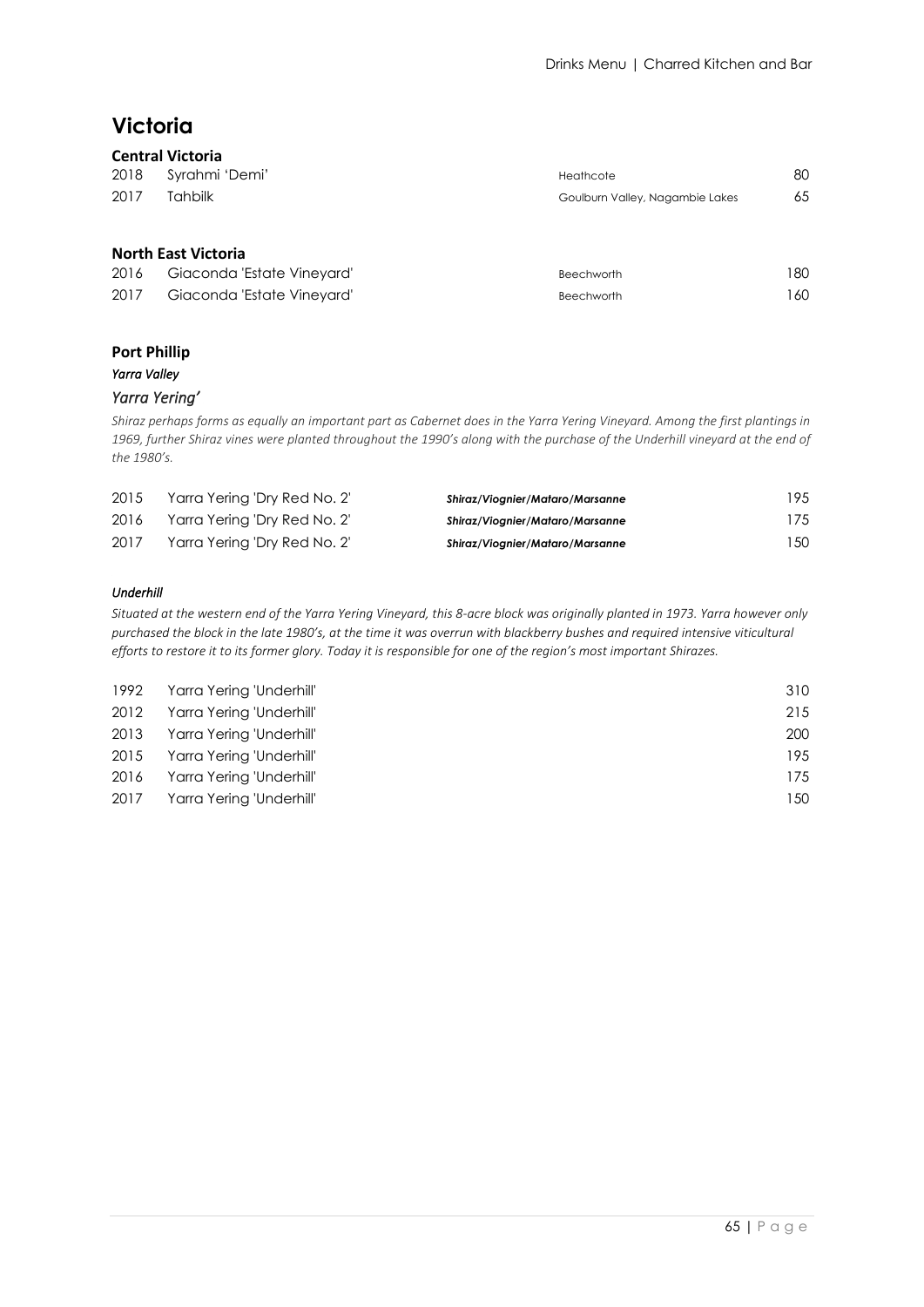# **Victoria**

|      | <b>Central Victoria</b>    |                                 |     |
|------|----------------------------|---------------------------------|-----|
| 2018 | Syrahmi 'Demi'             | Heathcote                       | 80  |
| 2017 | Tahbilk                    | Goulburn Valley, Nagambie Lakes | 65  |
|      | <b>North East Victoria</b> |                                 |     |
| 2016 | Giaconda 'Estate Vineyard' | <b>Beechworth</b>               | 180 |
| 2017 | Giaconda 'Estate Vineyard' | <b>Beechworth</b>               | 160 |

### **Port Phillip**

#### *Yarra Valley*

### *Yarra Yering'*

*Shiraz perhaps forms as equally an important part as Cabernet does in the Yarra Yering Vineyard. Among the first plantings in 1969, further Shiraz vines were planted throughout the 1990's along with the purchase of the Underhill vineyard at the end of the 1980's.*

| 2015 | Yarra Yering 'Dry Red No. 2' | Shiraz/Viognier/Mataro/Marsanne | 195  |
|------|------------------------------|---------------------------------|------|
| 2016 | Yarra Yering 'Dry Red No. 2' | Shiraz/Viognier/Mataro/Marsanne | 175  |
| 2017 | Yarra Yering 'Dry Red No. 2' | Shiraz/Viognier/Mataro/Marsanne | l 50 |

#### *Underhill*

*Situated at the western end of the Yarra Yering Vineyard, this 8-acre block was originally planted in 1973. Yarra however only purchased the block in the late 1980's, at the time it was overrun with blackberry bushes and required intensive viticultural efforts to restore it to its former glory. Today it is responsible for one of the region's most important Shirazes.*

| 1992 | Yarra Yering 'Underhill'      | 310 |
|------|-------------------------------|-----|
| 2012 | Yarra Yering 'Underhill'      | 215 |
| 2013 | Yarra Yering 'Underhill'      | 200 |
|      | 2015 Yarra Yering 'Underhill' | 195 |
| 2016 | Yarra Yering 'Underhill'      | 175 |
| 2017 | Yarra Yering 'Underhill'      | 150 |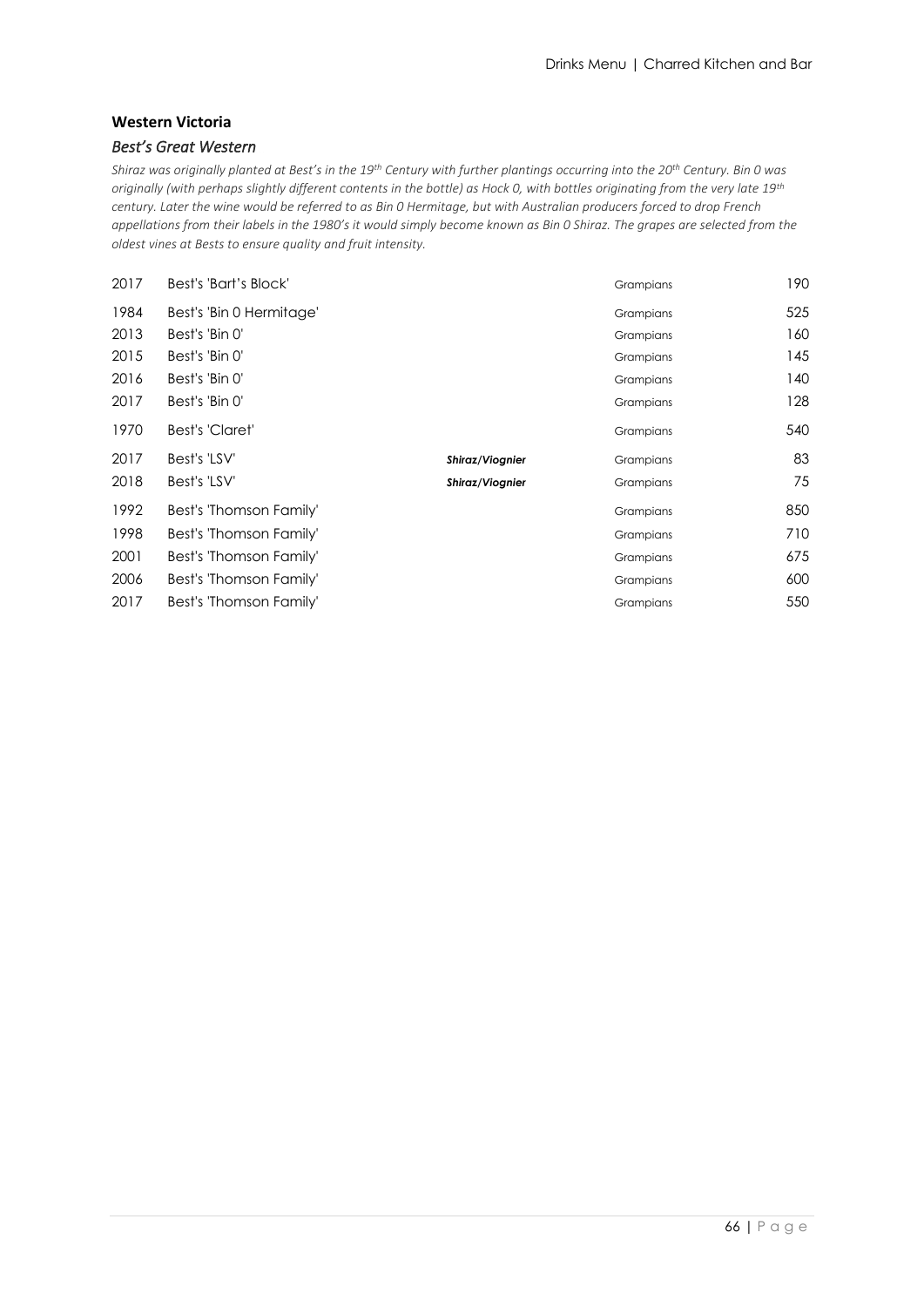### **Western Victoria**

### *Best's Great Western*

*Shiraz was originally planted at Best's in the 19th Century with further plantings occurring into the 20th Century. Bin 0 was originally (with perhaps slightly different contents in the bottle) as Hock 0, with bottles originating from the very late 19th century. Later the wine would be referred to as Bin 0 Hermitage, but with Australian producers forced to drop French appellations from their labels in the 1980's it would simply become known as Bin 0 Shiraz. The grapes are selected from the oldest vines at Bests to ensure quality and fruit intensity.* 

| 2017 | Best's 'Bart's Block'    |                 | Grampians | 190 |
|------|--------------------------|-----------------|-----------|-----|
| 1984 | Best's 'Bin 0 Hermitage' |                 | Grampians | 525 |
| 2013 | Best's 'Bin 0'           |                 | Grampians | 160 |
| 2015 | Best's 'Bin 0'           |                 | Grampians | 145 |
| 2016 | Best's 'Bin 0'           |                 | Grampians | 140 |
| 2017 | Best's 'Bin 0'           |                 | Grampians | 128 |
| 1970 | Best's 'Claret'          |                 | Grampians | 540 |
| 2017 | Best's 'LSV'             | Shiraz/Viognier | Grampians | 83  |
| 2018 | Best's 'LSV'             | Shiraz/Viognier | Grampians | 75  |
| 1992 | Best's 'Thomson Family'  |                 | Grampians | 850 |
| 1998 | Best's 'Thomson Family'  |                 | Grampians | 710 |
| 2001 | Best's 'Thomson Family'  |                 | Grampians | 675 |
| 2006 | Best's 'Thomson Family'  |                 | Grampians | 600 |
| 2017 | Best's 'Thomson Family'  |                 | Grampians | 550 |
|      |                          |                 |           |     |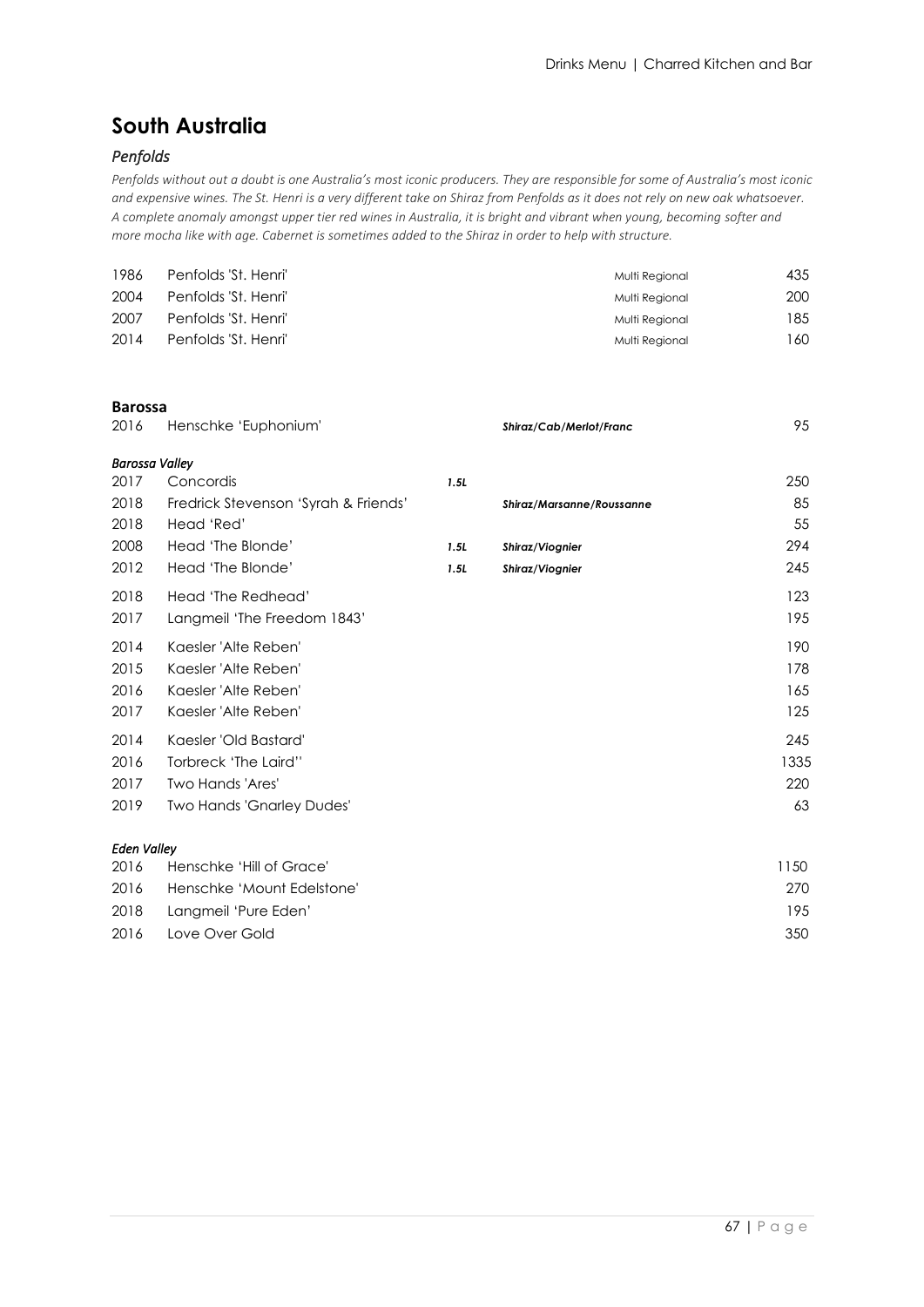## **South Australia**

### *Penfolds*

*Penfolds without out a doubt is one Australia's most iconic producers. They are responsible for some of Australia's most iconic and expensive wines. The St. Henri is a very different take on Shiraz from Penfolds as it does not rely on new oak whatsoever. A complete anomaly amongst upper tier red wines in Australia, it is bright and vibrant when young, becoming softer and more mocha like with age. Cabernet is sometimes added to the Shiraz in order to help with structure.* 

| 1986 | Penfolds 'St. Henri' | Multi Regional | 435 |
|------|----------------------|----------------|-----|
| 2004 | Penfolds 'St. Henri' | Multi Regional | 200 |
| 2007 | Penfolds 'St. Henri' | Multi Regional | 185 |
| 2014 | Penfolds 'St. Henri' | Multi Regional | 60  |

#### **Barossa**

| 2016                  | Henschke 'Euphonium'                 |      | Shiraz/Cab/Merlot/Franc   | 95   |
|-----------------------|--------------------------------------|------|---------------------------|------|
| <b>Barossa Valley</b> |                                      |      |                           |      |
| 2017                  | Concordis                            | 1.5L |                           | 250  |
| 2018                  | Fredrick Stevenson 'Syrah & Friends' |      | Shiraz/Marsanne/Roussanne | 85   |
| 2018                  | Head 'Red'                           |      |                           | 55   |
| 2008                  | Head 'The Blonde'                    | 1.5L | Shiraz/Viognier           | 294  |
| 2012                  | Head 'The Blonde'                    | 1.5L | Shiraz/Viognier           | 245  |
| 2018                  | Head 'The Redhead'                   |      |                           | 123  |
| 2017                  | Langmeil 'The Freedom 1843'          |      |                           | 195  |
| 2014                  | Kaesler 'Alte Reben'                 |      |                           | 190  |
| 2015                  | Kaesler 'Alte Reben'                 |      |                           | 178  |
| 2016                  | Kaesler 'Alte Reben'                 |      |                           | 165  |
| 2017                  | Kaesler 'Alte Reben'                 |      |                           | 125  |
| 2014                  | Kaesler 'Old Bastard'                |      |                           | 245  |
| 2016                  | Torbreck 'The Laird''                |      |                           | 1335 |
| 2017                  | Two Hands 'Ares'                     |      |                           | 220  |
| 2019                  | <b>Two Hands 'Gnarley Dudes'</b>     |      |                           | 63   |
| <b>Eden Valley</b>    |                                      |      |                           |      |
| 2016                  | Henschke 'Hill of Grace'             |      |                           | 1150 |
| 2016                  | Henschke 'Mount Edelstone'           |      |                           | 270  |
| 2018                  | Langmeil 'Pure Eden'                 |      |                           | 195  |
| 2016                  | Love Over Gold                       |      |                           | 350  |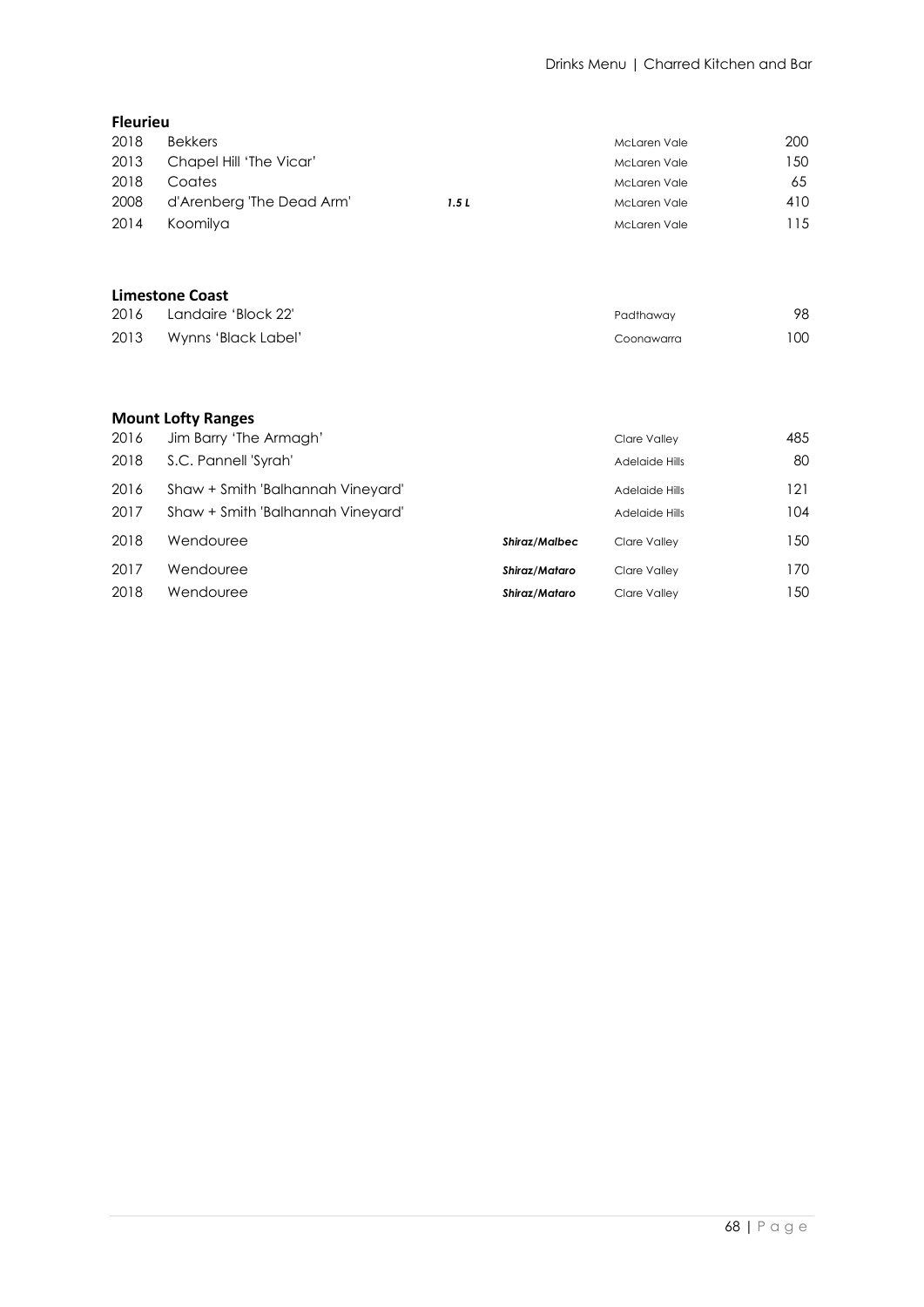| <b>Fleurieu</b> |                           |      |              |     |
|-----------------|---------------------------|------|--------------|-----|
| 2018            | <b>Bekkers</b>            |      | McLaren Vale | 200 |
| 2013            | Chapel Hill 'The Vicar'   |      | McLaren Vale | 150 |
| 2018            | Coates                    |      | McLaren Vale | 65  |
| 2008            | d'Arenberg 'The Dead Arm' | 1.5L | McLaren Vale | 410 |
| 2014            | Koomilya                  |      | McLaren Vale | 115 |
|                 |                           |      |              |     |
|                 |                           |      |              |     |

### **Limestone Coast**

| 2016 | Landaire 'Block 22' | Padthaway  | 98  |
|------|---------------------|------------|-----|
| 2013 | Wynns 'Black Label' | Coonawarra | 100 |

### **Mount Lofty Ranges**

| 2016 | Jim Barry 'The Armagh'            |                      | Clare Valley   | 485 |
|------|-----------------------------------|----------------------|----------------|-----|
| 2018 | S.C. Pannell 'Syrah'              |                      | Adelaide Hills | 80  |
| 2016 | Shaw + Smith 'Balhannah Vineyard' |                      | Adelaide Hills | 121 |
| 2017 | Shaw + Smith 'Balhannah Vineyard' |                      | Adelaide Hills | 104 |
| 2018 | Wendouree                         | <b>Shiraz/Malbec</b> | Clare Valley   | 150 |
| 2017 | Wendouree                         | <b>Shiraz/Mataro</b> | Clare Valley   | 170 |
| 2018 | Wendouree                         | <b>Shiraz/Mataro</b> | Clare Valley   | 50  |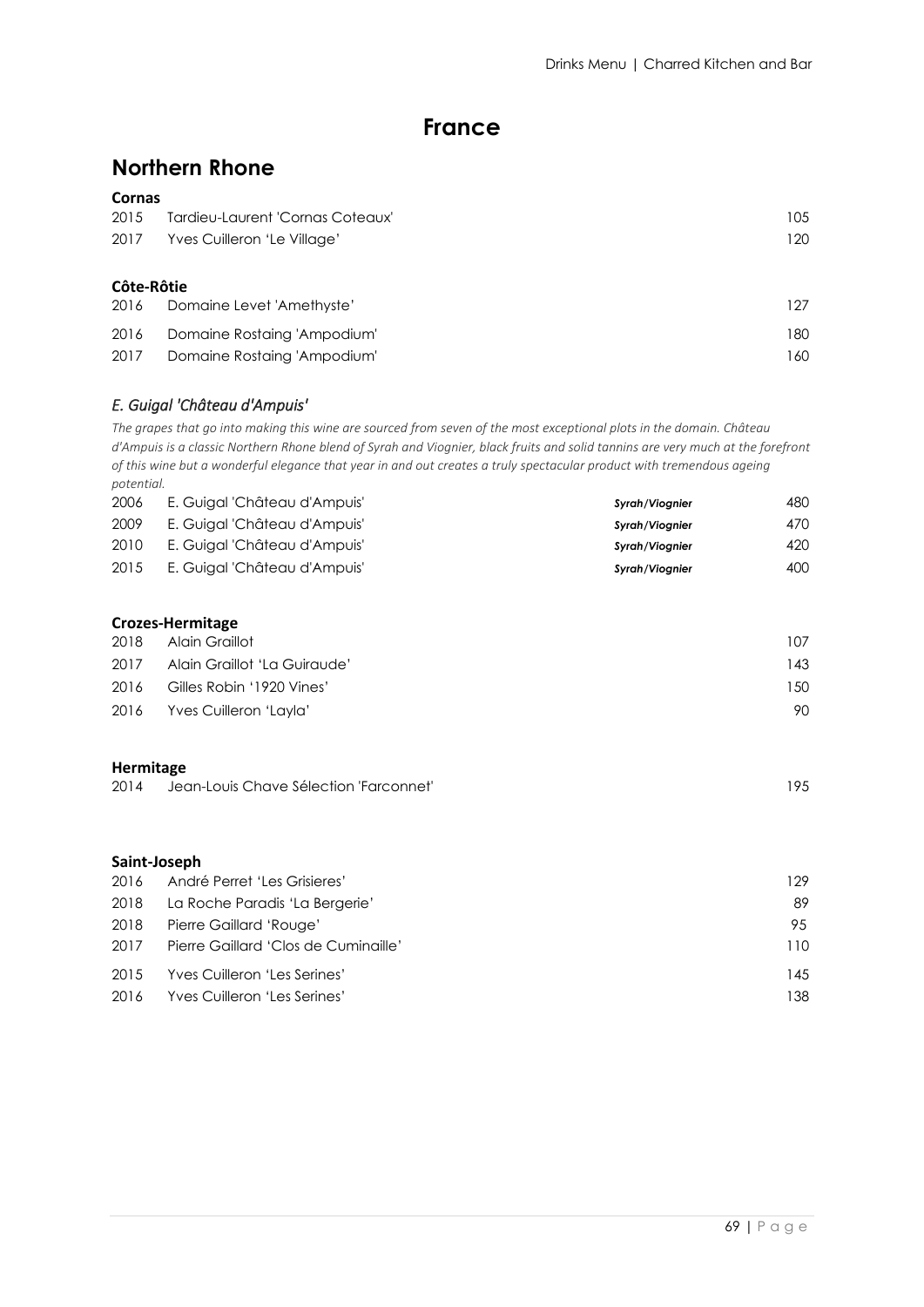# **France**

### **Northern Rhone**

**Cornas**

| cornas     |                                  |     |
|------------|----------------------------------|-----|
| 2015       | Tardieu-Laurent 'Cornas Coteaux' | 105 |
| 2017       | Yves Cuilleron 'Le Village'      |     |
| Côte-Rôtie |                                  |     |
| 2016       | Domaine Levet 'Amethyste'        | 127 |
| 2016       | Domaine Rostaing 'Ampodium'      | 180 |
| 2017       | Domaine Rostaing 'Ampodium'      | 160 |

### *E. Guigal 'Château d'Ampuis'*

*The grapes that go into making this wine are sourced from seven of the most exceptional plots in the domain. Château d'Ampuis is a classic Northern Rhone blend of Syrah and Viognier, black fruits and solid tannins are very much at the forefront of this wine but a wonderful elegance that year in and out creates a truly spectacular product with tremendous ageing potential.* 

| 2006 | E. Guigal 'Château d'Ampuis'   | Syrah/Viognier | 480 |
|------|--------------------------------|----------------|-----|
| 2009 | E. Guigal 'Château d'Ampuis'   | Syrah/Viognier | 470 |
| 2010 | - E. Guigal 'Château d'Ampuis' | Syrah/Viognier | 420 |
| 2015 | E. Guigal 'Château d'Ampuis'   | Syrah/Viognier | 400 |

|      | <b>Crozes-Hermitage</b>      |     |  |  |
|------|------------------------------|-----|--|--|
| 2018 | Alain Graillot               | 107 |  |  |
| 2017 | Alain Graillot 'La Guiraude' | 143 |  |  |
| 2016 | Gilles Robin '1920 Vines'    | 15C |  |  |
| 2016 | Yves Cuilleron 'Layla'       | 90  |  |  |
|      |                              |     |  |  |

#### **Hermitage**

#### **Saint-Joseph**

| 2016 André Perret 'Les Grisieres'         | 129. |
|-------------------------------------------|------|
| 2018 La Roche Paradis 'La Bergerie'       | 89   |
| 2018 Pierre Gaillard 'Rouge'              | 9.5  |
| 2017 Pierre Gaillard 'Clos de Cuminaille' | 110  |
| 2015 Yves Cuilleron 'Les Serines'         | 145  |
| 2016 Yves Cuilleron 'Les Serines'         | 138  |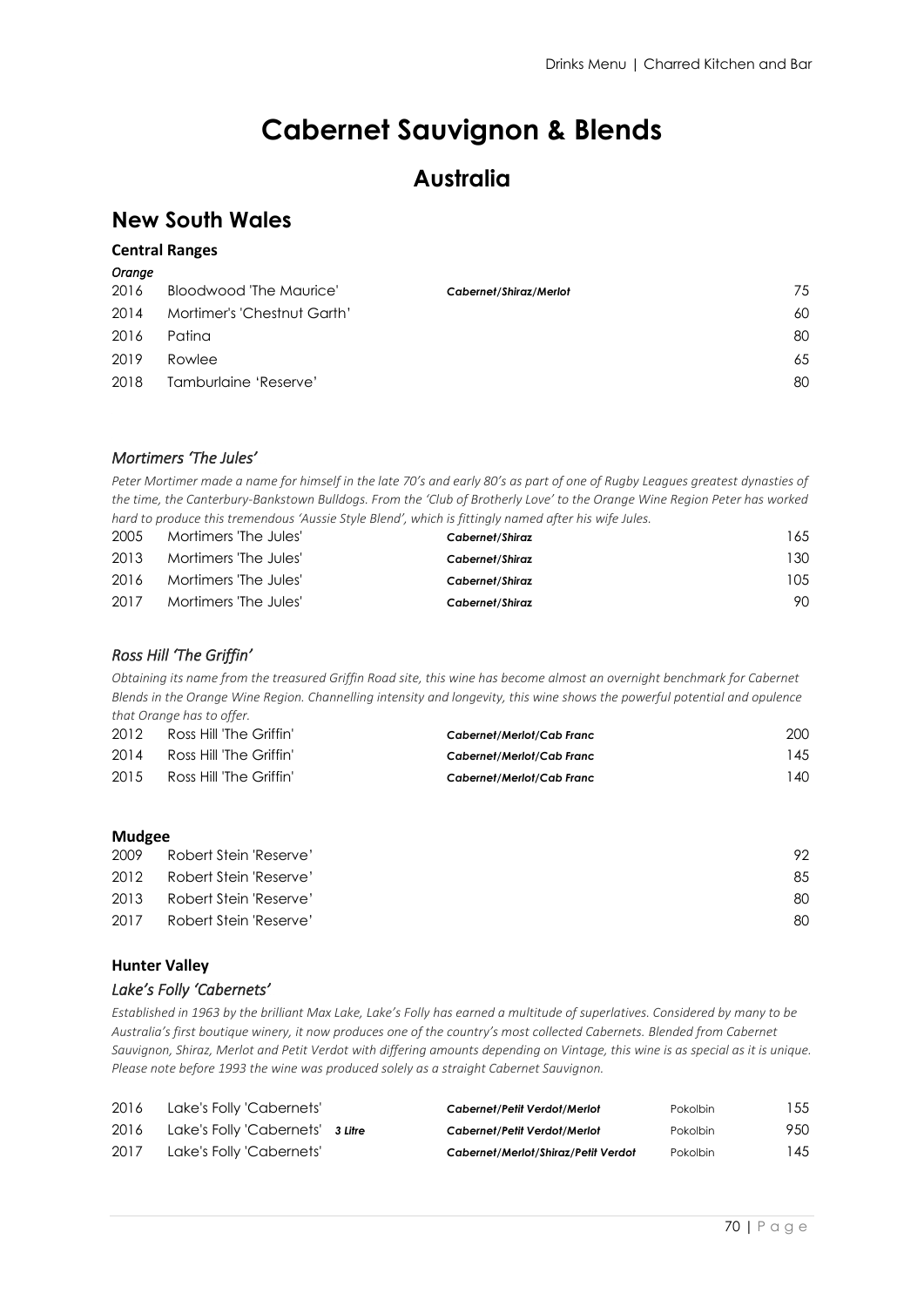# **Cabernet Sauvignon & Blends**

## **Australia**

### **New South Wales**

### **Central Ranges**

*Orange* 

| 2016 | <b>Bloodwood 'The Maurice'</b> | Cabernet/Shiraz/Merlot | 75 |
|------|--------------------------------|------------------------|----|
| 2014 | Mortimer's 'Chestnut Garth'    |                        | 60 |
| 2016 | Patina                         |                        | 80 |
| 2019 | Rowlee                         |                        | 65 |
| 2018 | Tamburlaine 'Reserve'          |                        | 80 |

### *Mortimers 'The Jules'*

Peter Mortimer made a name for himself in the late 70's and early 80's as part of one of Rugby Leagues greatest dynasties of *the time, the Canterbury-Bankstown Bulldogs. From the 'Club of Brotherly Love' to the Orange Wine Region Peter has worked hard to produce this tremendous 'Aussie Style Blend', which is fittingly named after his wife Jules.* 

| 2005 | Mortimers 'The Jules' | Cabernet/Shiraz | 165 |
|------|-----------------------|-----------------|-----|
| 2013 | Mortimers 'The Jules' | Cabernet/Shiraz | 130 |
| 2016 | Mortimers 'The Jules' | Cabernet/Shiraz | 105 |
| 2017 | Mortimers 'The Jules' | Cabernet/Shiraz | 90  |

### *Ross Hill 'The Griffin'*

*Obtaining its name from the treasured Griffin Road site, this wine has become almost an overnight benchmark for Cabernet Blends in the Orange Wine Region. Channelling intensity and longevity, this wine shows the powerful potential and opulence that Orange has to offer.* 

| 2012 | Ross Hill 'The Griffin' | Cabernet/Merlot/Cab Franc | 200 |
|------|-------------------------|---------------------------|-----|
| 2014 | Ross Hill 'The Griffin' | Cabernet/Merlot/Cab Franc | 45  |
| 2015 | Ross Hill 'The Griffin' | Cabernet/Merlot/Cab Franc | 40  |

#### **Mudgee**

| 2009 | Robert Stein 'Reserve'      | 92 |
|------|-----------------------------|----|
| 2012 | Robert Stein 'Reserve'      | 85 |
|      | 2013 Robert Stein 'Reserve' | 80 |
| 2017 | Robert Stein 'Reserve'      | 80 |
|      |                             |    |

### **Hunter Valley**

### *Lake's Folly 'Cabernets'*

*Established in 1963 by the brilliant Max Lake, Lake's Folly has earned a multitude of superlatives. Considered by many to be Australia's first boutique winery, it now produces one of the country's most collected Cabernets. Blended from Cabernet Sauvignon, Shiraz, Merlot and Petit Verdot with differing amounts depending on Vintage, this wine is as special as it is unique. Please note before 1993 the wine was produced solely as a straight Cabernet Sauvignon.* 

| 2017 | Lake's Folly 'Cabernets'         | Cabernet/Merlot/Shiraz/Petit Verdot | Pokolbin        | 145 |
|------|----------------------------------|-------------------------------------|-----------------|-----|
| 2016 | Lake's Folly 'Cabernets' 3 Litre | Cabernet/Petit Verdot/Merlot        | Pokolbin        | 950 |
| 2016 | Lake's Folly 'Cabernets'         | Cabernet/Petit Verdot/Merlot        | <b>Pokolbin</b> | 155 |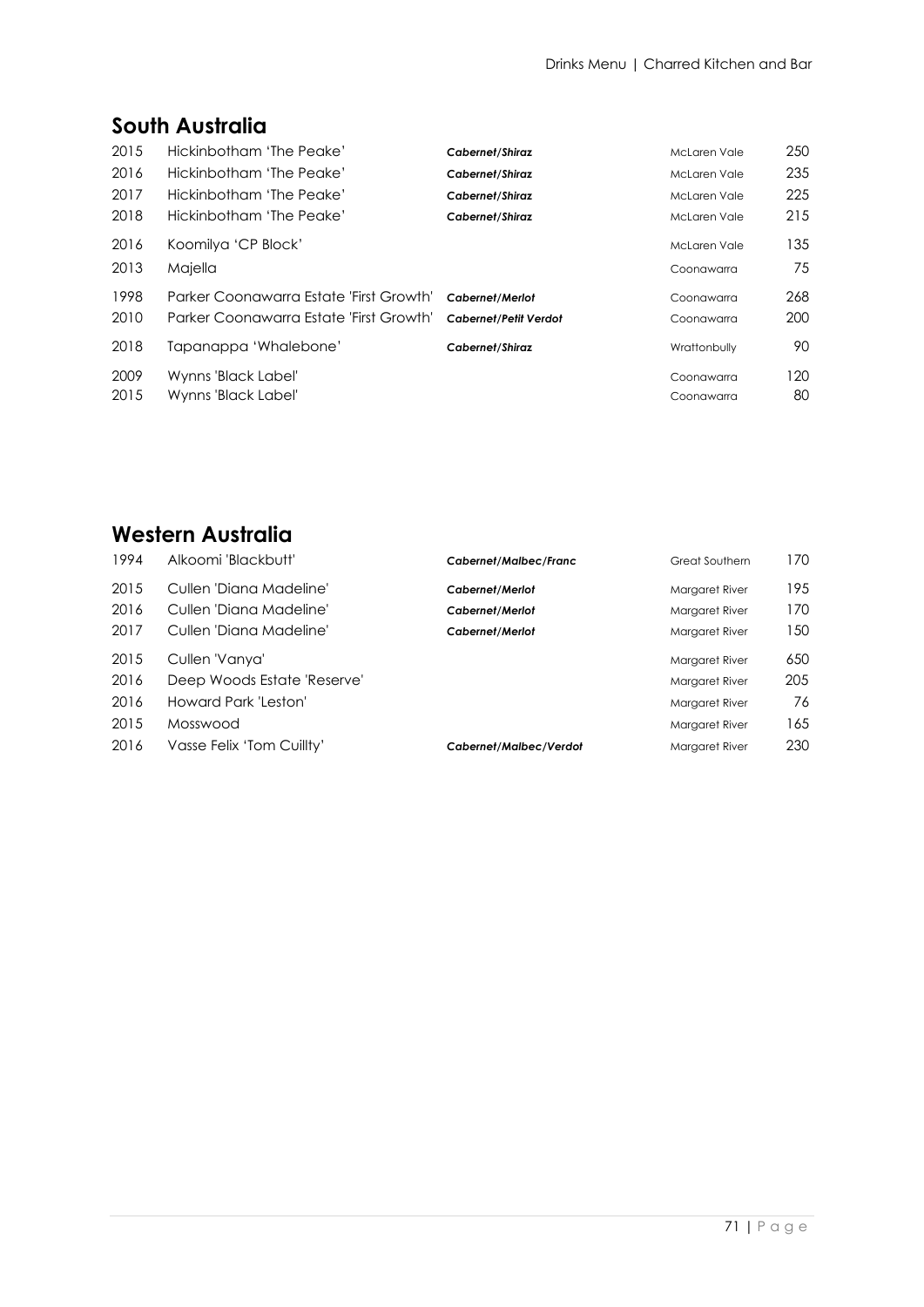### **South Australia**

| 2015         | Hickinbotham 'The Peake'                                                           | Cabernet/Shiraz                                        | McLaren Vale               | 250        |
|--------------|------------------------------------------------------------------------------------|--------------------------------------------------------|----------------------------|------------|
| 2016         | Hickinbotham 'The Peake'                                                           | Cabernet/Shiraz                                        | McLaren Vale               | 235        |
| 2017         | Hickinbotham 'The Peake'                                                           | Cabernet/Shiraz                                        | McLaren Vale               | 225        |
| 2018         | Hickinbotham 'The Peake'                                                           | Cabernet/Shiraz                                        | McLaren Vale               | 215        |
| 2016<br>2013 | Koomilya 'CP Block'<br>Majella                                                     |                                                        | McLaren Vale<br>Coonawarra | 135<br>75  |
| 1998<br>2010 | Parker Coonawarra Estate 'First Growth'<br>Parker Coonawarra Estate 'First Growth' | <b>Cabernet/Merlot</b><br><b>Cabernet/Petit Verdot</b> | Coonawarra<br>Coonawarra   | 268<br>200 |
| 2018         | Tapanappa 'Whalebone'                                                              | Cabernet/Shiraz                                        | Wrattonbully               | 90         |
| 2009<br>2015 | Wynns 'Black Label'<br>Wynns 'Black Label'                                         |                                                        | Coonawarra<br>Coonawarra   | 120<br>80  |

## **Western Australia**

| 1994 | Alkoomi 'Blackbutt'         | Cabernet/Malbec/Franc  | <b>Great Southern</b> | 170 |
|------|-----------------------------|------------------------|-----------------------|-----|
| 2015 | Cullen 'Diana Madeline'     | Cabernet/Merlot        | Margaret River        | 195 |
| 2016 | Cullen 'Diana Madeline'     | Cabernet/Merlot        | Margaret River        | 170 |
| 2017 | Cullen 'Diana Madeline'     | Cabernet/Merlot        | Margaret River        | 150 |
| 2015 | Cullen 'Vanya'              |                        | <b>Margaret River</b> | 650 |
| 2016 | Deep Woods Estate 'Reserve' |                        | <b>Margaret River</b> | 205 |
| 2016 | Howard Park 'Leston'        |                        | Margaret River        | 76  |
| 2015 | Mosswood                    |                        | Margaret River        | 165 |
| 2016 | Vasse Felix 'Tom Cuillty'   | Cabernet/Malbec/Verdot | Margaret River        | 230 |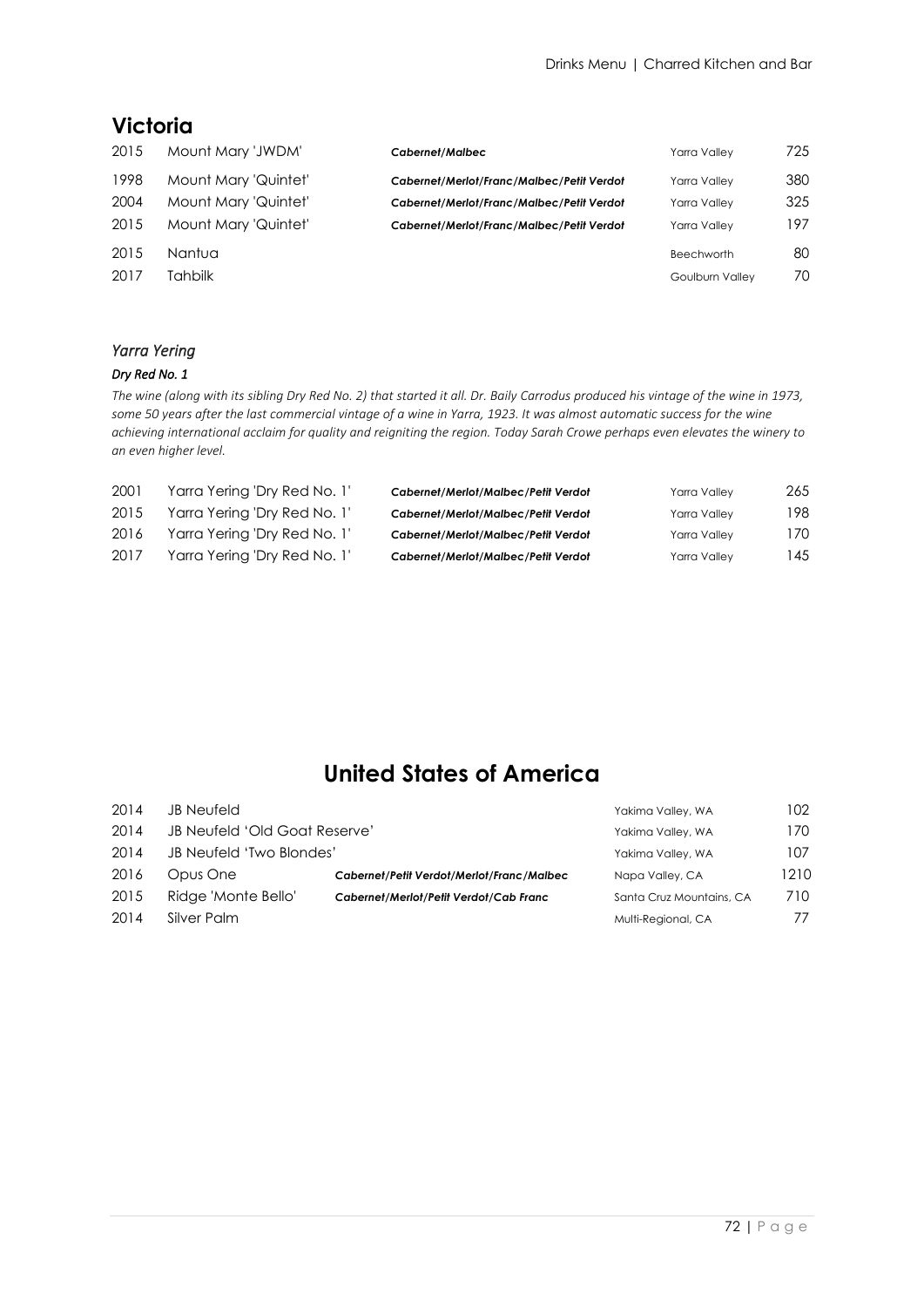### **Victoria**

| 2015 | Mount Mary 'JWDM'    | Cabernet/Malbec                           | Yarra Vallev      | 725 |
|------|----------------------|-------------------------------------------|-------------------|-----|
| 1998 | Mount Mary 'Quintet' | Cabernet/Merlot/Franc/Malbec/Petit Verdot | Yarra Vallev      | 380 |
| 2004 | Mount Mary 'Quintet' | Cabernet/Merlot/Franc/Malbec/Petit Verdot | Yarra Vallev      | 325 |
| 2015 | Mount Mary 'Quintet' | Cabernet/Merlot/Franc/Malbec/Petit Verdot | Yarra Vallev      | 197 |
| 2015 | Nantua               |                                           | <b>Beechworth</b> | 80  |
| 2017 | Tahbilk              |                                           | Goulburn Valley   | 70  |

### *Yarra Yering*

### *Dry Red No. 1*

*The wine (along with its sibling Dry Red No. 2) that started it all. Dr. Baily Carrodus produced his vintage of the wine in 1973, some 50 years after the last commercial vintage of a wine in Yarra, 1923. It was almost automatic success for the wine achieving international acclaim for quality and reigniting the region. Today Sarah Crowe perhaps even elevates the winery to an even higher level.*

| 2001 | Yarra Yering 'Dry Red No. 1' | Cabernet/Merlot/Malbec/Petit Verdot | Yarra Valley | 265 |
|------|------------------------------|-------------------------------------|--------------|-----|
| 2015 | Yarra Yering 'Dry Red No. 1' | Cabernet/Merlot/Malbec/Petit Verdot | Yarra Valley | 198 |
| 2016 | Yarra Yering 'Dry Red No. 1' | Cabernet/Merlot/Malbec/Petit Verdot | Yarra Vallev | 170 |
| 2017 | Yarra Yering 'Dry Red No. 1' | Cabernet/Merlot/Malbec/Petit Verdot | Yarra Vallev | 145 |

## **United States of America**

| 2014 | JB Neufeld                    |                                           | Yakima Valley, WA        | 102  |
|------|-------------------------------|-------------------------------------------|--------------------------|------|
| 2014 | JB Neufeld 'Old Goat Reserve' |                                           | Yakima Valley, WA        | 170  |
| 2014 | JB Neufeld 'Two Blondes'      |                                           | Yakima Vallev, WA        | 107  |
| 2016 | Opus One                      | Cabernet/Petit Verdot/Merlot/Franc/Malbec | Napa Valley, CA          | 121C |
| 2015 | Ridge 'Monte Bello'           | Cabernet/Merlot/Petit Verdot/Cab Franc    | Santa Cruz Mountains, CA | 710  |
| 2014 | Silver Palm                   |                                           | Multi-Regional, CA       | 77   |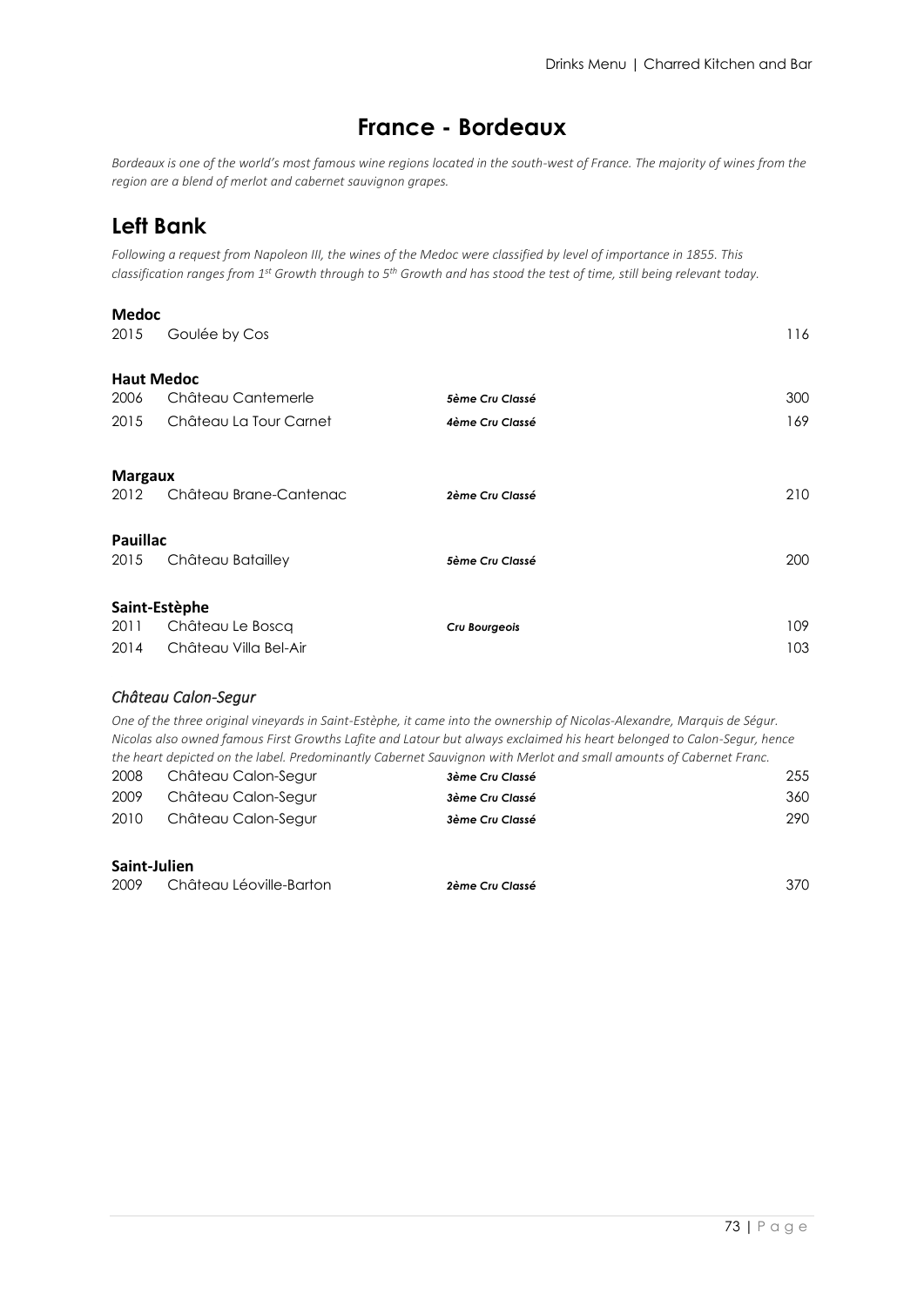### **France - Bordeaux**

*Bordeaux is one of the world's most famous wine regions located in the south-west of France. The majority of wines from the region are a blend of merlot and cabernet sauvignon grapes.* 

### **Left Bank**

*Following a request from Napoleon III, the wines of the Medoc were classified by level of importance in 1855. This classification ranges from 1st Growth through to 5th Growth and has stood the test of time, still being relevant today.* 

#### **Medoc**

| 2015            | Goulée by Cos          |                        | 116 |
|-----------------|------------------------|------------------------|-----|
|                 | <b>Haut Medoc</b>      |                        |     |
| 2006            | Château Cantemerle     | <b>5ème Cru Classé</b> | 300 |
| 2015            | Château La Tour Carnet | 4ème Cru Classé        | 169 |
| <b>Margaux</b>  |                        |                        |     |
| 2012            | Château Brane-Cantenac | 2ème Cru Classé        | 210 |
| <b>Pauillac</b> |                        |                        |     |
| 2015            | Château Batailley      | <b>5ème Cru Classé</b> | 200 |
|                 | Saint-Estèphe          |                        |     |
| 2011            | Château Le Boscq       | Cru Bourgeois          | 109 |
| 2014            | Château Villa Bel-Air  |                        | 103 |

#### *Château Calon-Segur*

*One of the three original vineyards in Saint-Estèphe, it came into the ownership of Nicolas-Alexandre, Marquis de Ségur. Nicolas also owned famous First Growths Lafite and Latour but always exclaimed his heart belonged to Calon-Segur, hence the heart depicted on the label. Predominantly Cabernet Sauvignon with Merlot and small amounts of Cabernet Franc.* 

| 2008 Château Calon-Segur | 3ème Cru Classé | 255 |
|--------------------------|-----------------|-----|
| 2009 Château Calon-Segur | 3ème Cru Classé | 360 |
| 2010 Château Calon-Segur | 3ème Cru Classé | 290 |

#### **Saint-Julien**

| 2009 | Château Léoville-Barton |  |
|------|-------------------------|--|
|      |                         |  |

2009 Château Léoville-Barton *2ème Cru Classé* 370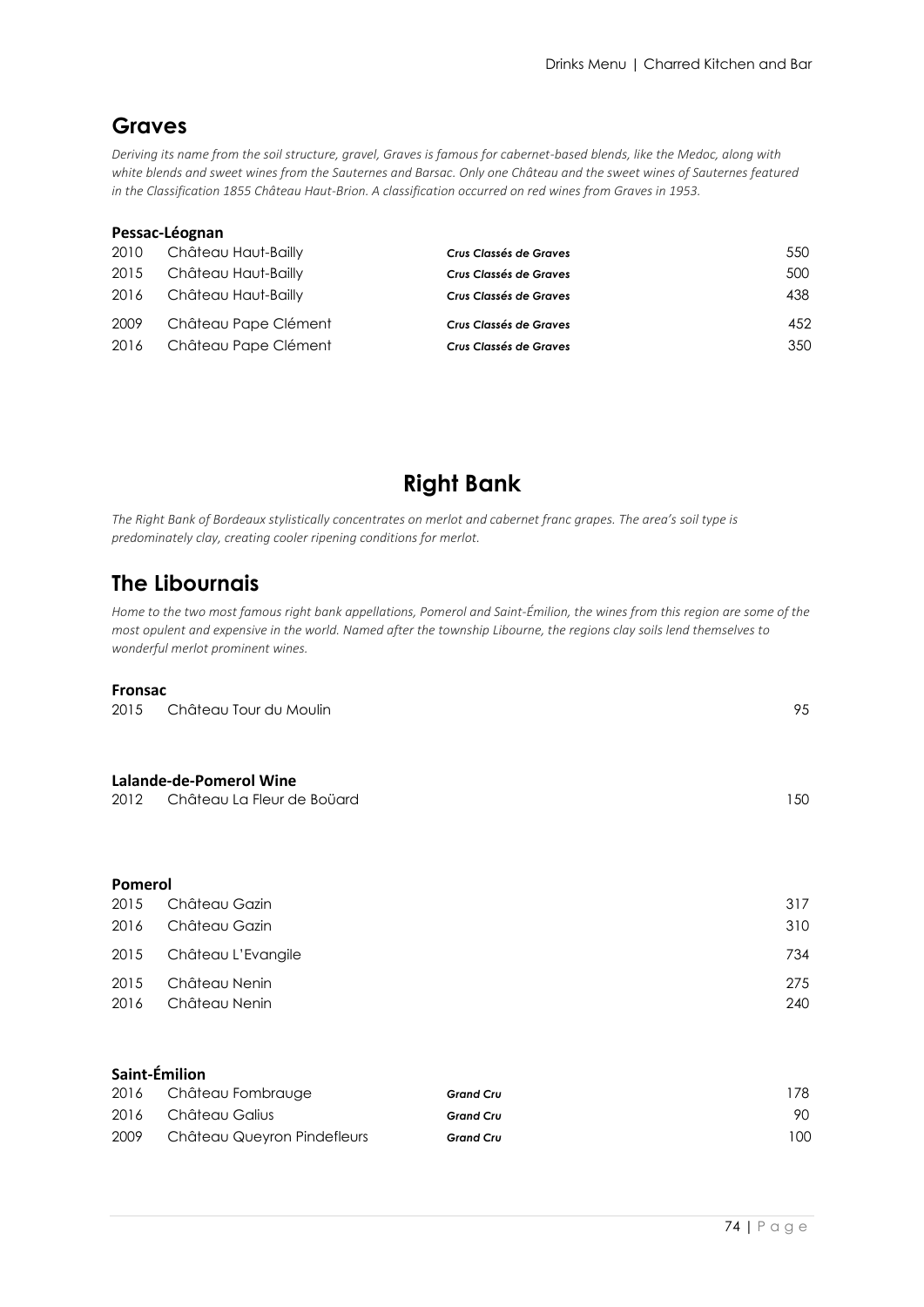### **Graves**

*Deriving its name from the soil structure, gravel, Graves is famous for cabernet-based blends, like the Medoc, along with white blends and sweet wines from the Sauternes and Barsac. Only one Château and the sweet wines of Sauternes featured in the Classification 1855 Château Haut-Brion. A classification occurred on red wines from Graves in 1953.* 

#### **Pessac-Léognan**

| 2010 | Château Haut-Bailly  | Crus Classés de Graves | 550 |
|------|----------------------|------------------------|-----|
| 2015 | Château Haut-Bailly  | Crus Classés de Graves | 500 |
| 2016 | Château Haut-Bailly  | Crus Classés de Graves | 438 |
| 2009 | Château Pape Clément | Crus Classés de Graves | 452 |
| 2016 | Château Pape Clément | Crus Classés de Graves | 350 |

### **Right Bank**

*The Right Bank of Bordeaux stylistically concentrates on merlot and cabernet franc grapes. The area's soil type is predominately clay, creating cooler ripening conditions for merlot.* 

### **The Libournais**

*Home to the two most famous right bank appellations, Pomerol and Saint-Émilion, the wines from this region are some of the most opulent and expensive in the world. Named after the township Libourne, the regions clay soils lend themselves to wonderful merlot prominent wines.* 

### **Fronsac**

| 2015                    | Château Tour du Moulin                                | 95         |
|-------------------------|-------------------------------------------------------|------------|
| 2012                    | Lalande-de-Pomerol Wine<br>Château La Fleur de Boüard | 150        |
| Pomerol<br>2015<br>2016 | Château Gazin<br>Château Gazin                        | 317<br>310 |
| 2015                    | Château L'Evangile                                    | 734        |
| 2015<br>2016            | Château Nenin<br>Château Nenin                        | 275<br>240 |

#### **Saint-Émilion**

| 2016 Château Fombrauge           | <b>Grand Cru</b> | 178   |
|----------------------------------|------------------|-------|
| 2016 Château Galius              | <b>Grand Cru</b> | 90    |
| 2009 Château Queyron Pindefleurs | <b>Grand Cru</b> | 1 O.C |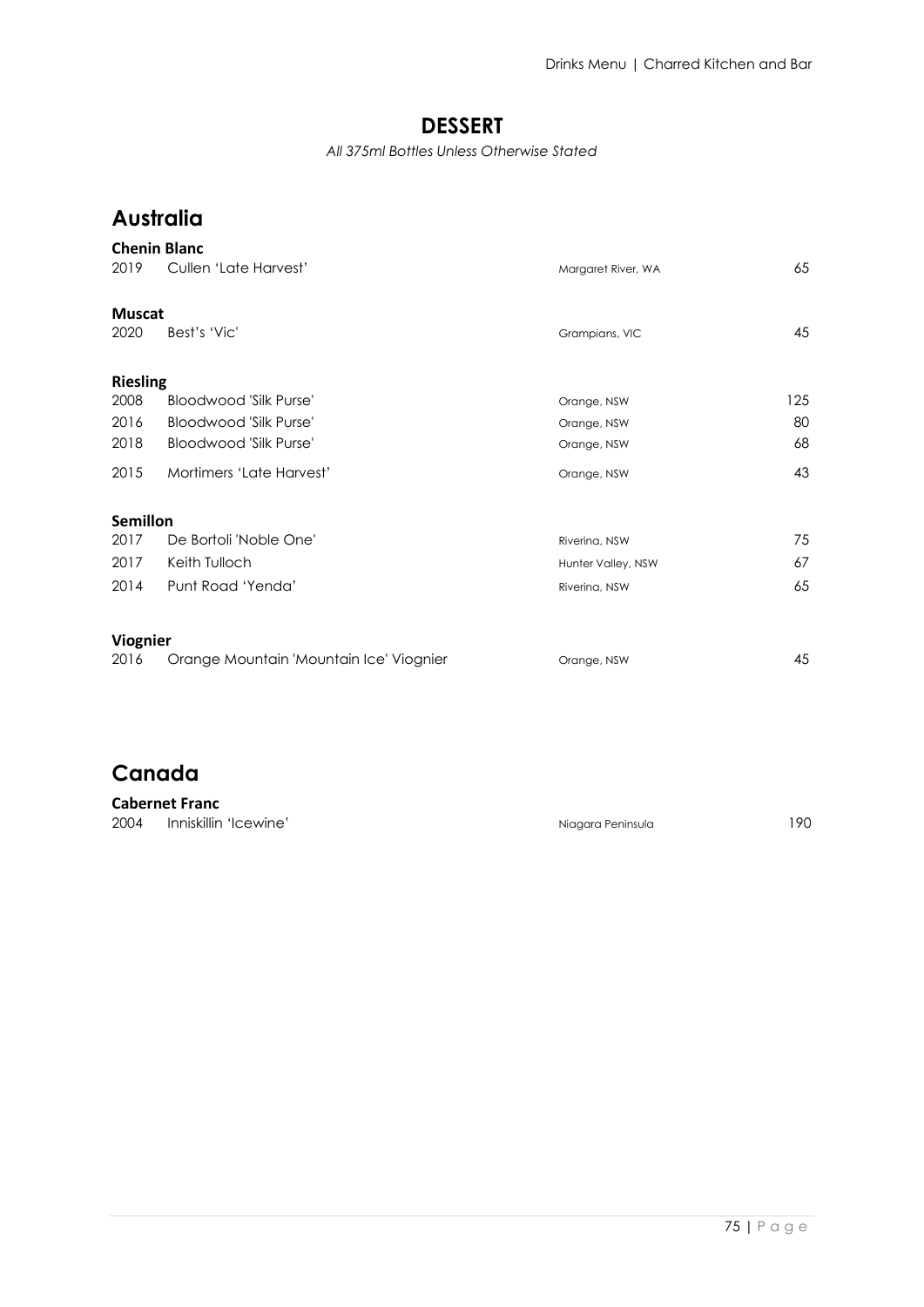### **DESSERT**

*All 375ml Bottles Unless Otherwise Stated*

### **Australia**

| <b>Chenin Blanc</b> |                                         |                    |     |
|---------------------|-----------------------------------------|--------------------|-----|
| 2019                | Cullen 'Late Harvest'                   | Margaret River, WA | 65  |
| <b>Muscat</b>       |                                         |                    |     |
| 2020                | Best's 'Vic'                            | Grampians, VIC     | 45  |
| <b>Riesling</b>     |                                         |                    |     |
| 2008                | Bloodwood 'Silk Purse'                  | Orange, NSW        | 125 |
| 2016                | Bloodwood 'Silk Purse'                  | Orange, NSW        | 80  |
| 2018                | Bloodwood 'Silk Purse'                  | Orange, NSW        | 68  |
| 2015                | Mortimers 'Late Harvest'                | Orange, NSW        | 43  |
| Semillon            |                                         |                    |     |
| 2017                | De Bortoli 'Noble One'                  | Riverina, NSW      | 75  |
| 2017                | Keith Tulloch                           | Hunter Valley, NSW | 67  |
| 2014                | Punt Road 'Yenda'                       | Riverina, NSW      | 65  |
| Viognier            |                                         |                    |     |
| 2016                | Orange Mountain 'Mountain Ice' Viognier | Orange, NSW        | 45  |

### **Canada**

| <b>Cabernet Franc</b>      |                   |     |
|----------------------------|-------------------|-----|
| 2004 Inniskillin 'Icewine' | Niagara Peninsula | 190 |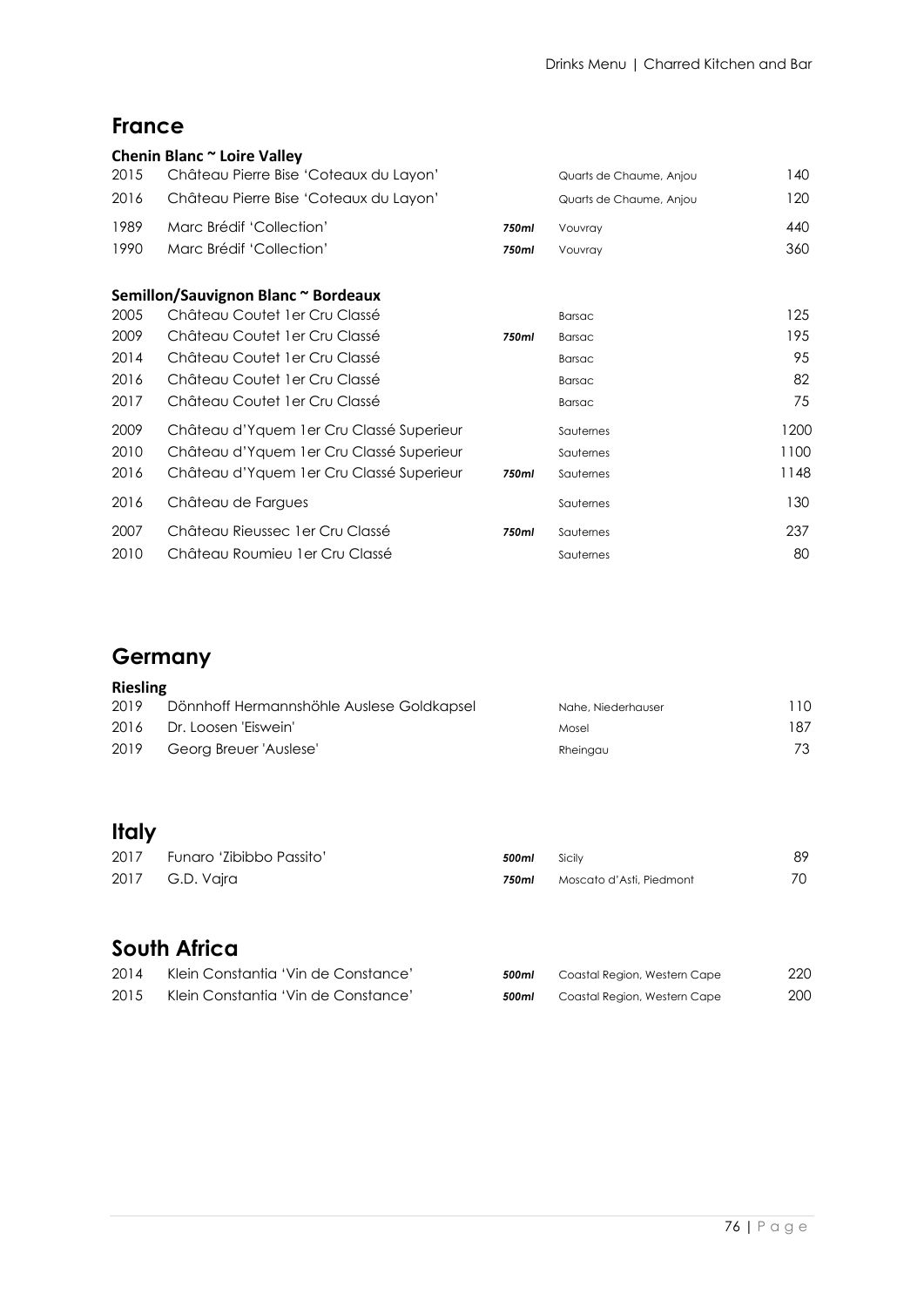### **France**

|      | Chenin Blanc ~ Loire Valley               |       |                         |      |
|------|-------------------------------------------|-------|-------------------------|------|
| 2015 | Château Pierre Bise 'Coteaux du Layon'    |       | Quarts de Chaume, Anjou | 140  |
| 2016 | Château Pierre Bise 'Coteaux du Layon'    |       | Quarts de Chaume, Anjou | 120  |
| 1989 | Marc Brédif 'Collection'                  | 750ml | Vouvray                 | 440  |
| 1990 | Marc Brédif 'Collection'                  | 750ml | Vouvray                 | 360  |
|      | Semillon/Sauvignon Blanc ~ Bordeaux       |       |                         |      |
| 2005 | Château Coutet Ter Cru Classé             |       | <b>Barsac</b>           | 125  |
| 2009 | Château Coutet Ter Cru Classé             | 750ml | Barsac                  | 195  |
| 2014 | Château Coutet Ter Cru Classé             |       | Barsac                  | 95   |
| 2016 | Château Coutet 1 er Cru Classé            |       | Barsac                  | 82   |
| 2017 | Château Coutet Ter Cru Classé             |       | Barsac                  | 75   |
| 2009 | Château d'Yquem 1 er Cru Classé Superieur |       | Sauternes               | 1200 |
| 2010 | Château d'Yquem 1 er Cru Classé Superieur |       | Sauternes               | 1100 |
| 2016 | Château d'Yquem 1 er Cru Classé Superieur | 750ml | Sauternes               | 1148 |
| 2016 | Château de Fargues                        |       | Sauternes               | 130  |
| 2007 | Château Rieussec 1 er Cru Classé          | 750ml | Sauternes               | 237  |
| 2010 | Château Roumieu 1 er Cru Classé           |       | Sauternes               | 80   |

### **Germany**

| <b>Riesling</b> |                                           |                    |      |  |
|-----------------|-------------------------------------------|--------------------|------|--|
| 2019            | Dönnhoff Hermannshöhle Auslese Goldkapsel | Nahe, Niederhauser | l 10 |  |
| 2016            | Dr. Loosen 'Eiswein'                      | Mosel              | 187  |  |
| 2019            | Georg Breuer 'Auslese'                    | Rheingau           | 73   |  |

# **Italy**

| 2017 Funaro 'Zibibbo Passito' | 500ml | Sicily                                |    |
|-------------------------------|-------|---------------------------------------|----|
| 2017 G.D. Vajra               |       | <b>750ml</b> Moscato d'Asti, Piedmont | 70 |

### **South Africa**

| 2014 | Klein Constantia 'Vin de Constance' | 500ml | Coastal Region, Western Cape | 220 |
|------|-------------------------------------|-------|------------------------------|-----|
| 2015 | Klein Constantia 'Vin de Constance' | 500ml | Coastal Region, Western Cape | 200 |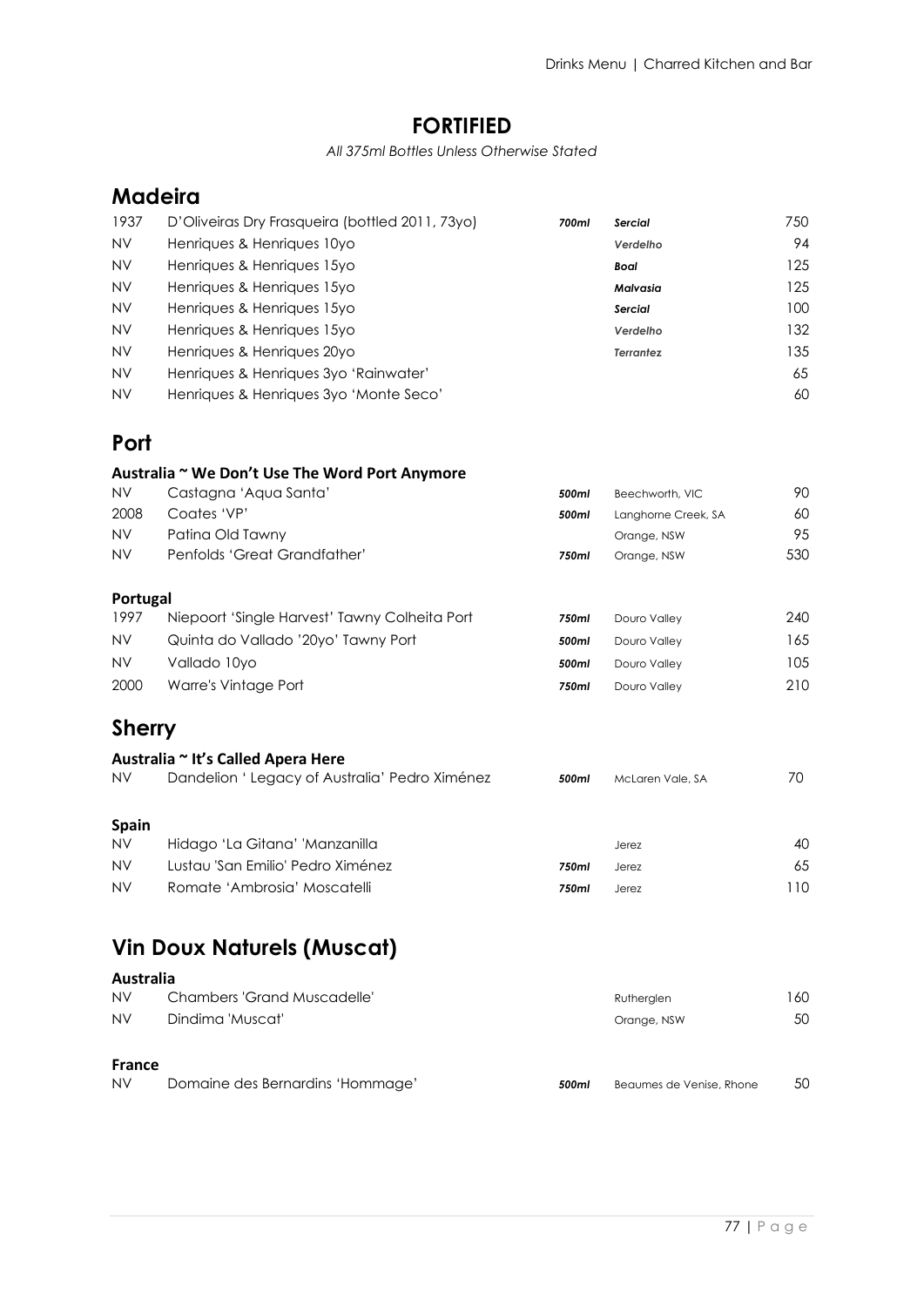### **FORTIFIED**

*All 375ml Bottles Unless Otherwise Stated*

### **Madeira**

| 1937      | D'Oliveiras Dry Frasqueira (bottled 2011, 73yo) | 700ml | Sercial          | 750 |
|-----------|-------------------------------------------------|-------|------------------|-----|
| <b>NV</b> | Henriques & Henriques 10yo                      |       | Verdelho         | 94  |
| <b>NV</b> | Henriques & Henriques 15yo                      |       | Boal             | 125 |
| <b>NV</b> | Henriques & Henriques 15yo                      |       | Malvasia         | 125 |
| <b>NV</b> | Henriques & Henriques 15yo                      |       | Sercial          | 100 |
| <b>NV</b> | Henriques & Henriques 15yo                      |       | Verdelho         | 132 |
| <b>NV</b> | Henriques & Henriques 20yo                      |       | <b>Terrantez</b> | 135 |
| <b>NV</b> | Henriques & Henriques 3yo 'Rainwater'           |       |                  | 65  |
| <b>NV</b> | Henriques & Henriques 3yo 'Monte Seco'          |       |                  | 60  |

### **Port**

|           | Australia ~ We Don't Use The Word Port Anymore |       |                     |     |
|-----------|------------------------------------------------|-------|---------------------|-----|
| <b>NV</b> | Castagna 'Aqua Santa'                          | 500ml | Beechworth, VIC     | 90  |
| 2008      | Coates 'VP'                                    | 500ml | Langhorne Creek, SA | 60  |
| <b>NV</b> | Patina Old Tawny                               |       | Orange, NSW         | 95  |
| <b>NV</b> | Penfolds 'Great Grandfather'                   | 750ml | Orange, NSW         | 530 |
| Portugal  |                                                |       |                     |     |
| 1997      | Niepoort 'Single Harvest' Tawny Colheita Port  | 750ml | Douro Valley        | 240 |
| <b>NV</b> | Quinta do Vallado '20yo' Tawny Port            | 500ml | Douro Valley        | 165 |
| <b>NV</b> | Vallado 10yo                                   | 500ml | Douro Valley        | 105 |
| 2000      | Warre's Vintage Port                           | 750ml | Douro Valley        | 210 |

### **Sherry**

#### **Australia ~ It's Called Apera Here**

| <b>NV</b>    | Dandelion 'Legacy of Australia' Pedro Ximénez | 500ml | McLaren Vale, SA | 70  |
|--------------|-----------------------------------------------|-------|------------------|-----|
| <b>Spain</b> |                                               |       |                  |     |
| <b>NV</b>    | Hidago 'La Gitana' 'Manzanilla                |       | Jerez            | 40  |
| <b>NV</b>    | Lustau 'San Emilio' Pedro Ximénez             | 750ml | Jerez            | 65  |
| <b>NV</b>    | Romate 'Ambrosia' Moscatelli                  | 750ml | Jerez            | 110 |

### **Vin Doux Naturels (Muscat)**

| <b>Australia</b> |                                    |       |                          |     |
|------------------|------------------------------------|-------|--------------------------|-----|
| <b>NV</b>        | <b>Chambers 'Grand Muscadelle'</b> |       | Rutherglen               | 160 |
| <b>NV</b>        | Dindima 'Muscat'                   |       | Orange, NSW              | 50  |
| France           |                                    |       |                          |     |
| <b>NV</b>        | Domaine des Bernardins 'Hommage'   | 500ml | Beaumes de Venise, Rhone | 50  |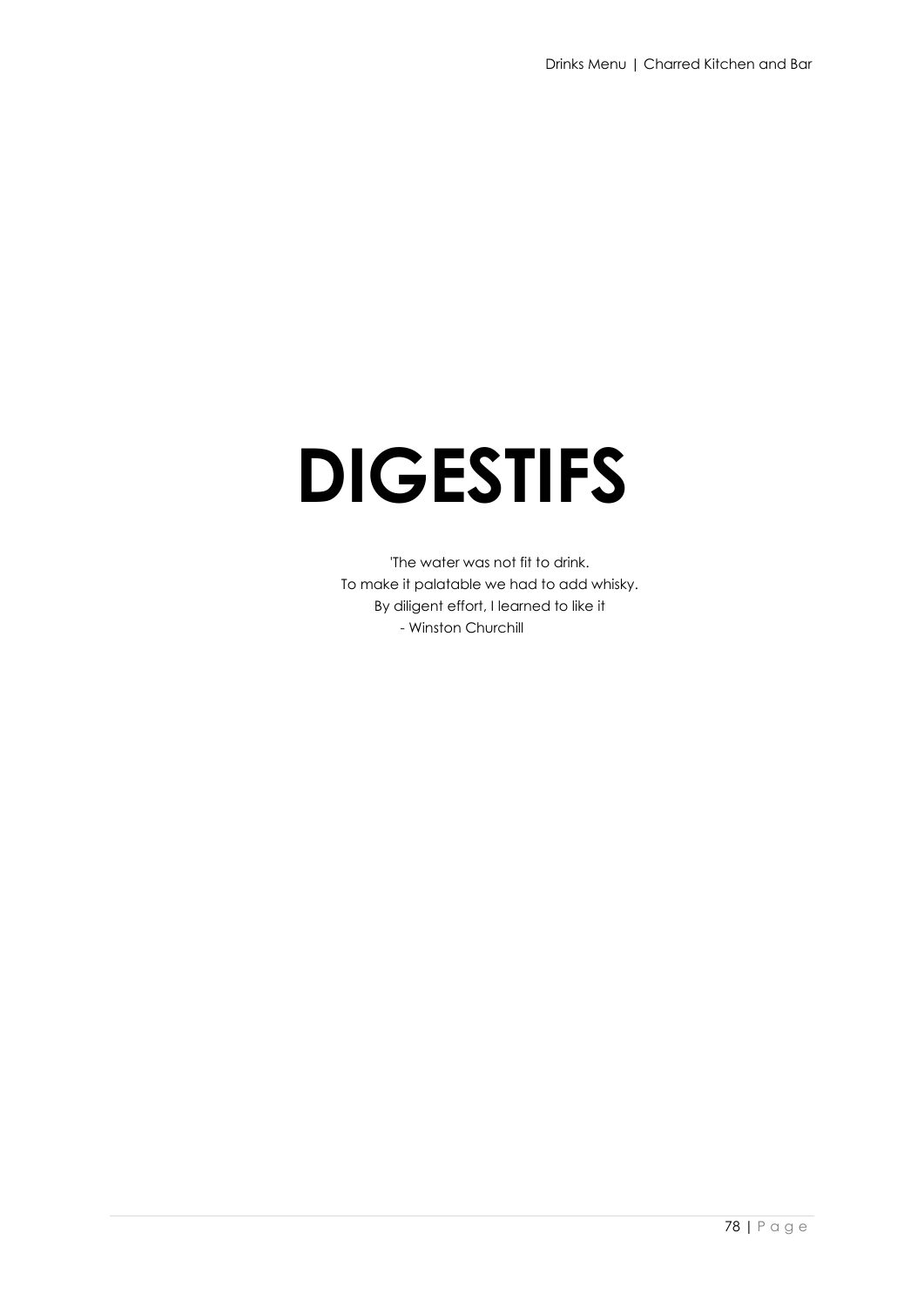# **DIGESTIFS**

'The water was not fit to drink. To make it palatable we had to add whisky. By diligent effort, I learned to like it - Winston Churchill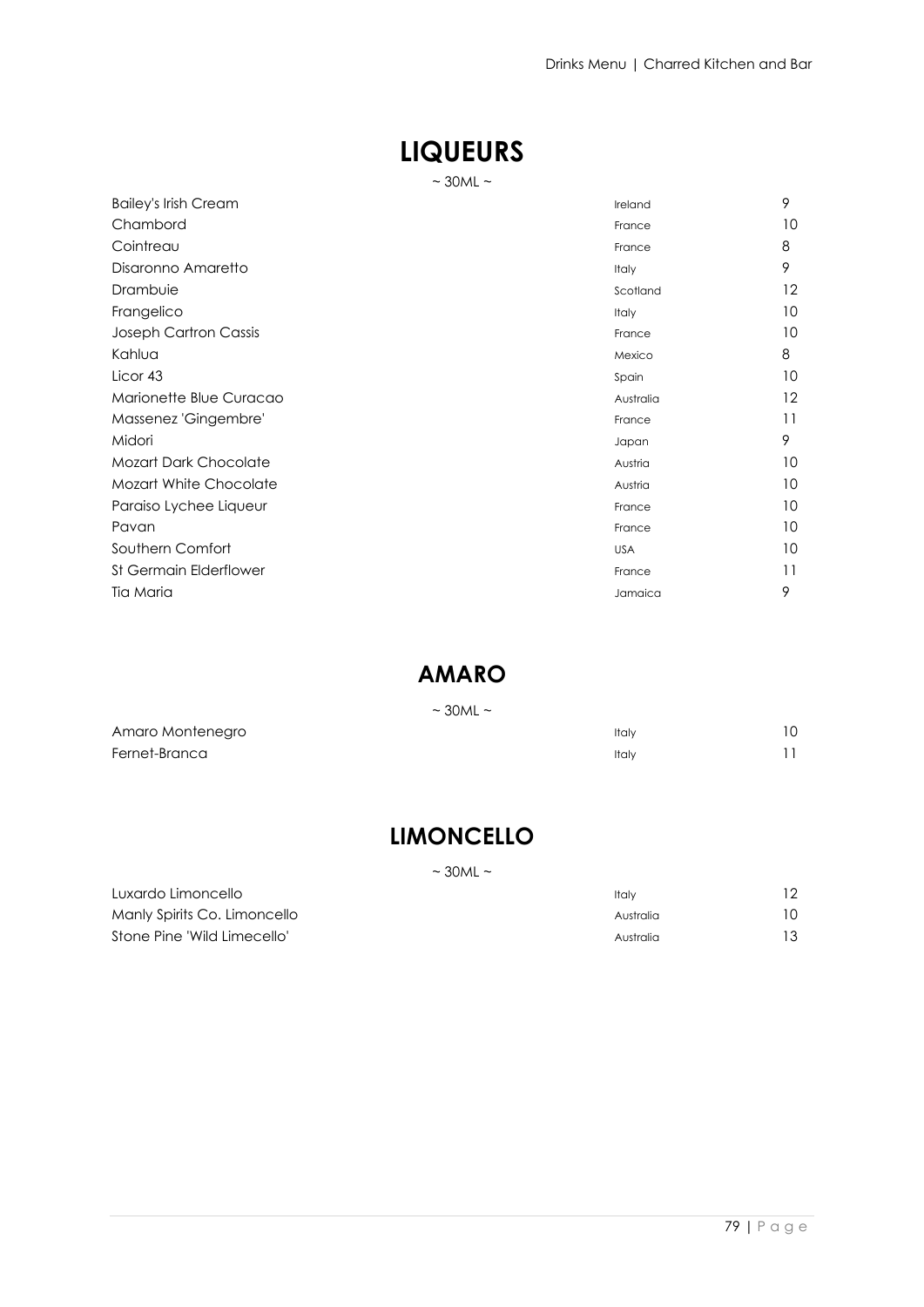# **LIQUEURS**

#### $\sim$  30ML  $\sim$

| <b>Bailey's Irish Cream</b>  | Ireland    | 9       |
|------------------------------|------------|---------|
| Chambord                     | France     | 10      |
| Cointreau                    | France     | 8       |
| Disaronno Amaretto           | Italy      | 9       |
| Drambuie                     | Scotland   | $12 \,$ |
| Frangelico                   | Italy      | 10      |
| Joseph Cartron Cassis        | France     | 10      |
| Kahlua                       | Mexico     | 8       |
| Licor 43                     | Spain      | 10      |
| Marionette Blue Curacao      | Australia  | 12      |
| Massenez 'Gingembre'         | France     | 11      |
| Midori                       | Japan      | 9       |
| <b>Mozart Dark Chocolate</b> | Austria    | 10      |
| Mozart White Chocolate       | Austria    | 10      |
| Paraiso Lychee Liqueur       | France     | 10      |
| Pavan                        | France     | 10      |
| Southern Comfort             | <b>USA</b> | 10      |
| St Germain Elderflower       | France     | 11      |
| Tia Maria                    | Jamaica    | 9       |

### **AMARO**

| $\sim$ 30ML $\sim$ |       |    |
|--------------------|-------|----|
| Amaro Montenegro   | Italy | 10 |
| Fernet-Branca      | Italy |    |

### **LIMONCELLO**

#### $\sim$  30ML  $\sim$

| Luxardo Limoncello           | Italv     |  |
|------------------------------|-----------|--|
| Manly Spirits Co. Limoncello | Australia |  |
| Stone Pine 'Wild Limecello'  | Australia |  |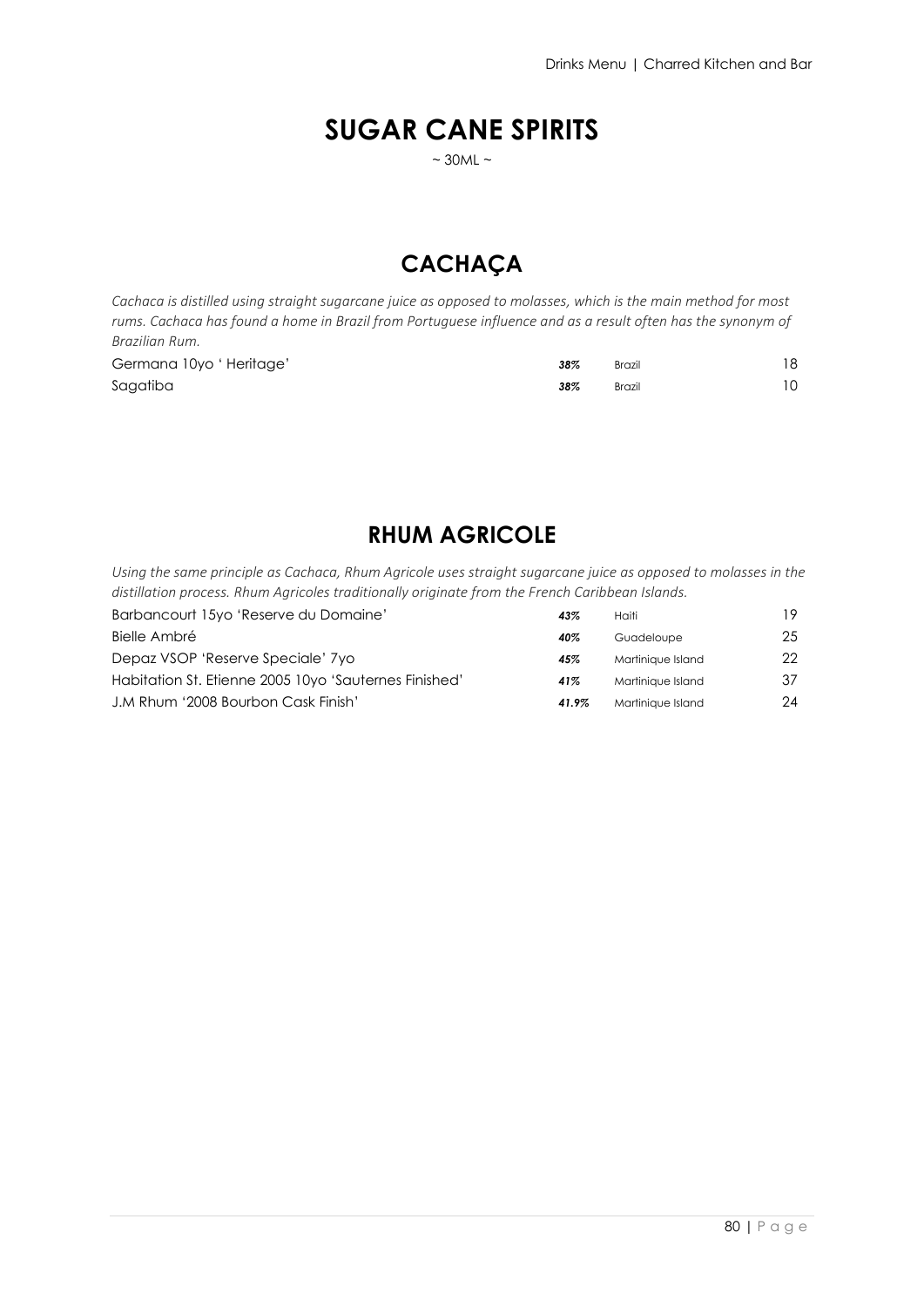# **SUGAR CANE SPIRITS**

 $\sim$  30ML  $\sim$ 

# **CACHAÇA**

*Cachaca is distilled using straight sugarcane juice as opposed to molasses, which is the main method for most rums. Cachaca has found a home in Brazil from Portuguese influence and as a result often has the synonym of Brazilian Rum.* 

| Germana 10yo ' Heritage' | 38% | Brazil |  |
|--------------------------|-----|--------|--|
| Sagatiba                 | 38% | Brazil |  |

### **RHUM AGRICOLE**

*Using the same principle as Cachaca, Rhum Agricole uses straight sugarcane juice as opposed to molasses in the distillation process. Rhum Agricoles traditionally originate from the French Caribbean Islands.* 

| Barbancourt 15yo 'Reserve du Domaine'                 | 43%   | Haiti             | 19 |
|-------------------------------------------------------|-------|-------------------|----|
| Bielle Ambré                                          | 40%   | Guadeloupe        | 25 |
| Depaz VSOP 'Reserve Speciale' 7yo                     | 45%   | Martiniaue Island | 22 |
| Habitation St. Etienne 2005 10yo 'Sauternes Finished' | 41%   | Martinique Island | 37 |
| J.M Rhum '2008 Bourbon Cask Finish'                   | 41.9% | Martinique Island | 24 |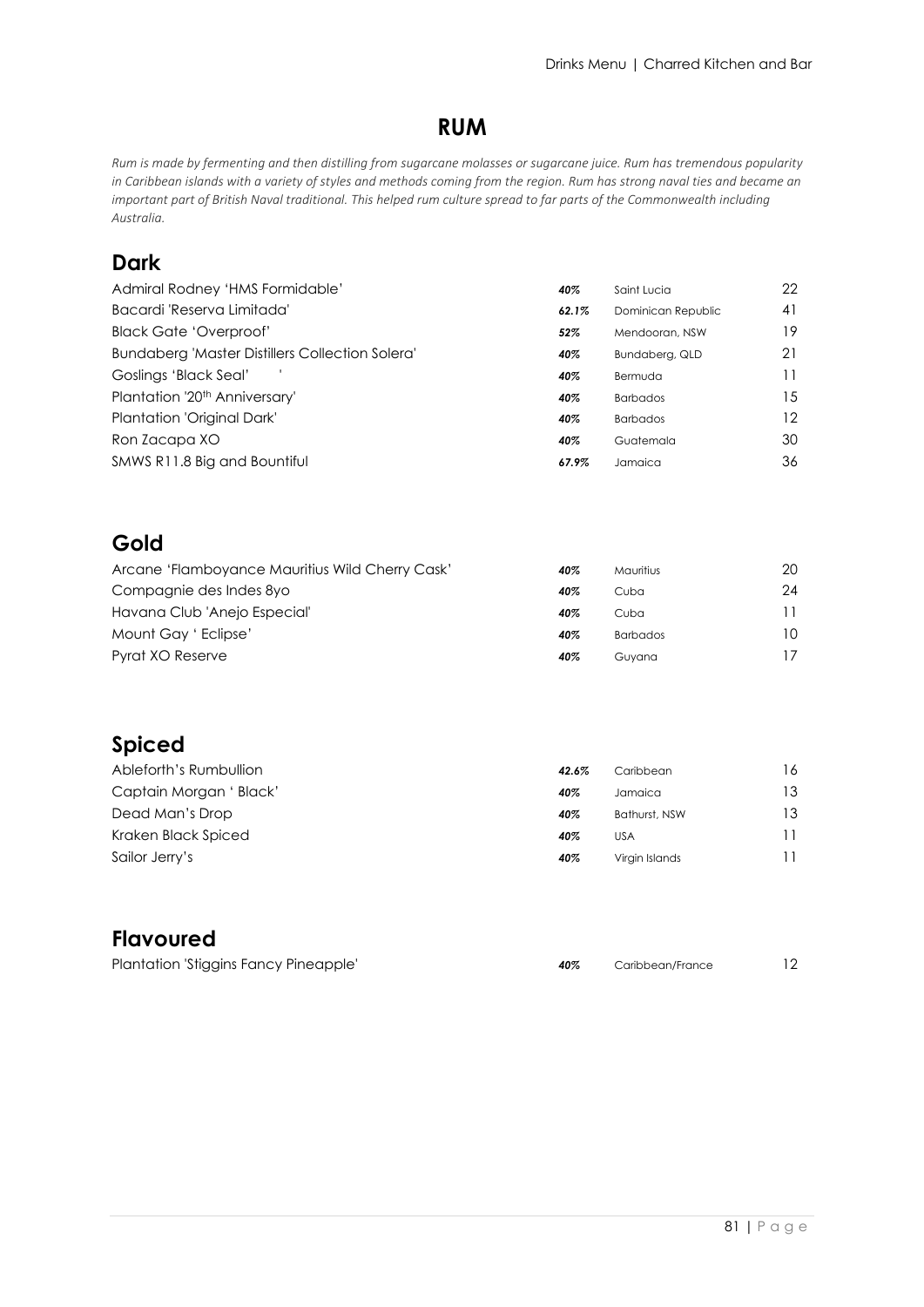### **RUM**

*Rum is made by fermenting and then distilling from sugarcane molasses or sugarcane juice. Rum has tremendous popularity in Caribbean islands with a variety of styles and methods coming from the region. Rum has strong naval ties and became an important part of British Naval traditional. This helped rum culture spread to far parts of the Commonwealth including Australia.*

### **Dark**

| Admiral Rodney 'HMS Formidable'                        | 40%   | Saint Lucia        | 22 |
|--------------------------------------------------------|-------|--------------------|----|
| Bacardi 'Reserva Limitada'                             | 62.1% | Dominican Republic | 41 |
| <b>Black Gate 'Overproof'</b>                          | 52%   | Mendooran, NSW     | 19 |
| <b>Bundaberg 'Master Distillers Collection Solera'</b> | 40%   | Bundaberg, QLD     | 21 |
| Goslings 'Black Seal'                                  | 40%   | Bermuda            | 11 |
| Plantation '20 <sup>th</sup> Anniversary'              | 40%   | <b>Barbados</b>    | 15 |
| Plantation 'Original Dark'                             | 40%   | <b>Barbados</b>    | 12 |
| Ron Zacapa XO                                          | 40%   | Guatemala          | 30 |
| SMWS R11.8 Big and Bountiful                           | 67.9% | Jamaica            | 36 |
|                                                        |       |                    |    |

### **Gold**

| Arcane 'Flamboyance Mauritius Wild Cherry Cask' | 40% | Mauritius       | 20 |
|-------------------------------------------------|-----|-----------------|----|
| Compagnie des Indes 8yo                         | 40% | Cuba            | 24 |
| Havana Club 'Anejo Especial'                    | 40% | Cuba            | 11 |
| Mount Gay ' Eclipse'                            | 40% | <b>Barbados</b> | 10 |
| Pyrat XO Reserve                                | 40% | Guvana          |    |

### **Spiced**

| Ableforth's Rumbullion  | 42.6% | Caribbean      | 16  |
|-------------------------|-------|----------------|-----|
| Captain Morgan ' Black' | 40%   | Jamaica        | 13. |
| Dead Man's Drop         | 40%   | Bathurst, NSW  | 13. |
| Kraken Black Spiced     | 40%   | <b>USA</b>     | 11  |
| Sailor Jerry's          | 40%   | Virgin Islands | 11  |

### **Flavoured**

| Plantation 'Stiggins Fancy Pineapple'<br>Caribbean/France<br>40% |  |
|------------------------------------------------------------------|--|
|------------------------------------------------------------------|--|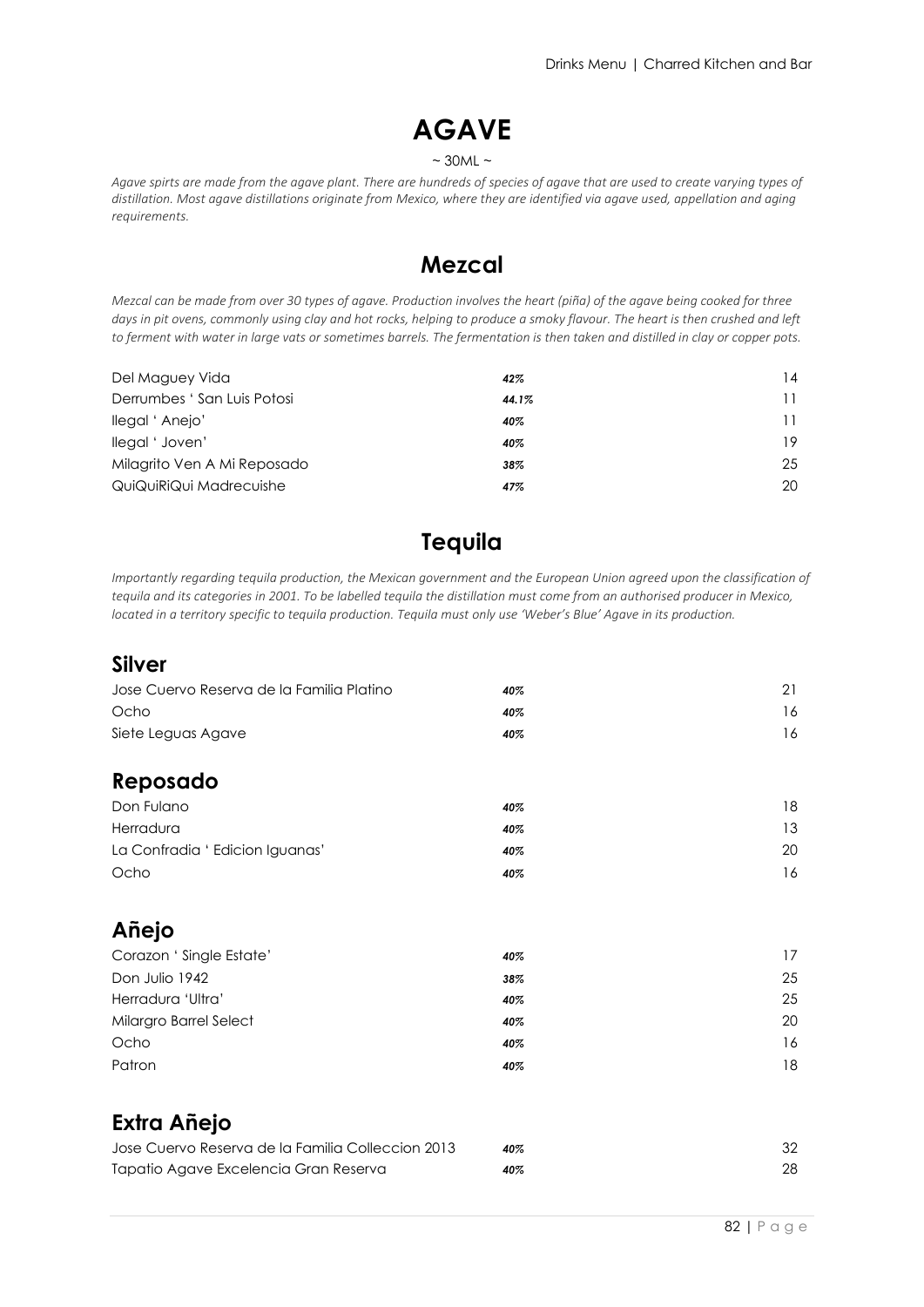### **AGAVE**  $\sim$  30ML  $\sim$

Agave spirts are made from the agave plant. There are hundreds of species of agave that are used to create varying types of *distillation. Most agave distillations originate from Mexico, where they are identified via agave used, appellation and aging requirements.*

### **Mezcal**

*Mezcal can be made from over 30 types of agave. Production involves the heart (piña) of the agave being cooked for three days in pit ovens, commonly using clay and hot rocks, helping to produce a smoky flavour. The heart is then crushed and left to ferment with water in large vats or sometimes barrels. The fermentation is then taken and distilled in clay or copper pots.* 

| Del Maguey Vida             | 42%   | 14 |
|-----------------------------|-------|----|
| Derrumbes 'San Luis Potosi  | 44.1% | 11 |
| llegal 'Anejo'              | 40%   | 11 |
| llegal 'Joven'              | 40%   | 19 |
| Milagrito Ven A Mi Reposado | 38%   | 25 |
| QuiQuiRiQui Madrecuishe     | 47%   | 20 |

# **Tequila**

*Importantly regarding tequila production, the Mexican government and the European Union agreed upon the classification of tequila and its categories in 2001. To be labelled tequila the distillation must come from an authorised producer in Mexico, located in a territory specific to tequila production. Tequila must only use 'Weber's Blue' Agave in its production.* 

### **Silver**

| Jose Cuervo Reserva de la Familia Platino         | 40% | 21 |
|---------------------------------------------------|-----|----|
| Ocho                                              | 40% | 16 |
| Siete Leguas Agave                                | 40% | 16 |
| Reposado                                          |     |    |
| Don Fulano                                        | 40% | 18 |
| Herradura                                         | 40% | 13 |
| La Confradia ' Edicion Iguanas'                   | 40% | 20 |
| Ocho                                              | 40% | 16 |
| Añejo                                             |     |    |
| Corazon ' Single Estate'                          | 40% | 17 |
| Don Julio 1942                                    | 38% | 25 |
| Herradura 'Ultra'                                 | 40% | 25 |
| Milargro Barrel Select                            | 40% | 20 |
| Ocho                                              | 40% | 16 |
| Patron                                            | 40% | 18 |
| Extra Añejo                                       |     |    |
| Jose Cuervo Reserva de la Familia Colleccion 2013 | 40% | 32 |
| Tapatio Agave Excelencia Gran Reserva             | 40% | 28 |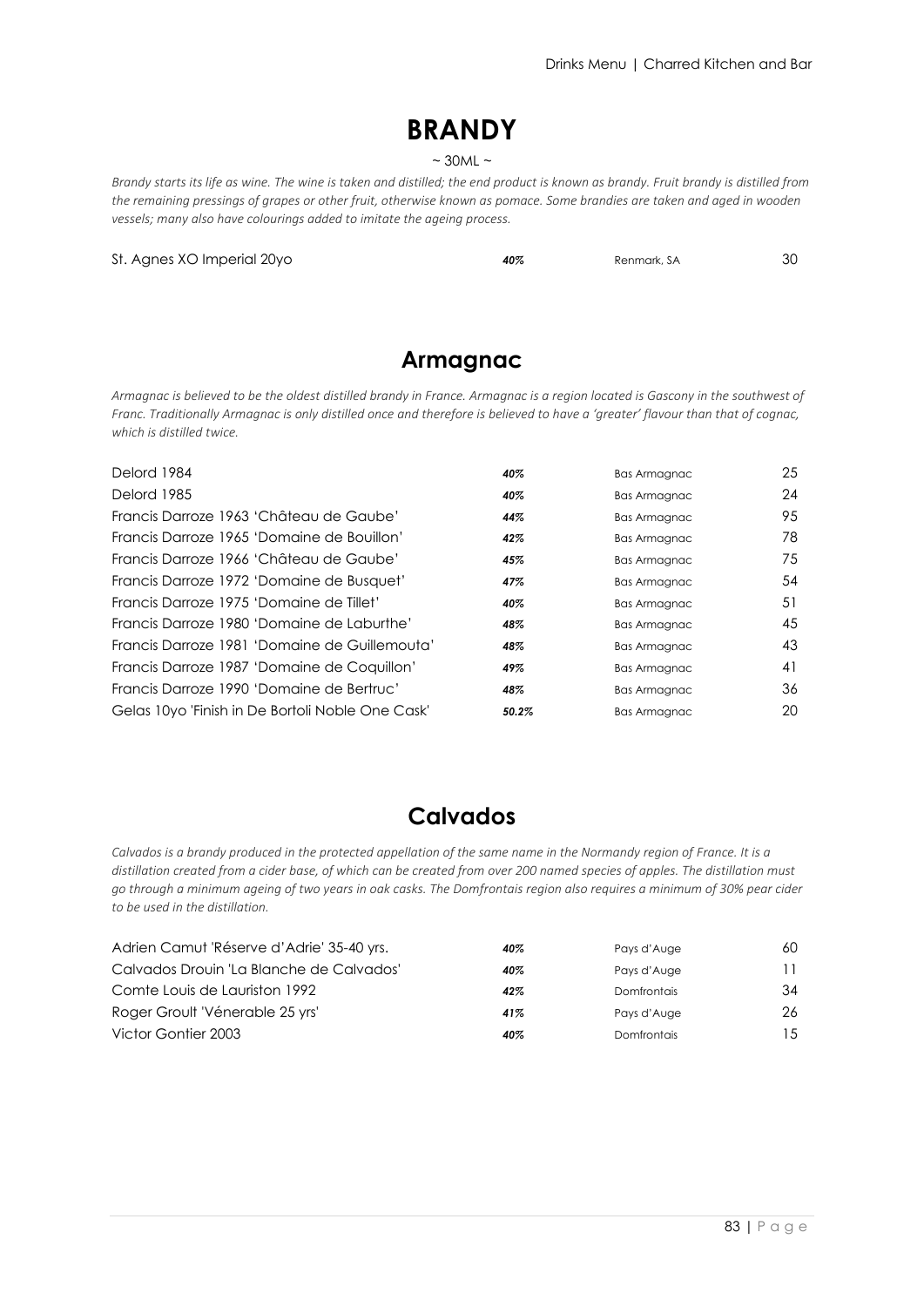# **BRANDY**

#### $\sim$  30ML  $\sim$

*Brandy starts its life as wine. The wine is taken and distilled; the end product is known as brandy. Fruit brandy is distilled from the remaining pressings of grapes or other fruit, otherwise known as pomace. Some brandies are taken and aged in wooden vessels; many also have colourings added to imitate the ageing process.* 

| St. Agnes XO Imperial 20yo | 40% | Renmark, SA | 30 |
|----------------------------|-----|-------------|----|
|                            |     |             |    |

### **Armagnac**

*Armagnac is believed to be the oldest distilled brandy in France. Armagnac is a region located is Gascony in the southwest of Franc. Traditionally Armagnac is only distilled once and therefore is believed to have a 'greater' flavour than that of cognac, which is distilled twice.*

| Delord 1984                                      | 40%   | <b>Bas Armagnac</b> | 25 |
|--------------------------------------------------|-------|---------------------|----|
| Delord 1985                                      | 40%   | <b>Bas Armagnac</b> | 24 |
| Francis Darroze 1963 'Château de Gaube'          | 44%   | <b>Bas Armagnac</b> | 95 |
| Francis Darroze 1965 'Domaine de Bouillon'       | 42%   | <b>Bas Armagnac</b> | 78 |
| Francis Darroze 1966 'Château de Gaube'          | 45%   | <b>Bas Armagnac</b> | 75 |
| Francis Darroze 1972 'Domaine de Busquet'        | 47%   | <b>Bas Armagnac</b> | 54 |
| Francis Darroze 1975 'Domaine de Tillet'         | 40%   | <b>Bas Armagnac</b> | 51 |
| Francis Darroze 1980 'Domaine de Laburthe'       | 48%   | <b>Bas Armagnac</b> | 45 |
| Francis Darroze 1981 'Domaine de Guillemouta'    | 48%   | <b>Bas Armagnac</b> | 43 |
| Francis Darroze 1987 'Domaine de Coquillon'      | 49%   | <b>Bas Armagnac</b> | 41 |
| Francis Darroze 1990 'Domaine de Bertruc'        | 48%   | <b>Bas Armagnac</b> | 36 |
| Gelas 10yo 'Finish in De Bortoli Noble One Cask' | 50.2% | <b>Bas Armagnac</b> | 20 |
|                                                  |       |                     |    |

### **Calvados**

*Calvados is a brandy produced in the protected appellation of the same name in the Normandy region of France. It is a distillation created from a cider base, of which can be created from over 200 named species of apples. The distillation must go through a minimum ageing of two years in oak casks. The Domfrontais region also requires a minimum of 30% pear cider to be used in the distillation.* 

| Adrien Camut 'Réserve d'Adrie' 35-40 yrs. | 40% | Pays d'Auge        | 60 |
|-------------------------------------------|-----|--------------------|----|
| Calvados Drouin 'La Blanche de Calvados'  | 40% | Pays d'Auge        | 11 |
| Comte Louis de Lauriston 1992             | 42% | Domfrontais        | 34 |
| Roger Groult 'Vénerable 25 yrs'           | 41% | Pays d'Auge        | 26 |
| Victor Gontier 2003                       | 40% | <b>Domfrontais</b> | 15 |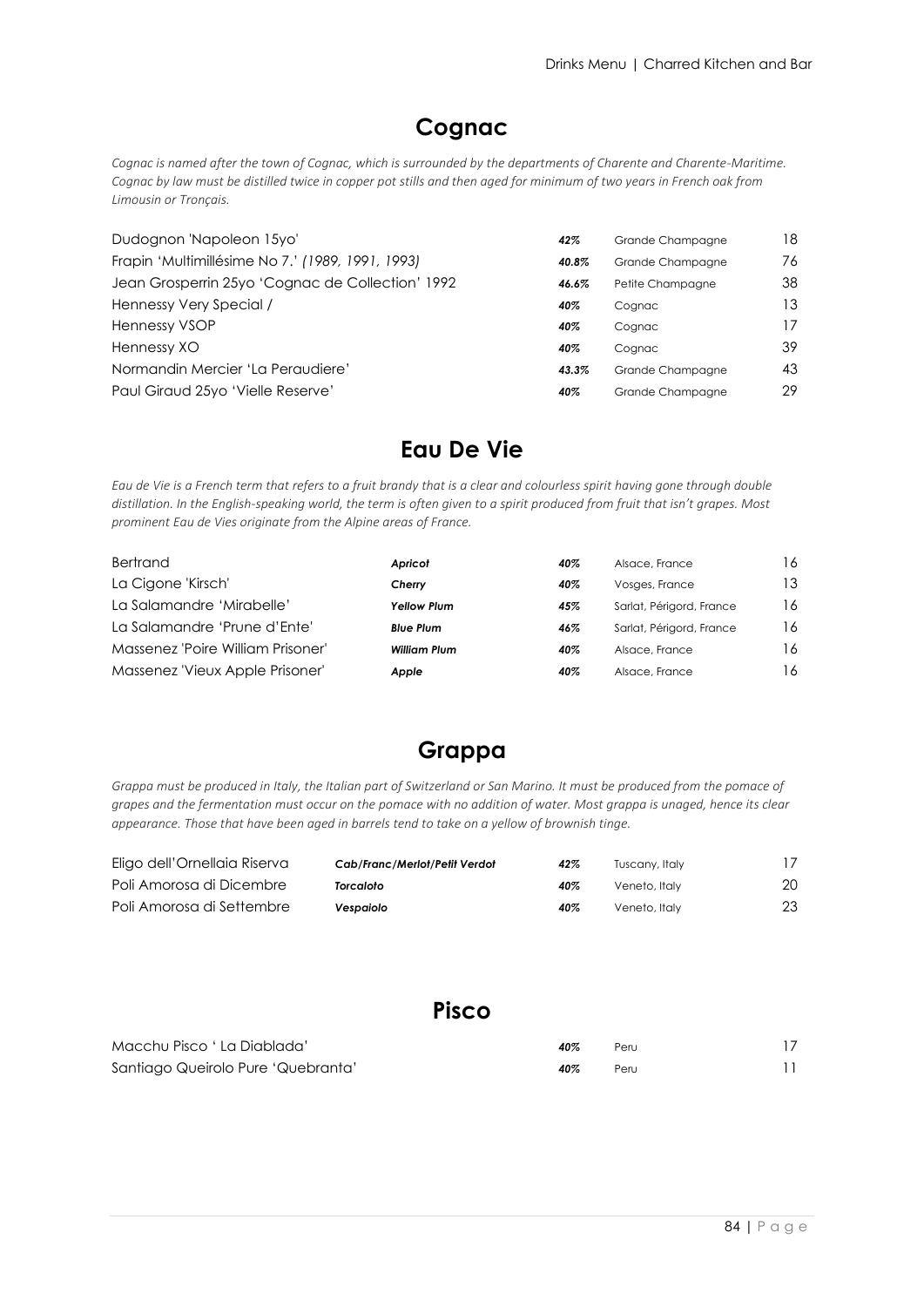### **Cognac**

*Cognac is named after the town of Cognac, which is surrounded by the departments of Charente and Charente-Maritime. Cognac by law must be distilled twice in copper pot stills and then aged for minimum of two years in French oak from Limousin or Tronçais.*

| Dudognon 'Napoleon 15yo'                         | 42%   | Grande Champagne | 18  |
|--------------------------------------------------|-------|------------------|-----|
| Frapin 'Multimillésime No 7.' (1989, 1991, 1993) | 40.8% | Grande Champagne | 76  |
| Jean Grosperrin 25yo 'Cognac de Collection' 1992 | 46.6% | Petite Champagne | 38  |
| Hennessy Very Special /                          | 40%   | Cognac           | 13. |
| <b>Hennessy VSOP</b>                             | 40%   | Cognac           | 17  |
| Hennessy XO                                      | 40%   | Cognac           | 39  |
| Normandin Mercier 'La Peraudiere'                | 43.3% | Grande Champagne | 43  |
| Paul Giraud 25yo 'Vielle Reserve'                | 40%   | Grande Champagne | 29  |

### **Eau De Vie**

*Eau de Vie is a French term that refers to a fruit brandy that is a clear and colourless spirit having gone through double distillation. In the English-speaking world, the term is often given to a spirit produced from fruit that isn't grapes. Most prominent Eau de Vies originate from the Alpine areas of France.* 

| Apricot             | 40% | Alsace, France           | 16 |
|---------------------|-----|--------------------------|----|
| Cherry              | 40% | Vosges, France           | 13 |
| <b>Yellow Plum</b>  | 45% | Sarlat, Périgord, France | 16 |
| <b>Blue Plum</b>    | 46% | Sarlat, Périgord, France | 16 |
| <b>William Plum</b> | 40% | Alsace, France           | 16 |
| Apple               | 40% | Alsace, France           | 16 |
|                     |     |                          |    |

## **Grappa**

*Grappa must be produced in Italy, the Italian part of Switzerland or San Marino. It must be produced from the pomace of grapes and the fermentation must occur on the pomace with no addition of water. Most grappa is unaged, hence its clear appearance. Those that have been aged in barrels tend to take on a yellow of brownish tinge.* 

| Eligo dell'Ornellaia Riserva | Cab/Franc/Merlot/Petit Verdot | 42% | Tuscany, Italy |    |
|------------------------------|-------------------------------|-----|----------------|----|
| Poli Amorosa di Dicembre     | Torcaloto                     | 40% | Veneto, Italy  | 20 |
| Poli Amorosa di Settembre    | Vespaiolo                     | 40% | Veneto, Italy  | 23 |

### **Pisco**

| Macchu Pisco 'La Diablada'         | 40% | Peru |  |
|------------------------------------|-----|------|--|
| Santiago Queirolo Pure 'Quebranta' | 40% | Peru |  |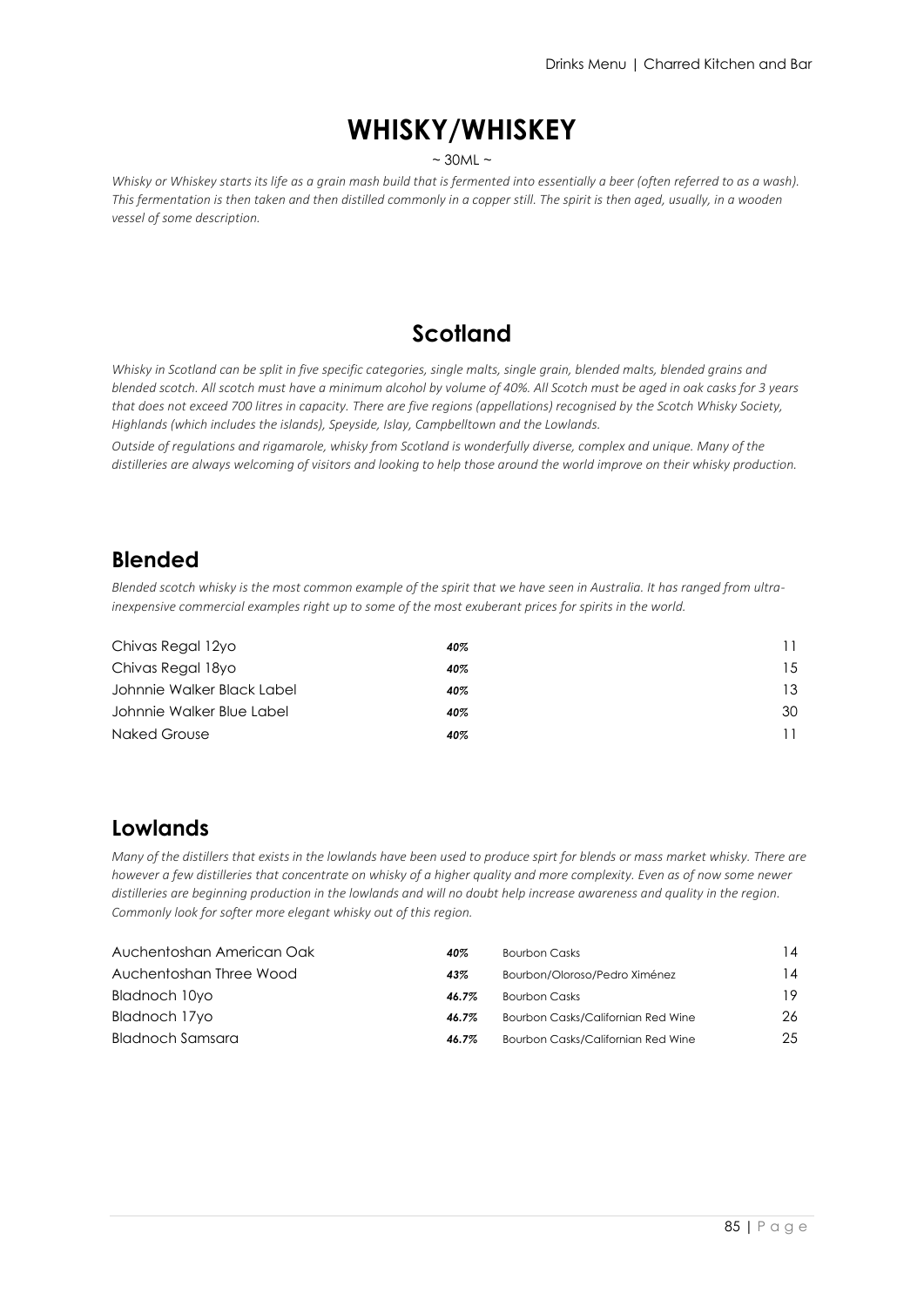# **WHISKY/WHISKEY**

#### $\sim$  30ML  $\sim$

*Whisky or Whiskey starts its life as a grain mash build that is fermented into essentially a beer (often referred to as a wash). This fermentation is then taken and then distilled commonly in a copper still. The spirit is then aged, usually, in a wooden vessel of some description.* 

### **Scotland**

*Whisky in Scotland can be split in five specific categories, single malts, single grain, blended malts, blended grains and blended scotch. All scotch must have a minimum alcohol by volume of 40%. All Scotch must be aged in oak casks for 3 years that does not exceed 700 litres in capacity. There are five regions (appellations) recognised by the Scotch Whisky Society, Highlands (which includes the islands), Speyside, Islay, Campbelltown and the Lowlands.*

*Outside of regulations and rigamarole, whisky from Scotland is wonderfully diverse, complex and unique. Many of the distilleries are always welcoming of visitors and looking to help those around the world improve on their whisky production.* 

### **Blended**

*Blended scotch whisky is the most common example of the spirit that we have seen in Australia. It has ranged from ultrainexpensive commercial examples right up to some of the most exuberant prices for spirits in the world.* 

| Chivas Regal 12yo          | 40% |    |
|----------------------------|-----|----|
| Chivas Regal 18yo          | 40% | 15 |
| Johnnie Walker Black Label | 40% | 13 |
| Johnnie Walker Blue Label  | 40% | 30 |
| <b>Naked Grouse</b>        | 40% |    |

### **Lowlands**

*Many of the distillers that exists in the lowlands have been used to produce spirt for blends or mass market whisky. There are however a few distilleries that concentrate on whisky of a higher quality and more complexity. Even as of now some newer distilleries are beginning production in the lowlands and will no doubt help increase awareness and quality in the region. Commonly look for softer more elegant whisky out of this region.*

| Auchentoshan American Oak | 40%   | <b>Bourbon Casks</b>                      | 14  |
|---------------------------|-------|-------------------------------------------|-----|
| Auchentoshan Three Wood   | 43%   | Bourbon/Oloroso/Pedro Ximénez             | 14  |
| Bladnoch 10yo             | 46.7% | <b>Bourbon Casks</b>                      | 19. |
| Bladnoch 17yo             | 46.7% | <b>Bourbon Casks/Californian Red Wine</b> | 26  |
| Bladnoch Samsara          | 46.7% | <b>Bourbon Casks/Californian Red Wine</b> | 25  |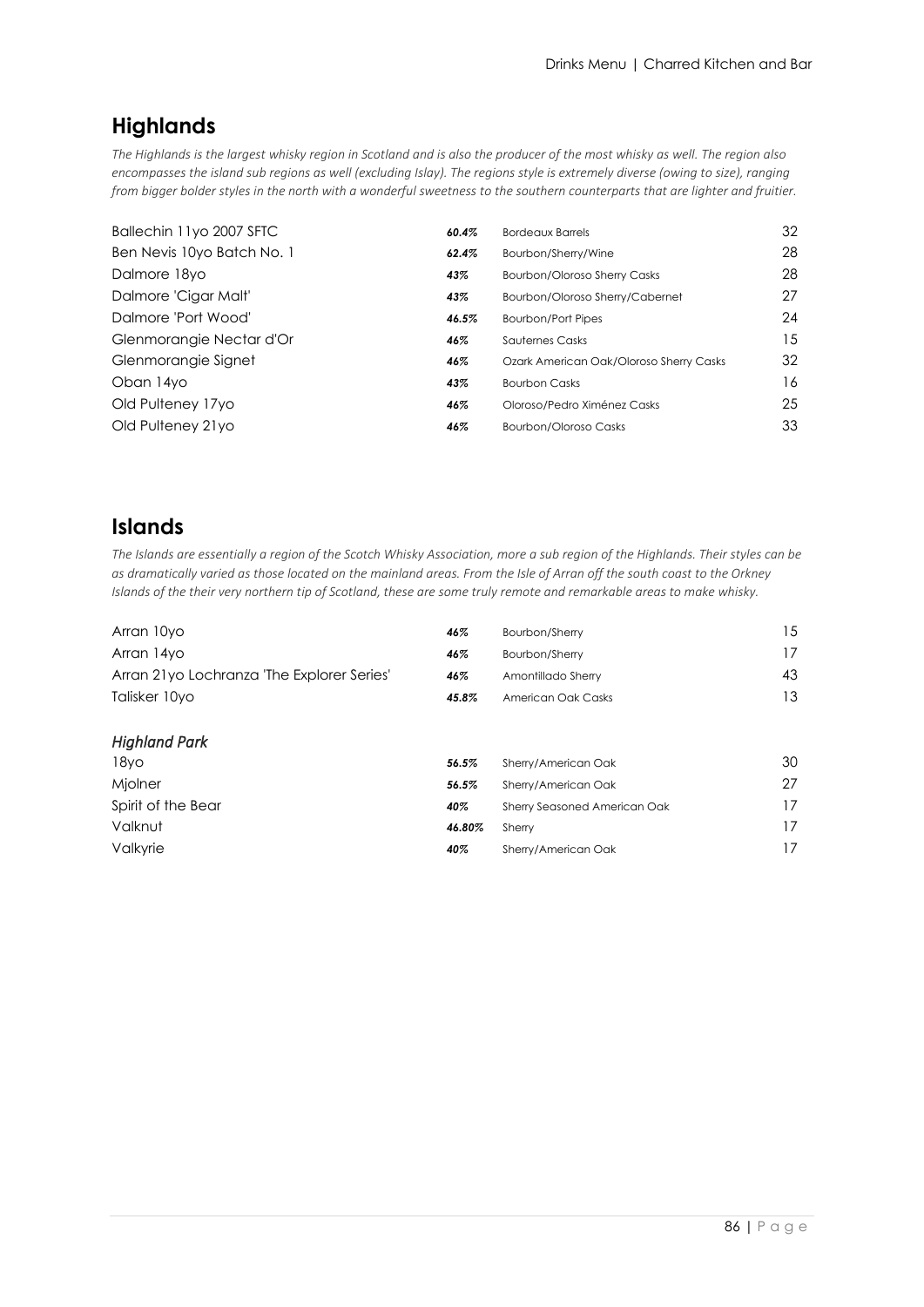### **Highlands**

*The Highlands is the largest whisky region in Scotland and is also the producer of the most whisky as well. The region also encompasses the island sub regions as well (excluding Islay). The regions style is extremely diverse (owing to size), ranging from bigger bolder styles in the north with a wonderful sweetness to the southern counterparts that are lighter and fruitier.*

| Ballechin 11yo 2007 SFTC   | 60.4% | <b>Bordeaux Barrels</b>                 | 32 |
|----------------------------|-------|-----------------------------------------|----|
| Ben Nevis 10yo Batch No. 1 | 62.4% | Bourbon/Sherry/Wine                     | 28 |
| Dalmore 18yo               | 43%   | <b>Bourbon/Oloroso Sherry Casks</b>     | 28 |
| Dalmore 'Cigar Malt'       | 43%   | Bourbon/Oloroso Sherry/Cabernet         | 27 |
| Dalmore 'Port Wood'        | 46.5% | <b>Bourbon/Port Pipes</b>               | 24 |
| Glenmorangie Nectar d'Or   | 46%   | Sauternes Casks                         | 15 |
| Glenmorangie Signet        | 46%   | Ozark American Oak/Oloroso Sherry Casks | 32 |
| Oban 14yo                  | 43%   | <b>Bourbon Casks</b>                    | 16 |
| Old Pulteney 17yo          | 46%   | Oloroso/Pedro Ximénez Casks             | 25 |
| Old Pulteney 21yo          | 46%   | <b>Bourbon/Oloroso Casks</b>            | 33 |
|                            |       |                                         |    |

### **Islands**

*The Islands are essentially a region of the Scotch Whisky Association, more a sub region of the Highlands. Their styles can be as dramatically varied as those located on the mainland areas. From the Isle of Arran off the south coast to the Orkney Islands of the their very northern tip of Scotland, these are some truly remote and remarkable areas to make whisky.*

| Arran 10yo                                  | 46%    | Bourbon/Sherry               | 15 |
|---------------------------------------------|--------|------------------------------|----|
| Arran 14yo                                  | 46%    | Bourbon/Sherry               | 17 |
| Arran 21 yo Lochranza 'The Explorer Series' | 46%    | Amontillado Sherry           | 43 |
| Talisker 10yo                               | 45.8%  | American Oak Casks           | 13 |
| <b>Highland Park</b>                        |        |                              |    |
| 18yo                                        | 56.5%  | Sherry/American Oak          | 30 |
| Mjolner                                     | 56.5%  | Sherry/American Oak          | 27 |
| Spirit of the Bear                          | 40%    | Sherry Seasoned American Oak | 17 |
| Valknut                                     | 46.80% | Sherry                       | 17 |
| Valkyrie                                    | 40%    | Sherry/American Oak          | 17 |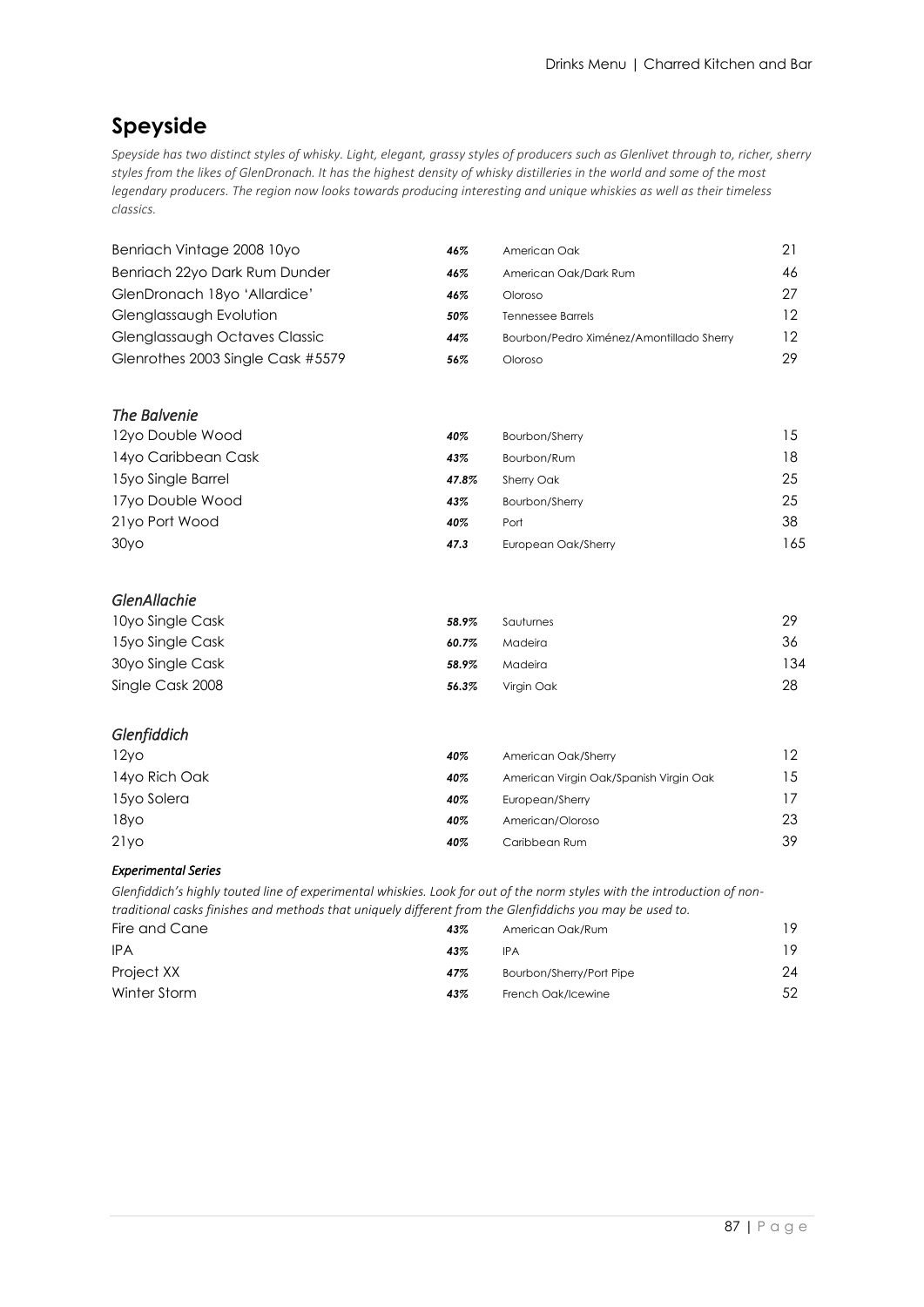### **Speyside**

*Speyside has two distinct styles of whisky. Light, elegant, grassy styles of producers such as Glenlivet through to, richer, sherry styles from the likes of GlenDronach. It has the highest density of whisky distilleries in the world and some of the most legendary producers. The region now looks towards producing interesting and unique whiskies as well as their timeless classics.*

| Benriach Vintage 2008 10yo        | 46%   | American Oak                             | 21                |
|-----------------------------------|-------|------------------------------------------|-------------------|
| Benriach 22yo Dark Rum Dunder     | 46%   | American Oak/Dark Rum                    | 46                |
| GlenDronach 18yo 'Allardice'      | 46%   | Oloroso                                  | 27                |
| Glenglassaugh Evolution           | 50%   | <b>Tennessee Barrels</b>                 | 12                |
| Glenglassaugh Octaves Classic     | 44%   | Bourbon/Pedro Ximénez/Amontillado Sherry | 12                |
| Glenrothes 2003 Single Cask #5579 | 56%   | Oloroso                                  | 29                |
| <b>The Balvenie</b>               |       |                                          |                   |
| 12yo Double Wood                  | 40%   | Bourbon/Sherry                           | 15                |
| 14yo Caribbean Cask               | 43%   | Bourbon/Rum                              | 18                |
| 15yo Single Barrel                | 47.8% | Sherry Oak                               | 25                |
| 17yo Double Wood                  | 43%   | Bourbon/Sherry                           | 25                |
| 21yo Port Wood                    | 40%   | Port                                     | 38                |
| 30y <sub>O</sub>                  | 47.3  | European Oak/Sherry                      | 165               |
| GlenAllachie                      |       |                                          |                   |
| 10yo Single Cask                  | 58.9% | Sauturnes                                | 29                |
| 15yo Single Cask                  | 60.7% | Madeira                                  | 36                |
| 30yo Single Cask                  | 58.9% | Madeira                                  | 134               |
| Single Cask 2008                  | 56.3% | Virgin Oak                               | 28                |
| Glenfiddich                       |       |                                          |                   |
| 12y <sub>O</sub>                  | 40%   | American Oak/Sherry                      | $12 \overline{ }$ |
| $1$ $\sim$ $Dich$ $\cap$ $\sim$   | 1007  | American Virgin Oak (Spanish Virgin Oak  | 1 5 I             |

| 14yo Rich Oak   | 40% | American Virgin Oak/Spanish Virgin Oak | 15 |
|-----------------|-----|----------------------------------------|----|
| 15yo Solera     | 40% | European/Sherry                        |    |
| 18yo            | 40% | American/Oloroso                       | 23 |
| 21 <sub>Y</sub> | 40% | Caribbean Rum                          | 39 |
|                 |     |                                        |    |

#### *Experimental Series*

| Glenfiddich's highly touted line of experimental whiskies. Look for out of the norm styles with the introduction of non- |     |                          |    |  |  |
|--------------------------------------------------------------------------------------------------------------------------|-----|--------------------------|----|--|--|
| traditional casks finishes and methods that uniquely different from the Glenfiddichs you may be used to.                 |     |                          |    |  |  |
| Fire and Cane                                                                                                            | 43% | American Oak/Rum         | 19 |  |  |
| IPA                                                                                                                      | 43% | <b>IPA</b>               | 19 |  |  |
| Project XX                                                                                                               | 47% | Bourbon/Sherry/Port Pipe | 24 |  |  |
| Winter Storm                                                                                                             | 43% | French Oak/Icewine       | 52 |  |  |
|                                                                                                                          |     |                          |    |  |  |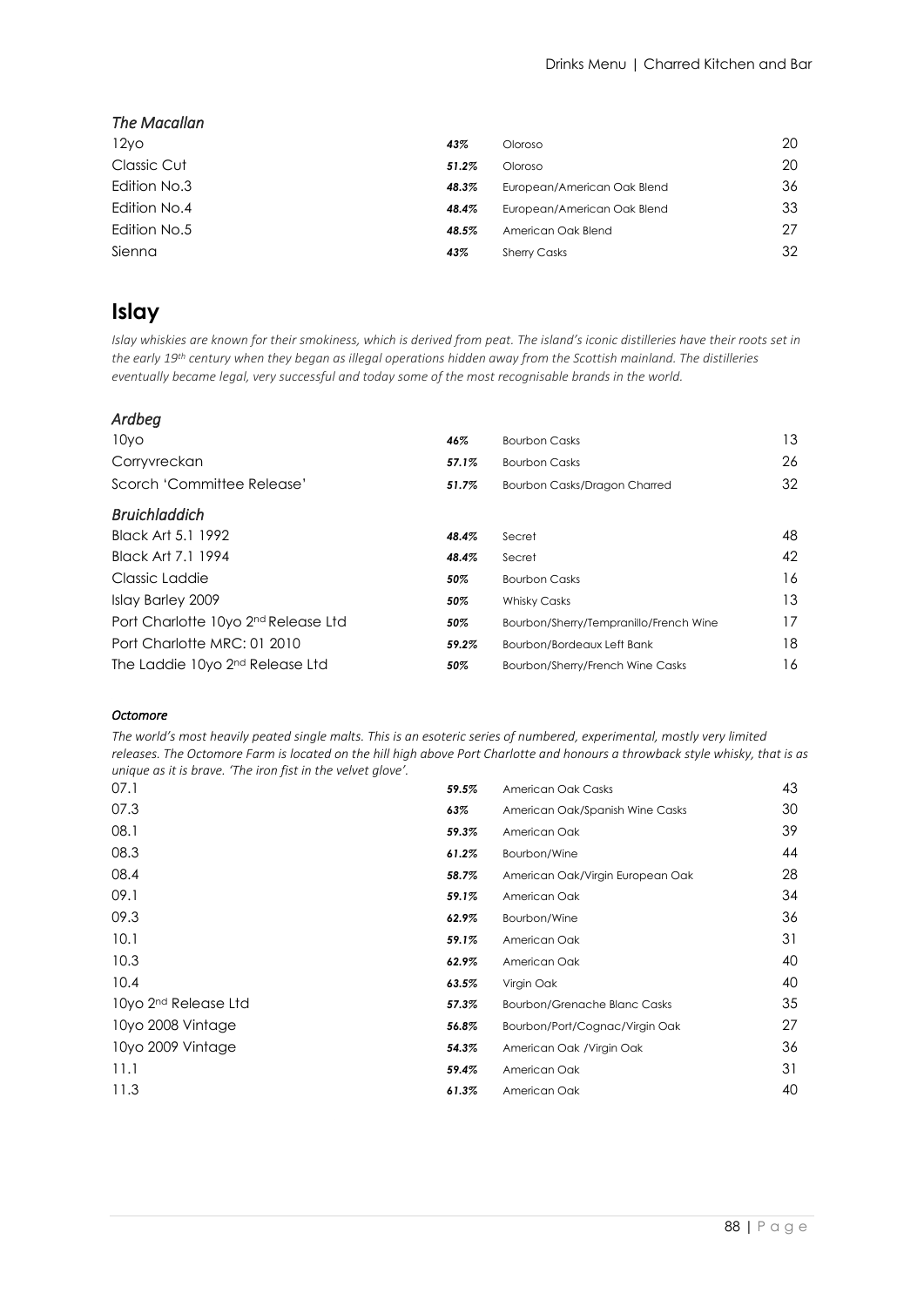| The Macallan    |       |                             |    |
|-----------------|-------|-----------------------------|----|
| 12 <sub>Y</sub> | 43%   | Oloroso                     | 20 |
| Classic Cut     | 51.2% | Oloroso                     | 20 |
| Edition No.3    | 48.3% | European/American Oak Blend | 36 |
| Edition No.4    | 48.4% | European/American Oak Blend | 33 |
| Edition No.5    | 48.5% | American Oak Blend          | 27 |
| Sienna          | 43%   | <b>Sherry Casks</b>         | 32 |
|                 |       |                             |    |

### **Islay**

*Islay whiskies are known for their smokiness, which is derived from peat. The island's iconic distilleries have their roots set in the early 19th century when they began as illegal operations hidden away from the Scottish mainland. The distilleries eventually became legal, very successful and today some of the most recognisable brands in the world.*

| Ardbeg                                          |       |                                        |    |
|-------------------------------------------------|-------|----------------------------------------|----|
| 10yo                                            | 46%   | <b>Bourbon Casks</b>                   | 13 |
| Corryvreckan                                    | 57.1% | <b>Bourbon Casks</b>                   | 26 |
| Scorch 'Committee Release'                      | 51.7% | <b>Bourbon Casks/Dragon Charred</b>    | 32 |
| <b>Bruichladdich</b>                            |       |                                        |    |
| Black Art 5.1 1992                              | 48.4% | Secret                                 | 48 |
| Black Art 7.1 1994                              | 48.4% | Secret                                 | 42 |
| Classic Laddie                                  | 50%   | <b>Bourbon Casks</b>                   | 16 |
| <b>Islay Barley 2009</b>                        | 50%   | <b>Whisky Casks</b>                    | 13 |
| Port Charlotte 10yo 2 <sup>nd</sup> Release Ltd | 50%   | Bourbon/Sherry/Tempranillo/French Wine | 17 |
| Port Charlotte MRC: 01 2010                     | 59.2% | Bourbon/Bordeaux Left Bank             | 18 |
| The Laddie 10yo 2 <sup>nd</sup> Release Ltd     | 50%   | Bourbon/Sherry/French Wine Casks       | 16 |
|                                                 |       |                                        |    |

#### *Octomore*

*The world's most heavily peated single malts. This is an esoteric series of numbered, experimental, mostly very limited releases. The Octomore Farm is located on the hill high above Port Charlotte and honours a throwback style whisky, that is as unique as it is brave. 'The iron fist in the velvet glove'.* 

| 07.1                             | 59.5% | American Oak Casks                  | 43 |
|----------------------------------|-------|-------------------------------------|----|
| 07.3                             | 63%   | American Oak/Spanish Wine Casks     | 30 |
| 08.1                             | 59.3% | American Oak                        | 39 |
| 08.3                             | 61.2% | Bourbon/Wine                        | 44 |
| 08.4                             | 58.7% | American Oak/Virgin European Oak    | 28 |
| 09.1                             | 59.1% | American Oak                        | 34 |
| 09.3                             | 62.9% | Bourbon/Wine                        | 36 |
| 10.1                             | 59.1% | American Oak                        | 31 |
| 10.3                             | 62.9% | American Oak                        | 40 |
| 10.4                             | 63.5% | Virgin Oak                          | 40 |
| 10yo 2 <sup>nd</sup> Release Ltd | 57.3% | <b>Bourbon/Grenache Blanc Casks</b> | 35 |
| 10yo 2008 Vintage                | 56.8% | Bourbon/Port/Cognac/Virgin Oak      | 27 |
| 10yo 2009 Vintage                | 54.3% | American Oak /Virgin Oak            | 36 |
| 11.1                             | 59.4% | American Oak                        | 31 |
| 11.3                             | 61.3% | American Oak                        | 40 |
|                                  |       |                                     |    |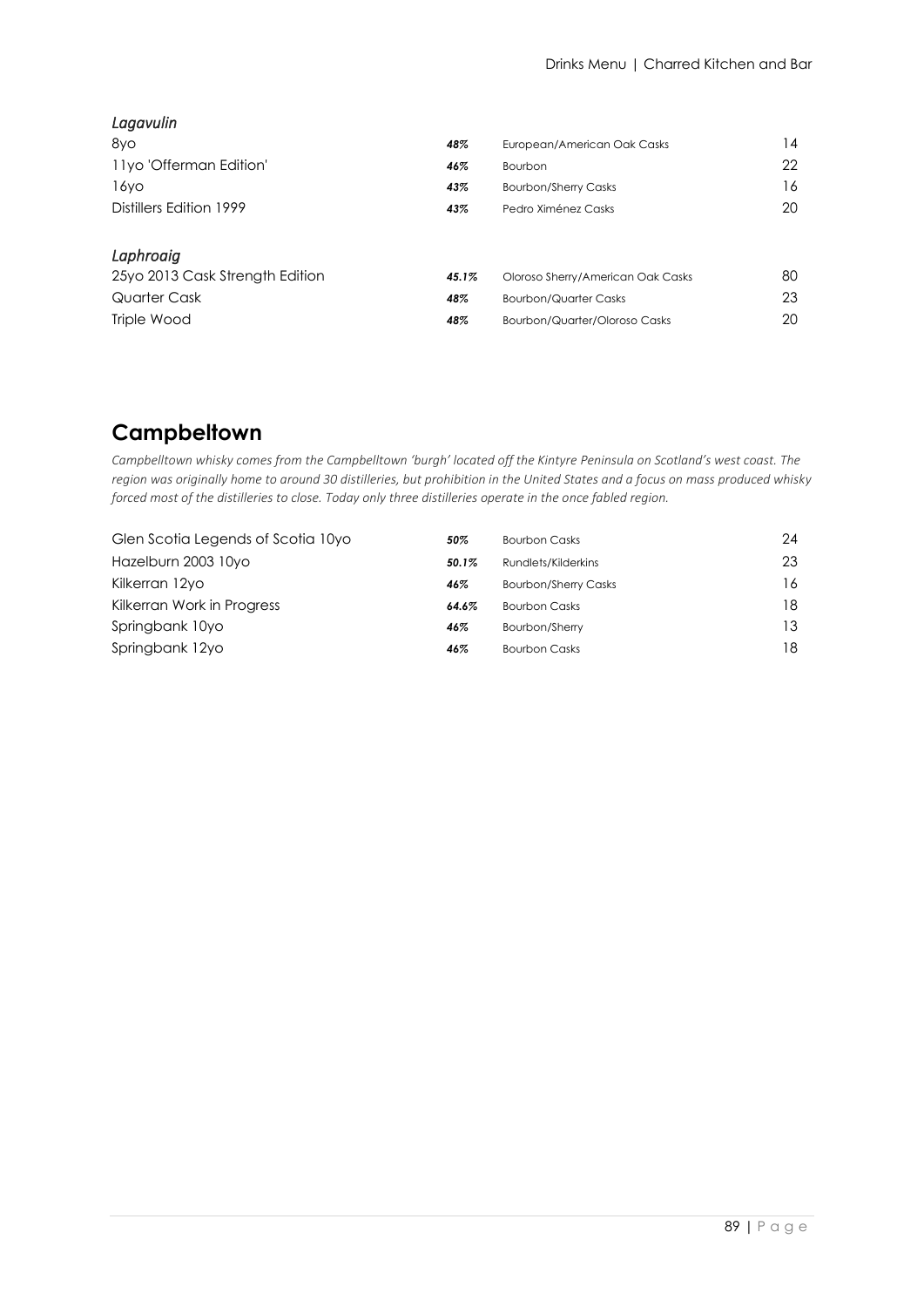| Lagavulin                       |       |                                   |    |
|---------------------------------|-------|-----------------------------------|----|
| 8yo                             | 48%   | European/American Oak Casks       | 14 |
| 11yo 'Offerman Edition'         | 46%   | <b>Bourbon</b>                    | 22 |
| 16y <sub>O</sub>                | 43%   | <b>Bourbon/Sherry Casks</b>       | 16 |
| Distillers Edition 1999         | 43%   | Pedro Ximénez Casks               | 20 |
| Laphroaig                       |       |                                   |    |
| 25yo 2013 Cask Strength Edition | 45.1% | Oloroso Sherry/American Oak Casks | 80 |
| Quarter Cask                    | 48%   | <b>Bourbon/Quarter Casks</b>      | 23 |
| Triple Wood                     | 48%   | Bourbon/Quarter/Oloroso Casks     | 20 |
|                                 |       |                                   |    |

### **Campbeltown**

*Campbelltown whisky comes from the Campbelltown 'burgh' located off the Kintyre Peninsula on Scotland's west coast. The region was originally home to around 30 distilleries, but prohibition in the United States and a focus on mass produced whisky forced most of the distilleries to close. Today only three distilleries operate in the once fabled region.*

| Glen Scotia Legends of Scotia 10yo | 50%   | <b>Bourbon Casks</b>        | 24  |
|------------------------------------|-------|-----------------------------|-----|
| Hazelburn 2003 10yo                | 50.1% | Rundlets/Kilderkins         | 23  |
| Kilkerran 12yo                     | 46%   | <b>Bourbon/Sherry Casks</b> | 16  |
| Kilkerran Work in Progress         | 64.6% | <b>Bourbon Casks</b>        | 18  |
| Springbank 10yo                    | 46%   | Bourbon/Sherry              | 13. |
| Springbank 12yo                    | 46%   | <b>Bourbon Casks</b>        | 18  |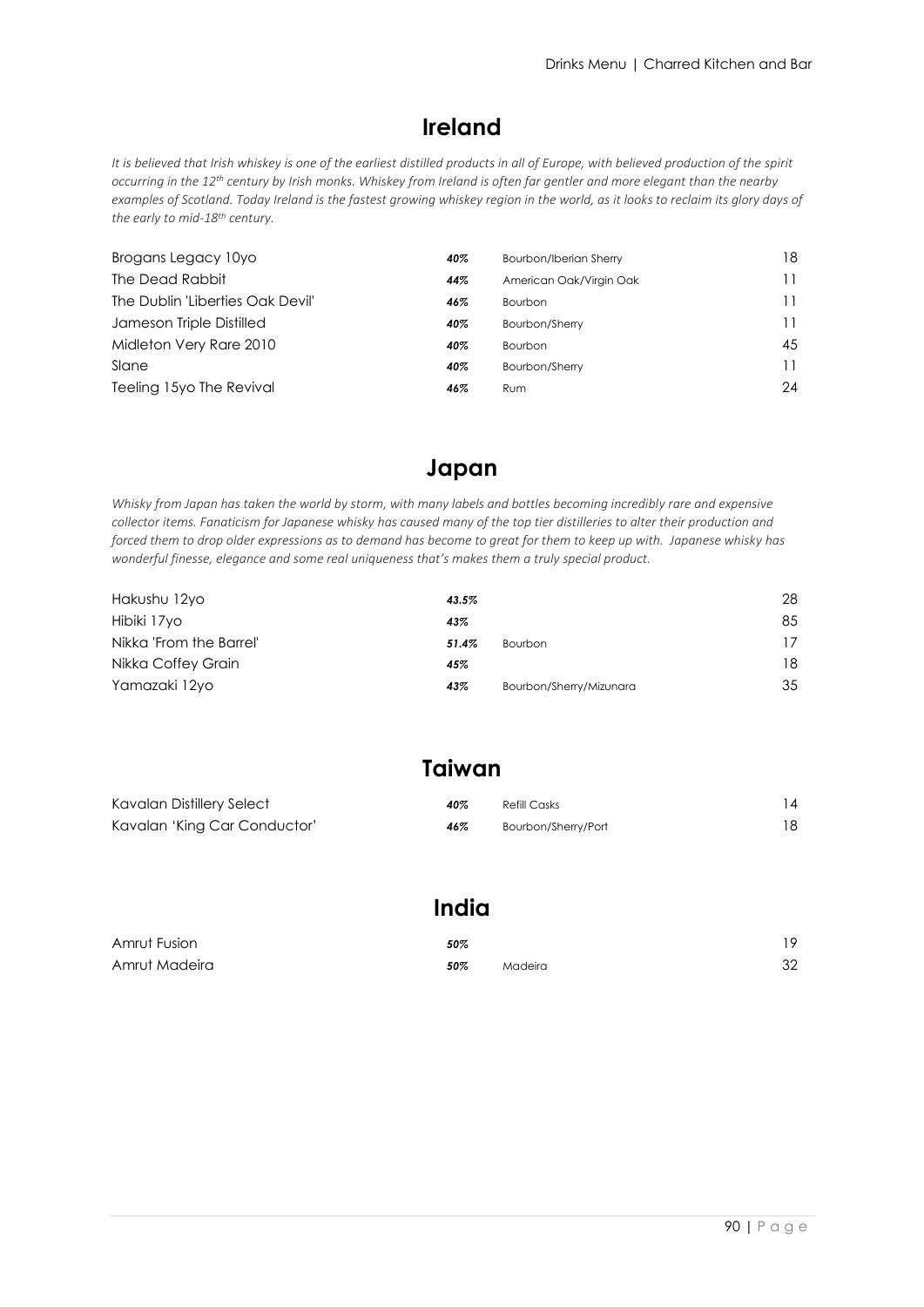### **Ireland**

*It is believed that Irish whiskey is one of the earliest distilled products in all of Europe, with believed production of the spirit occurring in the 12th century by Irish monks. Whiskey from Ireland is often far gentler and more elegant than the nearby examples of Scotland. Today Ireland is the fastest growing whiskey region in the world, as it looks to reclaim its glory days of the early to mid-18th century.* 

| Brogans Legacy 10yo              | 40% | Bourbon/Iberian Sherry  | 18 |
|----------------------------------|-----|-------------------------|----|
| The Dead Rabbit                  | 44% | American Oak/Virgin Oak | 11 |
| The Dublin 'Liberties Oak Devil' | 46% | <b>Bourbon</b>          | 11 |
| Jameson Triple Distilled         | 40% | Bourbon/Sherry          | 11 |
| Midleton Very Rare 2010          | 40% | <b>Bourbon</b>          | 45 |
| Slane                            | 40% | Bourbon/Sherry          | 11 |
| Teeling 15yo The Revival         | 46% | Rum                     | 24 |

### **Japan**

*Whisky from Japan has taken the world by storm, with many labels and bottles becoming incredibly rare and expensive collector items. Fanaticism for Japanese whisky has caused many of the top tier distilleries to alter their production and forced them to drop older expressions as to demand has become to great for them to keep up with. Japanese whisky has wonderful finesse, elegance and some real uniqueness that's makes them a truly special product.* 

| Hakushu 12yo            | 43.5% |                         | 28 |
|-------------------------|-------|-------------------------|----|
| Hibiki 17yo             | 43%   |                         | 85 |
| Nikka 'From the Barrel' | 51.4% | <b>Bourbon</b>          | 17 |
| Nikka Coffey Grain      | 45%   |                         | 18 |
| Yamazaki 12yo           | 43%   | Bourbon/Sherry/Mizunara | 35 |

### **Taiwan**

| Kavalan Distillery Select    | 40% | Refill Casks        |  |
|------------------------------|-----|---------------------|--|
| Kavalan 'King Car Conductor' | 46% | Bourbon/Sherry/Port |  |

### **India**

| Amrut Fusion  | 50% |         | 19. |
|---------------|-----|---------|-----|
| Amrut Madeira | 50% | Madeira | 32  |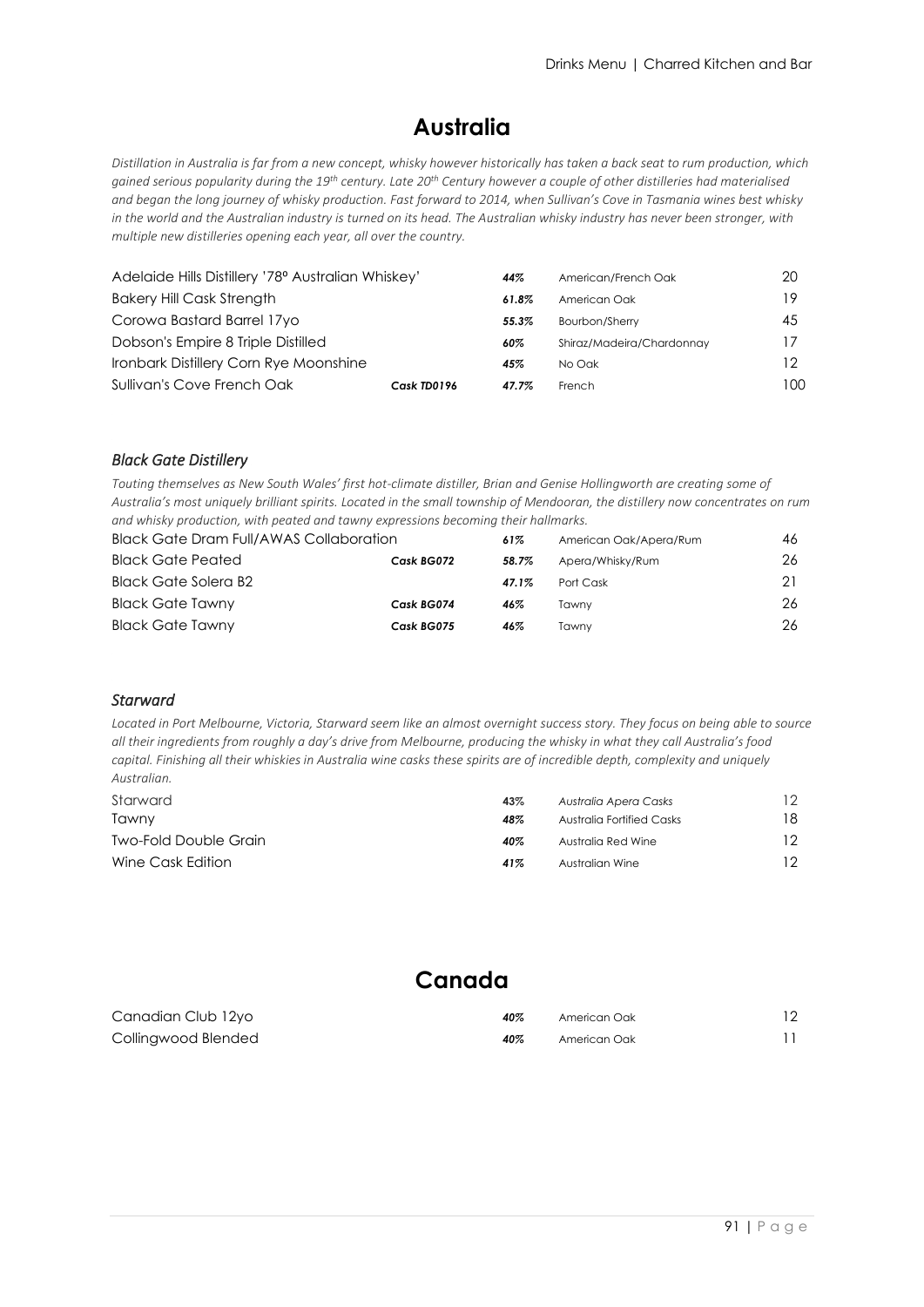### **Australia**

*Distillation in Australia is far from a new concept, whisky however historically has taken a back seat to rum production, which gained serious popularity during the 19th century. Late 20th Century however a couple of other distilleries had materialised and began the long journey of whisky production. Fast forward to 2014, when Sullivan's Cove in Tasmania wines best whisky in the world and the Australian industry is turned on its head. The Australian whisky industry has never been stronger, with multiple new distilleries opening each year, all over the country.* 

| Adelaide Hills Distillery '78° Australian Whiskey' |             | 44%   | American/French Oak       | 20  |
|----------------------------------------------------|-------------|-------|---------------------------|-----|
| <b>Bakery Hill Cask Strength</b>                   |             | 61.8% | American Oak              | 19. |
| Corowa Bastard Barrel 17yo                         |             | 55.3% | Bourbon/Sherry            | 45  |
| Dobson's Empire 8 Triple Distilled                 |             | 60%   | Shiraz/Madeira/Chardonnay |     |
| Ironbark Distillery Corn Rye Moonshine             |             | 45%   | No Oak                    | 12. |
| Sullivan's Cove French Oak                         | Cask TD0196 | 47.7% | French                    | 100 |

#### *Black Gate Distillery*

*Touting themselves as New South Wales' first hot-climate distiller, Brian and Genise Hollingworth are creating some of Australia's most uniquely brilliant spirits. Located in the small township of Mendooran, the distillery now concentrates on rum and whisky production, with peated and tawny expressions becoming their hallmarks.*

|                                                                                                        | 61%                                            | American Oak/Apera/Rum | 46 |
|--------------------------------------------------------------------------------------------------------|------------------------------------------------|------------------------|----|
| Cask BG072                                                                                             | 58.7%                                          | Apera/Whisky/Rum       | 26 |
|                                                                                                        | 47.1%                                          | Port Cask              | 21 |
| Cask BG074                                                                                             | 46%                                            | Tawnv                  | 26 |
| Cask BG075                                                                                             | 46%                                            | Tawnv                  | 26 |
| <b>Black Gate Peated</b><br>Black Gate Solera B2<br><b>Black Gate Tawny</b><br><b>Black Gate Tawny</b> | <b>Black Gate Dram Full/AWAS Collaboration</b> |                        |    |

#### *Starward*

*Located in Port Melbourne, Victoria, Starward seem like an almost overnight success story. They focus on being able to source all their ingredients from roughly a day's drive from Melbourne, producing the whisky in what they call Australia's food capital. Finishing all their whiskies in Australia wine casks these spirits are of incredible depth, complexity and uniquely Australian.*

| Starward              | 43% | Australia Apera Casks     | 12. |
|-----------------------|-----|---------------------------|-----|
| Tawny                 | 48% | Australia Fortified Casks | 18  |
| Two-Fold Double Grain | 40% | Australia Red Wine        | 12. |
| Wine Cask Edition     | 41% | Australian Wine           | 12. |

### **Canada**

| Canadian Club 12yo  | 40% | American Oak |  |
|---------------------|-----|--------------|--|
| Collingwood Blended | 40% | American Oak |  |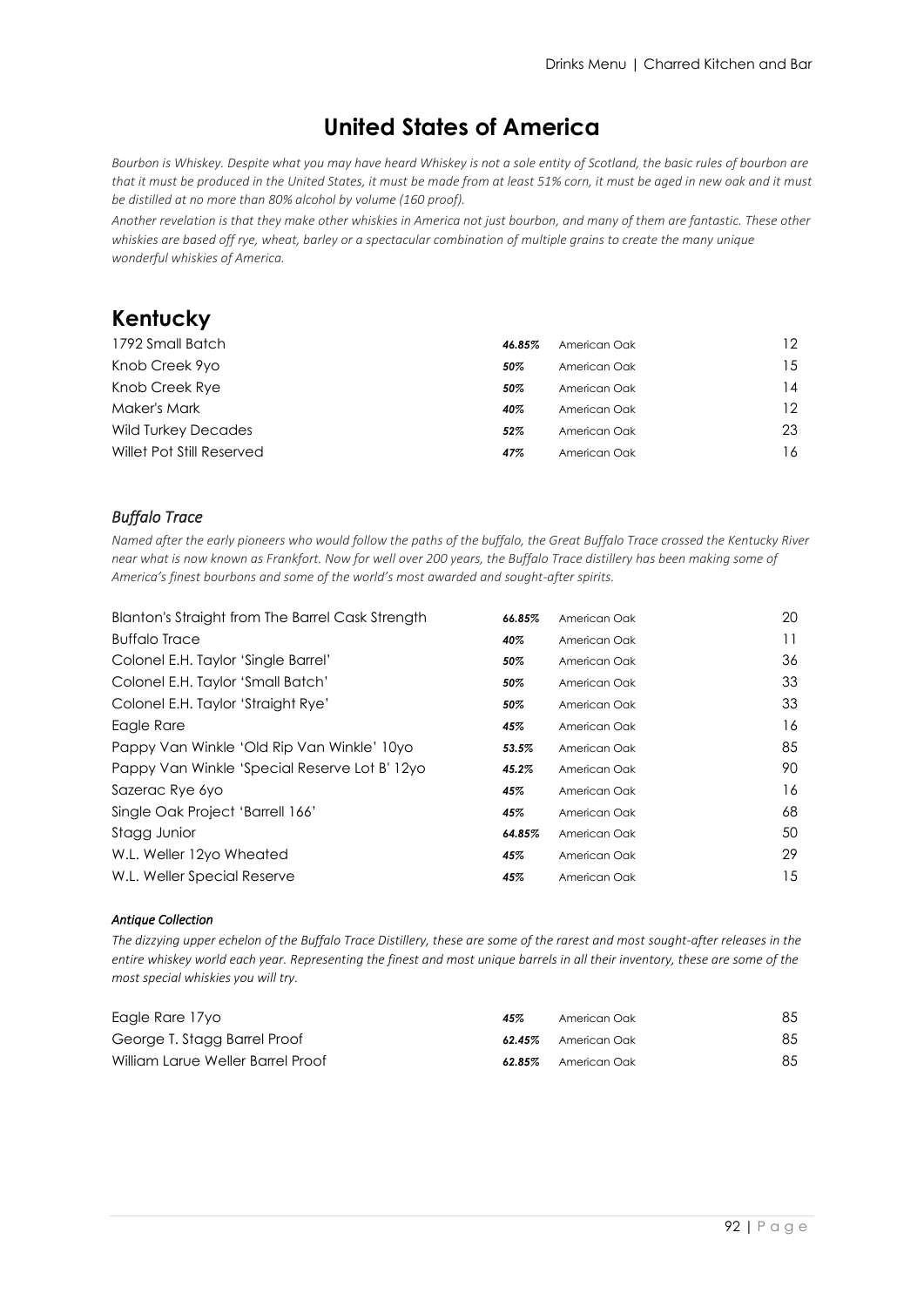### **United States of America**

*Bourbon is Whiskey. Despite what you may have heard Whiskey is not a sole entity of Scotland, the basic rules of bourbon are that it must be produced in the United States, it must be made from at least 51% corn, it must be aged in new oak and it must be distilled at no more than 80% alcohol by volume (160 proof).* 

*Another revelation is that they make other whiskies in America not just bourbon, and many of them are fantastic. These other whiskies are based off rye, wheat, barley or a spectacular combination of multiple grains to create the many unique wonderful whiskies of America.* 

### **Kentucky**

| 1792 Small Batch           | 46.85% | American Oak | 12 <sup>°</sup> |
|----------------------------|--------|--------------|-----------------|
| Knob Creek 9yo             | 50%    | American Oak | 15              |
| Knob Creek Rye             | 50%    | American Oak | 14              |
| Maker's Mark               | 40%    | American Oak | 12 <sup>°</sup> |
| <b>Wild Turkey Decades</b> | 52%    | American Oak | 23              |
| Willet Pot Still Reserved  | 47%    | American Oak | 16              |

#### *Buffalo Trace*

*Named after the early pioneers who would follow the paths of the buffalo, the Great Buffalo Trace crossed the Kentucky River near what is now known as Frankfort. Now for well over 200 years, the Buffalo Trace distillery has been making some of America's finest bourbons and some of the world's most awarded and sought-after spirits.* 

| Blanton's Straight from The Barrel Cask Strength | 66.85% | American Oak | 20 |
|--------------------------------------------------|--------|--------------|----|
| <b>Buffalo Trace</b>                             | 40%    | American Oak | 11 |
| Colonel E.H. Taylor 'Single Barrel'              | 50%    | American Oak | 36 |
| Colonel E.H. Taylor 'Small Batch'                | 50%    | American Oak | 33 |
| Colonel E.H. Taylor 'Straight Rye'               | 50%    | American Oak | 33 |
| Eagle Rare                                       | 45%    | American Oak | 16 |
| Pappy Van Winkle 'Old Rip Van Winkle' 10yo       | 53.5%  | American Oak | 85 |
| Pappy Van Winkle 'Special Reserve Lot B' 12yo    | 45.2%  | American Oak | 90 |
| Sazerac Rye 6yo                                  | 45%    | American Oak | 16 |
| Single Oak Project 'Barrell 166'                 | 45%    | American Oak | 68 |
| Stagg Junior                                     | 64.85% | American Oak | 50 |
| W.L. Weller 12yo Wheated                         | 45%    | American Oak | 29 |
| W.L. Weller Special Reserve                      | 45%    | American Oak | 15 |
|                                                  |        |              |    |

#### *Antique Collection*

*The dizzying upper echelon of the Buffalo Trace Distillery, these are some of the rarest and most sought-after releases in the entire whiskey world each year. Representing the finest and most unique barrels in all their inventory, these are some of the most special whiskies you will try.* 

| Eagle Rare 17yo                   | 45%    | American Oak | 85 |
|-----------------------------------|--------|--------------|----|
| George T. Stagg Barrel Proof      | 62.45% | American Oak | 85 |
| William Larue Weller Barrel Proof | 62.85% | American Oak | 85 |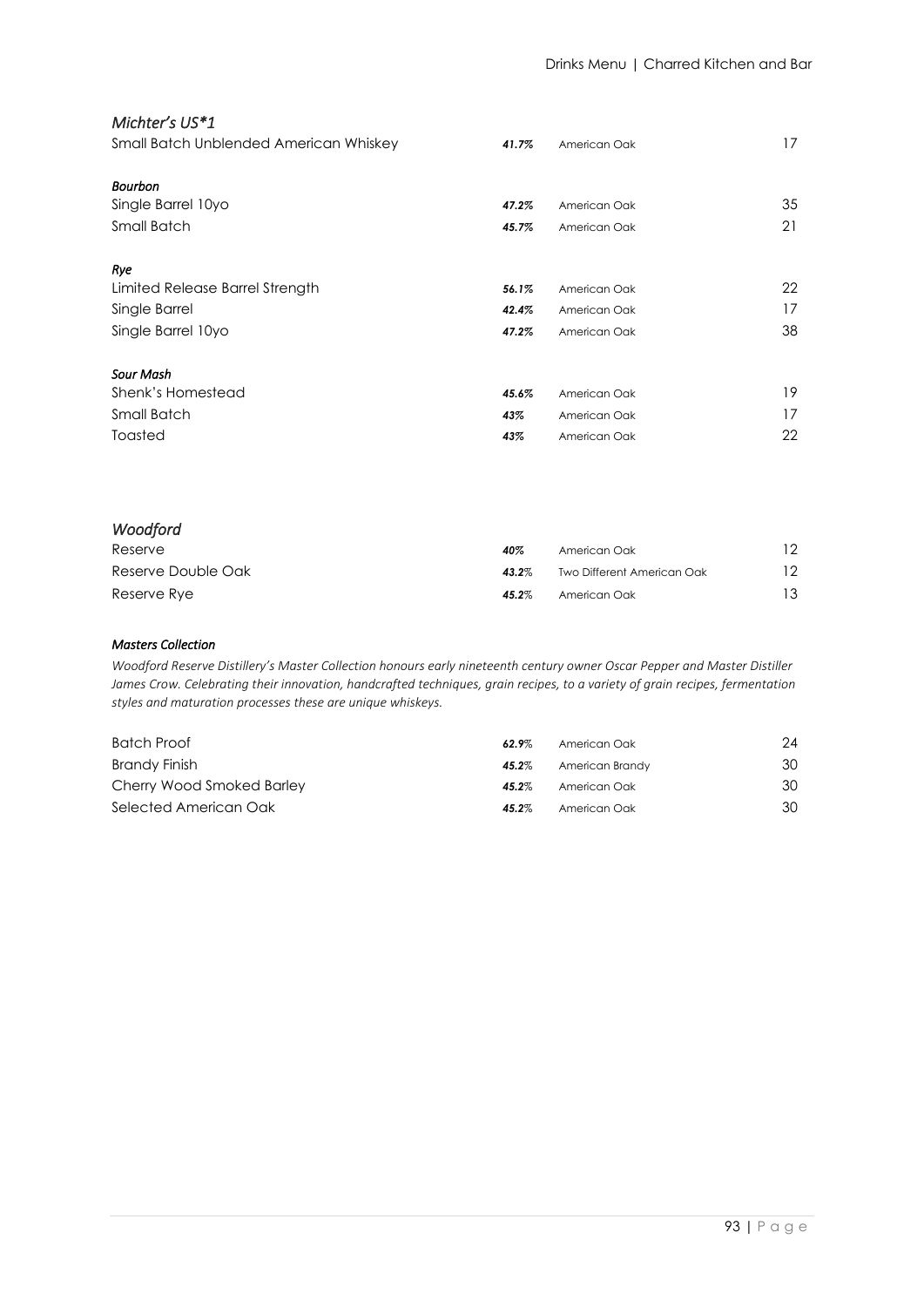| Michter's US*1                         |       |              |    |
|----------------------------------------|-------|--------------|----|
| Small Batch Unblended American Whiskey | 41.7% | American Oak | 17 |
|                                        |       |              |    |
| Bourbon                                |       |              |    |
| Single Barrel 10yo                     | 47.2% | American Oak | 35 |
| Small Batch                            | 45.7% | American Oak | 21 |
|                                        |       |              |    |
| Rye                                    |       |              |    |
| Limited Release Barrel Strength        | 56.1% | American Oak | 22 |
| Single Barrel                          | 42.4% | American Oak | 17 |
| Single Barrel 10yo                     | 47.2% | American Oak | 38 |
| Sour Mash                              |       |              |    |
| Shenk's Homestead                      | 45.6% | American Oak | 19 |
| Small Batch                            |       |              | 17 |
|                                        | 43%   | American Oak |    |
| Toasted                                | 43%   | American Oak | 22 |
|                                        |       |              |    |
|                                        |       |              |    |

| Woodford           |       |                            |     |
|--------------------|-------|----------------------------|-----|
| Reserve            | 40%   | American Oak               | 12  |
| Reserve Double Oak | 43.2% | Two Different American Oak | 12  |
| Reserve Rye        | 45.2% | American Oak               | 13. |

#### *Masters Collection*

*Woodford Reserve Distillery's Master Collection honours early nineteenth century owner Oscar Pepper and Master Distiller James Crow. Celebrating their innovation, handcrafted techniques, grain recipes, to a variety of grain recipes, fermentation styles and maturation processes these are unique whiskeys.* 

| Batch Proof               | $62.9\%$ | American Oak    | 24 |
|---------------------------|----------|-----------------|----|
| Brandy Finish             | 45.2%    | American Brandy | 30 |
| Cherry Wood Smoked Barley | 45.2%    | American Oak    | 30 |
| Selected American Oak     | 45.2%    | American Oak    | 30 |